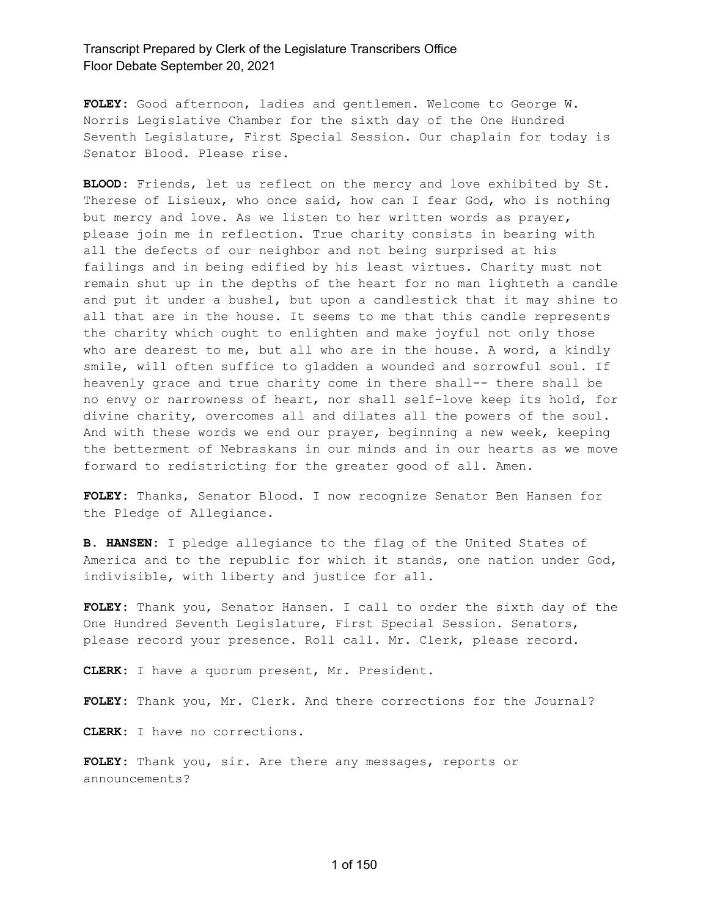**FOLEY:** Good afternoon, ladies and gentlemen. Welcome to George W. Norris Legislative Chamber for the sixth day of the One Hundred Seventh Legislature, First Special Session. Our chaplain for today is Senator Blood. Please rise.

BLOOD: Friends, let us reflect on the mercy and love exhibited by St. Therese of Lisieux, who once said, how can I fear God, who is nothing but mercy and love. As we listen to her written words as prayer, please join me in reflection. True charity consists in bearing with all the defects of our neighbor and not being surprised at his failings and in being edified by his least virtues. Charity must not remain shut up in the depths of the heart for no man lighteth a candle and put it under a bushel, but upon a candlestick that it may shine to all that are in the house. It seems to me that this candle represents the charity which ought to enlighten and make joyful not only those who are dearest to me, but all who are in the house. A word, a kindly smile, will often suffice to gladden a wounded and sorrowful soul. If heavenly grace and true charity come in there shall-- there shall be no envy or narrowness of heart, nor shall self-love keep its hold, for divine charity, overcomes all and dilates all the powers of the soul. And with these words we end our prayer, beginning a new week, keeping the betterment of Nebraskans in our minds and in our hearts as we move forward to redistricting for the greater good of all. Amen.

**FOLEY:** Thanks, Senator Blood. I now recognize Senator Ben Hansen for the Pledge of Allegiance.

**B. HANSEN:** I pledge allegiance to the flag of the United States of America and to the republic for which it stands, one nation under God, indivisible, with liberty and justice for all.

**FOLEY:** Thank you, Senator Hansen. I call to order the sixth day of the One Hundred Seventh Legislature, First Special Session. Senators, please record your presence. Roll call. Mr. Clerk, please record.

**CLERK:** I have a quorum present, Mr. President.

**FOLEY:** Thank you, Mr. Clerk. And there corrections for the Journal?

**CLERK:** I have no corrections.

**FOLEY:** Thank you, sir. Are there any messages, reports or announcements?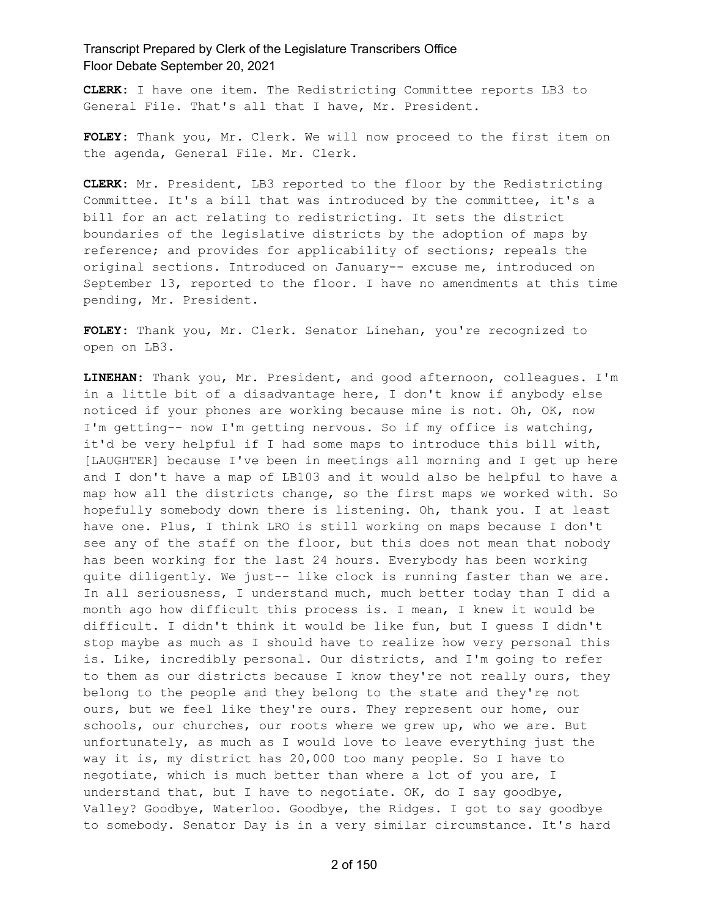**CLERK:** I have one item. The Redistricting Committee reports LB3 to General File. That's all that I have, Mr. President.

**FOLEY:** Thank you, Mr. Clerk. We will now proceed to the first item on the agenda, General File. Mr. Clerk.

**CLERK:** Mr. President, LB3 reported to the floor by the Redistricting Committee. It's a bill that was introduced by the committee, it's a bill for an act relating to redistricting. It sets the district boundaries of the legislative districts by the adoption of maps by reference; and provides for applicability of sections; repeals the original sections. Introduced on January-- excuse me, introduced on September 13, reported to the floor. I have no amendments at this time pending, Mr. President.

**FOLEY:** Thank you, Mr. Clerk. Senator Linehan, you're recognized to open on LB3.

**LINEHAN:** Thank you, Mr. President, and good afternoon, colleagues. I'm in a little bit of a disadvantage here, I don't know if anybody else noticed if your phones are working because mine is not. Oh, OK, now I'm getting-- now I'm getting nervous. So if my office is watching, it'd be very helpful if I had some maps to introduce this bill with, [LAUGHTER] because I've been in meetings all morning and I get up here and I don't have a map of LB103 and it would also be helpful to have a map how all the districts change, so the first maps we worked with. So hopefully somebody down there is listening. Oh, thank you. I at least have one. Plus, I think LRO is still working on maps because I don't see any of the staff on the floor, but this does not mean that nobody has been working for the last 24 hours. Everybody has been working quite diligently. We just-- like clock is running faster than we are. In all seriousness, I understand much, much better today than I did a month ago how difficult this process is. I mean, I knew it would be difficult. I didn't think it would be like fun, but I guess I didn't stop maybe as much as I should have to realize how very personal this is. Like, incredibly personal. Our districts, and I'm going to refer to them as our districts because I know they're not really ours, they belong to the people and they belong to the state and they're not ours, but we feel like they're ours. They represent our home, our schools, our churches, our roots where we grew up, who we are. But unfortunately, as much as I would love to leave everything just the way it is, my district has 20,000 too many people. So I have to negotiate, which is much better than where a lot of you are, I understand that, but I have to negotiate. OK, do I say goodbye, Valley? Goodbye, Waterloo. Goodbye, the Ridges. I got to say goodbye to somebody. Senator Day is in a very similar circumstance. It's hard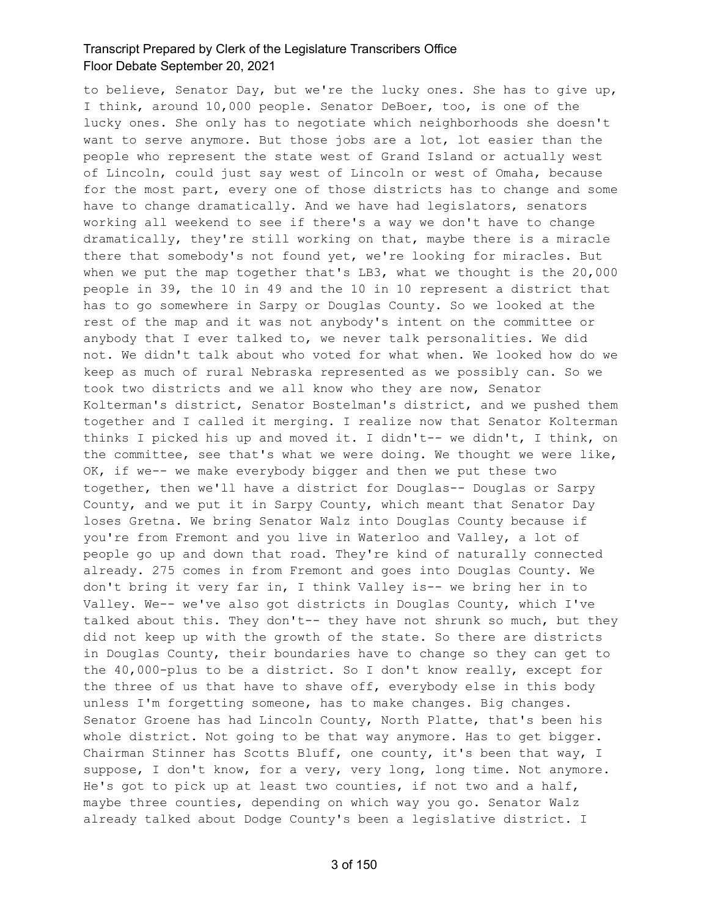to believe, Senator Day, but we're the lucky ones. She has to give up, I think, around 10,000 people. Senator DeBoer, too, is one of the lucky ones. She only has to negotiate which neighborhoods she doesn't want to serve anymore. But those jobs are a lot, lot easier than the people who represent the state west of Grand Island or actually west of Lincoln, could just say west of Lincoln or west of Omaha, because for the most part, every one of those districts has to change and some have to change dramatically. And we have had legislators, senators working all weekend to see if there's a way we don't have to change dramatically, they're still working on that, maybe there is a miracle there that somebody's not found yet, we're looking for miracles. But when we put the map together that's LB3, what we thought is the 20,000 people in 39, the 10 in 49 and the 10 in 10 represent a district that has to go somewhere in Sarpy or Douglas County. So we looked at the rest of the map and it was not anybody's intent on the committee or anybody that I ever talked to, we never talk personalities. We did not. We didn't talk about who voted for what when. We looked how do we keep as much of rural Nebraska represented as we possibly can. So we took two districts and we all know who they are now, Senator Kolterman's district, Senator Bostelman's district, and we pushed them together and I called it merging. I realize now that Senator Kolterman thinks I picked his up and moved it. I didn't-- we didn't, I think, on the committee, see that's what we were doing. We thought we were like, OK, if we-- we make everybody bigger and then we put these two together, then we'll have a district for Douglas-- Douglas or Sarpy County, and we put it in Sarpy County, which meant that Senator Day loses Gretna. We bring Senator Walz into Douglas County because if you're from Fremont and you live in Waterloo and Valley, a lot of people go up and down that road. They're kind of naturally connected already. 275 comes in from Fremont and goes into Douglas County. We don't bring it very far in, I think Valley is-- we bring her in to Valley. We-- we've also got districts in Douglas County, which I've talked about this. They don't-- they have not shrunk so much, but they did not keep up with the growth of the state. So there are districts in Douglas County, their boundaries have to change so they can get to the 40,000-plus to be a district. So I don't know really, except for the three of us that have to shave off, everybody else in this body unless I'm forgetting someone, has to make changes. Big changes. Senator Groene has had Lincoln County, North Platte, that's been his whole district. Not going to be that way anymore. Has to get bigger. Chairman Stinner has Scotts Bluff, one county, it's been that way, I suppose, I don't know, for a very, very long, long time. Not anymore. He's got to pick up at least two counties, if not two and a half, maybe three counties, depending on which way you go. Senator Walz already talked about Dodge County's been a legislative district. I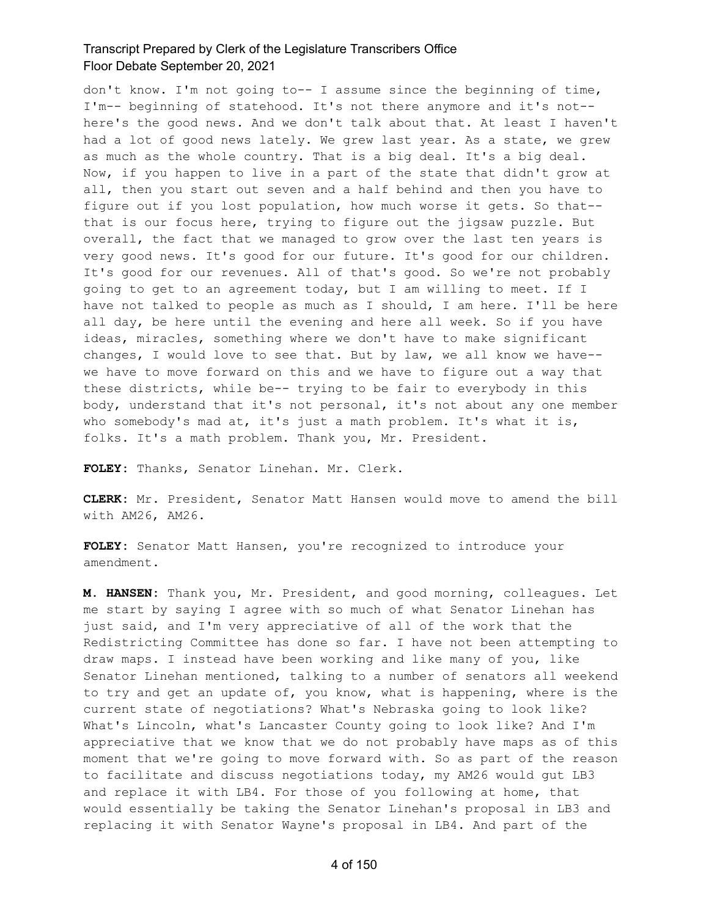don't know. I'm not going to-- I assume since the beginning of time, I'm-- beginning of statehood. It's not there anymore and it's not- here's the good news. And we don't talk about that. At least I haven't had a lot of good news lately. We grew last year. As a state, we grew as much as the whole country. That is a big deal. It's a big deal. Now, if you happen to live in a part of the state that didn't grow at all, then you start out seven and a half behind and then you have to figure out if you lost population, how much worse it gets. So that- that is our focus here, trying to figure out the jigsaw puzzle. But overall, the fact that we managed to grow over the last ten years is very good news. It's good for our future. It's good for our children. It's good for our revenues. All of that's good. So we're not probably going to get to an agreement today, but I am willing to meet. If I have not talked to people as much as I should, I am here. I'll be here all day, be here until the evening and here all week. So if you have ideas, miracles, something where we don't have to make significant changes, I would love to see that. But by law, we all know we have- we have to move forward on this and we have to figure out a way that these districts, while be-- trying to be fair to everybody in this body, understand that it's not personal, it's not about any one member who somebody's mad at, it's just a math problem. It's what it is, folks. It's a math problem. Thank you, Mr. President.

**FOLEY:** Thanks, Senator Linehan. Mr. Clerk.

**CLERK:** Mr. President, Senator Matt Hansen would move to amend the bill with AM26, AM26.

**FOLEY:** Senator Matt Hansen, you're recognized to introduce your amendment.

**M. HANSEN:** Thank you, Mr. President, and good morning, colleagues. Let me start by saying I agree with so much of what Senator Linehan has just said, and I'm very appreciative of all of the work that the Redistricting Committee has done so far. I have not been attempting to draw maps. I instead have been working and like many of you, like Senator Linehan mentioned, talking to a number of senators all weekend to try and get an update of, you know, what is happening, where is the current state of negotiations? What's Nebraska going to look like? What's Lincoln, what's Lancaster County going to look like? And I'm appreciative that we know that we do not probably have maps as of this moment that we're going to move forward with. So as part of the reason to facilitate and discuss negotiations today, my AM26 would gut LB3 and replace it with LB4. For those of you following at home, that would essentially be taking the Senator Linehan's proposal in LB3 and replacing it with Senator Wayne's proposal in LB4. And part of the

4 of 150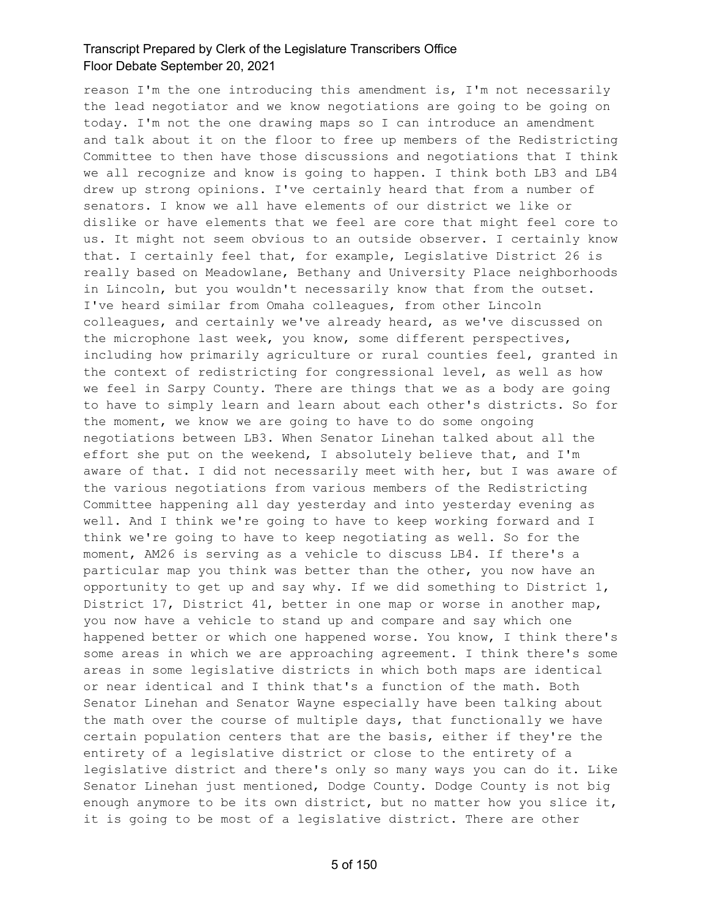reason I'm the one introducing this amendment is, I'm not necessarily the lead negotiator and we know negotiations are going to be going on today. I'm not the one drawing maps so I can introduce an amendment and talk about it on the floor to free up members of the Redistricting Committee to then have those discussions and negotiations that I think we all recognize and know is going to happen. I think both LB3 and LB4 drew up strong opinions. I've certainly heard that from a number of senators. I know we all have elements of our district we like or dislike or have elements that we feel are core that might feel core to us. It might not seem obvious to an outside observer. I certainly know that. I certainly feel that, for example, Legislative District 26 is really based on Meadowlane, Bethany and University Place neighborhoods in Lincoln, but you wouldn't necessarily know that from the outset. I've heard similar from Omaha colleagues, from other Lincoln colleagues, and certainly we've already heard, as we've discussed on the microphone last week, you know, some different perspectives, including how primarily agriculture or rural counties feel, granted in the context of redistricting for congressional level, as well as how we feel in Sarpy County. There are things that we as a body are going to have to simply learn and learn about each other's districts. So for the moment, we know we are going to have to do some ongoing negotiations between LB3. When Senator Linehan talked about all the effort she put on the weekend, I absolutely believe that, and I'm aware of that. I did not necessarily meet with her, but I was aware of the various negotiations from various members of the Redistricting Committee happening all day yesterday and into yesterday evening as well. And I think we're going to have to keep working forward and I think we're going to have to keep negotiating as well. So for the moment, AM26 is serving as a vehicle to discuss LB4. If there's a particular map you think was better than the other, you now have an opportunity to get up and say why. If we did something to District 1, District 17, District 41, better in one map or worse in another map, you now have a vehicle to stand up and compare and say which one happened better or which one happened worse. You know, I think there's some areas in which we are approaching agreement. I think there's some areas in some legislative districts in which both maps are identical or near identical and I think that's a function of the math. Both Senator Linehan and Senator Wayne especially have been talking about the math over the course of multiple days, that functionally we have certain population centers that are the basis, either if they're the entirety of a legislative district or close to the entirety of a legislative district and there's only so many ways you can do it. Like Senator Linehan just mentioned, Dodge County. Dodge County is not big enough anymore to be its own district, but no matter how you slice it, it is going to be most of a legislative district. There are other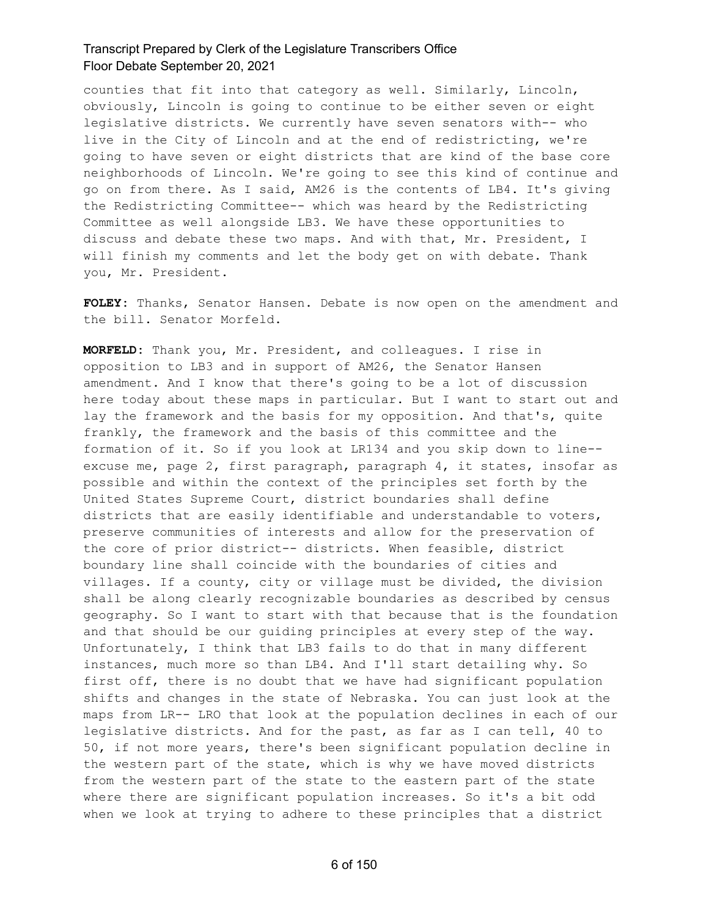counties that fit into that category as well. Similarly, Lincoln, obviously, Lincoln is going to continue to be either seven or eight legislative districts. We currently have seven senators with-- who live in the City of Lincoln and at the end of redistricting, we're going to have seven or eight districts that are kind of the base core neighborhoods of Lincoln. We're going to see this kind of continue and go on from there. As I said, AM26 is the contents of LB4. It's giving the Redistricting Committee-- which was heard by the Redistricting Committee as well alongside LB3. We have these opportunities to discuss and debate these two maps. And with that, Mr. President, I will finish my comments and let the body get on with debate. Thank you, Mr. President.

**FOLEY:** Thanks, Senator Hansen. Debate is now open on the amendment and the bill. Senator Morfeld.

**MORFELD:** Thank you, Mr. President, and colleagues. I rise in opposition to LB3 and in support of AM26, the Senator Hansen amendment. And I know that there's going to be a lot of discussion here today about these maps in particular. But I want to start out and lay the framework and the basis for my opposition. And that's, quite frankly, the framework and the basis of this committee and the formation of it. So if you look at LR134 and you skip down to line- excuse me, page 2, first paragraph, paragraph 4, it states, insofar as possible and within the context of the principles set forth by the United States Supreme Court, district boundaries shall define districts that are easily identifiable and understandable to voters, preserve communities of interests and allow for the preservation of the core of prior district-- districts. When feasible, district boundary line shall coincide with the boundaries of cities and villages. If a county, city or village must be divided, the division shall be along clearly recognizable boundaries as described by census geography. So I want to start with that because that is the foundation and that should be our guiding principles at every step of the way. Unfortunately, I think that LB3 fails to do that in many different instances, much more so than LB4. And I'll start detailing why. So first off, there is no doubt that we have had significant population shifts and changes in the state of Nebraska. You can just look at the maps from LR-- LRO that look at the population declines in each of our legislative districts. And for the past, as far as I can tell, 40 to 50, if not more years, there's been significant population decline in the western part of the state, which is why we have moved districts from the western part of the state to the eastern part of the state where there are significant population increases. So it's a bit odd when we look at trying to adhere to these principles that a district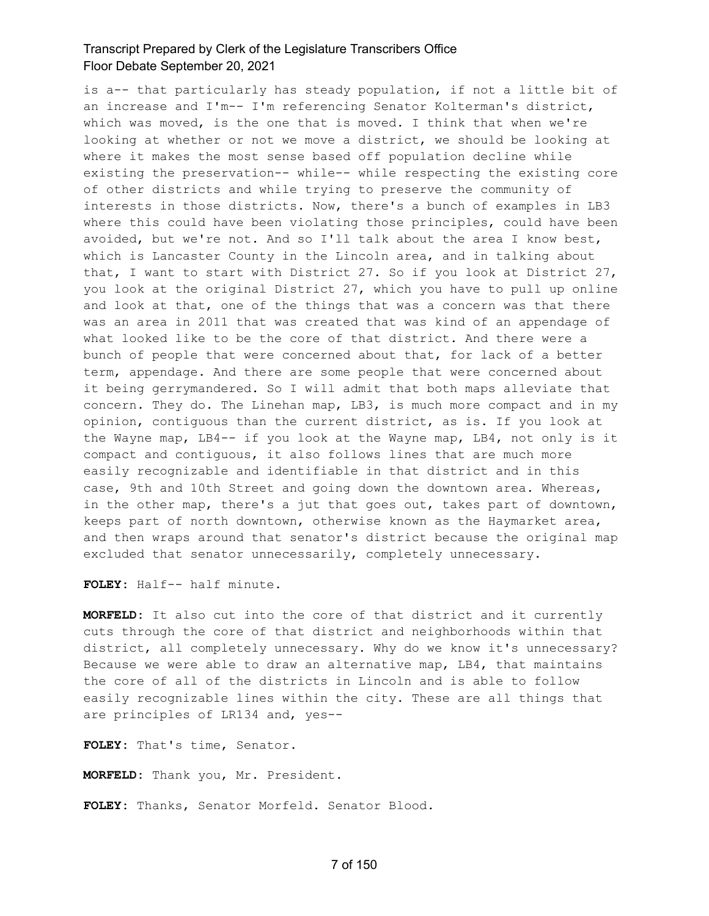is a-- that particularly has steady population, if not a little bit of an increase and I'm-- I'm referencing Senator Kolterman's district, which was moved, is the one that is moved. I think that when we're looking at whether or not we move a district, we should be looking at where it makes the most sense based off population decline while existing the preservation-- while-- while respecting the existing core of other districts and while trying to preserve the community of interests in those districts. Now, there's a bunch of examples in LB3 where this could have been violating those principles, could have been avoided, but we're not. And so I'll talk about the area I know best, which is Lancaster County in the Lincoln area, and in talking about that, I want to start with District 27. So if you look at District 27, you look at the original District 27, which you have to pull up online and look at that, one of the things that was a concern was that there was an area in 2011 that was created that was kind of an appendage of what looked like to be the core of that district. And there were a bunch of people that were concerned about that, for lack of a better term, appendage. And there are some people that were concerned about it being gerrymandered. So I will admit that both maps alleviate that concern. They do. The Linehan map, LB3, is much more compact and in my opinion, contiguous than the current district, as is. If you look at the Wayne map, LB4-- if you look at the Wayne map, LB4, not only is it compact and contiguous, it also follows lines that are much more easily recognizable and identifiable in that district and in this case, 9th and 10th Street and going down the downtown area. Whereas, in the other map, there's a jut that goes out, takes part of downtown, keeps part of north downtown, otherwise known as the Haymarket area, and then wraps around that senator's district because the original map excluded that senator unnecessarily, completely unnecessary.

**FOLEY:** Half-- half minute.

**MORFELD:** It also cut into the core of that district and it currently cuts through the core of that district and neighborhoods within that district, all completely unnecessary. Why do we know it's unnecessary? Because we were able to draw an alternative map, LB4, that maintains the core of all of the districts in Lincoln and is able to follow easily recognizable lines within the city. These are all things that are principles of LR134 and, yes--

**FOLEY:** That's time, Senator.

**MORFELD:** Thank you, Mr. President.

**FOLEY:** Thanks, Senator Morfeld. Senator Blood.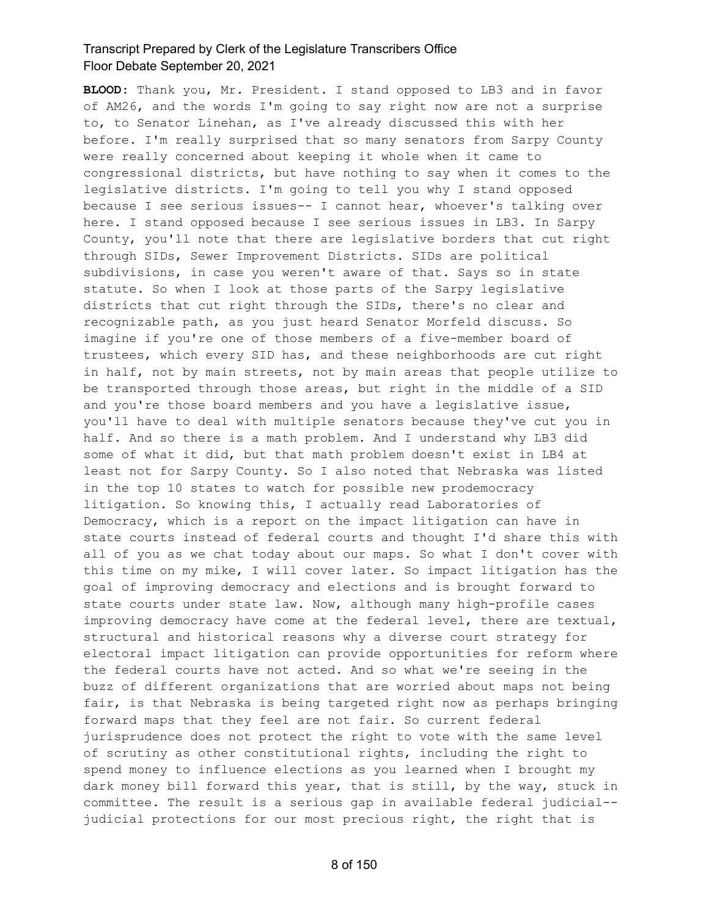**BLOOD:** Thank you, Mr. President. I stand opposed to LB3 and in favor of AM26, and the words I'm going to say right now are not a surprise to, to Senator Linehan, as I've already discussed this with her before. I'm really surprised that so many senators from Sarpy County were really concerned about keeping it whole when it came to congressional districts, but have nothing to say when it comes to the legislative districts. I'm going to tell you why I stand opposed because I see serious issues-- I cannot hear, whoever's talking over here. I stand opposed because I see serious issues in LB3. In Sarpy County, you'll note that there are legislative borders that cut right through SIDs, Sewer Improvement Districts. SIDs are political subdivisions, in case you weren't aware of that. Says so in state statute. So when I look at those parts of the Sarpy legislative districts that cut right through the SIDs, there's no clear and recognizable path, as you just heard Senator Morfeld discuss. So imagine if you're one of those members of a five-member board of trustees, which every SID has, and these neighborhoods are cut right in half, not by main streets, not by main areas that people utilize to be transported through those areas, but right in the middle of a SID and you're those board members and you have a legislative issue, you'll have to deal with multiple senators because they've cut you in half. And so there is a math problem. And I understand why LB3 did some of what it did, but that math problem doesn't exist in LB4 at least not for Sarpy County. So I also noted that Nebraska was listed in the top 10 states to watch for possible new prodemocracy litigation. So knowing this, I actually read Laboratories of Democracy, which is a report on the impact litigation can have in state courts instead of federal courts and thought I'd share this with all of you as we chat today about our maps. So what I don't cover with this time on my mike, I will cover later. So impact litigation has the goal of improving democracy and elections and is brought forward to state courts under state law. Now, although many high-profile cases improving democracy have come at the federal level, there are textual, structural and historical reasons why a diverse court strategy for electoral impact litigation can provide opportunities for reform where the federal courts have not acted. And so what we're seeing in the buzz of different organizations that are worried about maps not being fair, is that Nebraska is being targeted right now as perhaps bringing forward maps that they feel are not fair. So current federal jurisprudence does not protect the right to vote with the same level of scrutiny as other constitutional rights, including the right to spend money to influence elections as you learned when I brought my dark money bill forward this year, that is still, by the way, stuck in committee. The result is a serious gap in available federal judicial- judicial protections for our most precious right, the right that is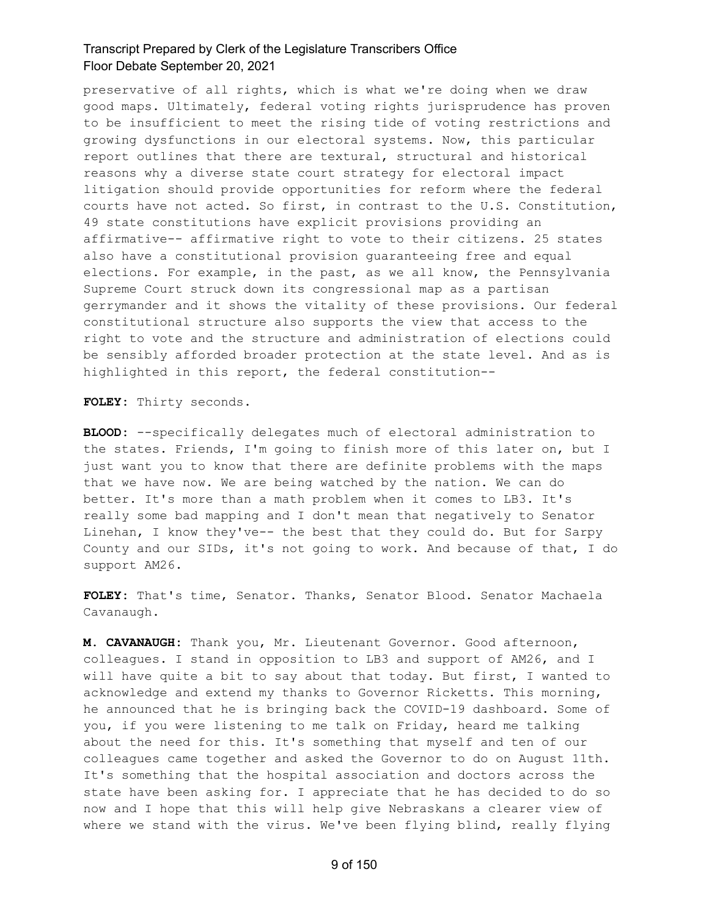preservative of all rights, which is what we're doing when we draw good maps. Ultimately, federal voting rights jurisprudence has proven to be insufficient to meet the rising tide of voting restrictions and growing dysfunctions in our electoral systems. Now, this particular report outlines that there are textural, structural and historical reasons why a diverse state court strategy for electoral impact litigation should provide opportunities for reform where the federal courts have not acted. So first, in contrast to the U.S. Constitution, 49 state constitutions have explicit provisions providing an affirmative-- affirmative right to vote to their citizens. 25 states also have a constitutional provision guaranteeing free and equal elections. For example, in the past, as we all know, the Pennsylvania Supreme Court struck down its congressional map as a partisan gerrymander and it shows the vitality of these provisions. Our federal constitutional structure also supports the view that access to the right to vote and the structure and administration of elections could be sensibly afforded broader protection at the state level. And as is highlighted in this report, the federal constitution--

**FOLEY:** Thirty seconds.

**BLOOD:** --specifically delegates much of electoral administration to the states. Friends, I'm going to finish more of this later on, but I just want you to know that there are definite problems with the maps that we have now. We are being watched by the nation. We can do better. It's more than a math problem when it comes to LB3. It's really some bad mapping and I don't mean that negatively to Senator Linehan, I know they've-- the best that they could do. But for Sarpy County and our SIDs, it's not going to work. And because of that, I do support AM26.

**FOLEY:** That's time, Senator. Thanks, Senator Blood. Senator Machaela Cavanaugh.

**M. CAVANAUGH:** Thank you, Mr. Lieutenant Governor. Good afternoon, colleagues. I stand in opposition to LB3 and support of AM26, and I will have quite a bit to say about that today. But first, I wanted to acknowledge and extend my thanks to Governor Ricketts. This morning, he announced that he is bringing back the COVID-19 dashboard. Some of you, if you were listening to me talk on Friday, heard me talking about the need for this. It's something that myself and ten of our colleagues came together and asked the Governor to do on August 11th. It's something that the hospital association and doctors across the state have been asking for. I appreciate that he has decided to do so now and I hope that this will help give Nebraskans a clearer view of where we stand with the virus. We've been flying blind, really flying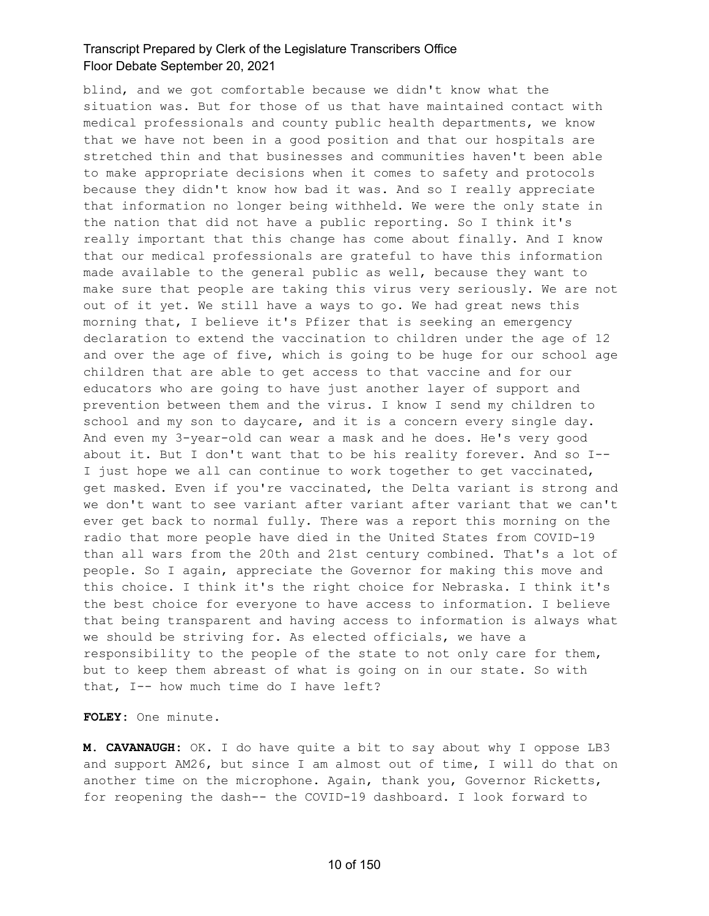blind, and we got comfortable because we didn't know what the situation was. But for those of us that have maintained contact with medical professionals and county public health departments, we know that we have not been in a good position and that our hospitals are stretched thin and that businesses and communities haven't been able to make appropriate decisions when it comes to safety and protocols because they didn't know how bad it was. And so I really appreciate that information no longer being withheld. We were the only state in the nation that did not have a public reporting. So I think it's really important that this change has come about finally. And I know that our medical professionals are grateful to have this information made available to the general public as well, because they want to make sure that people are taking this virus very seriously. We are not out of it yet. We still have a ways to go. We had great news this morning that, I believe it's Pfizer that is seeking an emergency declaration to extend the vaccination to children under the age of 12 and over the age of five, which is going to be huge for our school age children that are able to get access to that vaccine and for our educators who are going to have just another layer of support and prevention between them and the virus. I know I send my children to school and my son to daycare, and it is a concern every single day. And even my 3-year-old can wear a mask and he does. He's very good about it. But I don't want that to be his reality forever. And so I-- I just hope we all can continue to work together to get vaccinated, get masked. Even if you're vaccinated, the Delta variant is strong and we don't want to see variant after variant after variant that we can't ever get back to normal fully. There was a report this morning on the radio that more people have died in the United States from COVID-19 than all wars from the 20th and 21st century combined. That's a lot of people. So I again, appreciate the Governor for making this move and this choice. I think it's the right choice for Nebraska. I think it's the best choice for everyone to have access to information. I believe that being transparent and having access to information is always what we should be striving for. As elected officials, we have a responsibility to the people of the state to not only care for them, but to keep them abreast of what is going on in our state. So with that, I-- how much time do I have left?

**FOLEY:** One minute.

**M. CAVANAUGH:** OK. I do have quite a bit to say about why I oppose LB3 and support AM26, but since I am almost out of time, I will do that on another time on the microphone. Again, thank you, Governor Ricketts, for reopening the dash-- the COVID-19 dashboard. I look forward to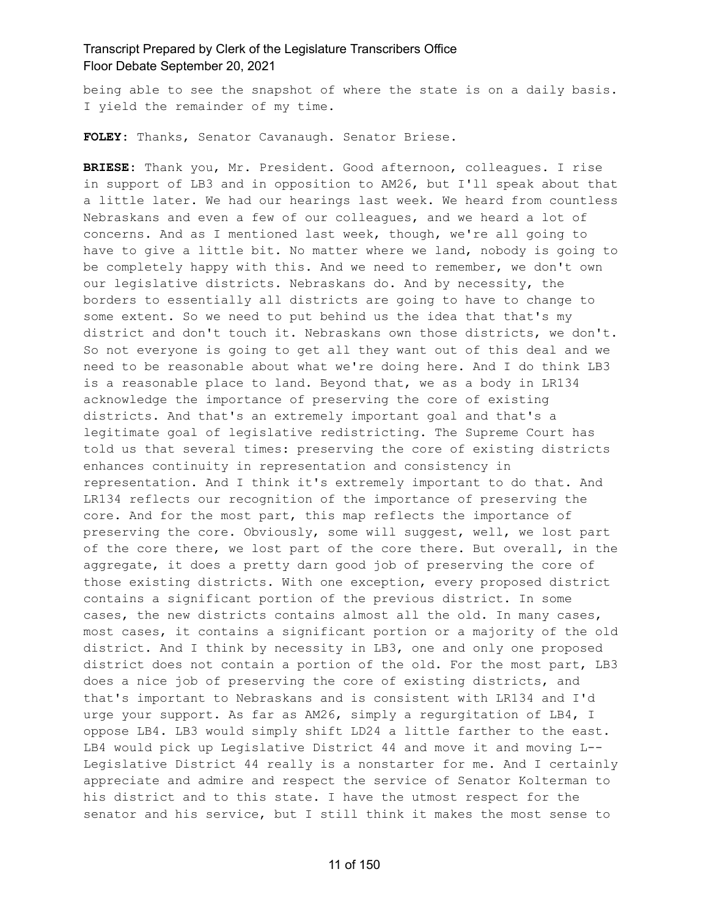being able to see the snapshot of where the state is on a daily basis. I yield the remainder of my time.

**FOLEY:** Thanks, Senator Cavanaugh. Senator Briese.

**BRIESE:** Thank you, Mr. President. Good afternoon, colleagues. I rise in support of LB3 and in opposition to AM26, but I'll speak about that a little later. We had our hearings last week. We heard from countless Nebraskans and even a few of our colleagues, and we heard a lot of concerns. And as I mentioned last week, though, we're all going to have to give a little bit. No matter where we land, nobody is going to be completely happy with this. And we need to remember, we don't own our legislative districts. Nebraskans do. And by necessity, the borders to essentially all districts are going to have to change to some extent. So we need to put behind us the idea that that's my district and don't touch it. Nebraskans own those districts, we don't. So not everyone is going to get all they want out of this deal and we need to be reasonable about what we're doing here. And I do think LB3 is a reasonable place to land. Beyond that, we as a body in LR134 acknowledge the importance of preserving the core of existing districts. And that's an extremely important goal and that's a legitimate goal of legislative redistricting. The Supreme Court has told us that several times: preserving the core of existing districts enhances continuity in representation and consistency in representation. And I think it's extremely important to do that. And LR134 reflects our recognition of the importance of preserving the core. And for the most part, this map reflects the importance of preserving the core. Obviously, some will suggest, well, we lost part of the core there, we lost part of the core there. But overall, in the aggregate, it does a pretty darn good job of preserving the core of those existing districts. With one exception, every proposed district contains a significant portion of the previous district. In some cases, the new districts contains almost all the old. In many cases, most cases, it contains a significant portion or a majority of the old district. And I think by necessity in LB3, one and only one proposed district does not contain a portion of the old. For the most part, LB3 does a nice job of preserving the core of existing districts, and that's important to Nebraskans and is consistent with LR134 and I'd urge your support. As far as AM26, simply a regurgitation of LB4, I oppose LB4. LB3 would simply shift LD24 a little farther to the east. LB4 would pick up Legislative District 44 and move it and moving L-- Legislative District 44 really is a nonstarter for me. And I certainly appreciate and admire and respect the service of Senator Kolterman to his district and to this state. I have the utmost respect for the senator and his service, but I still think it makes the most sense to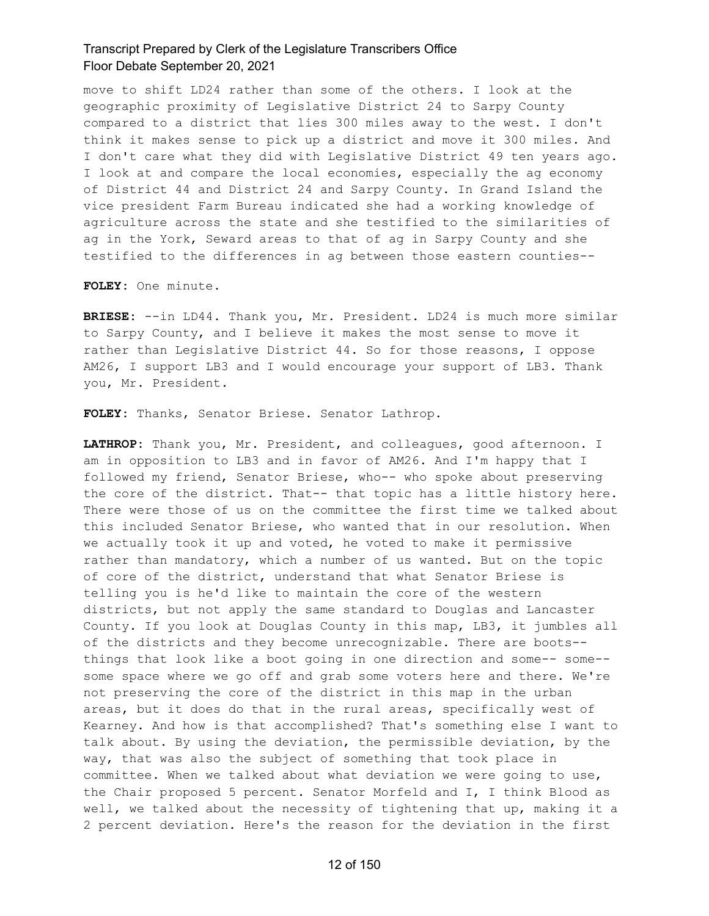move to shift LD24 rather than some of the others. I look at the geographic proximity of Legislative District 24 to Sarpy County compared to a district that lies 300 miles away to the west. I don't think it makes sense to pick up a district and move it 300 miles. And I don't care what they did with Legislative District 49 ten years ago. I look at and compare the local economies, especially the ag economy of District 44 and District 24 and Sarpy County. In Grand Island the vice president Farm Bureau indicated she had a working knowledge of agriculture across the state and she testified to the similarities of ag in the York, Seward areas to that of ag in Sarpy County and she testified to the differences in ag between those eastern counties--

**FOLEY:** One minute.

**BRIESE:** --in LD44. Thank you, Mr. President. LD24 is much more similar to Sarpy County, and I believe it makes the most sense to move it rather than Legislative District 44. So for those reasons, I oppose AM26, I support LB3 and I would encourage your support of LB3. Thank you, Mr. President.

**FOLEY:** Thanks, Senator Briese. Senator Lathrop.

**LATHROP:** Thank you, Mr. President, and colleagues, good afternoon. I am in opposition to LB3 and in favor of AM26. And I'm happy that I followed my friend, Senator Briese, who-- who spoke about preserving the core of the district. That-- that topic has a little history here. There were those of us on the committee the first time we talked about this included Senator Briese, who wanted that in our resolution. When we actually took it up and voted, he voted to make it permissive rather than mandatory, which a number of us wanted. But on the topic of core of the district, understand that what Senator Briese is telling you is he'd like to maintain the core of the western districts, but not apply the same standard to Douglas and Lancaster County. If you look at Douglas County in this map, LB3, it jumbles all of the districts and they become unrecognizable. There are boots- things that look like a boot going in one direction and some-- some- some space where we go off and grab some voters here and there. We're not preserving the core of the district in this map in the urban areas, but it does do that in the rural areas, specifically west of Kearney. And how is that accomplished? That's something else I want to talk about. By using the deviation, the permissible deviation, by the way, that was also the subject of something that took place in committee. When we talked about what deviation we were going to use, the Chair proposed 5 percent. Senator Morfeld and I, I think Blood as well, we talked about the necessity of tightening that up, making it a 2 percent deviation. Here's the reason for the deviation in the first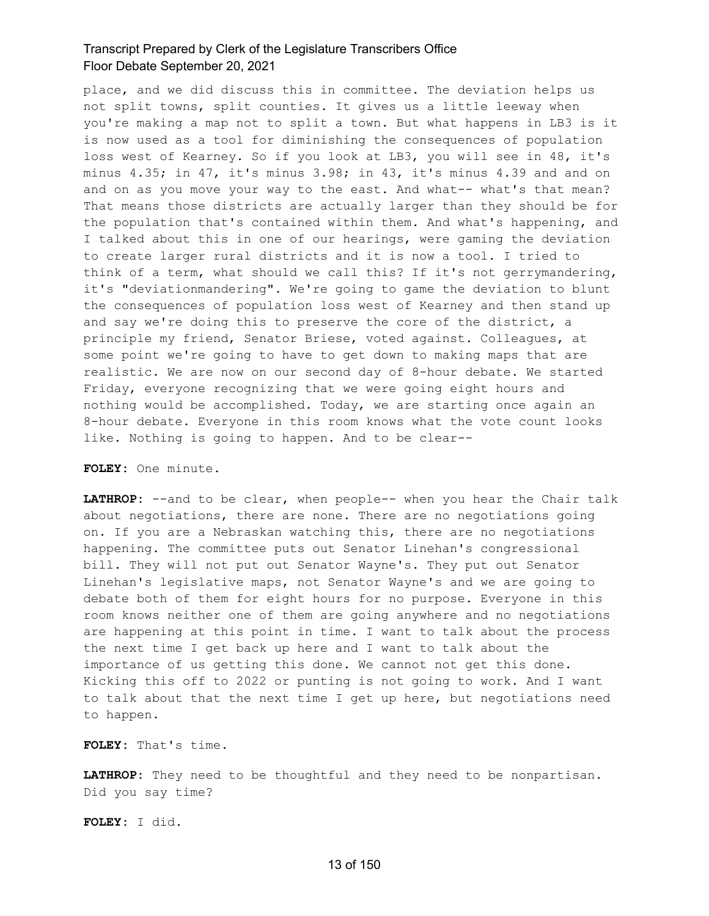place, and we did discuss this in committee. The deviation helps us not split towns, split counties. It gives us a little leeway when you're making a map not to split a town. But what happens in LB3 is it is now used as a tool for diminishing the consequences of population loss west of Kearney. So if you look at LB3, you will see in 48, it's minus 4.35; in 47, it's minus 3.98; in 43, it's minus 4.39 and and on and on as you move your way to the east. And what-- what's that mean? That means those districts are actually larger than they should be for the population that's contained within them. And what's happening, and I talked about this in one of our hearings, were gaming the deviation to create larger rural districts and it is now a tool. I tried to think of a term, what should we call this? If it's not gerrymandering, it's "deviationmandering". We're going to game the deviation to blunt the consequences of population loss west of Kearney and then stand up and say we're doing this to preserve the core of the district, a principle my friend, Senator Briese, voted against. Colleagues, at some point we're going to have to get down to making maps that are realistic. We are now on our second day of 8-hour debate. We started Friday, everyone recognizing that we were going eight hours and nothing would be accomplished. Today, we are starting once again an 8-hour debate. Everyone in this room knows what the vote count looks like. Nothing is going to happen. And to be clear--

#### **FOLEY:** One minute.

LATHROP: --and to be clear, when people-- when you hear the Chair talk about negotiations, there are none. There are no negotiations going on. If you are a Nebraskan watching this, there are no negotiations happening. The committee puts out Senator Linehan's congressional bill. They will not put out Senator Wayne's. They put out Senator Linehan's legislative maps, not Senator Wayne's and we are going to debate both of them for eight hours for no purpose. Everyone in this room knows neither one of them are going anywhere and no negotiations are happening at this point in time. I want to talk about the process the next time I get back up here and I want to talk about the importance of us getting this done. We cannot not get this done. Kicking this off to 2022 or punting is not going to work. And I want to talk about that the next time I get up here, but negotiations need to happen.

**FOLEY:** That's time.

**LATHROP:** They need to be thoughtful and they need to be nonpartisan. Did you say time?

**FOLEY:** I did.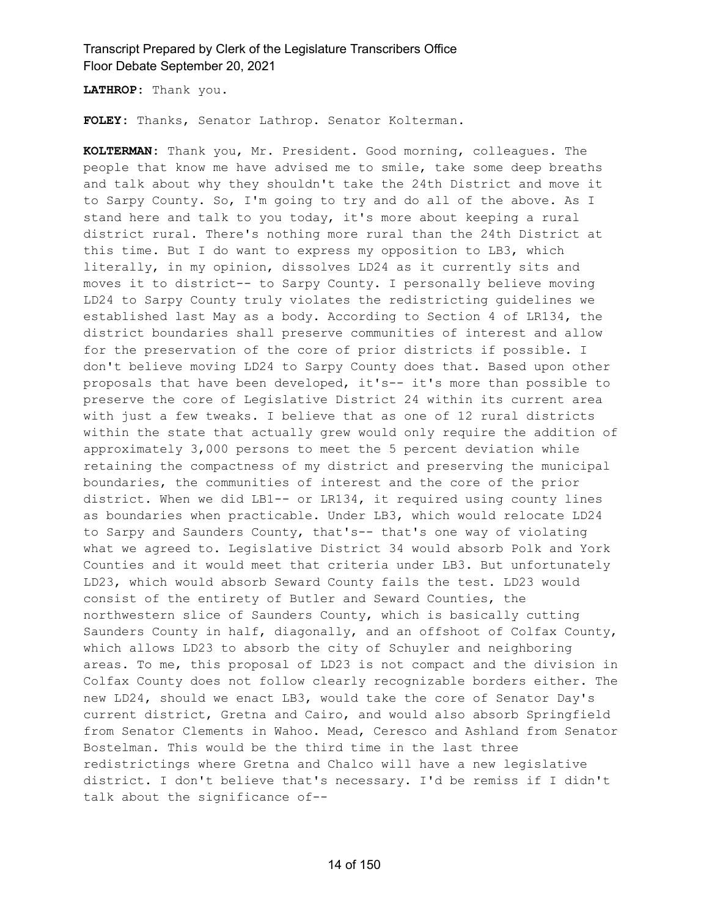**LATHROP:** Thank you.

**FOLEY:** Thanks, Senator Lathrop. Senator Kolterman.

**KOLTERMAN:** Thank you, Mr. President. Good morning, colleagues. The people that know me have advised me to smile, take some deep breaths and talk about why they shouldn't take the 24th District and move it to Sarpy County. So, I'm going to try and do all of the above. As I stand here and talk to you today, it's more about keeping a rural district rural. There's nothing more rural than the 24th District at this time. But I do want to express my opposition to LB3, which literally, in my opinion, dissolves LD24 as it currently sits and moves it to district-- to Sarpy County. I personally believe moving LD24 to Sarpy County truly violates the redistricting guidelines we established last May as a body. According to Section 4 of LR134, the district boundaries shall preserve communities of interest and allow for the preservation of the core of prior districts if possible. I don't believe moving LD24 to Sarpy County does that. Based upon other proposals that have been developed, it's-- it's more than possible to preserve the core of Legislative District 24 within its current area with just a few tweaks. I believe that as one of 12 rural districts within the state that actually grew would only require the addition of approximately 3,000 persons to meet the 5 percent deviation while retaining the compactness of my district and preserving the municipal boundaries, the communities of interest and the core of the prior district. When we did LB1-- or LR134, it required using county lines as boundaries when practicable. Under LB3, which would relocate LD24 to Sarpy and Saunders County, that's-- that's one way of violating what we agreed to. Legislative District 34 would absorb Polk and York Counties and it would meet that criteria under LB3. But unfortunately LD23, which would absorb Seward County fails the test. LD23 would consist of the entirety of Butler and Seward Counties, the northwestern slice of Saunders County, which is basically cutting Saunders County in half, diagonally, and an offshoot of Colfax County, which allows LD23 to absorb the city of Schuyler and neighboring areas. To me, this proposal of LD23 is not compact and the division in Colfax County does not follow clearly recognizable borders either. The new LD24, should we enact LB3, would take the core of Senator Day's current district, Gretna and Cairo, and would also absorb Springfield from Senator Clements in Wahoo. Mead, Ceresco and Ashland from Senator Bostelman. This would be the third time in the last three redistrictings where Gretna and Chalco will have a new legislative district. I don't believe that's necessary. I'd be remiss if I didn't talk about the significance of--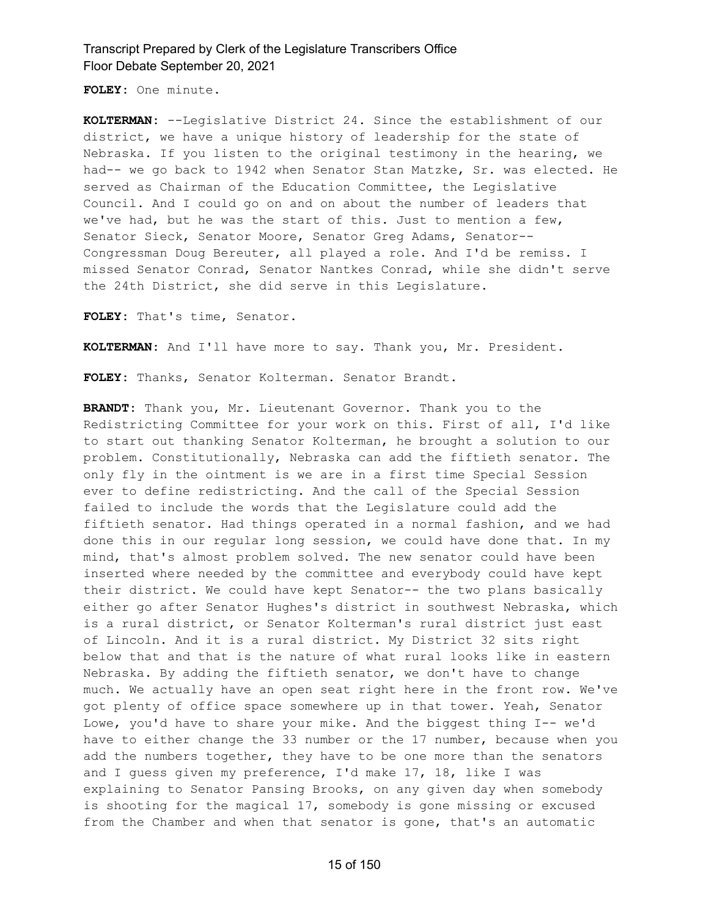**FOLEY:** One minute.

**KOLTERMAN:** --Legislative District 24. Since the establishment of our district, we have a unique history of leadership for the state of Nebraska. If you listen to the original testimony in the hearing, we had-- we go back to 1942 when Senator Stan Matzke, Sr. was elected. He served as Chairman of the Education Committee, the Legislative Council. And I could go on and on about the number of leaders that we've had, but he was the start of this. Just to mention a few, Senator Sieck, Senator Moore, Senator Greg Adams, Senator-- Congressman Doug Bereuter, all played a role. And I'd be remiss. I missed Senator Conrad, Senator Nantkes Conrad, while she didn't serve the 24th District, she did serve in this Legislature.

**FOLEY:** That's time, Senator.

**KOLTERMAN:** And I'll have more to say. Thank you, Mr. President.

**FOLEY:** Thanks, Senator Kolterman. Senator Brandt.

**BRANDT:** Thank you, Mr. Lieutenant Governor. Thank you to the Redistricting Committee for your work on this. First of all, I'd like to start out thanking Senator Kolterman, he brought a solution to our problem. Constitutionally, Nebraska can add the fiftieth senator. The only fly in the ointment is we are in a first time Special Session ever to define redistricting. And the call of the Special Session failed to include the words that the Legislature could add the fiftieth senator. Had things operated in a normal fashion, and we had done this in our regular long session, we could have done that. In my mind, that's almost problem solved. The new senator could have been inserted where needed by the committee and everybody could have kept their district. We could have kept Senator-- the two plans basically either go after Senator Hughes's district in southwest Nebraska, which is a rural district, or Senator Kolterman's rural district just east of Lincoln. And it is a rural district. My District 32 sits right below that and that is the nature of what rural looks like in eastern Nebraska. By adding the fiftieth senator, we don't have to change much. We actually have an open seat right here in the front row. We've got plenty of office space somewhere up in that tower. Yeah, Senator Lowe, you'd have to share your mike. And the biggest thing I-- we'd have to either change the 33 number or the 17 number, because when you add the numbers together, they have to be one more than the senators and I guess given my preference, I'd make 17, 18, like I was explaining to Senator Pansing Brooks, on any given day when somebody is shooting for the magical 17, somebody is gone missing or excused from the Chamber and when that senator is gone, that's an automatic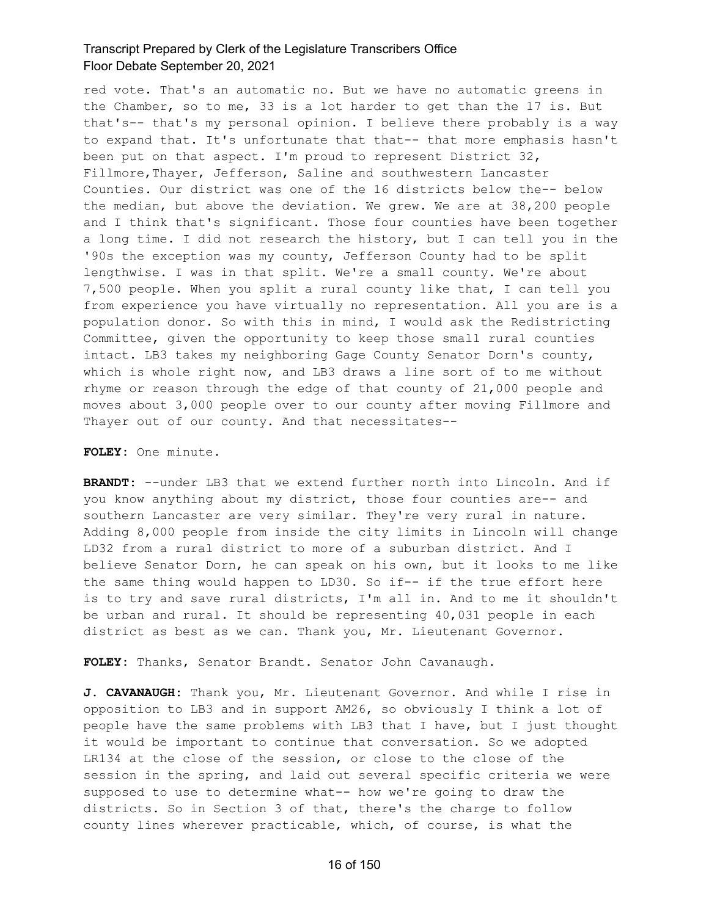red vote. That's an automatic no. But we have no automatic greens in the Chamber, so to me, 33 is a lot harder to get than the 17 is. But that's-- that's my personal opinion. I believe there probably is a way to expand that. It's unfortunate that that-- that more emphasis hasn't been put on that aspect. I'm proud to represent District 32, Fillmore, Thayer, Jefferson, Saline and southwestern Lancaster Counties. Our district was one of the 16 districts below the-- below the median, but above the deviation. We grew. We are at 38,200 people and I think that's significant. Those four counties have been together a long time. I did not research the history, but I can tell you in the '90s the exception was my county, Jefferson County had to be split lengthwise. I was in that split. We're a small county. We're about 7,500 people. When you split a rural county like that, I can tell you from experience you have virtually no representation. All you are is a population donor. So with this in mind, I would ask the Redistricting Committee, given the opportunity to keep those small rural counties intact. LB3 takes my neighboring Gage County Senator Dorn's county, which is whole right now, and LB3 draws a line sort of to me without rhyme or reason through the edge of that county of 21,000 people and moves about 3,000 people over to our county after moving Fillmore and Thayer out of our county. And that necessitates--

**FOLEY:** One minute.

**BRANDT:** --under LB3 that we extend further north into Lincoln. And if you know anything about my district, those four counties are-- and southern Lancaster are very similar. They're very rural in nature. Adding 8,000 people from inside the city limits in Lincoln will change LD32 from a rural district to more of a suburban district. And I believe Senator Dorn, he can speak on his own, but it looks to me like the same thing would happen to LD30. So if-- if the true effort here is to try and save rural districts, I'm all in. And to me it shouldn't be urban and rural. It should be representing 40,031 people in each district as best as we can. Thank you, Mr. Lieutenant Governor.

**FOLEY:** Thanks, Senator Brandt. Senator John Cavanaugh.

**J. CAVANAUGH:** Thank you, Mr. Lieutenant Governor. And while I rise in opposition to LB3 and in support AM26, so obviously I think a lot of people have the same problems with LB3 that I have, but I just thought it would be important to continue that conversation. So we adopted LR134 at the close of the session, or close to the close of the session in the spring, and laid out several specific criteria we were supposed to use to determine what-- how we're going to draw the districts. So in Section 3 of that, there's the charge to follow county lines wherever practicable, which, of course, is what the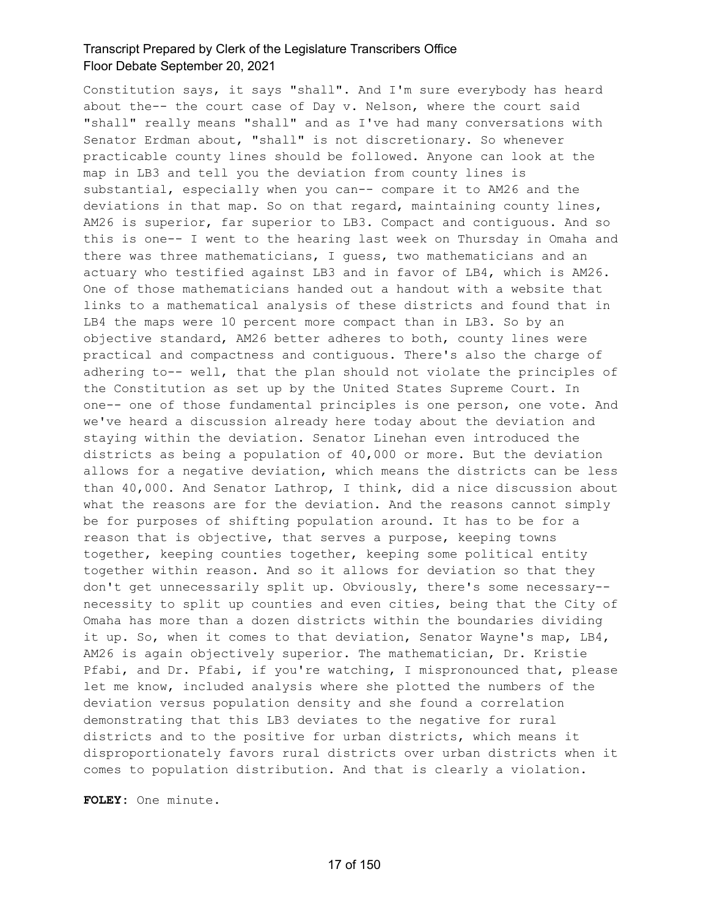Constitution says, it says "shall". And I'm sure everybody has heard about the-- the court case of Day v. Nelson, where the court said "shall" really means "shall" and as I've had many conversations with Senator Erdman about, "shall" is not discretionary. So whenever practicable county lines should be followed. Anyone can look at the map in LB3 and tell you the deviation from county lines is substantial, especially when you can-- compare it to AM26 and the deviations in that map. So on that regard, maintaining county lines, AM26 is superior, far superior to LB3. Compact and contiguous. And so this is one-- I went to the hearing last week on Thursday in Omaha and there was three mathematicians, I guess, two mathematicians and an actuary who testified against LB3 and in favor of LB4, which is AM26. One of those mathematicians handed out a handout with a website that links to a mathematical analysis of these districts and found that in LB4 the maps were 10 percent more compact than in LB3. So by an objective standard, AM26 better adheres to both, county lines were practical and compactness and contiguous. There's also the charge of adhering to-- well, that the plan should not violate the principles of the Constitution as set up by the United States Supreme Court. In one-- one of those fundamental principles is one person, one vote. And we've heard a discussion already here today about the deviation and staying within the deviation. Senator Linehan even introduced the districts as being a population of 40,000 or more. But the deviation allows for a negative deviation, which means the districts can be less than 40,000. And Senator Lathrop, I think, did a nice discussion about what the reasons are for the deviation. And the reasons cannot simply be for purposes of shifting population around. It has to be for a reason that is objective, that serves a purpose, keeping towns together, keeping counties together, keeping some political entity together within reason. And so it allows for deviation so that they don't get unnecessarily split up. Obviously, there's some necessary- necessity to split up counties and even cities, being that the City of Omaha has more than a dozen districts within the boundaries dividing it up. So, when it comes to that deviation, Senator Wayne's map, LB4, AM26 is again objectively superior. The mathematician, Dr. Kristie Pfabi, and Dr. Pfabi, if you're watching, I mispronounced that, please let me know, included analysis where she plotted the numbers of the deviation versus population density and she found a correlation demonstrating that this LB3 deviates to the negative for rural districts and to the positive for urban districts, which means it disproportionately favors rural districts over urban districts when it comes to population distribution. And that is clearly a violation.

**FOLEY:** One minute.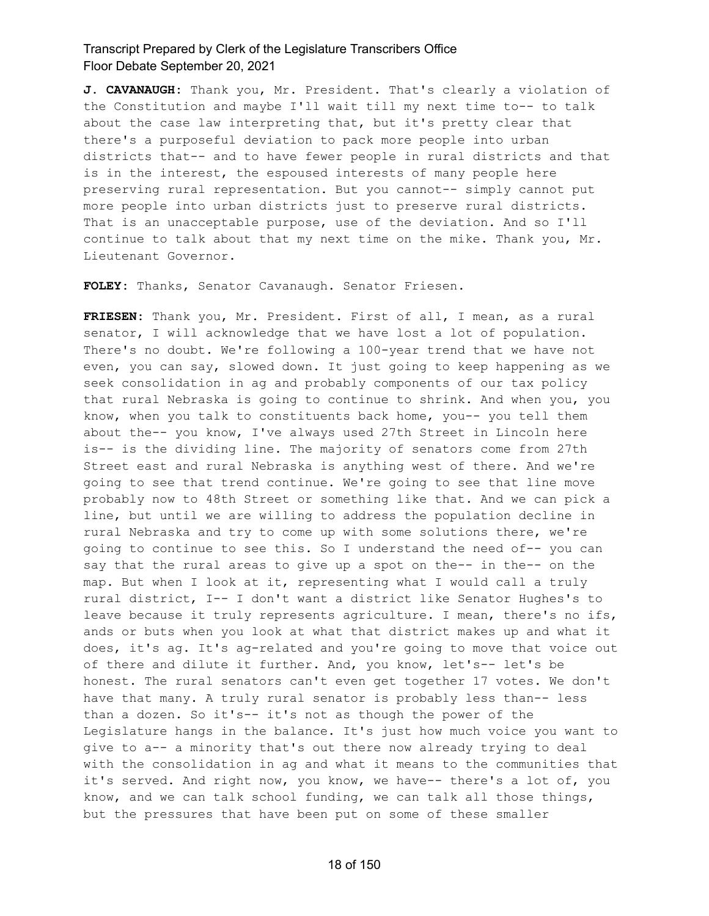**J. CAVANAUGH:** Thank you, Mr. President. That's clearly a violation of the Constitution and maybe I'll wait till my next time to-- to talk about the case law interpreting that, but it's pretty clear that there's a purposeful deviation to pack more people into urban districts that-- and to have fewer people in rural districts and that is in the interest, the espoused interests of many people here preserving rural representation. But you cannot-- simply cannot put more people into urban districts just to preserve rural districts. That is an unacceptable purpose, use of the deviation. And so I'll continue to talk about that my next time on the mike. Thank you, Mr. Lieutenant Governor.

**FOLEY:** Thanks, Senator Cavanaugh. Senator Friesen.

**FRIESEN:** Thank you, Mr. President. First of all, I mean, as a rural senator, I will acknowledge that we have lost a lot of population. There's no doubt. We're following a 100-year trend that we have not even, you can say, slowed down. It just going to keep happening as we seek consolidation in ag and probably components of our tax policy that rural Nebraska is going to continue to shrink. And when you, you know, when you talk to constituents back home, you-- you tell them about the-- you know, I've always used 27th Street in Lincoln here is-- is the dividing line. The majority of senators come from 27th Street east and rural Nebraska is anything west of there. And we're going to see that trend continue. We're going to see that line move probably now to 48th Street or something like that. And we can pick a line, but until we are willing to address the population decline in rural Nebraska and try to come up with some solutions there, we're going to continue to see this. So I understand the need of-- you can say that the rural areas to give up a spot on the-- in the-- on the map. But when I look at it, representing what I would call a truly rural district, I-- I don't want a district like Senator Hughes's to leave because it truly represents agriculture. I mean, there's no ifs, ands or buts when you look at what that district makes up and what it does, it's ag. It's ag-related and you're going to move that voice out of there and dilute it further. And, you know, let's-- let's be honest. The rural senators can't even get together 17 votes. We don't have that many. A truly rural senator is probably less than-- less than a dozen. So it's-- it's not as though the power of the Legislature hangs in the balance. It's just how much voice you want to give to a-- a minority that's out there now already trying to deal with the consolidation in ag and what it means to the communities that it's served. And right now, you know, we have-- there's a lot of, you know, and we can talk school funding, we can talk all those things, but the pressures that have been put on some of these smaller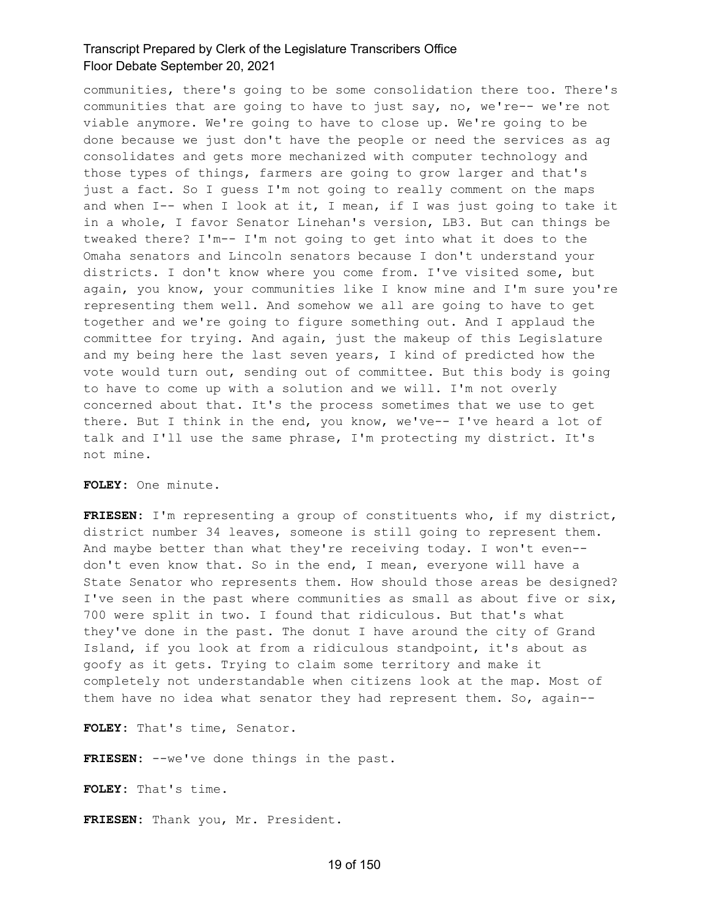communities, there's going to be some consolidation there too. There's communities that are going to have to just say, no, we're-- we're not viable anymore. We're going to have to close up. We're going to be done because we just don't have the people or need the services as ag consolidates and gets more mechanized with computer technology and those types of things, farmers are going to grow larger and that's just a fact. So I guess I'm not going to really comment on the maps and when I-- when I look at it, I mean, if I was just going to take it in a whole, I favor Senator Linehan's version, LB3. But can things be tweaked there? I'm-- I'm not going to get into what it does to the Omaha senators and Lincoln senators because I don't understand your districts. I don't know where you come from. I've visited some, but again, you know, your communities like I know mine and I'm sure you're representing them well. And somehow we all are going to have to get together and we're going to figure something out. And I applaud the committee for trying. And again, just the makeup of this Legislature and my being here the last seven years, I kind of predicted how the vote would turn out, sending out of committee. But this body is going to have to come up with a solution and we will. I'm not overly concerned about that. It's the process sometimes that we use to get there. But I think in the end, you know, we've-- I've heard a lot of talk and I'll use the same phrase, I'm protecting my district. It's not mine.

#### **FOLEY:** One minute.

**FRIESEN:** I'm representing a group of constituents who, if my district, district number 34 leaves, someone is still going to represent them. And maybe better than what they're receiving today. I won't even- don't even know that. So in the end, I mean, everyone will have a State Senator who represents them. How should those areas be designed? I've seen in the past where communities as small as about five or six, 700 were split in two. I found that ridiculous. But that's what they've done in the past. The donut I have around the city of Grand Island, if you look at from a ridiculous standpoint, it's about as goofy as it gets. Trying to claim some territory and make it completely not understandable when citizens look at the map. Most of them have no idea what senator they had represent them. So, again--

**FOLEY:** That's time, Senator.

**FRIESEN:** --we've done things in the past.

**FOLEY:** That's time.

**FRIESEN:** Thank you, Mr. President.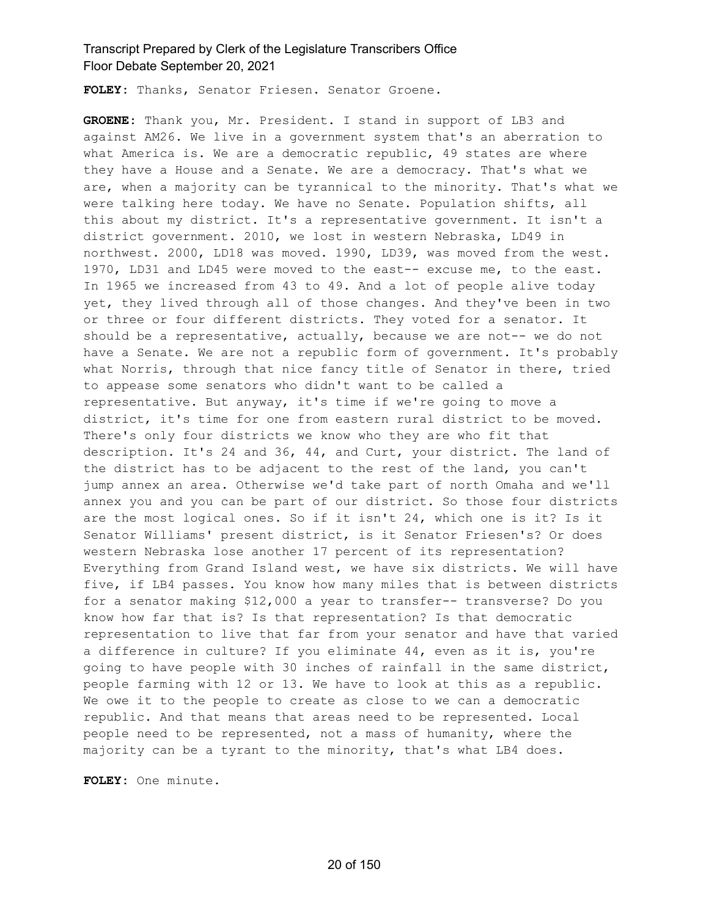**FOLEY:** Thanks, Senator Friesen. Senator Groene.

**GROENE:** Thank you, Mr. President. I stand in support of LB3 and against AM26. We live in a government system that's an aberration to what America is. We are a democratic republic, 49 states are where they have a House and a Senate. We are a democracy. That's what we are, when a majority can be tyrannical to the minority. That's what we were talking here today. We have no Senate. Population shifts, all this about my district. It's a representative government. It isn't a district government. 2010, we lost in western Nebraska, LD49 in northwest. 2000, LD18 was moved. 1990, LD39, was moved from the west. 1970, LD31 and LD45 were moved to the east-- excuse me, to the east. In 1965 we increased from 43 to 49. And a lot of people alive today yet, they lived through all of those changes. And they've been in two or three or four different districts. They voted for a senator. It should be a representative, actually, because we are not-- we do not have a Senate. We are not a republic form of government. It's probably what Norris, through that nice fancy title of Senator in there, tried to appease some senators who didn't want to be called a representative. But anyway, it's time if we're going to move a district, it's time for one from eastern rural district to be moved. There's only four districts we know who they are who fit that description. It's 24 and 36, 44, and Curt, your district. The land of the district has to be adjacent to the rest of the land, you can't jump annex an area. Otherwise we'd take part of north Omaha and we'll annex you and you can be part of our district. So those four districts are the most logical ones. So if it isn't 24, which one is it? Is it Senator Williams' present district, is it Senator Friesen's? Or does western Nebraska lose another 17 percent of its representation? Everything from Grand Island west, we have six districts. We will have five, if LB4 passes. You know how many miles that is between districts for a senator making \$12,000 a year to transfer-- transverse? Do you know how far that is? Is that representation? Is that democratic representation to live that far from your senator and have that varied a difference in culture? If you eliminate 44, even as it is, you're going to have people with 30 inches of rainfall in the same district, people farming with 12 or 13. We have to look at this as a republic. We owe it to the people to create as close to we can a democratic republic. And that means that areas need to be represented. Local people need to be represented, not a mass of humanity, where the majority can be a tyrant to the minority, that's what LB4 does.

**FOLEY:** One minute.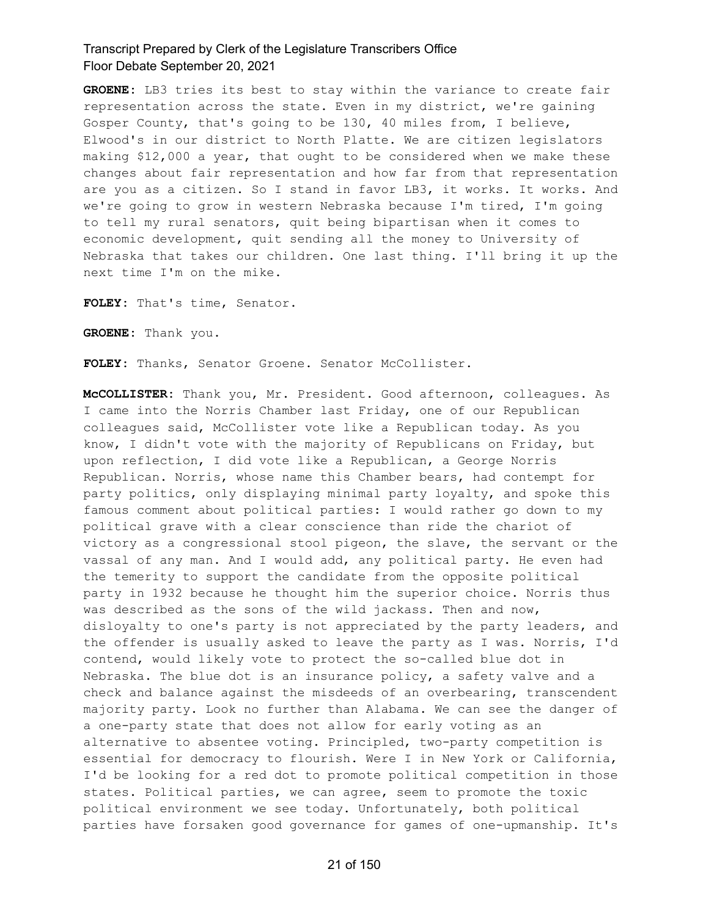**GROENE:** LB3 tries its best to stay within the variance to create fair representation across the state. Even in my district, we're gaining Gosper County, that's going to be 130, 40 miles from, I believe, Elwood's in our district to North Platte. We are citizen legislators making \$12,000 a year, that ought to be considered when we make these changes about fair representation and how far from that representation are you as a citizen. So I stand in favor LB3, it works. It works. And we're going to grow in western Nebraska because I'm tired, I'm going to tell my rural senators, quit being bipartisan when it comes to economic development, quit sending all the money to University of Nebraska that takes our children. One last thing. I'll bring it up the next time I'm on the mike.

**FOLEY:** That's time, Senator.

**GROENE:** Thank you.

**FOLEY:** Thanks, Senator Groene. Senator McCollister.

**McCOLLISTER:** Thank you, Mr. President. Good afternoon, colleagues. As I came into the Norris Chamber last Friday, one of our Republican colleagues said, McCollister vote like a Republican today. As you know, I didn't vote with the majority of Republicans on Friday, but upon reflection, I did vote like a Republican, a George Norris Republican. Norris, whose name this Chamber bears, had contempt for party politics, only displaying minimal party loyalty, and spoke this famous comment about political parties: I would rather go down to my political grave with a clear conscience than ride the chariot of victory as a congressional stool pigeon, the slave, the servant or the vassal of any man. And I would add, any political party. He even had the temerity to support the candidate from the opposite political party in 1932 because he thought him the superior choice. Norris thus was described as the sons of the wild jackass. Then and now, disloyalty to one's party is not appreciated by the party leaders, and the offender is usually asked to leave the party as I was. Norris, I'd contend, would likely vote to protect the so-called blue dot in Nebraska. The blue dot is an insurance policy, a safety valve and a check and balance against the misdeeds of an overbearing, transcendent majority party. Look no further than Alabama. We can see the danger of a one-party state that does not allow for early voting as an alternative to absentee voting. Principled, two-party competition is essential for democracy to flourish. Were I in New York or California, I'd be looking for a red dot to promote political competition in those states. Political parties, we can agree, seem to promote the toxic political environment we see today. Unfortunately, both political parties have forsaken good governance for games of one-upmanship. It's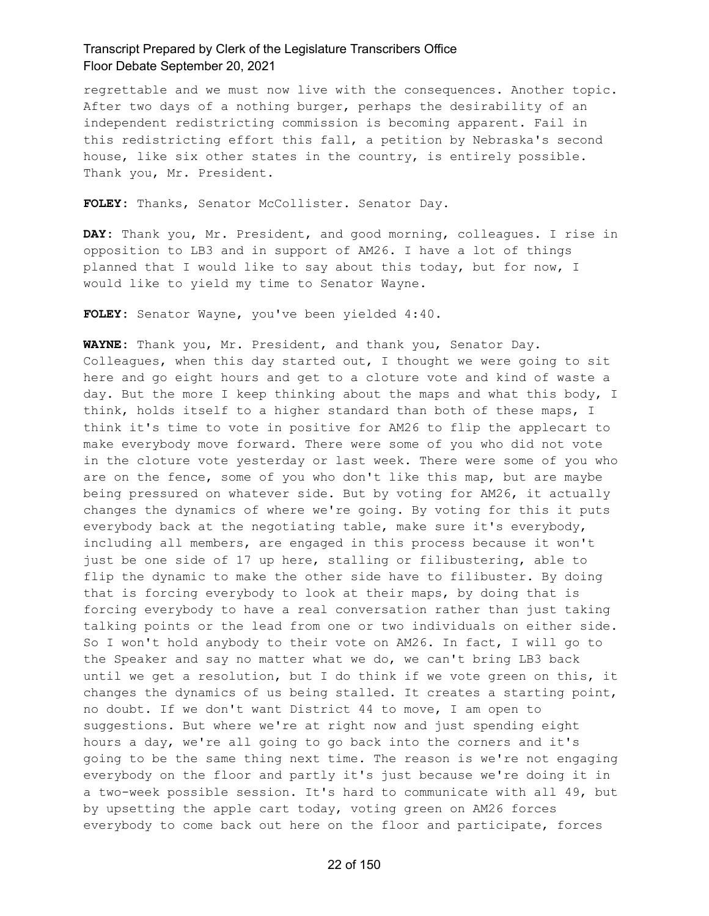regrettable and we must now live with the consequences. Another topic. After two days of a nothing burger, perhaps the desirability of an independent redistricting commission is becoming apparent. Fail in this redistricting effort this fall, a petition by Nebraska's second house, like six other states in the country, is entirely possible. Thank you, Mr. President.

**FOLEY:** Thanks, Senator McCollister. Senator Day.

**DAY:** Thank you, Mr. President, and good morning, colleagues. I rise in opposition to LB3 and in support of AM26. I have a lot of things planned that I would like to say about this today, but for now, I would like to yield my time to Senator Wayne.

**FOLEY:** Senator Wayne, you've been yielded 4:40.

**WAYNE:** Thank you, Mr. President, and thank you, Senator Day. Colleagues, when this day started out, I thought we were going to sit here and go eight hours and get to a cloture vote and kind of waste a day. But the more I keep thinking about the maps and what this body, I think, holds itself to a higher standard than both of these maps, I think it's time to vote in positive for AM26 to flip the applecart to make everybody move forward. There were some of you who did not vote in the cloture vote yesterday or last week. There were some of you who are on the fence, some of you who don't like this map, but are maybe being pressured on whatever side. But by voting for AM26, it actually changes the dynamics of where we're going. By voting for this it puts everybody back at the negotiating table, make sure it's everybody, including all members, are engaged in this process because it won't just be one side of 17 up here, stalling or filibustering, able to flip the dynamic to make the other side have to filibuster. By doing that is forcing everybody to look at their maps, by doing that is forcing everybody to have a real conversation rather than just taking talking points or the lead from one or two individuals on either side. So I won't hold anybody to their vote on AM26. In fact, I will go to the Speaker and say no matter what we do, we can't bring LB3 back until we get a resolution, but I do think if we vote green on this, it changes the dynamics of us being stalled. It creates a starting point, no doubt. If we don't want District 44 to move, I am open to suggestions. But where we're at right now and just spending eight hours a day, we're all going to go back into the corners and it's going to be the same thing next time. The reason is we're not engaging everybody on the floor and partly it's just because we're doing it in a two-week possible session. It's hard to communicate with all 49, but by upsetting the apple cart today, voting green on AM26 forces everybody to come back out here on the floor and participate, forces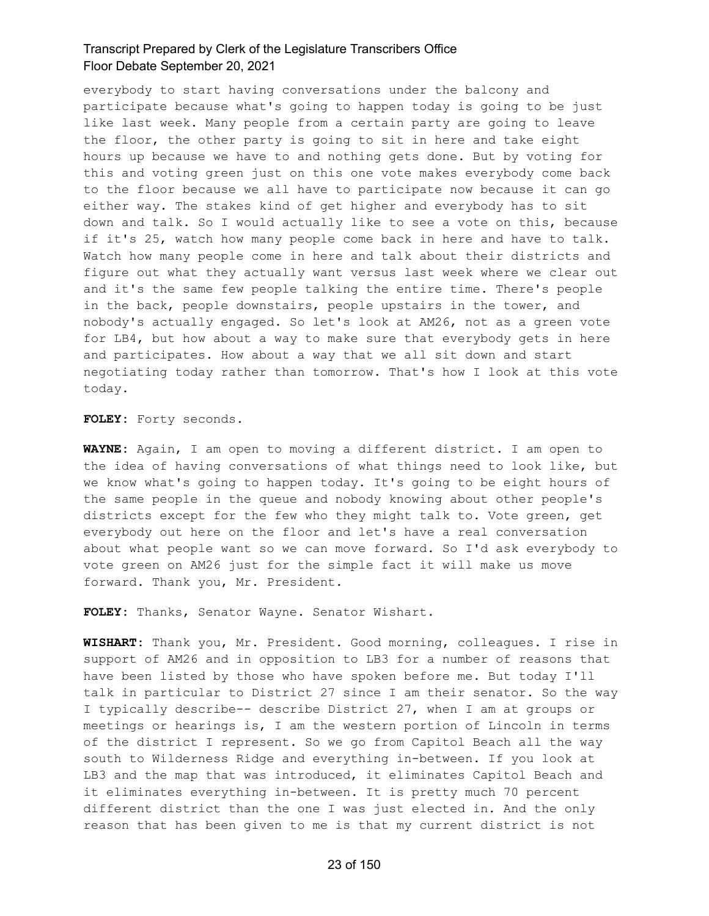everybody to start having conversations under the balcony and participate because what's going to happen today is going to be just like last week. Many people from a certain party are going to leave the floor, the other party is going to sit in here and take eight hours up because we have to and nothing gets done. But by voting for this and voting green just on this one vote makes everybody come back to the floor because we all have to participate now because it can go either way. The stakes kind of get higher and everybody has to sit down and talk. So I would actually like to see a vote on this, because if it's 25, watch how many people come back in here and have to talk. Watch how many people come in here and talk about their districts and figure out what they actually want versus last week where we clear out and it's the same few people talking the entire time. There's people in the back, people downstairs, people upstairs in the tower, and nobody's actually engaged. So let's look at AM26, not as a green vote for LB4, but how about a way to make sure that everybody gets in here and participates. How about a way that we all sit down and start negotiating today rather than tomorrow. That's how I look at this vote today.

**FOLEY:** Forty seconds.

**WAYNE:** Again, I am open to moving a different district. I am open to the idea of having conversations of what things need to look like, but we know what's going to happen today. It's going to be eight hours of the same people in the queue and nobody knowing about other people's districts except for the few who they might talk to. Vote green, get everybody out here on the floor and let's have a real conversation about what people want so we can move forward. So I'd ask everybody to vote green on AM26 just for the simple fact it will make us move forward. Thank you, Mr. President.

**FOLEY:** Thanks, Senator Wayne. Senator Wishart.

**WISHART:** Thank you, Mr. President. Good morning, colleagues. I rise in support of AM26 and in opposition to LB3 for a number of reasons that have been listed by those who have spoken before me. But today I'll talk in particular to District 27 since I am their senator. So the way I typically describe-- describe District 27, when I am at groups or meetings or hearings is, I am the western portion of Lincoln in terms of the district I represent. So we go from Capitol Beach all the way south to Wilderness Ridge and everything in-between. If you look at LB3 and the map that was introduced, it eliminates Capitol Beach and it eliminates everything in-between. It is pretty much 70 percent different district than the one I was just elected in. And the only reason that has been given to me is that my current district is not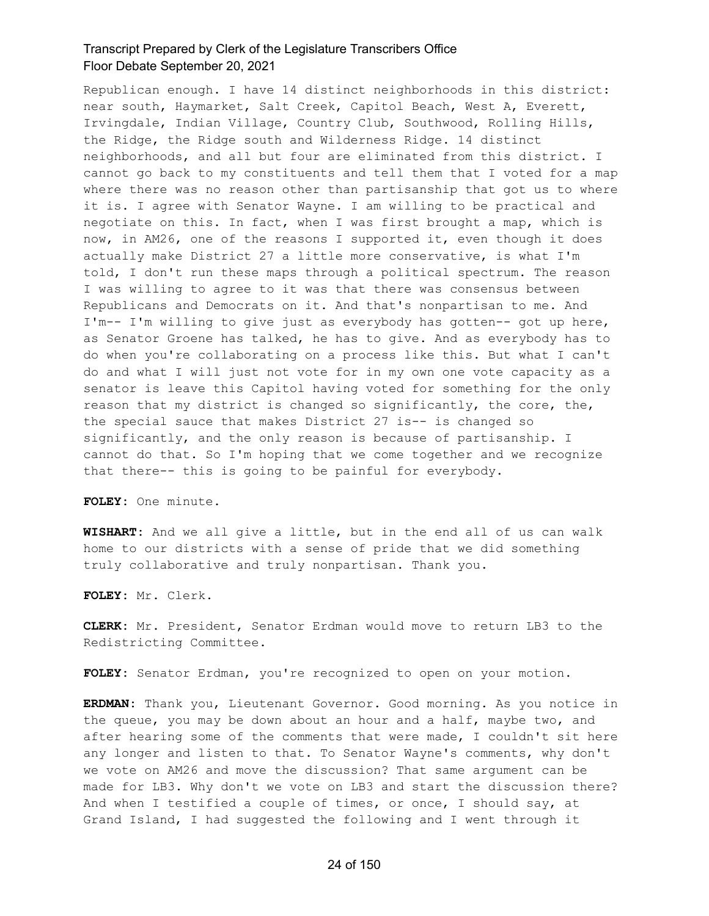Republican enough. I have 14 distinct neighborhoods in this district: near south, Haymarket, Salt Creek, Capitol Beach, West A, Everett, Irvingdale, Indian Village, Country Club, Southwood, Rolling Hills, the Ridge, the Ridge south and Wilderness Ridge. 14 distinct neighborhoods, and all but four are eliminated from this district. I cannot go back to my constituents and tell them that I voted for a map where there was no reason other than partisanship that got us to where it is. I agree with Senator Wayne. I am willing to be practical and negotiate on this. In fact, when I was first brought a map, which is now, in AM26, one of the reasons I supported it, even though it does actually make District 27 a little more conservative, is what I'm told, I don't run these maps through a political spectrum. The reason I was willing to agree to it was that there was consensus between Republicans and Democrats on it. And that's nonpartisan to me. And I'm-- I'm willing to give just as everybody has gotten-- got up here, as Senator Groene has talked, he has to give. And as everybody has to do when you're collaborating on a process like this. But what I can't do and what I will just not vote for in my own one vote capacity as a senator is leave this Capitol having voted for something for the only reason that my district is changed so significantly, the core, the, the special sauce that makes District 27 is-- is changed so significantly, and the only reason is because of partisanship. I cannot do that. So I'm hoping that we come together and we recognize that there-- this is going to be painful for everybody.

**FOLEY:** One minute.

**WISHART:** And we all give a little, but in the end all of us can walk home to our districts with a sense of pride that we did something truly collaborative and truly nonpartisan. Thank you.

**FOLEY:** Mr. Clerk.

**CLERK:** Mr. President, Senator Erdman would move to return LB3 to the Redistricting Committee.

**FOLEY:** Senator Erdman, you're recognized to open on your motion.

**ERDMAN:** Thank you, Lieutenant Governor. Good morning. As you notice in the queue, you may be down about an hour and a half, maybe two, and after hearing some of the comments that were made, I couldn't sit here any longer and listen to that. To Senator Wayne's comments, why don't we vote on AM26 and move the discussion? That same argument can be made for LB3. Why don't we vote on LB3 and start the discussion there? And when I testified a couple of times, or once, I should say, at Grand Island, I had suggested the following and I went through it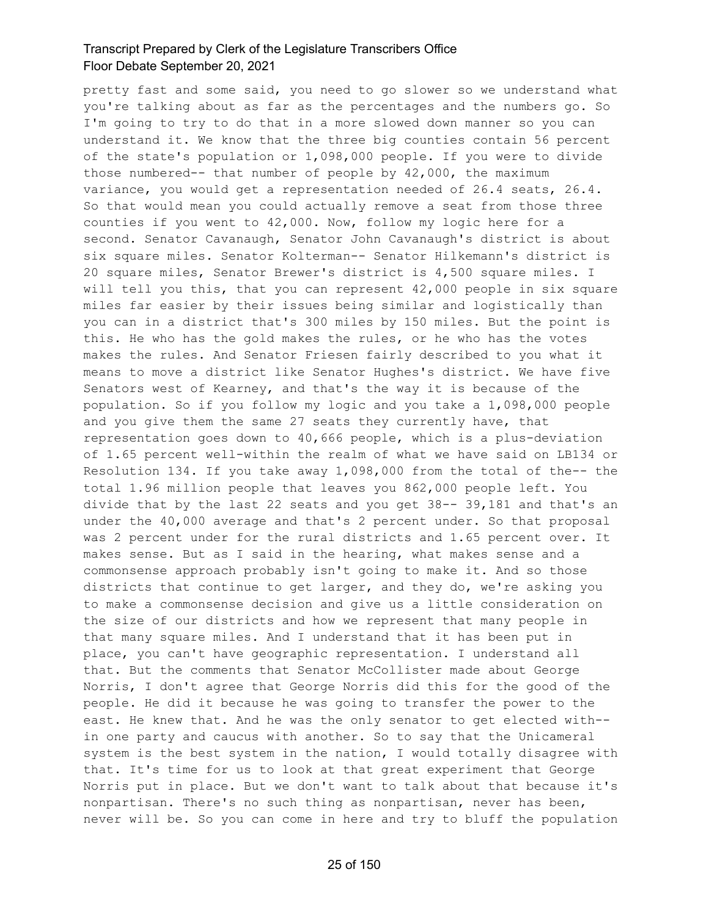pretty fast and some said, you need to go slower so we understand what you're talking about as far as the percentages and the numbers go. So I'm going to try to do that in a more slowed down manner so you can understand it. We know that the three big counties contain 56 percent of the state's population or 1,098,000 people. If you were to divide those numbered-- that number of people by 42,000, the maximum variance, you would get a representation needed of 26.4 seats, 26.4. So that would mean you could actually remove a seat from those three counties if you went to 42,000. Now, follow my logic here for a second. Senator Cavanaugh, Senator John Cavanaugh's district is about six square miles. Senator Kolterman-- Senator Hilkemann's district is 20 square miles, Senator Brewer's district is 4,500 square miles. I will tell you this, that you can represent 42,000 people in six square miles far easier by their issues being similar and logistically than you can in a district that's 300 miles by 150 miles. But the point is this. He who has the gold makes the rules, or he who has the votes makes the rules. And Senator Friesen fairly described to you what it means to move a district like Senator Hughes's district. We have five Senators west of Kearney, and that's the way it is because of the population. So if you follow my logic and you take a 1,098,000 people and you give them the same 27 seats they currently have, that representation goes down to 40,666 people, which is a plus-deviation of 1.65 percent well-within the realm of what we have said on LB134 or Resolution 134. If you take away 1,098,000 from the total of the-- the total 1.96 million people that leaves you 862,000 people left. You divide that by the last 22 seats and you get 38-- 39,181 and that's an under the 40,000 average and that's 2 percent under. So that proposal was 2 percent under for the rural districts and 1.65 percent over. It makes sense. But as I said in the hearing, what makes sense and a commonsense approach probably isn't going to make it. And so those districts that continue to get larger, and they do, we're asking you to make a commonsense decision and give us a little consideration on the size of our districts and how we represent that many people in that many square miles. And I understand that it has been put in place, you can't have geographic representation. I understand all that. But the comments that Senator McCollister made about George Norris, I don't agree that George Norris did this for the good of the people. He did it because he was going to transfer the power to the east. He knew that. And he was the only senator to get elected with- in one party and caucus with another. So to say that the Unicameral system is the best system in the nation, I would totally disagree with that. It's time for us to look at that great experiment that George Norris put in place. But we don't want to talk about that because it's nonpartisan. There's no such thing as nonpartisan, never has been, never will be. So you can come in here and try to bluff the population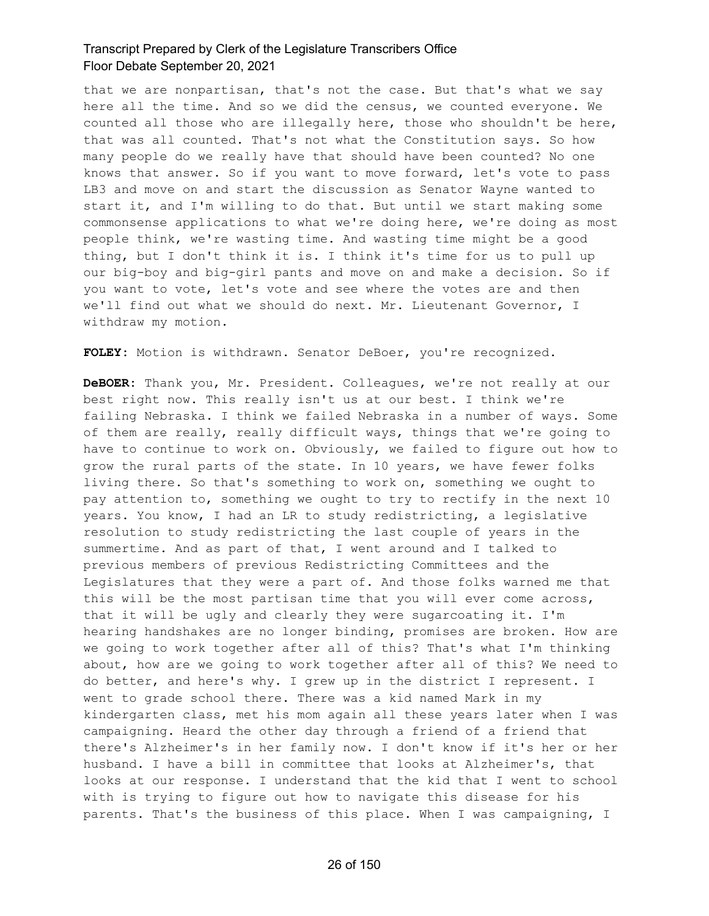that we are nonpartisan, that's not the case. But that's what we say here all the time. And so we did the census, we counted everyone. We counted all those who are illegally here, those who shouldn't be here, that was all counted. That's not what the Constitution says. So how many people do we really have that should have been counted? No one knows that answer. So if you want to move forward, let's vote to pass LB3 and move on and start the discussion as Senator Wayne wanted to start it, and I'm willing to do that. But until we start making some commonsense applications to what we're doing here, we're doing as most people think, we're wasting time. And wasting time might be a good thing, but I don't think it is. I think it's time for us to pull up our big-boy and big-girl pants and move on and make a decision. So if you want to vote, let's vote and see where the votes are and then we'll find out what we should do next. Mr. Lieutenant Governor, I withdraw my motion.

**FOLEY:** Motion is withdrawn. Senator DeBoer, you're recognized.

**DeBOER:** Thank you, Mr. President. Colleagues, we're not really at our best right now. This really isn't us at our best. I think we're failing Nebraska. I think we failed Nebraska in a number of ways. Some of them are really, really difficult ways, things that we're going to have to continue to work on. Obviously, we failed to figure out how to grow the rural parts of the state. In 10 years, we have fewer folks living there. So that's something to work on, something we ought to pay attention to, something we ought to try to rectify in the next 10 years. You know, I had an LR to study redistricting, a legislative resolution to study redistricting the last couple of years in the summertime. And as part of that, I went around and I talked to previous members of previous Redistricting Committees and the Legislatures that they were a part of. And those folks warned me that this will be the most partisan time that you will ever come across, that it will be ugly and clearly they were sugarcoating it. I'm hearing handshakes are no longer binding, promises are broken. How are we going to work together after all of this? That's what I'm thinking about, how are we going to work together after all of this? We need to do better, and here's why. I grew up in the district I represent. I went to grade school there. There was a kid named Mark in my kindergarten class, met his mom again all these years later when I was campaigning. Heard the other day through a friend of a friend that there's Alzheimer's in her family now. I don't know if it's her or her husband. I have a bill in committee that looks at Alzheimer's, that looks at our response. I understand that the kid that I went to school with is trying to figure out how to navigate this disease for his parents. That's the business of this place. When I was campaigning, I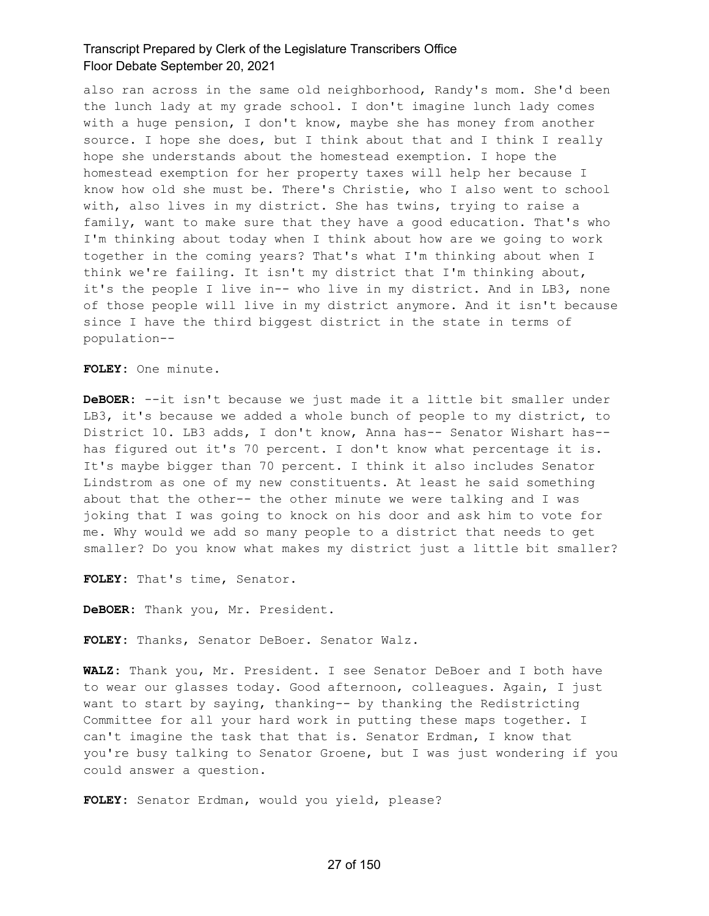also ran across in the same old neighborhood, Randy's mom. She'd been the lunch lady at my grade school. I don't imagine lunch lady comes with a huge pension, I don't know, maybe she has money from another source. I hope she does, but I think about that and I think I really hope she understands about the homestead exemption. I hope the homestead exemption for her property taxes will help her because I know how old she must be. There's Christie, who I also went to school with, also lives in my district. She has twins, trying to raise a family, want to make sure that they have a good education. That's who I'm thinking about today when I think about how are we going to work together in the coming years? That's what I'm thinking about when I think we're failing. It isn't my district that I'm thinking about, it's the people I live in-- who live in my district. And in LB3, none of those people will live in my district anymore. And it isn't because since I have the third biggest district in the state in terms of population--

**FOLEY:** One minute.

**DeBOER:** --it isn't because we just made it a little bit smaller under LB3, it's because we added a whole bunch of people to my district, to District 10. LB3 adds, I don't know, Anna has-- Senator Wishart has- has figured out it's 70 percent. I don't know what percentage it is. It's maybe bigger than 70 percent. I think it also includes Senator Lindstrom as one of my new constituents. At least he said something about that the other-- the other minute we were talking and I was joking that I was going to knock on his door and ask him to vote for me. Why would we add so many people to a district that needs to get smaller? Do you know what makes my district just a little bit smaller?

**FOLEY:** That's time, Senator.

**DeBOER:** Thank you, Mr. President.

**FOLEY:** Thanks, Senator DeBoer. Senator Walz.

**WALZ:** Thank you, Mr. President. I see Senator DeBoer and I both have to wear our glasses today. Good afternoon, colleagues. Again, I just want to start by saying, thanking-- by thanking the Redistricting Committee for all your hard work in putting these maps together. I can't imagine the task that that is. Senator Erdman, I know that you're busy talking to Senator Groene, but I was just wondering if you could answer a question.

**FOLEY:** Senator Erdman, would you yield, please?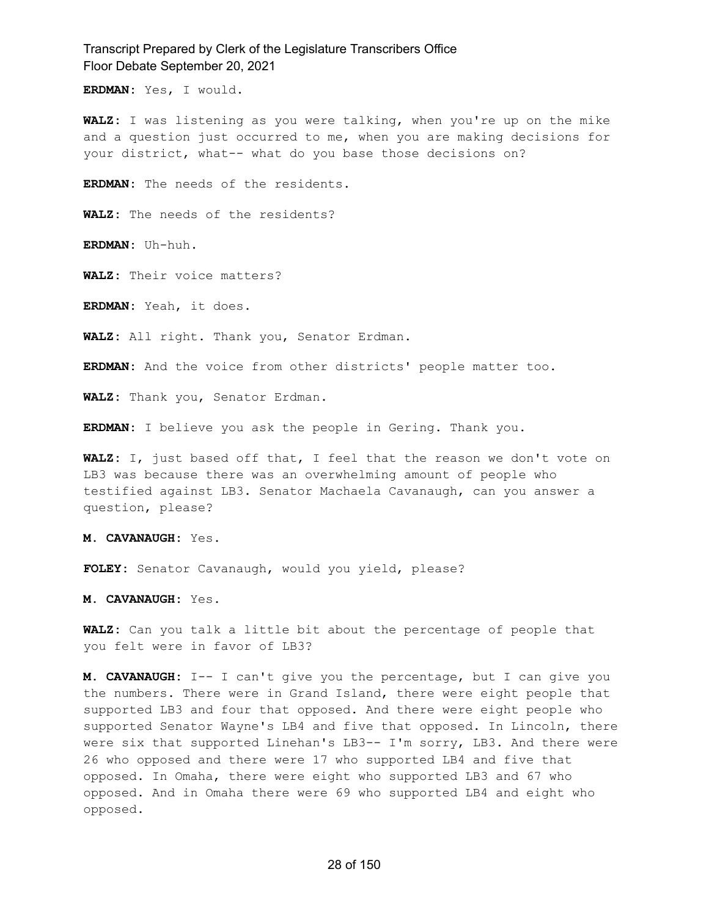**ERDMAN:** Yes, I would.

**WALZ:** I was listening as you were talking, when you're up on the mike and a question just occurred to me, when you are making decisions for your district, what-- what do you base those decisions on?

**ERDMAN:** The needs of the residents.

**WALZ:** The needs of the residents?

**ERDMAN:** Uh-huh.

**WALZ:** Their voice matters?

**ERDMAN:** Yeah, it does.

**WALZ:** All right. Thank you, Senator Erdman.

**ERDMAN:** And the voice from other districts' people matter too.

**WALZ:** Thank you, Senator Erdman.

**ERDMAN:** I believe you ask the people in Gering. Thank you.

**WALZ:** I, just based off that, I feel that the reason we don't vote on LB3 was because there was an overwhelming amount of people who testified against LB3. Senator Machaela Cavanaugh, can you answer a question, please?

**M. CAVANAUGH:** Yes.

**FOLEY:** Senator Cavanaugh, would you yield, please?

**M. CAVANAUGH:** Yes.

**WALZ:** Can you talk a little bit about the percentage of people that you felt were in favor of LB3?

**M. CAVANAUGH:** I-- I can't give you the percentage, but I can give you the numbers. There were in Grand Island, there were eight people that supported LB3 and four that opposed. And there were eight people who supported Senator Wayne's LB4 and five that opposed. In Lincoln, there were six that supported Linehan's LB3-- I'm sorry, LB3. And there were 26 who opposed and there were 17 who supported LB4 and five that opposed. In Omaha, there were eight who supported LB3 and 67 who opposed. And in Omaha there were 69 who supported LB4 and eight who opposed.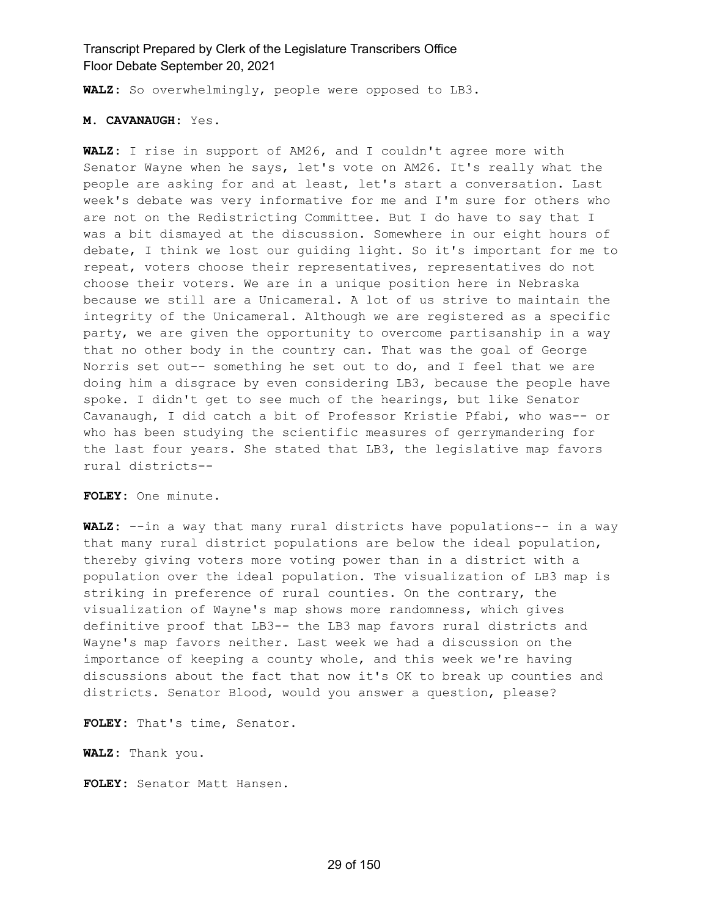**WALZ:** So overwhelmingly, people were opposed to LB3.

#### **M. CAVANAUGH:** Yes.

**WALZ:** I rise in support of AM26, and I couldn't agree more with Senator Wayne when he says, let's vote on AM26. It's really what the people are asking for and at least, let's start a conversation. Last week's debate was very informative for me and I'm sure for others who are not on the Redistricting Committee. But I do have to say that I was a bit dismayed at the discussion. Somewhere in our eight hours of debate, I think we lost our guiding light. So it's important for me to repeat, voters choose their representatives, representatives do not choose their voters. We are in a unique position here in Nebraska because we still are a Unicameral. A lot of us strive to maintain the integrity of the Unicameral. Although we are registered as a specific party, we are given the opportunity to overcome partisanship in a way that no other body in the country can. That was the goal of George Norris set out-- something he set out to do, and I feel that we are doing him a disgrace by even considering LB3, because the people have spoke. I didn't get to see much of the hearings, but like Senator Cavanaugh, I did catch a bit of Professor Kristie Pfabi, who was-- or who has been studying the scientific measures of gerrymandering for the last four years. She stated that LB3, the legislative map favors rural districts--

**FOLEY:** One minute.

**WALZ:** --in a way that many rural districts have populations-- in a way that many rural district populations are below the ideal population, thereby giving voters more voting power than in a district with a population over the ideal population. The visualization of LB3 map is striking in preference of rural counties. On the contrary, the visualization of Wayne's map shows more randomness, which gives definitive proof that LB3-- the LB3 map favors rural districts and Wayne's map favors neither. Last week we had a discussion on the importance of keeping a county whole, and this week we're having discussions about the fact that now it's OK to break up counties and districts. Senator Blood, would you answer a question, please?

**FOLEY:** That's time, Senator.

**WALZ:** Thank you.

**FOLEY:** Senator Matt Hansen.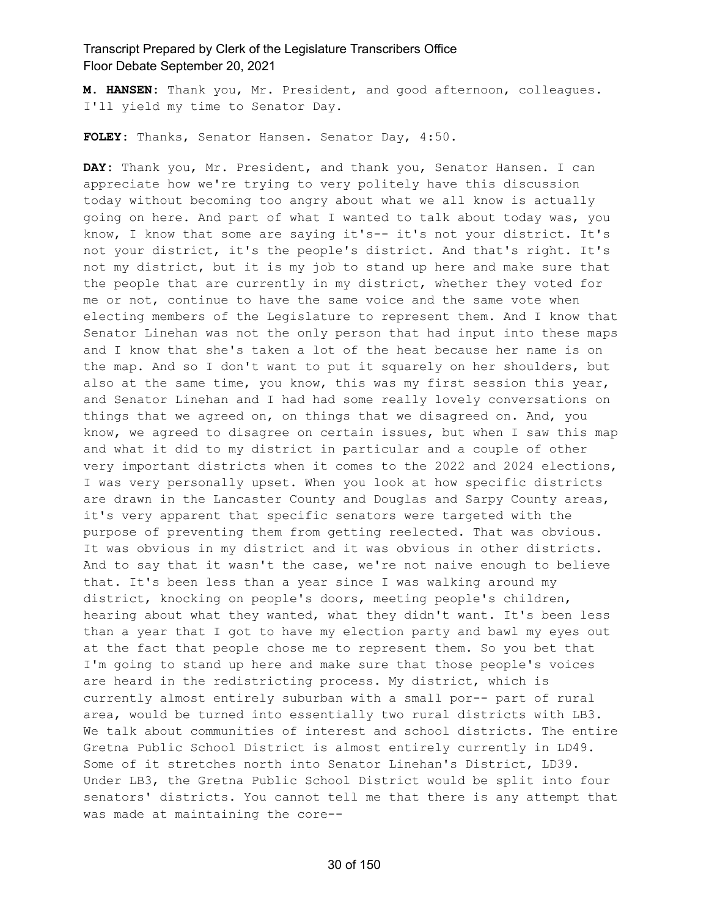**M. HANSEN:** Thank you, Mr. President, and good afternoon, colleagues. I'll yield my time to Senator Day.

**FOLEY:** Thanks, Senator Hansen. Senator Day, 4:50.

**DAY:** Thank you, Mr. President, and thank you, Senator Hansen. I can appreciate how we're trying to very politely have this discussion today without becoming too angry about what we all know is actually going on here. And part of what I wanted to talk about today was, you know, I know that some are saying it's-- it's not your district. It's not your district, it's the people's district. And that's right. It's not my district, but it is my job to stand up here and make sure that the people that are currently in my district, whether they voted for me or not, continue to have the same voice and the same vote when electing members of the Legislature to represent them. And I know that Senator Linehan was not the only person that had input into these maps and I know that she's taken a lot of the heat because her name is on the map. And so I don't want to put it squarely on her shoulders, but also at the same time, you know, this was my first session this year, and Senator Linehan and I had had some really lovely conversations on things that we agreed on, on things that we disagreed on. And, you know, we agreed to disagree on certain issues, but when I saw this map and what it did to my district in particular and a couple of other very important districts when it comes to the 2022 and 2024 elections, I was very personally upset. When you look at how specific districts are drawn in the Lancaster County and Douglas and Sarpy County areas, it's very apparent that specific senators were targeted with the purpose of preventing them from getting reelected. That was obvious. It was obvious in my district and it was obvious in other districts. And to say that it wasn't the case, we're not naive enough to believe that. It's been less than a year since I was walking around my district, knocking on people's doors, meeting people's children, hearing about what they wanted, what they didn't want. It's been less than a year that I got to have my election party and bawl my eyes out at the fact that people chose me to represent them. So you bet that I'm going to stand up here and make sure that those people's voices are heard in the redistricting process. My district, which is currently almost entirely suburban with a small por-- part of rural area, would be turned into essentially two rural districts with LB3. We talk about communities of interest and school districts. The entire Gretna Public School District is almost entirely currently in LD49. Some of it stretches north into Senator Linehan's District, LD39. Under LB3, the Gretna Public School District would be split into four senators' districts. You cannot tell me that there is any attempt that was made at maintaining the core--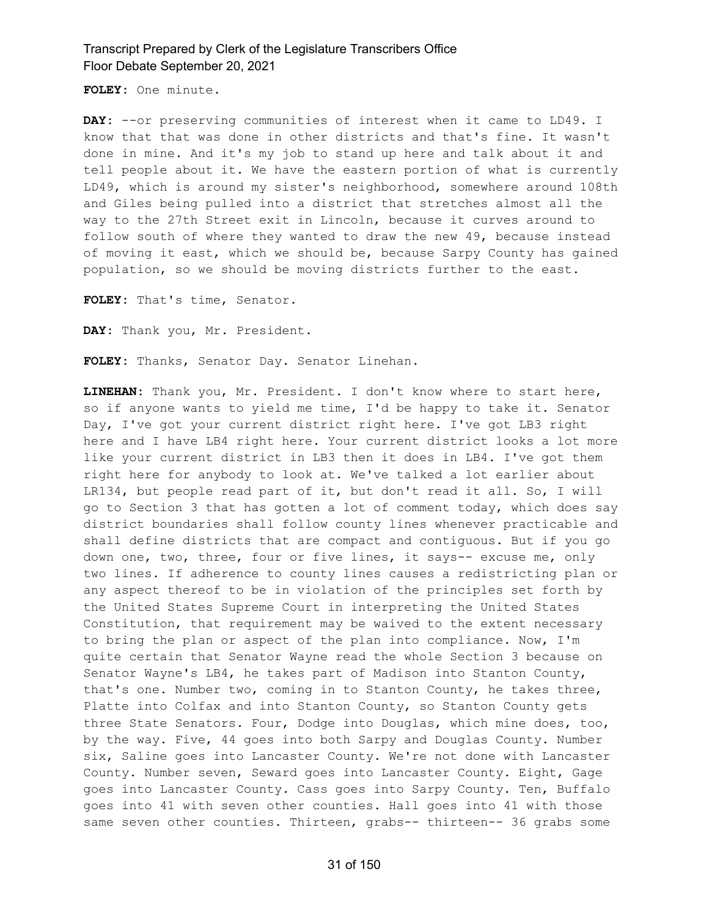**FOLEY:** One minute.

DAY: --or preserving communities of interest when it came to LD49. I know that that was done in other districts and that's fine. It wasn't done in mine. And it's my job to stand up here and talk about it and tell people about it. We have the eastern portion of what is currently LD49, which is around my sister's neighborhood, somewhere around 108th and Giles being pulled into a district that stretches almost all the way to the 27th Street exit in Lincoln, because it curves around to follow south of where they wanted to draw the new 49, because instead of moving it east, which we should be, because Sarpy County has gained population, so we should be moving districts further to the east.

**FOLEY:** That's time, Senator.

**DAY:** Thank you, Mr. President.

**FOLEY:** Thanks, Senator Day. Senator Linehan.

**LINEHAN:** Thank you, Mr. President. I don't know where to start here, so if anyone wants to yield me time, I'd be happy to take it. Senator Day, I've got your current district right here. I've got LB3 right here and I have LB4 right here. Your current district looks a lot more like your current district in LB3 then it does in LB4. I've got them right here for anybody to look at. We've talked a lot earlier about LR134, but people read part of it, but don't read it all. So, I will go to Section 3 that has gotten a lot of comment today, which does say district boundaries shall follow county lines whenever practicable and shall define districts that are compact and contiguous. But if you go down one, two, three, four or five lines, it says-- excuse me, only two lines. If adherence to county lines causes a redistricting plan or any aspect thereof to be in violation of the principles set forth by the United States Supreme Court in interpreting the United States Constitution, that requirement may be waived to the extent necessary to bring the plan or aspect of the plan into compliance. Now, I'm quite certain that Senator Wayne read the whole Section 3 because on Senator Wayne's LB4, he takes part of Madison into Stanton County, that's one. Number two, coming in to Stanton County, he takes three, Platte into Colfax and into Stanton County, so Stanton County gets three State Senators. Four, Dodge into Douglas, which mine does, too, by the way. Five, 44 goes into both Sarpy and Douglas County. Number six, Saline goes into Lancaster County. We're not done with Lancaster County. Number seven, Seward goes into Lancaster County. Eight, Gage goes into Lancaster County. Cass goes into Sarpy County. Ten, Buffalo goes into 41 with seven other counties. Hall goes into 41 with those same seven other counties. Thirteen, grabs-- thirteen-- 36 grabs some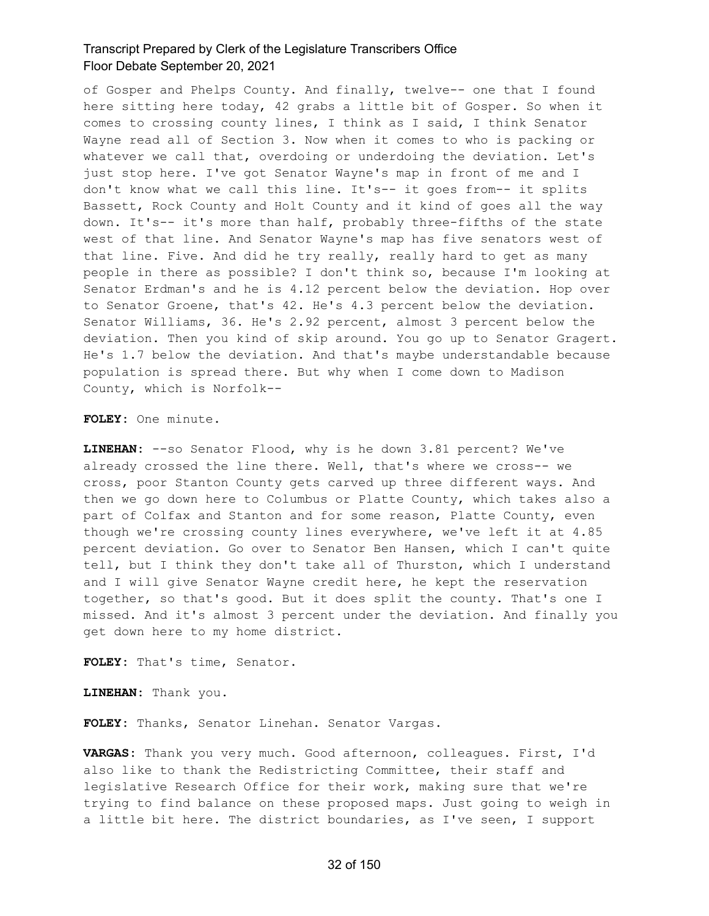of Gosper and Phelps County. And finally, twelve-- one that I found here sitting here today, 42 grabs a little bit of Gosper. So when it comes to crossing county lines, I think as I said, I think Senator Wayne read all of Section 3. Now when it comes to who is packing or whatever we call that, overdoing or underdoing the deviation. Let's just stop here. I've got Senator Wayne's map in front of me and I don't know what we call this line. It's-- it goes from-- it splits Bassett, Rock County and Holt County and it kind of goes all the way down. It's-- it's more than half, probably three-fifths of the state west of that line. And Senator Wayne's map has five senators west of that line. Five. And did he try really, really hard to get as many people in there as possible? I don't think so, because I'm looking at Senator Erdman's and he is 4.12 percent below the deviation. Hop over to Senator Groene, that's 42. He's 4.3 percent below the deviation. Senator Williams, 36. He's 2.92 percent, almost 3 percent below the deviation. Then you kind of skip around. You go up to Senator Gragert. He's 1.7 below the deviation. And that's maybe understandable because population is spread there. But why when I come down to Madison County, which is Norfolk--

**FOLEY:** One minute.

**LINEHAN:** --so Senator Flood, why is he down 3.81 percent? We've already crossed the line there. Well, that's where we cross-- we cross, poor Stanton County gets carved up three different ways. And then we go down here to Columbus or Platte County, which takes also a part of Colfax and Stanton and for some reason, Platte County, even though we're crossing county lines everywhere, we've left it at 4.85 percent deviation. Go over to Senator Ben Hansen, which I can't quite tell, but I think they don't take all of Thurston, which I understand and I will give Senator Wayne credit here, he kept the reservation together, so that's good. But it does split the county. That's one I missed. And it's almost 3 percent under the deviation. And finally you get down here to my home district.

**FOLEY:** That's time, Senator.

**LINEHAN:** Thank you.

**FOLEY:** Thanks, Senator Linehan. Senator Vargas.

**VARGAS:** Thank you very much. Good afternoon, colleagues. First, I'd also like to thank the Redistricting Committee, their staff and legislative Research Office for their work, making sure that we're trying to find balance on these proposed maps. Just going to weigh in a little bit here. The district boundaries, as I've seen, I support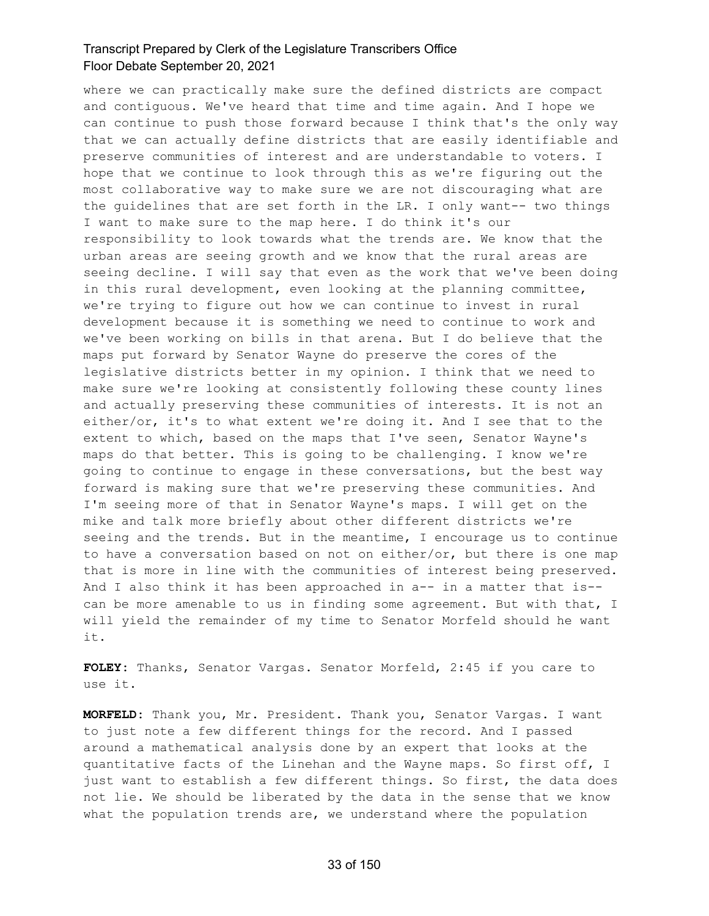where we can practically make sure the defined districts are compact and contiguous. We've heard that time and time again. And I hope we can continue to push those forward because I think that's the only way that we can actually define districts that are easily identifiable and preserve communities of interest and are understandable to voters. I hope that we continue to look through this as we're figuring out the most collaborative way to make sure we are not discouraging what are the guidelines that are set forth in the LR. I only want-- two things I want to make sure to the map here. I do think it's our responsibility to look towards what the trends are. We know that the urban areas are seeing growth and we know that the rural areas are seeing decline. I will say that even as the work that we've been doing in this rural development, even looking at the planning committee, we're trying to figure out how we can continue to invest in rural development because it is something we need to continue to work and we've been working on bills in that arena. But I do believe that the maps put forward by Senator Wayne do preserve the cores of the legislative districts better in my opinion. I think that we need to make sure we're looking at consistently following these county lines and actually preserving these communities of interests. It is not an either/or, it's to what extent we're doing it. And I see that to the extent to which, based on the maps that I've seen, Senator Wayne's maps do that better. This is going to be challenging. I know we're going to continue to engage in these conversations, but the best way forward is making sure that we're preserving these communities. And I'm seeing more of that in Senator Wayne's maps. I will get on the mike and talk more briefly about other different districts we're seeing and the trends. But in the meantime, I encourage us to continue to have a conversation based on not on either/or, but there is one map that is more in line with the communities of interest being preserved. And I also think it has been approached in a-- in a matter that is-can be more amenable to us in finding some agreement. But with that, I will yield the remainder of my time to Senator Morfeld should he want it.

**FOLEY:** Thanks, Senator Vargas. Senator Morfeld, 2:45 if you care to use it.

**MORFELD:** Thank you, Mr. President. Thank you, Senator Vargas. I want to just note a few different things for the record. And I passed around a mathematical analysis done by an expert that looks at the quantitative facts of the Linehan and the Wayne maps. So first off, I just want to establish a few different things. So first, the data does not lie. We should be liberated by the data in the sense that we know what the population trends are, we understand where the population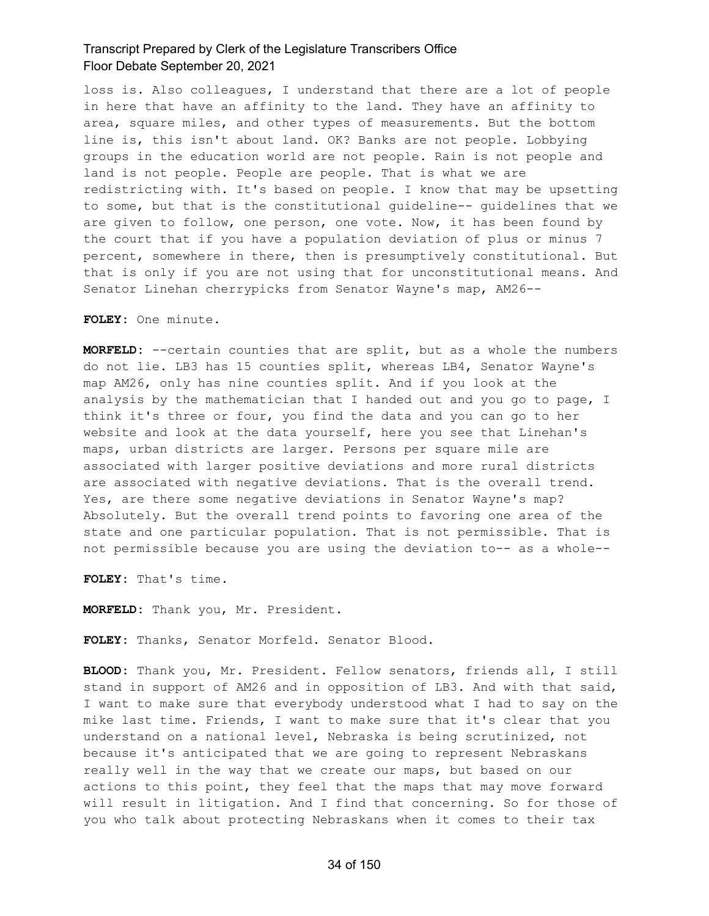loss is. Also colleagues, I understand that there are a lot of people in here that have an affinity to the land. They have an affinity to area, square miles, and other types of measurements. But the bottom line is, this isn't about land. OK? Banks are not people. Lobbying groups in the education world are not people. Rain is not people and land is not people. People are people. That is what we are redistricting with. It's based on people. I know that may be upsetting to some, but that is the constitutional guideline-- guidelines that we are given to follow, one person, one vote. Now, it has been found by the court that if you have a population deviation of plus or minus 7 percent, somewhere in there, then is presumptively constitutional. But that is only if you are not using that for unconstitutional means. And Senator Linehan cherrypicks from Senator Wayne's map, AM26--

**FOLEY:** One minute.

**MORFELD:** --certain counties that are split, but as a whole the numbers do not lie. LB3 has 15 counties split, whereas LB4, Senator Wayne's map AM26, only has nine counties split. And if you look at the analysis by the mathematician that I handed out and you go to page, I think it's three or four, you find the data and you can go to her website and look at the data yourself, here you see that Linehan's maps, urban districts are larger. Persons per square mile are associated with larger positive deviations and more rural districts are associated with negative deviations. That is the overall trend. Yes, are there some negative deviations in Senator Wayne's map? Absolutely. But the overall trend points to favoring one area of the state and one particular population. That is not permissible. That is not permissible because you are using the deviation to-- as a whole--

**FOLEY:** That's time.

**MORFELD:** Thank you, Mr. President.

**FOLEY:** Thanks, Senator Morfeld. Senator Blood.

**BLOOD:** Thank you, Mr. President. Fellow senators, friends all, I still stand in support of AM26 and in opposition of LB3. And with that said, I want to make sure that everybody understood what I had to say on the mike last time. Friends, I want to make sure that it's clear that you understand on a national level, Nebraska is being scrutinized, not because it's anticipated that we are going to represent Nebraskans really well in the way that we create our maps, but based on our actions to this point, they feel that the maps that may move forward will result in litigation. And I find that concerning. So for those of you who talk about protecting Nebraskans when it comes to their tax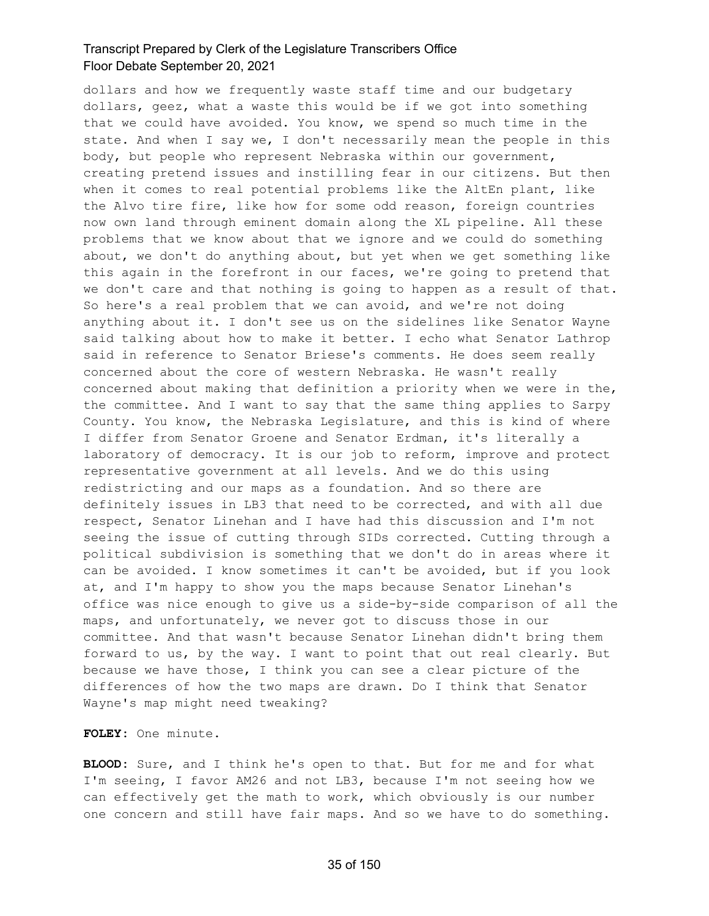dollars and how we frequently waste staff time and our budgetary dollars, geez, what a waste this would be if we got into something that we could have avoided. You know, we spend so much time in the state. And when I say we, I don't necessarily mean the people in this body, but people who represent Nebraska within our government, creating pretend issues and instilling fear in our citizens. But then when it comes to real potential problems like the AltEn plant, like the Alvo tire fire, like how for some odd reason, foreign countries now own land through eminent domain along the XL pipeline. All these problems that we know about that we ignore and we could do something about, we don't do anything about, but yet when we get something like this again in the forefront in our faces, we're going to pretend that we don't care and that nothing is going to happen as a result of that. So here's a real problem that we can avoid, and we're not doing anything about it. I don't see us on the sidelines like Senator Wayne said talking about how to make it better. I echo what Senator Lathrop said in reference to Senator Briese's comments. He does seem really concerned about the core of western Nebraska. He wasn't really concerned about making that definition a priority when we were in the, the committee. And I want to say that the same thing applies to Sarpy County. You know, the Nebraska Legislature, and this is kind of where I differ from Senator Groene and Senator Erdman, it's literally a laboratory of democracy. It is our job to reform, improve and protect representative government at all levels. And we do this using redistricting and our maps as a foundation. And so there are definitely issues in LB3 that need to be corrected, and with all due respect, Senator Linehan and I have had this discussion and I'm not seeing the issue of cutting through SIDs corrected. Cutting through a political subdivision is something that we don't do in areas where it can be avoided. I know sometimes it can't be avoided, but if you look at, and I'm happy to show you the maps because Senator Linehan's office was nice enough to give us a side-by-side comparison of all the maps, and unfortunately, we never got to discuss those in our committee. And that wasn't because Senator Linehan didn't bring them forward to us, by the way. I want to point that out real clearly. But because we have those, I think you can see a clear picture of the differences of how the two maps are drawn. Do I think that Senator Wayne's map might need tweaking?

**FOLEY:** One minute.

**BLOOD:** Sure, and I think he's open to that. But for me and for what I'm seeing, I favor AM26 and not LB3, because I'm not seeing how we can effectively get the math to work, which obviously is our number one concern and still have fair maps. And so we have to do something.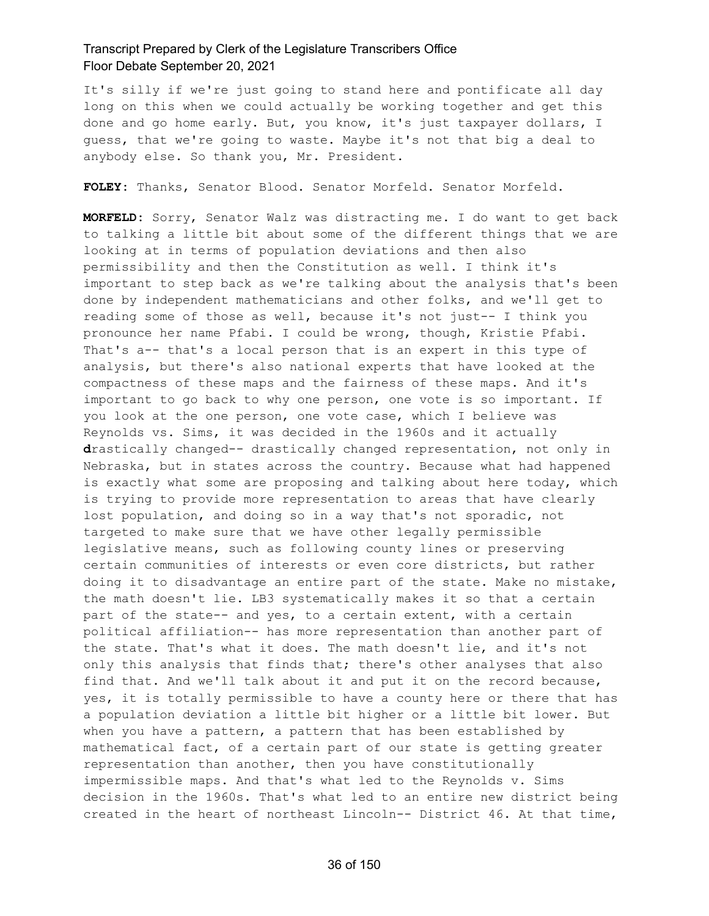It's silly if we're just going to stand here and pontificate all day long on this when we could actually be working together and get this done and go home early. But, you know, it's just taxpayer dollars, I guess, that we're going to waste. Maybe it's not that big a deal to anybody else. So thank you, Mr. President.

**FOLEY:** Thanks, Senator Blood. Senator Morfeld. Senator Morfeld.

**MORFELD:** Sorry, Senator Walz was distracting me. I do want to get back to talking a little bit about some of the different things that we are looking at in terms of population deviations and then also permissibility and then the Constitution as well. I think it's important to step back as we're talking about the analysis that's been done by independent mathematicians and other folks, and we'll get to reading some of those as well, because it's not just-- I think you pronounce her name Pfabi. I could be wrong, though, Kristie Pfabi. That's a-- that's a local person that is an expert in this type of analysis, but there's also national experts that have looked at the compactness of these maps and the fairness of these maps. And it's important to go back to why one person, one vote is so important. If you look at the one person, one vote case, which I believe was Reynolds vs. Sims, it was decided in the 1960s and it actually **d**rastically changed-- drastically changed representation, not only in Nebraska, but in states across the country. Because what had happened is exactly what some are proposing and talking about here today, which is trying to provide more representation to areas that have clearly lost population, and doing so in a way that's not sporadic, not targeted to make sure that we have other legally permissible legislative means, such as following county lines or preserving certain communities of interests or even core districts, but rather doing it to disadvantage an entire part of the state. Make no mistake, the math doesn't lie. LB3 systematically makes it so that a certain part of the state-- and yes, to a certain extent, with a certain political affiliation-- has more representation than another part of the state. That's what it does. The math doesn't lie, and it's not only this analysis that finds that; there's other analyses that also find that. And we'll talk about it and put it on the record because, yes, it is totally permissible to have a county here or there that has a population deviation a little bit higher or a little bit lower. But when you have a pattern, a pattern that has been established by mathematical fact, of a certain part of our state is getting greater representation than another, then you have constitutionally impermissible maps. And that's what led to the Reynolds v. Sims decision in the 1960s. That's what led to an entire new district being created in the heart of northeast Lincoln-- District 46. At that time,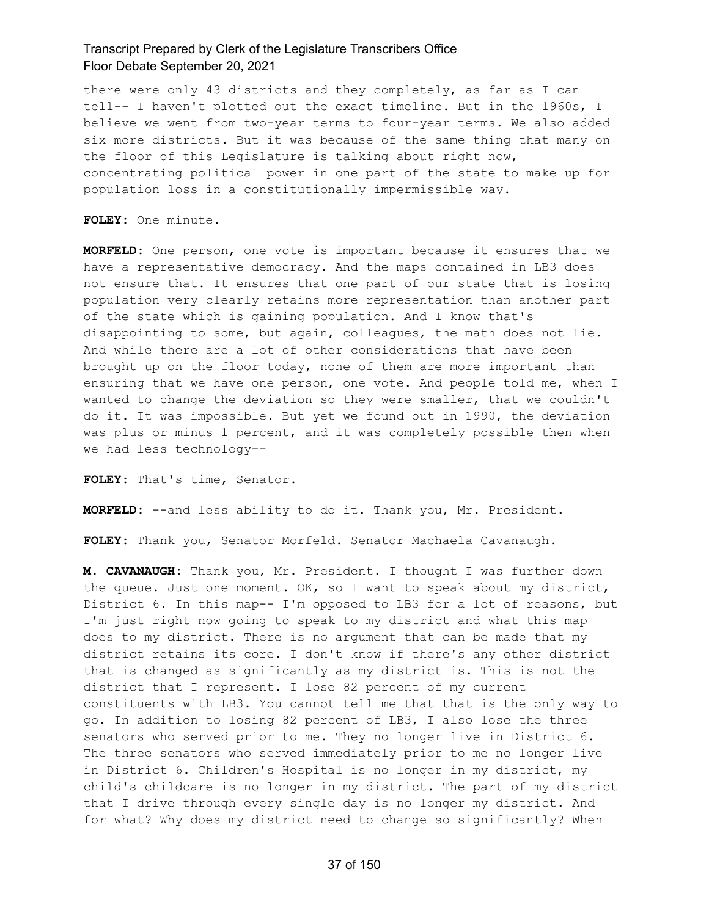there were only 43 districts and they completely, as far as I can tell-- I haven't plotted out the exact timeline. But in the 1960s, I believe we went from two-year terms to four-year terms. We also added six more districts. But it was because of the same thing that many on the floor of this Legislature is talking about right now, concentrating political power in one part of the state to make up for population loss in a constitutionally impermissible way.

**FOLEY:** One minute.

**MORFELD:** One person, one vote is important because it ensures that we have a representative democracy. And the maps contained in LB3 does not ensure that. It ensures that one part of our state that is losing population very clearly retains more representation than another part of the state which is gaining population. And I know that's disappointing to some, but again, colleagues, the math does not lie. And while there are a lot of other considerations that have been brought up on the floor today, none of them are more important than ensuring that we have one person, one vote. And people told me, when I wanted to change the deviation so they were smaller, that we couldn't do it. It was impossible. But yet we found out in 1990, the deviation was plus or minus 1 percent, and it was completely possible then when we had less technology--

**FOLEY:** That's time, Senator.

**MORFELD:** --and less ability to do it. Thank you, Mr. President.

**FOLEY:** Thank you, Senator Morfeld. Senator Machaela Cavanaugh.

**M. CAVANAUGH:** Thank you, Mr. President. I thought I was further down the queue. Just one moment. OK, so I want to speak about my district, District 6. In this map-- I'm opposed to LB3 for a lot of reasons, but I'm just right now going to speak to my district and what this map does to my district. There is no argument that can be made that my district retains its core. I don't know if there's any other district that is changed as significantly as my district is. This is not the district that I represent. I lose 82 percent of my current constituents with LB3. You cannot tell me that that is the only way to go. In addition to losing 82 percent of LB3, I also lose the three senators who served prior to me. They no longer live in District 6. The three senators who served immediately prior to me no longer live in District 6. Children's Hospital is no longer in my district, my child's childcare is no longer in my district. The part of my district that I drive through every single day is no longer my district. And for what? Why does my district need to change so significantly? When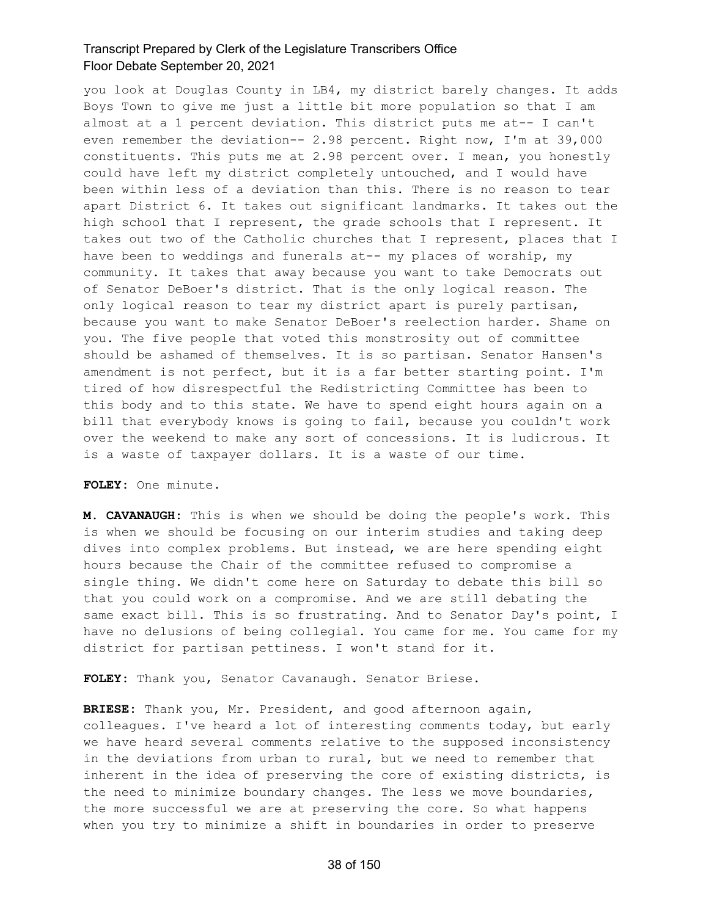you look at Douglas County in LB4, my district barely changes. It adds Boys Town to give me just a little bit more population so that I am almost at a 1 percent deviation. This district puts me at-- I can't even remember the deviation-- 2.98 percent. Right now, I'm at 39,000 constituents. This puts me at 2.98 percent over. I mean, you honestly could have left my district completely untouched, and I would have been within less of a deviation than this. There is no reason to tear apart District 6. It takes out significant landmarks. It takes out the high school that I represent, the grade schools that I represent. It takes out two of the Catholic churches that I represent, places that I have been to weddings and funerals at-- my places of worship, my community. It takes that away because you want to take Democrats out of Senator DeBoer's district. That is the only logical reason. The only logical reason to tear my district apart is purely partisan, because you want to make Senator DeBoer's reelection harder. Shame on you. The five people that voted this monstrosity out of committee should be ashamed of themselves. It is so partisan. Senator Hansen's amendment is not perfect, but it is a far better starting point. I'm tired of how disrespectful the Redistricting Committee has been to this body and to this state. We have to spend eight hours again on a bill that everybody knows is going to fail, because you couldn't work over the weekend to make any sort of concessions. It is ludicrous. It is a waste of taxpayer dollars. It is a waste of our time.

#### **FOLEY:** One minute.

**M. CAVANAUGH:** This is when we should be doing the people's work. This is when we should be focusing on our interim studies and taking deep dives into complex problems. But instead, we are here spending eight hours because the Chair of the committee refused to compromise a single thing. We didn't come here on Saturday to debate this bill so that you could work on a compromise. And we are still debating the same exact bill. This is so frustrating. And to Senator Day's point, I have no delusions of being collegial. You came for me. You came for my district for partisan pettiness. I won't stand for it.

**FOLEY:** Thank you, Senator Cavanaugh. Senator Briese.

**BRIESE:** Thank you, Mr. President, and good afternoon again, colleagues. I've heard a lot of interesting comments today, but early we have heard several comments relative to the supposed inconsistency in the deviations from urban to rural, but we need to remember that inherent in the idea of preserving the core of existing districts, is the need to minimize boundary changes. The less we move boundaries, the more successful we are at preserving the core. So what happens when you try to minimize a shift in boundaries in order to preserve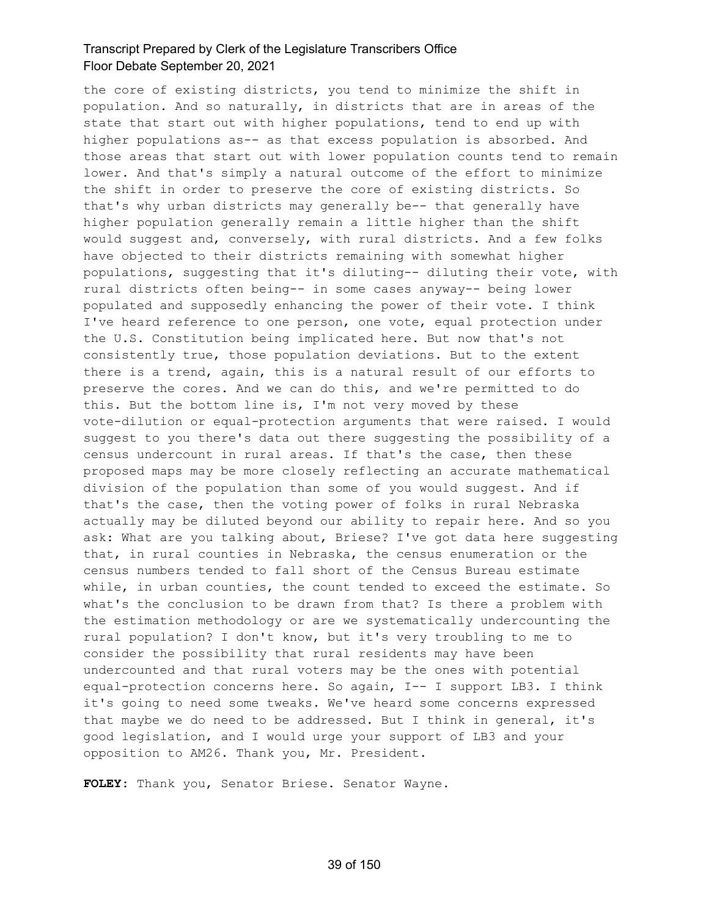the core of existing districts, you tend to minimize the shift in population. And so naturally, in districts that are in areas of the state that start out with higher populations, tend to end up with higher populations as-- as that excess population is absorbed. And those areas that start out with lower population counts tend to remain lower. And that's simply a natural outcome of the effort to minimize the shift in order to preserve the core of existing districts. So that's why urban districts may generally be-- that generally have higher population generally remain a little higher than the shift would suggest and, conversely, with rural districts. And a few folks have objected to their districts remaining with somewhat higher populations, suggesting that it's diluting-- diluting their vote, with rural districts often being-- in some cases anyway-- being lower populated and supposedly enhancing the power of their vote. I think I've heard reference to one person, one vote, equal protection under the U.S. Constitution being implicated here. But now that's not consistently true, those population deviations. But to the extent there is a trend, again, this is a natural result of our efforts to preserve the cores. And we can do this, and we're permitted to do this. But the bottom line is, I'm not very moved by these vote-dilution or equal-protection arguments that were raised. I would suggest to you there's data out there suggesting the possibility of a census undercount in rural areas. If that's the case, then these proposed maps may be more closely reflecting an accurate mathematical division of the population than some of you would suggest. And if that's the case, then the voting power of folks in rural Nebraska actually may be diluted beyond our ability to repair here. And so you ask: What are you talking about, Briese? I've got data here suggesting that, in rural counties in Nebraska, the census enumeration or the census numbers tended to fall short of the Census Bureau estimate while, in urban counties, the count tended to exceed the estimate. So what's the conclusion to be drawn from that? Is there a problem with the estimation methodology or are we systematically undercounting the rural population? I don't know, but it's very troubling to me to consider the possibility that rural residents may have been undercounted and that rural voters may be the ones with potential equal-protection concerns here. So again, I-- I support LB3. I think it's going to need some tweaks. We've heard some concerns expressed that maybe we do need to be addressed. But I think in general, it's good legislation, and I would urge your support of LB3 and your opposition to AM26. Thank you, Mr. President.

**FOLEY:** Thank you, Senator Briese. Senator Wayne.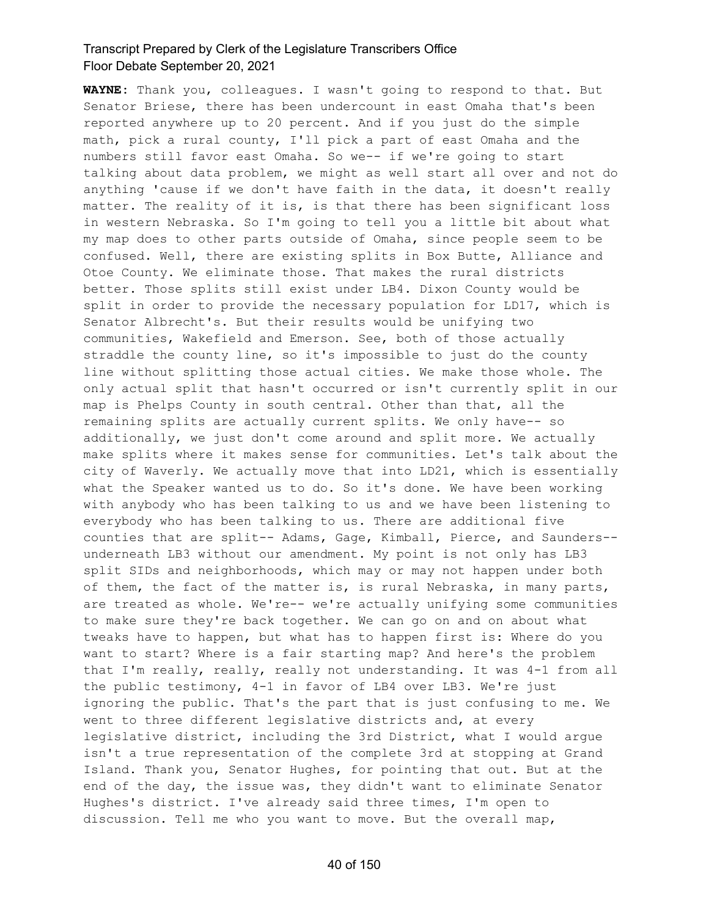**WAYNE:** Thank you, colleagues. I wasn't going to respond to that. But Senator Briese, there has been undercount in east Omaha that's been reported anywhere up to 20 percent. And if you just do the simple math, pick a rural county, I'll pick a part of east Omaha and the numbers still favor east Omaha. So we-- if we're going to start talking about data problem, we might as well start all over and not do anything 'cause if we don't have faith in the data, it doesn't really matter. The reality of it is, is that there has been significant loss in western Nebraska. So I'm going to tell you a little bit about what my map does to other parts outside of Omaha, since people seem to be confused. Well, there are existing splits in Box Butte, Alliance and Otoe County. We eliminate those. That makes the rural districts better. Those splits still exist under LB4. Dixon County would be split in order to provide the necessary population for LD17, which is Senator Albrecht's. But their results would be unifying two communities, Wakefield and Emerson. See, both of those actually straddle the county line, so it's impossible to just do the county line without splitting those actual cities. We make those whole. The only actual split that hasn't occurred or isn't currently split in our map is Phelps County in south central. Other than that, all the remaining splits are actually current splits. We only have-- so additionally, we just don't come around and split more. We actually make splits where it makes sense for communities. Let's talk about the city of Waverly. We actually move that into LD21, which is essentially what the Speaker wanted us to do. So it's done. We have been working with anybody who has been talking to us and we have been listening to everybody who has been talking to us. There are additional five counties that are split-- Adams, Gage, Kimball, Pierce, and Saunders- underneath LB3 without our amendment. My point is not only has LB3 split SIDs and neighborhoods, which may or may not happen under both of them, the fact of the matter is, is rural Nebraska, in many parts, are treated as whole. We're-- we're actually unifying some communities to make sure they're back together. We can go on and on about what tweaks have to happen, but what has to happen first is: Where do you want to start? Where is a fair starting map? And here's the problem that I'm really, really, really not understanding. It was 4-1 from all the public testimony, 4-1 in favor of LB4 over LB3. We're just ignoring the public. That's the part that is just confusing to me. We went to three different legislative districts and, at every legislative district, including the 3rd District, what I would argue isn't a true representation of the complete 3rd at stopping at Grand Island. Thank you, Senator Hughes, for pointing that out. But at the end of the day, the issue was, they didn't want to eliminate Senator Hughes's district. I've already said three times, I'm open to discussion. Tell me who you want to move. But the overall map,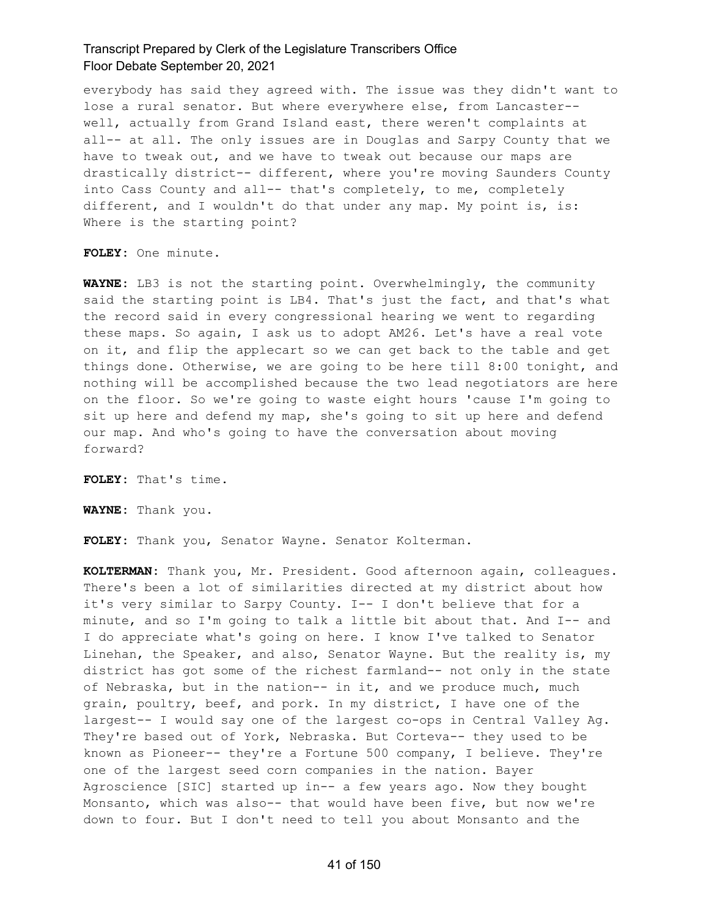everybody has said they agreed with. The issue was they didn't want to lose a rural senator. But where everywhere else, from Lancaster- well, actually from Grand Island east, there weren't complaints at all-- at all. The only issues are in Douglas and Sarpy County that we have to tweak out, and we have to tweak out because our maps are drastically district-- different, where you're moving Saunders County into Cass County and all-- that's completely, to me, completely different, and I wouldn't do that under any map. My point is, is: Where is the starting point?

**FOLEY:** One minute.

**WAYNE:** LB3 is not the starting point. Overwhelmingly, the community said the starting point is LB4. That's just the fact, and that's what the record said in every congressional hearing we went to regarding these maps. So again, I ask us to adopt AM26. Let's have a real vote on it, and flip the applecart so we can get back to the table and get things done. Otherwise, we are going to be here till 8:00 tonight, and nothing will be accomplished because the two lead negotiators are here on the floor. So we're going to waste eight hours 'cause I'm going to sit up here and defend my map, she's going to sit up here and defend our map. And who's going to have the conversation about moving forward?

**FOLEY:** That's time.

**WAYNE:** Thank you.

**FOLEY:** Thank you, Senator Wayne. Senator Kolterman.

**KOLTERMAN:** Thank you, Mr. President. Good afternoon again, colleagues. There's been a lot of similarities directed at my district about how it's very similar to Sarpy County. I-- I don't believe that for a minute, and so I'm going to talk a little bit about that. And I-- and I do appreciate what's going on here. I know I've talked to Senator Linehan, the Speaker, and also, Senator Wayne. But the reality is, my district has got some of the richest farmland-- not only in the state of Nebraska, but in the nation-- in it, and we produce much, much grain, poultry, beef, and pork. In my district, I have one of the largest-- I would say one of the largest co-ops in Central Valley Ag. They're based out of York, Nebraska. But Corteva-- they used to be known as Pioneer-- they're a Fortune 500 company, I believe. They're one of the largest seed corn companies in the nation. Bayer Agroscience [SIC] started up in-- a few years ago. Now they bought Monsanto, which was also-- that would have been five, but now we're down to four. But I don't need to tell you about Monsanto and the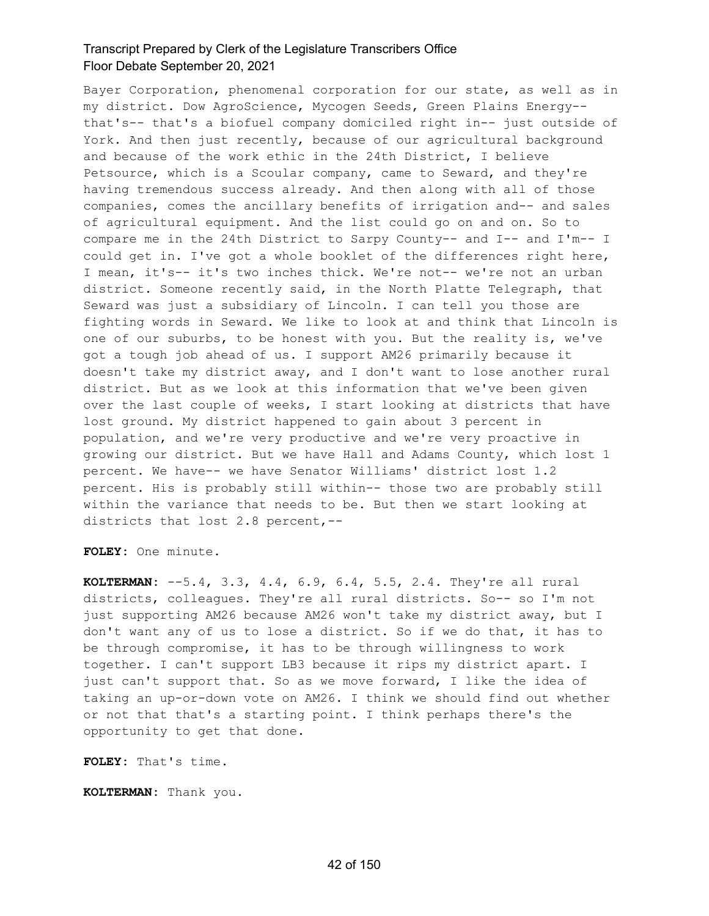Bayer Corporation, phenomenal corporation for our state, as well as in my district. Dow AgroScience, Mycogen Seeds, Green Plains Energy- that's-- that's a biofuel company domiciled right in-- just outside of York. And then just recently, because of our agricultural background and because of the work ethic in the 24th District, I believe Petsource, which is a Scoular company, came to Seward, and they're having tremendous success already. And then along with all of those companies, comes the ancillary benefits of irrigation and-- and sales of agricultural equipment. And the list could go on and on. So to compare me in the 24th District to Sarpy County-- and I-- and I'm-- I could get in. I've got a whole booklet of the differences right here, I mean, it's-- it's two inches thick. We're not-- we're not an urban district. Someone recently said, in the North Platte Telegraph, that Seward was just a subsidiary of Lincoln. I can tell you those are fighting words in Seward. We like to look at and think that Lincoln is one of our suburbs, to be honest with you. But the reality is, we've got a tough job ahead of us. I support AM26 primarily because it doesn't take my district away, and I don't want to lose another rural district. But as we look at this information that we've been given over the last couple of weeks, I start looking at districts that have lost ground. My district happened to gain about 3 percent in population, and we're very productive and we're very proactive in growing our district. But we have Hall and Adams County, which lost 1 percent. We have-- we have Senator Williams' district lost 1.2 percent. His is probably still within-- those two are probably still within the variance that needs to be. But then we start looking at districts that lost 2.8 percent,--

**FOLEY:** One minute.

**KOLTERMAN:** --5.4, 3.3, 4.4, 6.9, 6.4, 5.5, 2.4. They're all rural districts, colleagues. They're all rural districts. So-- so I'm not just supporting AM26 because AM26 won't take my district away, but I don't want any of us to lose a district. So if we do that, it has to be through compromise, it has to be through willingness to work together. I can't support LB3 because it rips my district apart. I just can't support that. So as we move forward, I like the idea of taking an up-or-down vote on AM26. I think we should find out whether or not that that's a starting point. I think perhaps there's the opportunity to get that done.

**FOLEY:** That's time.

**KOLTERMAN:** Thank you.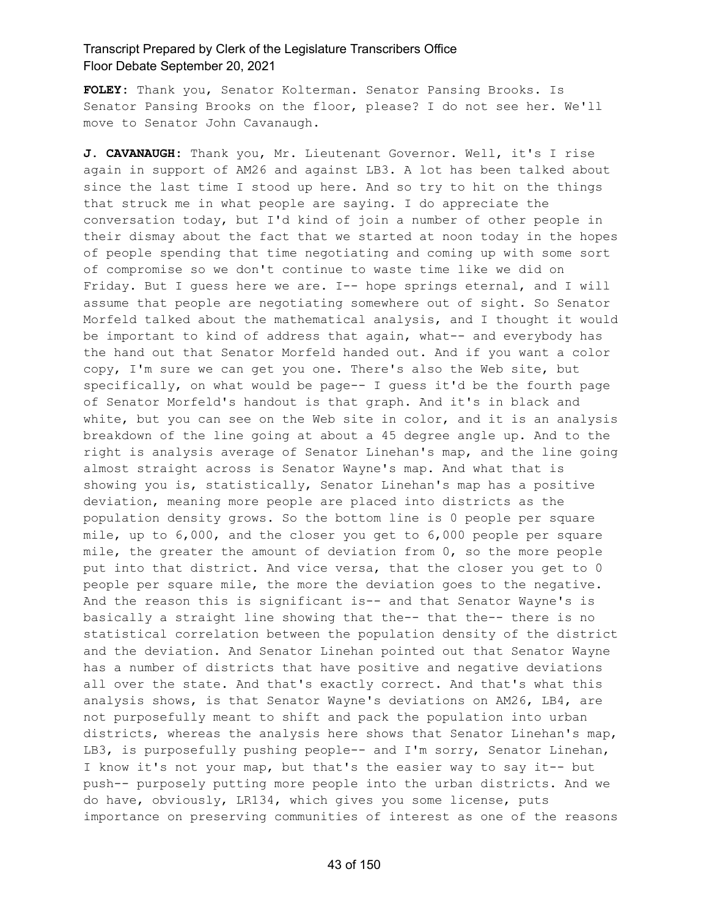**FOLEY:** Thank you, Senator Kolterman. Senator Pansing Brooks. Is Senator Pansing Brooks on the floor, please? I do not see her. We'll move to Senator John Cavanaugh.

**J. CAVANAUGH:** Thank you, Mr. Lieutenant Governor. Well, it's I rise again in support of AM26 and against LB3. A lot has been talked about since the last time I stood up here. And so try to hit on the things that struck me in what people are saying. I do appreciate the conversation today, but I'd kind of join a number of other people in their dismay about the fact that we started at noon today in the hopes of people spending that time negotiating and coming up with some sort of compromise so we don't continue to waste time like we did on Friday. But I guess here we are. I-- hope springs eternal, and I will assume that people are negotiating somewhere out of sight. So Senator Morfeld talked about the mathematical analysis, and I thought it would be important to kind of address that again, what-- and everybody has the hand out that Senator Morfeld handed out. And if you want a color copy, I'm sure we can get you one. There's also the Web site, but specifically, on what would be page-- I guess it'd be the fourth page of Senator Morfeld's handout is that graph. And it's in black and white, but you can see on the Web site in color, and it is an analysis breakdown of the line going at about a 45 degree angle up. And to the right is analysis average of Senator Linehan's map, and the line going almost straight across is Senator Wayne's map. And what that is showing you is, statistically, Senator Linehan's map has a positive deviation, meaning more people are placed into districts as the population density grows. So the bottom line is 0 people per square mile, up to 6,000, and the closer you get to 6,000 people per square mile, the greater the amount of deviation from 0, so the more people put into that district. And vice versa, that the closer you get to 0 people per square mile, the more the deviation goes to the negative. And the reason this is significant is-- and that Senator Wayne's is basically a straight line showing that the-- that the-- there is no statistical correlation between the population density of the district and the deviation. And Senator Linehan pointed out that Senator Wayne has a number of districts that have positive and negative deviations all over the state. And that's exactly correct. And that's what this analysis shows, is that Senator Wayne's deviations on AM26, LB4, are not purposefully meant to shift and pack the population into urban districts, whereas the analysis here shows that Senator Linehan's map, LB3, is purposefully pushing people-- and I'm sorry, Senator Linehan, I know it's not your map, but that's the easier way to say it-- but push-- purposely putting more people into the urban districts. And we do have, obviously, LR134, which gives you some license, puts importance on preserving communities of interest as one of the reasons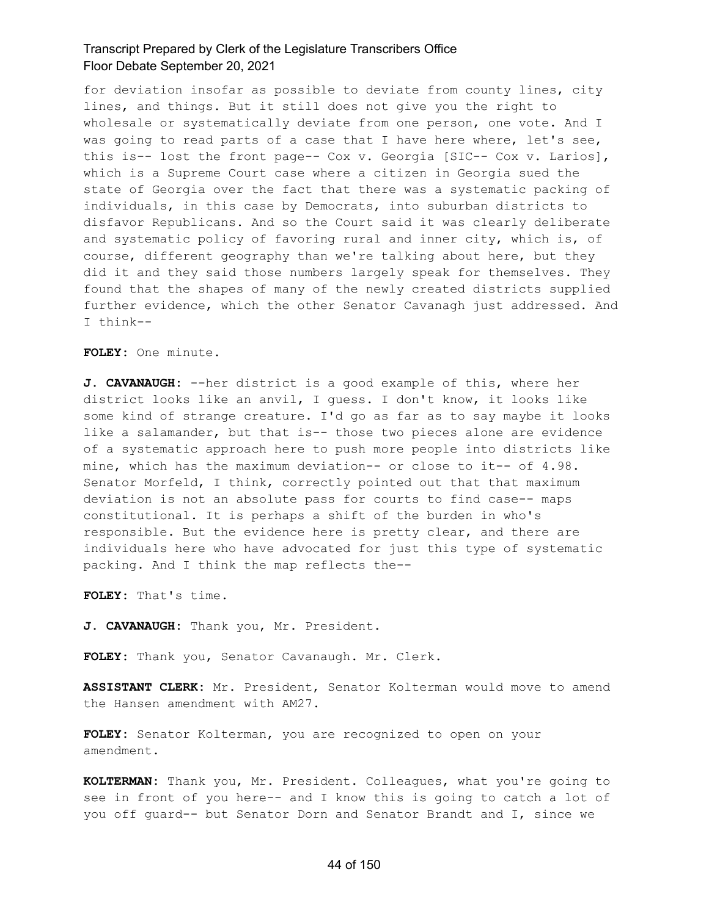for deviation insofar as possible to deviate from county lines, city lines, and things. But it still does not give you the right to wholesale or systematically deviate from one person, one vote. And I was going to read parts of a case that I have here where, let's see, this is-- lost the front page-- Cox v. Georgia [SIC-- Cox v. Larios], which is a Supreme Court case where a citizen in Georgia sued the state of Georgia over the fact that there was a systematic packing of individuals, in this case by Democrats, into suburban districts to disfavor Republicans. And so the Court said it was clearly deliberate and systematic policy of favoring rural and inner city, which is, of course, different geography than we're talking about here, but they did it and they said those numbers largely speak for themselves. They found that the shapes of many of the newly created districts supplied further evidence, which the other Senator Cavanagh just addressed. And I think--

**FOLEY:** One minute.

**J. CAVANAUGH:** --her district is a good example of this, where her district looks like an anvil, I guess. I don't know, it looks like some kind of strange creature. I'd go as far as to say maybe it looks like a salamander, but that is-- those two pieces alone are evidence of a systematic approach here to push more people into districts like mine, which has the maximum deviation-- or close to it-- of 4.98. Senator Morfeld, I think, correctly pointed out that that maximum deviation is not an absolute pass for courts to find case-- maps constitutional. It is perhaps a shift of the burden in who's responsible. But the evidence here is pretty clear, and there are individuals here who have advocated for just this type of systematic packing. And I think the map reflects the--

**FOLEY:** That's time.

**J. CAVANAUGH:** Thank you, Mr. President.

**FOLEY:** Thank you, Senator Cavanaugh. Mr. Clerk.

**ASSISTANT CLERK:** Mr. President, Senator Kolterman would move to amend the Hansen amendment with AM27.

**FOLEY:** Senator Kolterman, you are recognized to open on your amendment.

**KOLTERMAN:** Thank you, Mr. President. Colleagues, what you're going to see in front of you here-- and I know this is going to catch a lot of you off guard-- but Senator Dorn and Senator Brandt and I, since we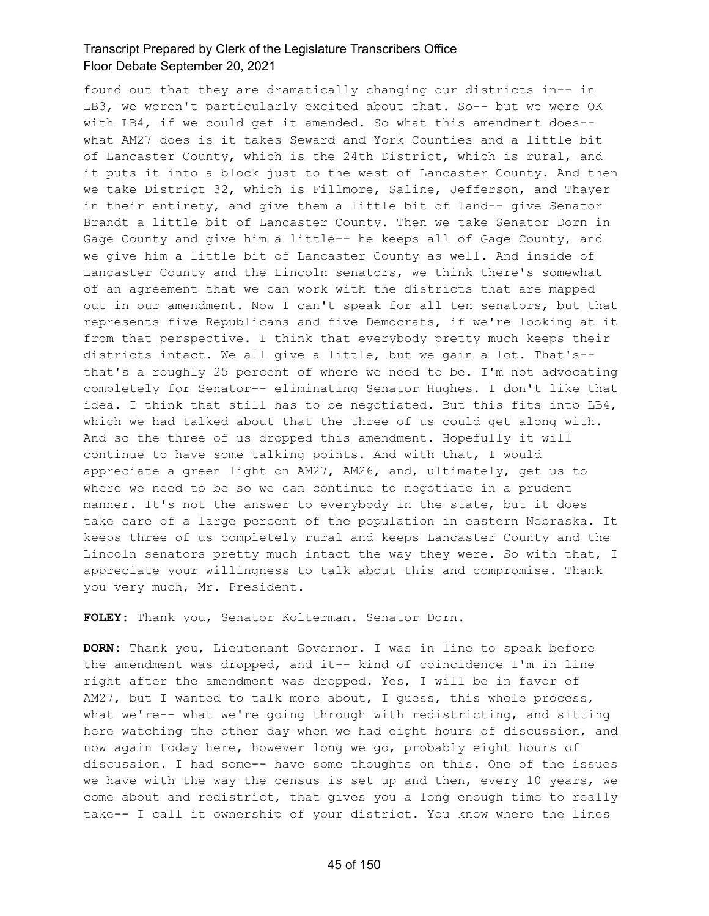found out that they are dramatically changing our districts in-- in LB3, we weren't particularly excited about that. So-- but we were OK with LB4, if we could get it amended. So what this amendment does- what AM27 does is it takes Seward and York Counties and a little bit of Lancaster County, which is the 24th District, which is rural, and it puts it into a block just to the west of Lancaster County. And then we take District 32, which is Fillmore, Saline, Jefferson, and Thayer in their entirety, and give them a little bit of land-- give Senator Brandt a little bit of Lancaster County. Then we take Senator Dorn in Gage County and give him a little-- he keeps all of Gage County, and we give him a little bit of Lancaster County as well. And inside of Lancaster County and the Lincoln senators, we think there's somewhat of an agreement that we can work with the districts that are mapped out in our amendment. Now I can't speak for all ten senators, but that represents five Republicans and five Democrats, if we're looking at it from that perspective. I think that everybody pretty much keeps their districts intact. We all give a little, but we gain a lot. That's- that's a roughly 25 percent of where we need to be. I'm not advocating completely for Senator-- eliminating Senator Hughes. I don't like that idea. I think that still has to be negotiated. But this fits into LB4, which we had talked about that the three of us could get along with. And so the three of us dropped this amendment. Hopefully it will continue to have some talking points. And with that, I would appreciate a green light on AM27, AM26, and, ultimately, get us to where we need to be so we can continue to negotiate in a prudent manner. It's not the answer to everybody in the state, but it does take care of a large percent of the population in eastern Nebraska. It keeps three of us completely rural and keeps Lancaster County and the Lincoln senators pretty much intact the way they were. So with that, I appreciate your willingness to talk about this and compromise. Thank you very much, Mr. President.

**FOLEY:** Thank you, Senator Kolterman. Senator Dorn.

**DORN:** Thank you, Lieutenant Governor. I was in line to speak before the amendment was dropped, and it-- kind of coincidence I'm in line right after the amendment was dropped. Yes, I will be in favor of AM27, but I wanted to talk more about, I guess, this whole process, what we're-- what we're going through with redistricting, and sitting here watching the other day when we had eight hours of discussion, and now again today here, however long we go, probably eight hours of discussion. I had some-- have some thoughts on this. One of the issues we have with the way the census is set up and then, every 10 years, we come about and redistrict, that gives you a long enough time to really take-- I call it ownership of your district. You know where the lines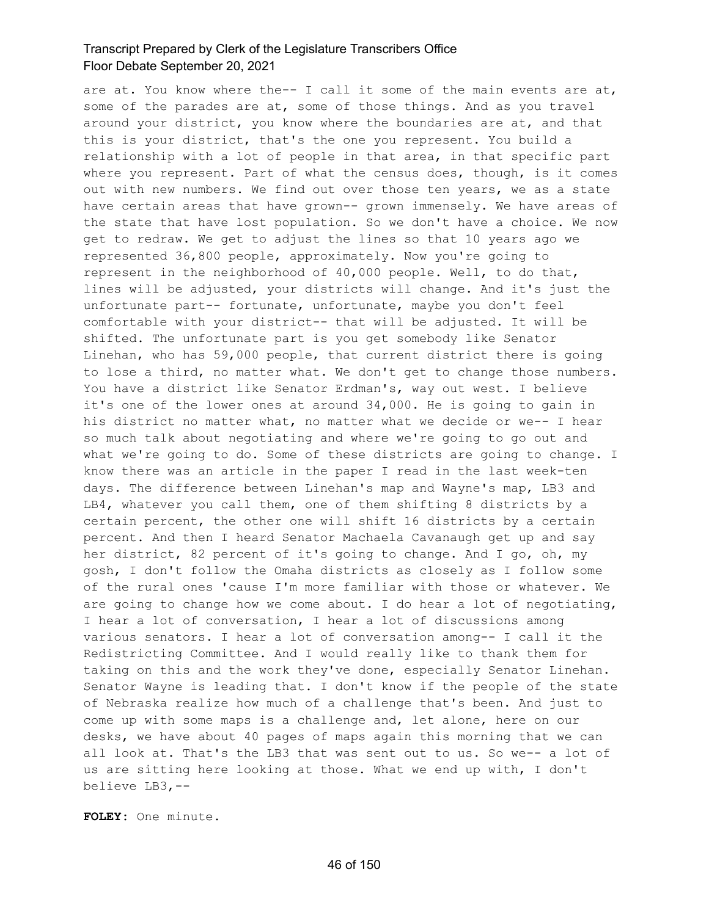are at. You know where the-- I call it some of the main events are at, some of the parades are at, some of those things. And as you travel around your district, you know where the boundaries are at, and that this is your district, that's the one you represent. You build a relationship with a lot of people in that area, in that specific part where you represent. Part of what the census does, though, is it comes out with new numbers. We find out over those ten years, we as a state have certain areas that have grown-- grown immensely. We have areas of the state that have lost population. So we don't have a choice. We now get to redraw. We get to adjust the lines so that 10 years ago we represented 36,800 people, approximately. Now you're going to represent in the neighborhood of 40,000 people. Well, to do that, lines will be adjusted, your districts will change. And it's just the unfortunate part-- fortunate, unfortunate, maybe you don't feel comfortable with your district-- that will be adjusted. It will be shifted. The unfortunate part is you get somebody like Senator Linehan, who has 59,000 people, that current district there is going to lose a third, no matter what. We don't get to change those numbers. You have a district like Senator Erdman's, way out west. I believe it's one of the lower ones at around 34,000. He is going to gain in his district no matter what, no matter what we decide or we-- I hear so much talk about negotiating and where we're going to go out and what we're going to do. Some of these districts are going to change. I know there was an article in the paper I read in the last week-ten days. The difference between Linehan's map and Wayne's map, LB3 and LB4, whatever you call them, one of them shifting 8 districts by a certain percent, the other one will shift 16 districts by a certain percent. And then I heard Senator Machaela Cavanaugh get up and say her district, 82 percent of it's going to change. And I go, oh, my gosh, I don't follow the Omaha districts as closely as I follow some of the rural ones 'cause I'm more familiar with those or whatever. We are going to change how we come about. I do hear a lot of negotiating, I hear a lot of conversation, I hear a lot of discussions among various senators. I hear a lot of conversation among-- I call it the Redistricting Committee. And I would really like to thank them for taking on this and the work they've done, especially Senator Linehan. Senator Wayne is leading that. I don't know if the people of the state of Nebraska realize how much of a challenge that's been. And just to come up with some maps is a challenge and, let alone, here on our desks, we have about 40 pages of maps again this morning that we can all look at. That's the LB3 that was sent out to us. So we-- a lot of us are sitting here looking at those. What we end up with, I don't believe LB3,--

**FOLEY:** One minute.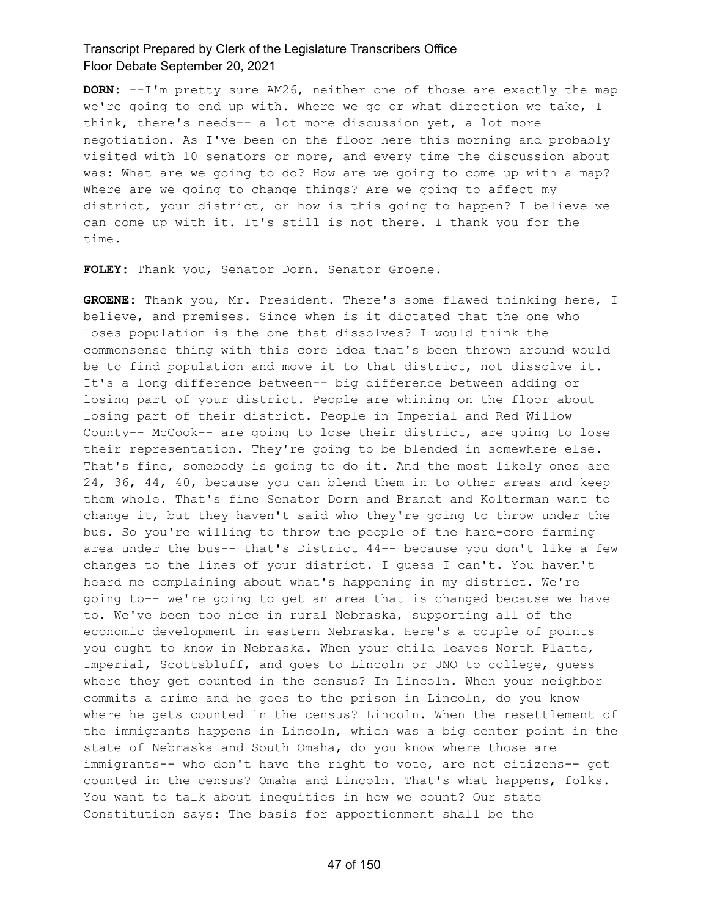**DORN:** --I'm pretty sure AM26, neither one of those are exactly the map we're going to end up with. Where we go or what direction we take, I think, there's needs-- a lot more discussion yet, a lot more negotiation. As I've been on the floor here this morning and probably visited with 10 senators or more, and every time the discussion about was: What are we going to do? How are we going to come up with a map? Where are we going to change things? Are we going to affect my district, your district, or how is this going to happen? I believe we can come up with it. It's still is not there. I thank you for the time.

**FOLEY:** Thank you, Senator Dorn. Senator Groene.

**GROENE:** Thank you, Mr. President. There's some flawed thinking here, I believe, and premises. Since when is it dictated that the one who loses population is the one that dissolves? I would think the commonsense thing with this core idea that's been thrown around would be to find population and move it to that district, not dissolve it. It's a long difference between-- big difference between adding or losing part of your district. People are whining on the floor about losing part of their district. People in Imperial and Red Willow County-- McCook-- are going to lose their district, are going to lose their representation. They're going to be blended in somewhere else. That's fine, somebody is going to do it. And the most likely ones are 24, 36, 44, 40, because you can blend them in to other areas and keep them whole. That's fine Senator Dorn and Brandt and Kolterman want to change it, but they haven't said who they're going to throw under the bus. So you're willing to throw the people of the hard-core farming area under the bus-- that's District 44-- because you don't like a few changes to the lines of your district. I guess I can't. You haven't heard me complaining about what's happening in my district. We're going to-- we're going to get an area that is changed because we have to. We've been too nice in rural Nebraska, supporting all of the economic development in eastern Nebraska. Here's a couple of points you ought to know in Nebraska. When your child leaves North Platte, Imperial, Scottsbluff, and goes to Lincoln or UNO to college, guess where they get counted in the census? In Lincoln. When your neighbor commits a crime and he goes to the prison in Lincoln, do you know where he gets counted in the census? Lincoln. When the resettlement of the immigrants happens in Lincoln, which was a big center point in the state of Nebraska and South Omaha, do you know where those are immigrants-- who don't have the right to vote, are not citizens-- get counted in the census? Omaha and Lincoln. That's what happens, folks. You want to talk about inequities in how we count? Our state Constitution says: The basis for apportionment shall be the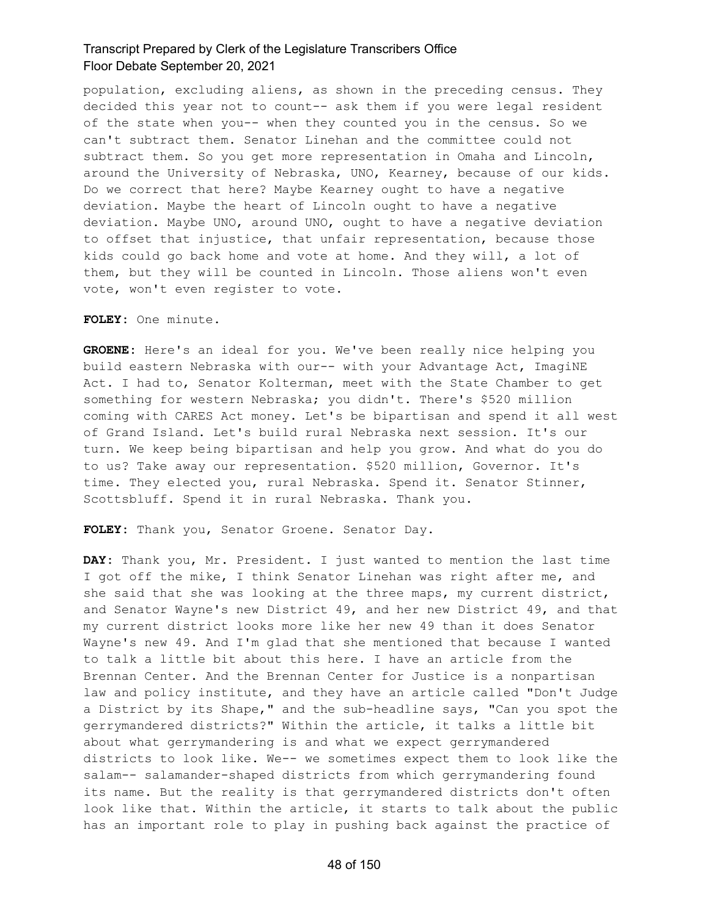population, excluding aliens, as shown in the preceding census. They decided this year not to count-- ask them if you were legal resident of the state when you-- when they counted you in the census. So we can't subtract them. Senator Linehan and the committee could not subtract them. So you get more representation in Omaha and Lincoln, around the University of Nebraska, UNO, Kearney, because of our kids. Do we correct that here? Maybe Kearney ought to have a negative deviation. Maybe the heart of Lincoln ought to have a negative deviation. Maybe UNO, around UNO, ought to have a negative deviation to offset that injustice, that unfair representation, because those kids could go back home and vote at home. And they will, a lot of them, but they will be counted in Lincoln. Those aliens won't even vote, won't even register to vote.

**FOLEY:** One minute.

**GROENE:** Here's an ideal for you. We've been really nice helping you build eastern Nebraska with our-- with your Advantage Act, ImagiNE Act. I had to, Senator Kolterman, meet with the State Chamber to get something for western Nebraska; you didn't. There's \$520 million coming with CARES Act money. Let's be bipartisan and spend it all west of Grand Island. Let's build rural Nebraska next session. It's our turn. We keep being bipartisan and help you grow. And what do you do to us? Take away our representation. \$520 million, Governor. It's time. They elected you, rural Nebraska. Spend it. Senator Stinner, Scottsbluff. Spend it in rural Nebraska. Thank you.

**FOLEY:** Thank you, Senator Groene. Senator Day.

**DAY:** Thank you, Mr. President. I just wanted to mention the last time I got off the mike, I think Senator Linehan was right after me, and she said that she was looking at the three maps, my current district, and Senator Wayne's new District 49, and her new District 49, and that my current district looks more like her new 49 than it does Senator Wayne's new 49. And I'm glad that she mentioned that because I wanted to talk a little bit about this here. I have an article from the Brennan Center. And the Brennan Center for Justice is a nonpartisan law and policy institute, and they have an article called "Don't Judge a District by its Shape," and the sub-headline says, "Can you spot the gerrymandered districts?" Within the article, it talks a little bit about what gerrymandering is and what we expect gerrymandered districts to look like. We-- we sometimes expect them to look like the salam-- salamander-shaped districts from which gerrymandering found its name. But the reality is that gerrymandered districts don't often look like that. Within the article, it starts to talk about the public has an important role to play in pushing back against the practice of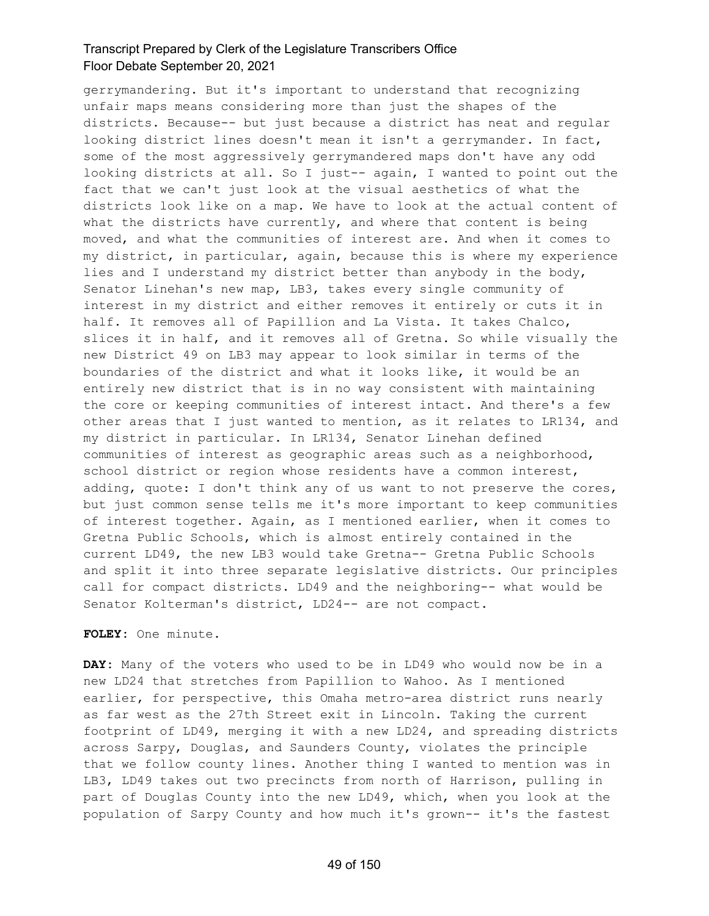gerrymandering. But it's important to understand that recognizing unfair maps means considering more than just the shapes of the districts. Because-- but just because a district has neat and regular looking district lines doesn't mean it isn't a gerrymander. In fact, some of the most aggressively gerrymandered maps don't have any odd looking districts at all. So I just-- again, I wanted to point out the fact that we can't just look at the visual aesthetics of what the districts look like on a map. We have to look at the actual content of what the districts have currently, and where that content is being moved, and what the communities of interest are. And when it comes to my district, in particular, again, because this is where my experience lies and I understand my district better than anybody in the body, Senator Linehan's new map, LB3, takes every single community of interest in my district and either removes it entirely or cuts it in half. It removes all of Papillion and La Vista. It takes Chalco, slices it in half, and it removes all of Gretna. So while visually the new District 49 on LB3 may appear to look similar in terms of the boundaries of the district and what it looks like, it would be an entirely new district that is in no way consistent with maintaining the core or keeping communities of interest intact. And there's a few other areas that I just wanted to mention, as it relates to LR134, and my district in particular. In LR134, Senator Linehan defined communities of interest as geographic areas such as a neighborhood, school district or region whose residents have a common interest, adding, quote: I don't think any of us want to not preserve the cores, but just common sense tells me it's more important to keep communities of interest together. Again, as I mentioned earlier, when it comes to Gretna Public Schools, which is almost entirely contained in the current LD49, the new LB3 would take Gretna-- Gretna Public Schools and split it into three separate legislative districts. Our principles call for compact districts. LD49 and the neighboring-- what would be Senator Kolterman's district, LD24-- are not compact.

#### **FOLEY:** One minute.

**DAY:** Many of the voters who used to be in LD49 who would now be in a new LD24 that stretches from Papillion to Wahoo. As I mentioned earlier, for perspective, this Omaha metro-area district runs nearly as far west as the 27th Street exit in Lincoln. Taking the current footprint of LD49, merging it with a new LD24, and spreading districts across Sarpy, Douglas, and Saunders County, violates the principle that we follow county lines. Another thing I wanted to mention was in LB3, LD49 takes out two precincts from north of Harrison, pulling in part of Douglas County into the new LD49, which, when you look at the population of Sarpy County and how much it's grown-- it's the fastest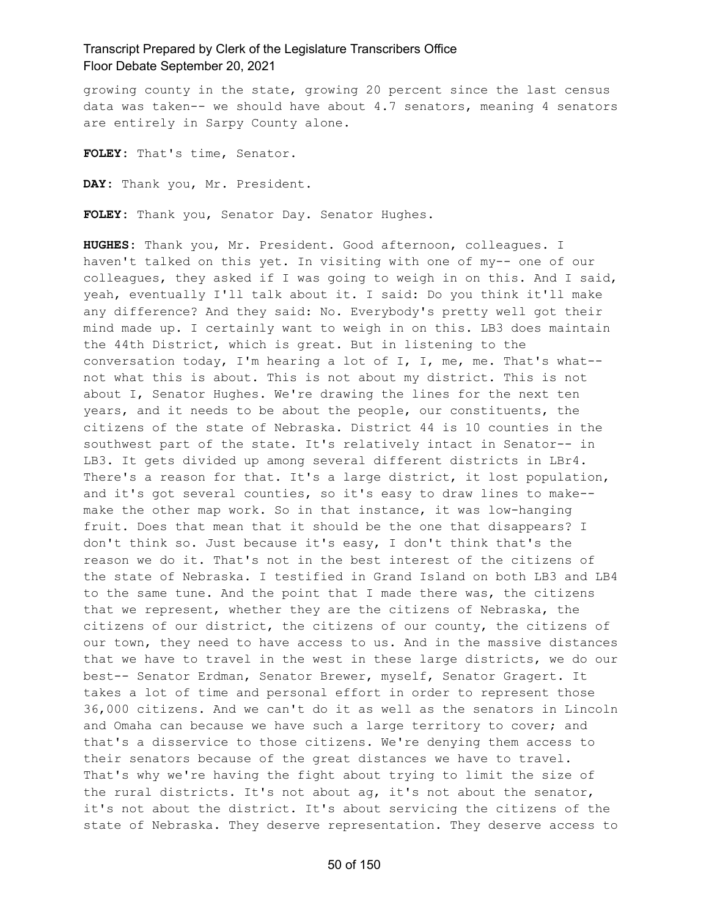growing county in the state, growing 20 percent since the last census data was taken-- we should have about 4.7 senators, meaning 4 senators are entirely in Sarpy County alone.

**FOLEY:** That's time, Senator.

**DAY:** Thank you, Mr. President.

**FOLEY:** Thank you, Senator Day. Senator Hughes.

**HUGHES:** Thank you, Mr. President. Good afternoon, colleagues. I haven't talked on this yet. In visiting with one of my-- one of our colleagues, they asked if I was going to weigh in on this. And I said, yeah, eventually I'll talk about it. I said: Do you think it'll make any difference? And they said: No. Everybody's pretty well got their mind made up. I certainly want to weigh in on this. LB3 does maintain the 44th District, which is great. But in listening to the conversation today, I'm hearing a lot of I, I, me, me. That's what- not what this is about. This is not about my district. This is not about I, Senator Hughes. We're drawing the lines for the next ten years, and it needs to be about the people, our constituents, the citizens of the state of Nebraska. District 44 is 10 counties in the southwest part of the state. It's relatively intact in Senator-- in LB3. It gets divided up among several different districts in LBr4. There's a reason for that. It's a large district, it lost population, and it's got several counties, so it's easy to draw lines to make- make the other map work. So in that instance, it was low-hanging fruit. Does that mean that it should be the one that disappears? I don't think so. Just because it's easy, I don't think that's the reason we do it. That's not in the best interest of the citizens of the state of Nebraska. I testified in Grand Island on both LB3 and LB4 to the same tune. And the point that I made there was, the citizens that we represent, whether they are the citizens of Nebraska, the citizens of our district, the citizens of our county, the citizens of our town, they need to have access to us. And in the massive distances that we have to travel in the west in these large districts, we do our best-- Senator Erdman, Senator Brewer, myself, Senator Gragert. It takes a lot of time and personal effort in order to represent those 36,000 citizens. And we can't do it as well as the senators in Lincoln and Omaha can because we have such a large territory to cover; and that's a disservice to those citizens. We're denying them access to their senators because of the great distances we have to travel. That's why we're having the fight about trying to limit the size of the rural districts. It's not about ag, it's not about the senator, it's not about the district. It's about servicing the citizens of the state of Nebraska. They deserve representation. They deserve access to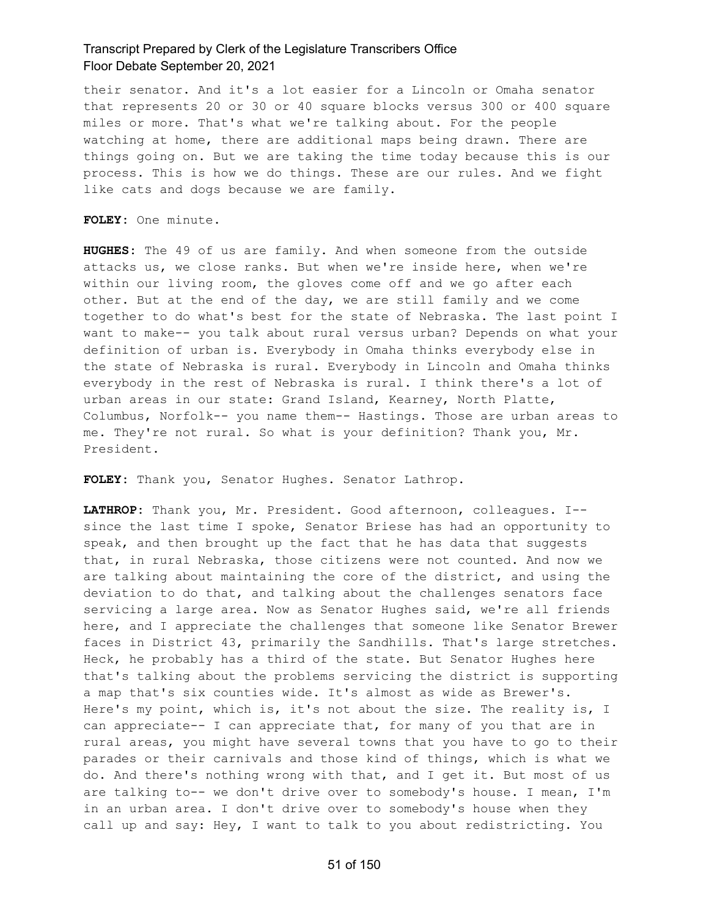their senator. And it's a lot easier for a Lincoln or Omaha senator that represents 20 or 30 or 40 square blocks versus 300 or 400 square miles or more. That's what we're talking about. For the people watching at home, there are additional maps being drawn. There are things going on. But we are taking the time today because this is our process. This is how we do things. These are our rules. And we fight like cats and dogs because we are family.

**FOLEY:** One minute.

**HUGHES:** The 49 of us are family. And when someone from the outside attacks us, we close ranks. But when we're inside here, when we're within our living room, the gloves come off and we go after each other. But at the end of the day, we are still family and we come together to do what's best for the state of Nebraska. The last point I want to make-- you talk about rural versus urban? Depends on what your definition of urban is. Everybody in Omaha thinks everybody else in the state of Nebraska is rural. Everybody in Lincoln and Omaha thinks everybody in the rest of Nebraska is rural. I think there's a lot of urban areas in our state: Grand Island, Kearney, North Platte, Columbus, Norfolk-- you name them-- Hastings. Those are urban areas to me. They're not rural. So what is your definition? Thank you, Mr. President.

**FOLEY:** Thank you, Senator Hughes. Senator Lathrop.

**LATHROP:** Thank you, Mr. President. Good afternoon, colleagues. I- since the last time I spoke, Senator Briese has had an opportunity to speak, and then brought up the fact that he has data that suggests that, in rural Nebraska, those citizens were not counted. And now we are talking about maintaining the core of the district, and using the deviation to do that, and talking about the challenges senators face servicing a large area. Now as Senator Hughes said, we're all friends here, and I appreciate the challenges that someone like Senator Brewer faces in District 43, primarily the Sandhills. That's large stretches. Heck, he probably has a third of the state. But Senator Hughes here that's talking about the problems servicing the district is supporting a map that's six counties wide. It's almost as wide as Brewer's. Here's my point, which is, it's not about the size. The reality is, I can appreciate-- I can appreciate that, for many of you that are in rural areas, you might have several towns that you have to go to their parades or their carnivals and those kind of things, which is what we do. And there's nothing wrong with that, and I get it. But most of us are talking to-- we don't drive over to somebody's house. I mean, I'm in an urban area. I don't drive over to somebody's house when they call up and say: Hey, I want to talk to you about redistricting. You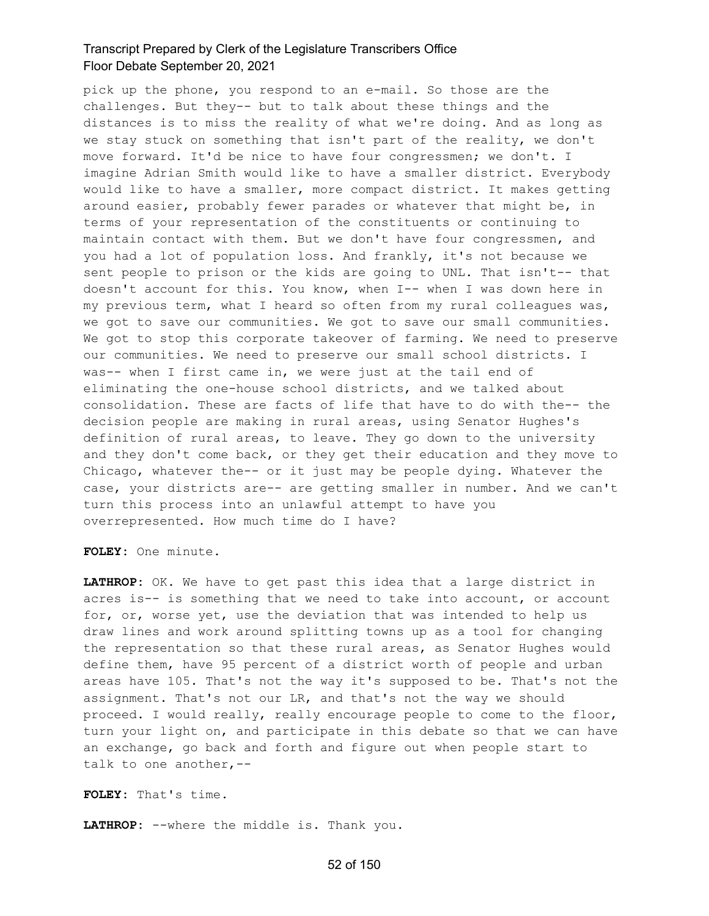pick up the phone, you respond to an e-mail. So those are the challenges. But they-- but to talk about these things and the distances is to miss the reality of what we're doing. And as long as we stay stuck on something that isn't part of the reality, we don't move forward. It'd be nice to have four congressmen; we don't. I imagine Adrian Smith would like to have a smaller district. Everybody would like to have a smaller, more compact district. It makes getting around easier, probably fewer parades or whatever that might be, in terms of your representation of the constituents or continuing to maintain contact with them. But we don't have four congressmen, and you had a lot of population loss. And frankly, it's not because we sent people to prison or the kids are going to UNL. That isn't-- that doesn't account for this. You know, when I-- when I was down here in my previous term, what I heard so often from my rural colleagues was, we got to save our communities. We got to save our small communities. We got to stop this corporate takeover of farming. We need to preserve our communities. We need to preserve our small school districts. I was-- when I first came in, we were just at the tail end of eliminating the one-house school districts, and we talked about consolidation. These are facts of life that have to do with the-- the decision people are making in rural areas, using Senator Hughes's definition of rural areas, to leave. They go down to the university and they don't come back, or they get their education and they move to Chicago, whatever the-- or it just may be people dying. Whatever the case, your districts are-- are getting smaller in number. And we can't turn this process into an unlawful attempt to have you overrepresented. How much time do I have?

**FOLEY:** One minute.

**LATHROP:** OK. We have to get past this idea that a large district in acres is-- is something that we need to take into account, or account for, or, worse yet, use the deviation that was intended to help us draw lines and work around splitting towns up as a tool for changing the representation so that these rural areas, as Senator Hughes would define them, have 95 percent of a district worth of people and urban areas have 105. That's not the way it's supposed to be. That's not the assignment. That's not our LR, and that's not the way we should proceed. I would really, really encourage people to come to the floor, turn your light on, and participate in this debate so that we can have an exchange, go back and forth and figure out when people start to talk to one another,--

**FOLEY:** That's time.

**LATHROP:** --where the middle is. Thank you.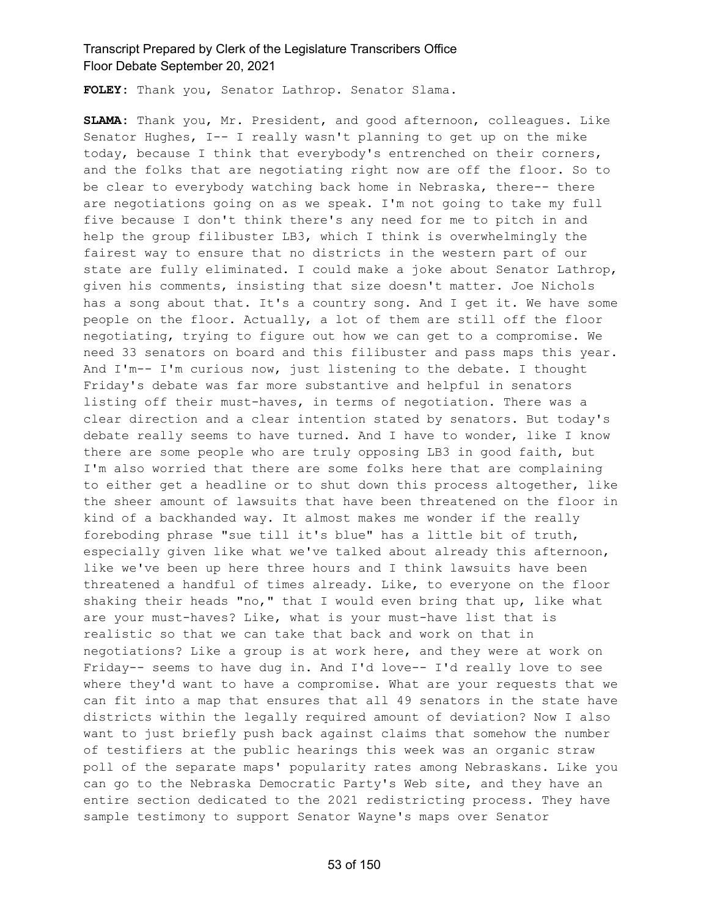**FOLEY:** Thank you, Senator Lathrop. Senator Slama.

**SLAMA:** Thank you, Mr. President, and good afternoon, colleagues. Like Senator Hughes, I-- I really wasn't planning to get up on the mike today, because I think that everybody's entrenched on their corners, and the folks that are negotiating right now are off the floor. So to be clear to everybody watching back home in Nebraska, there-- there are negotiations going on as we speak. I'm not going to take my full five because I don't think there's any need for me to pitch in and help the group filibuster LB3, which I think is overwhelmingly the fairest way to ensure that no districts in the western part of our state are fully eliminated. I could make a joke about Senator Lathrop, given his comments, insisting that size doesn't matter. Joe Nichols has a song about that. It's a country song. And I get it. We have some people on the floor. Actually, a lot of them are still off the floor negotiating, trying to figure out how we can get to a compromise. We need 33 senators on board and this filibuster and pass maps this year. And I'm-- I'm curious now, just listening to the debate. I thought Friday's debate was far more substantive and helpful in senators listing off their must-haves, in terms of negotiation. There was a clear direction and a clear intention stated by senators. But today's debate really seems to have turned. And I have to wonder, like I know there are some people who are truly opposing LB3 in good faith, but I'm also worried that there are some folks here that are complaining to either get a headline or to shut down this process altogether, like the sheer amount of lawsuits that have been threatened on the floor in kind of a backhanded way. It almost makes me wonder if the really foreboding phrase "sue till it's blue" has a little bit of truth, especially given like what we've talked about already this afternoon, like we've been up here three hours and I think lawsuits have been threatened a handful of times already. Like, to everyone on the floor shaking their heads "no," that I would even bring that up, like what are your must-haves? Like, what is your must-have list that is realistic so that we can take that back and work on that in negotiations? Like a group is at work here, and they were at work on Friday-- seems to have dug in. And I'd love-- I'd really love to see where they'd want to have a compromise. What are your requests that we can fit into a map that ensures that all 49 senators in the state have districts within the legally required amount of deviation? Now I also want to just briefly push back against claims that somehow the number of testifiers at the public hearings this week was an organic straw poll of the separate maps' popularity rates among Nebraskans. Like you can go to the Nebraska Democratic Party's Web site, and they have an entire section dedicated to the 2021 redistricting process. They have sample testimony to support Senator Wayne's maps over Senator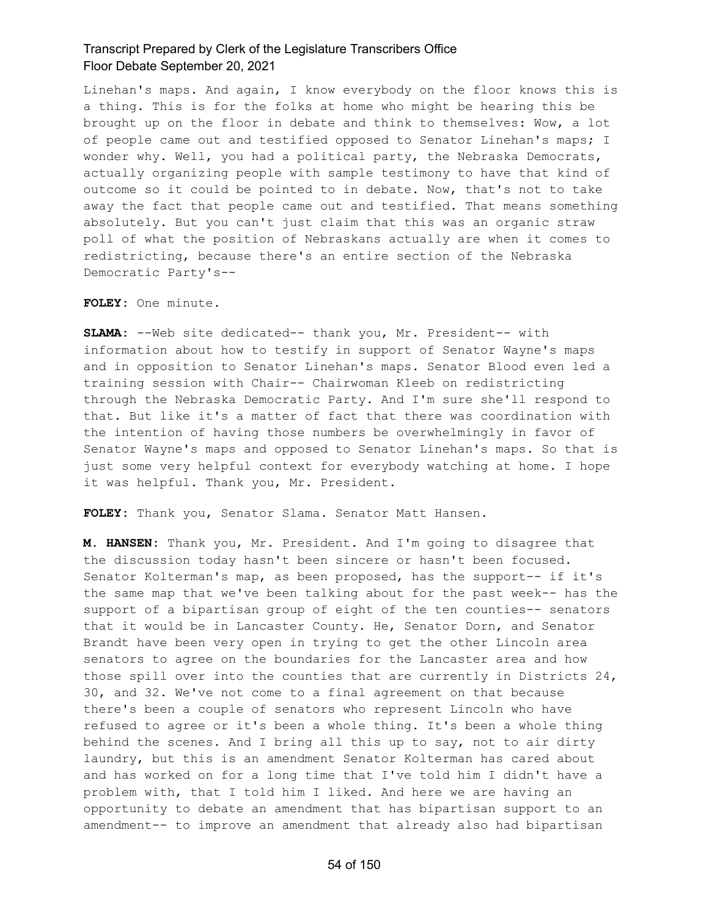Linehan's maps. And again, I know everybody on the floor knows this is a thing. This is for the folks at home who might be hearing this be brought up on the floor in debate and think to themselves: Wow, a lot of people came out and testified opposed to Senator Linehan's maps; I wonder why. Well, you had a political party, the Nebraska Democrats, actually organizing people with sample testimony to have that kind of outcome so it could be pointed to in debate. Now, that's not to take away the fact that people came out and testified. That means something absolutely. But you can't just claim that this was an organic straw poll of what the position of Nebraskans actually are when it comes to redistricting, because there's an entire section of the Nebraska Democratic Party's--

**FOLEY:** One minute.

**SLAMA:** --Web site dedicated-- thank you, Mr. President-- with information about how to testify in support of Senator Wayne's maps and in opposition to Senator Linehan's maps. Senator Blood even led a training session with Chair-- Chairwoman Kleeb on redistricting through the Nebraska Democratic Party. And I'm sure she'll respond to that. But like it's a matter of fact that there was coordination with the intention of having those numbers be overwhelmingly in favor of Senator Wayne's maps and opposed to Senator Linehan's maps. So that is just some very helpful context for everybody watching at home. I hope it was helpful. Thank you, Mr. President.

**FOLEY:** Thank you, Senator Slama. Senator Matt Hansen.

**M. HANSEN:** Thank you, Mr. President. And I'm going to disagree that the discussion today hasn't been sincere or hasn't been focused. Senator Kolterman's map, as been proposed, has the support-- if it's the same map that we've been talking about for the past week-- has the support of a bipartisan group of eight of the ten counties-- senators that it would be in Lancaster County. He, Senator Dorn, and Senator Brandt have been very open in trying to get the other Lincoln area senators to agree on the boundaries for the Lancaster area and how those spill over into the counties that are currently in Districts 24, 30, and 32. We've not come to a final agreement on that because there's been a couple of senators who represent Lincoln who have refused to agree or it's been a whole thing. It's been a whole thing behind the scenes. And I bring all this up to say, not to air dirty laundry, but this is an amendment Senator Kolterman has cared about and has worked on for a long time that I've told him I didn't have a problem with, that I told him I liked. And here we are having an opportunity to debate an amendment that has bipartisan support to an amendment-- to improve an amendment that already also had bipartisan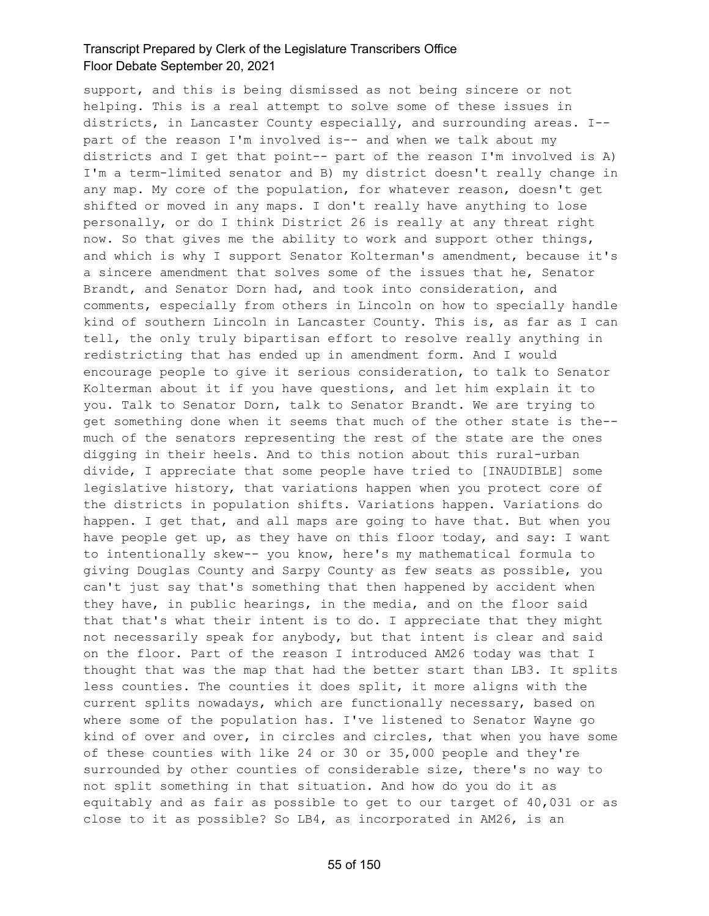support, and this is being dismissed as not being sincere or not helping. This is a real attempt to solve some of these issues in districts, in Lancaster County especially, and surrounding areas. I- part of the reason I'm involved is-- and when we talk about my districts and I get that point-- part of the reason I'm involved is A) I'm a term-limited senator and B) my district doesn't really change in any map. My core of the population, for whatever reason, doesn't get shifted or moved in any maps. I don't really have anything to lose personally, or do I think District 26 is really at any threat right now. So that gives me the ability to work and support other things, and which is why I support Senator Kolterman's amendment, because it's a sincere amendment that solves some of the issues that he, Senator Brandt, and Senator Dorn had, and took into consideration, and comments, especially from others in Lincoln on how to specially handle kind of southern Lincoln in Lancaster County. This is, as far as I can tell, the only truly bipartisan effort to resolve really anything in redistricting that has ended up in amendment form. And I would encourage people to give it serious consideration, to talk to Senator Kolterman about it if you have questions, and let him explain it to you. Talk to Senator Dorn, talk to Senator Brandt. We are trying to get something done when it seems that much of the other state is the- much of the senators representing the rest of the state are the ones digging in their heels. And to this notion about this rural-urban divide, I appreciate that some people have tried to [INAUDIBLE] some legislative history, that variations happen when you protect core of the districts in population shifts. Variations happen. Variations do happen. I get that, and all maps are going to have that. But when you have people get up, as they have on this floor today, and say: I want to intentionally skew-- you know, here's my mathematical formula to giving Douglas County and Sarpy County as few seats as possible, you can't just say that's something that then happened by accident when they have, in public hearings, in the media, and on the floor said that that's what their intent is to do. I appreciate that they might not necessarily speak for anybody, but that intent is clear and said on the floor. Part of the reason I introduced AM26 today was that I thought that was the map that had the better start than LB3. It splits less counties. The counties it does split, it more aligns with the current splits nowadays, which are functionally necessary, based on where some of the population has. I've listened to Senator Wayne go kind of over and over, in circles and circles, that when you have some of these counties with like 24 or 30 or 35,000 people and they're surrounded by other counties of considerable size, there's no way to not split something in that situation. And how do you do it as equitably and as fair as possible to get to our target of 40,031 or as close to it as possible? So LB4, as incorporated in AM26, is an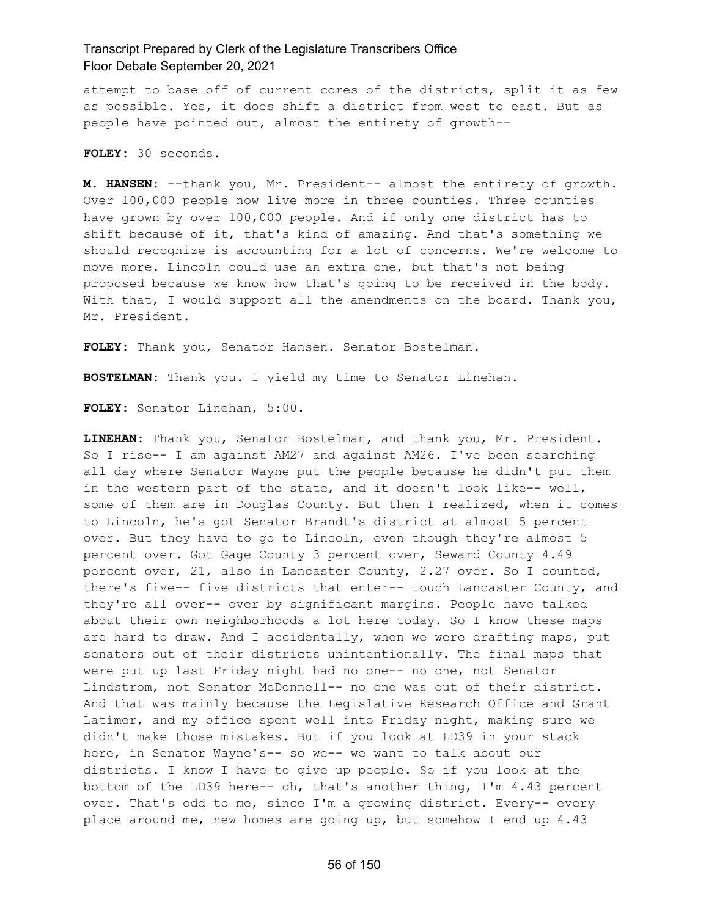attempt to base off of current cores of the districts, split it as few as possible. Yes, it does shift a district from west to east. But as people have pointed out, almost the entirety of growth--

**FOLEY:** 30 seconds.

**M. HANSEN:** --thank you, Mr. President-- almost the entirety of growth. Over 100,000 people now live more in three counties. Three counties have grown by over 100,000 people. And if only one district has to shift because of it, that's kind of amazing. And that's something we should recognize is accounting for a lot of concerns. We're welcome to move more. Lincoln could use an extra one, but that's not being proposed because we know how that's going to be received in the body. With that, I would support all the amendments on the board. Thank you, Mr. President.

**FOLEY:** Thank you, Senator Hansen. Senator Bostelman.

**BOSTELMAN:** Thank you. I yield my time to Senator Linehan.

**FOLEY:** Senator Linehan, 5:00.

**LINEHAN:** Thank you, Senator Bostelman, and thank you, Mr. President. So I rise-- I am against AM27 and against AM26. I've been searching all day where Senator Wayne put the people because he didn't put them in the western part of the state, and it doesn't look like-- well, some of them are in Douglas County. But then I realized, when it comes to Lincoln, he's got Senator Brandt's district at almost 5 percent over. But they have to go to Lincoln, even though they're almost 5 percent over. Got Gage County 3 percent over, Seward County 4.49 percent over, 21, also in Lancaster County, 2.27 over. So I counted, there's five-- five districts that enter-- touch Lancaster County, and they're all over-- over by significant margins. People have talked about their own neighborhoods a lot here today. So I know these maps are hard to draw. And I accidentally, when we were drafting maps, put senators out of their districts unintentionally. The final maps that were put up last Friday night had no one-- no one, not Senator Lindstrom, not Senator McDonnell-- no one was out of their district. And that was mainly because the Legislative Research Office and Grant Latimer, and my office spent well into Friday night, making sure we didn't make those mistakes. But if you look at LD39 in your stack here, in Senator Wayne's-- so we-- we want to talk about our districts. I know I have to give up people. So if you look at the bottom of the LD39 here-- oh, that's another thing, I'm 4.43 percent over. That's odd to me, since I'm a growing district. Every-- every place around me, new homes are going up, but somehow I end up 4.43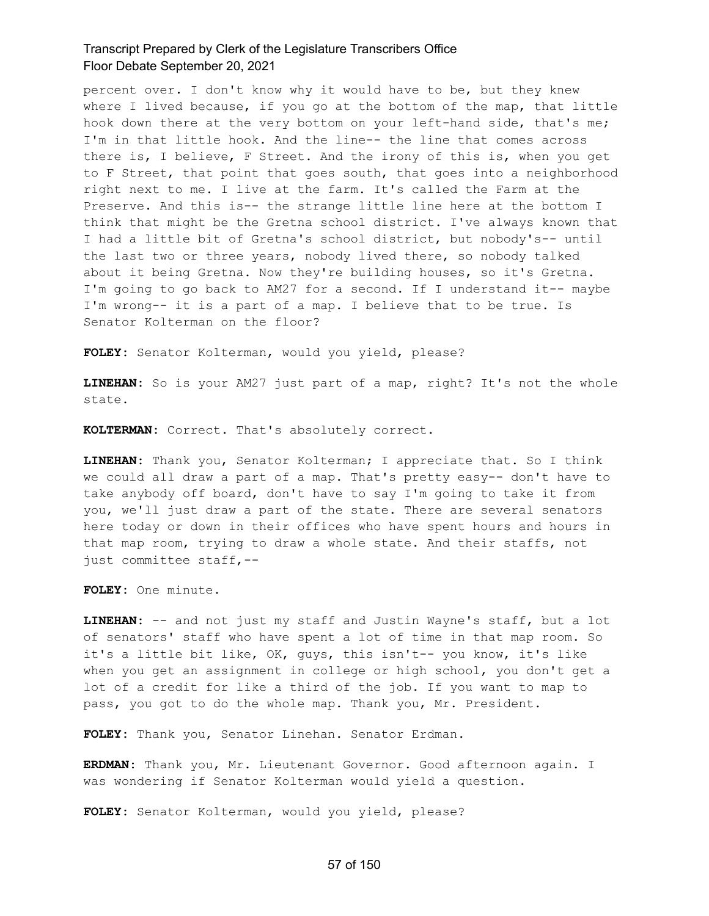percent over. I don't know why it would have to be, but they knew where I lived because, if you go at the bottom of the map, that little hook down there at the very bottom on your left-hand side, that's me; I'm in that little hook. And the line-- the line that comes across there is, I believe, F Street. And the irony of this is, when you get to F Street, that point that goes south, that goes into a neighborhood right next to me. I live at the farm. It's called the Farm at the Preserve. And this is-- the strange little line here at the bottom I think that might be the Gretna school district. I've always known that I had a little bit of Gretna's school district, but nobody's-- until the last two or three years, nobody lived there, so nobody talked about it being Gretna. Now they're building houses, so it's Gretna. I'm going to go back to AM27 for a second. If I understand it-- maybe I'm wrong-- it is a part of a map. I believe that to be true. Is Senator Kolterman on the floor?

**FOLEY:** Senator Kolterman, would you yield, please?

**LINEHAN:** So is your AM27 just part of a map, right? It's not the whole state.

**KOLTERMAN:** Correct. That's absolutely correct.

**LINEHAN:** Thank you, Senator Kolterman; I appreciate that. So I think we could all draw a part of a map. That's pretty easy-- don't have to take anybody off board, don't have to say I'm going to take it from you, we'll just draw a part of the state. There are several senators here today or down in their offices who have spent hours and hours in that map room, trying to draw a whole state. And their staffs, not just committee staff,--

**FOLEY:** One minute.

**LINEHAN:** -- and not just my staff and Justin Wayne's staff, but a lot of senators' staff who have spent a lot of time in that map room. So it's a little bit like, OK, guys, this isn't-- you know, it's like when you get an assignment in college or high school, you don't get a lot of a credit for like a third of the job. If you want to map to pass, you got to do the whole map. Thank you, Mr. President.

**FOLEY:** Thank you, Senator Linehan. Senator Erdman.

**ERDMAN:** Thank you, Mr. Lieutenant Governor. Good afternoon again. I was wondering if Senator Kolterman would yield a question.

**FOLEY:** Senator Kolterman, would you yield, please?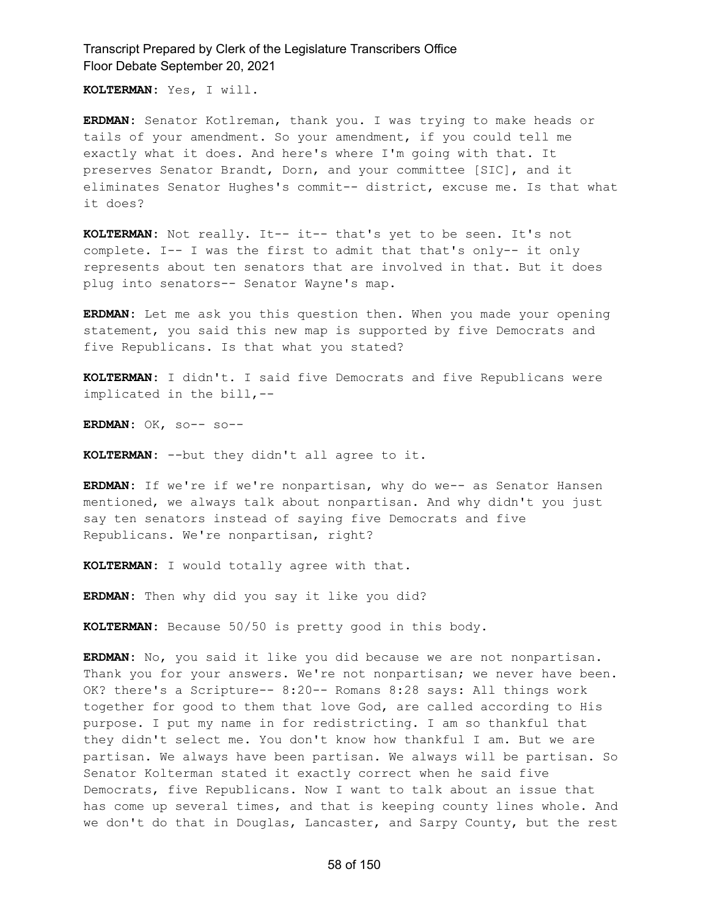**KOLTERMAN:** Yes, I will.

**ERDMAN:** Senator Kotlreman, thank you. I was trying to make heads or tails of your amendment. So your amendment, if you could tell me exactly what it does. And here's where I'm going with that. It preserves Senator Brandt, Dorn, and your committee [SIC], and it eliminates Senator Hughes's commit-- district, excuse me. Is that what it does?

**KOLTERMAN:** Not really. It-- it-- that's yet to be seen. It's not complete. I-- I was the first to admit that that's only-- it only represents about ten senators that are involved in that. But it does plug into senators-- Senator Wayne's map.

**ERDMAN:** Let me ask you this question then. When you made your opening statement, you said this new map is supported by five Democrats and five Republicans. Is that what you stated?

**KOLTERMAN:** I didn't. I said five Democrats and five Republicans were implicated in the bill,--

**ERDMAN:** OK, so-- so--

**KOLTERMAN:** --but they didn't all agree to it.

**ERDMAN:** If we're if we're nonpartisan, why do we-- as Senator Hansen mentioned, we always talk about nonpartisan. And why didn't you just say ten senators instead of saying five Democrats and five Republicans. We're nonpartisan, right?

**KOLTERMAN:** I would totally agree with that.

**ERDMAN:** Then why did you say it like you did?

**KOLTERMAN:** Because 50/50 is pretty good in this body.

**ERDMAN:** No, you said it like you did because we are not nonpartisan. Thank you for your answers. We're not nonpartisan; we never have been. OK? there's a Scripture-- 8:20-- Romans 8:28 says: All things work together for good to them that love God, are called according to His purpose. I put my name in for redistricting. I am so thankful that they didn't select me. You don't know how thankful I am. But we are partisan. We always have been partisan. We always will be partisan. So Senator Kolterman stated it exactly correct when he said five Democrats, five Republicans. Now I want to talk about an issue that has come up several times, and that is keeping county lines whole. And we don't do that in Douglas, Lancaster, and Sarpy County, but the rest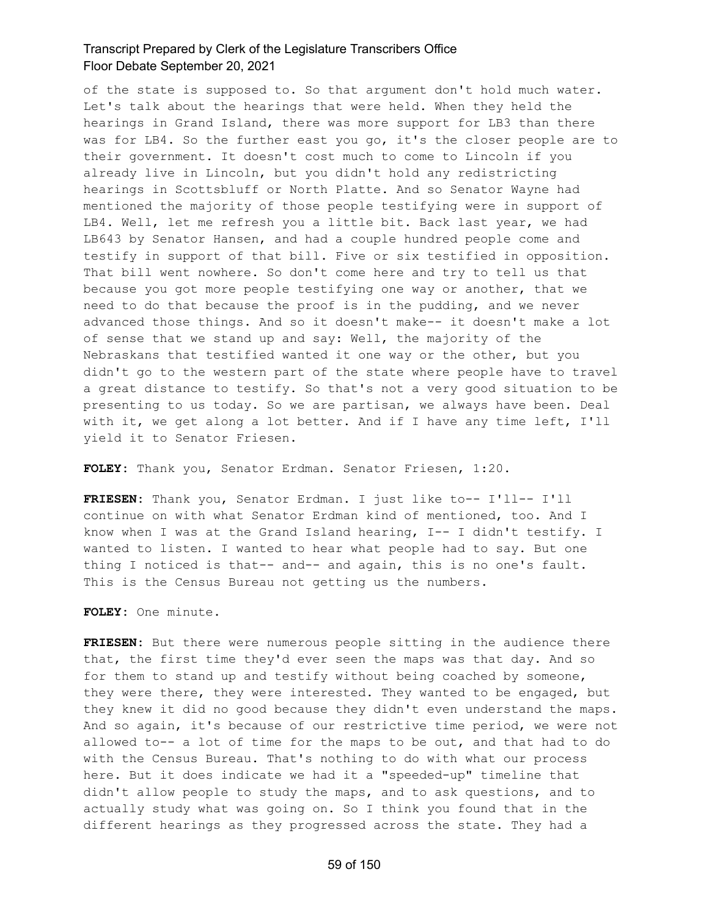of the state is supposed to. So that argument don't hold much water. Let's talk about the hearings that were held. When they held the hearings in Grand Island, there was more support for LB3 than there was for LB4. So the further east you go, it's the closer people are to their government. It doesn't cost much to come to Lincoln if you already live in Lincoln, but you didn't hold any redistricting hearings in Scottsbluff or North Platte. And so Senator Wayne had mentioned the majority of those people testifying were in support of LB4. Well, let me refresh you a little bit. Back last year, we had LB643 by Senator Hansen, and had a couple hundred people come and testify in support of that bill. Five or six testified in opposition. That bill went nowhere. So don't come here and try to tell us that because you got more people testifying one way or another, that we need to do that because the proof is in the pudding, and we never advanced those things. And so it doesn't make-- it doesn't make a lot of sense that we stand up and say: Well, the majority of the Nebraskans that testified wanted it one way or the other, but you didn't go to the western part of the state where people have to travel a great distance to testify. So that's not a very good situation to be presenting to us today. So we are partisan, we always have been. Deal with it, we get along a lot better. And if I have any time left, I'll yield it to Senator Friesen.

**FOLEY:** Thank you, Senator Erdman. Senator Friesen, 1:20.

**FRIESEN:** Thank you, Senator Erdman. I just like to-- I'll-- I'll continue on with what Senator Erdman kind of mentioned, too. And I know when I was at the Grand Island hearing, I-- I didn't testify. I wanted to listen. I wanted to hear what people had to say. But one thing I noticed is that-- and-- and again, this is no one's fault. This is the Census Bureau not getting us the numbers.

**FOLEY:** One minute.

**FRIESEN:** But there were numerous people sitting in the audience there that, the first time they'd ever seen the maps was that day. And so for them to stand up and testify without being coached by someone, they were there, they were interested. They wanted to be engaged, but they knew it did no good because they didn't even understand the maps. And so again, it's because of our restrictive time period, we were not allowed to-- a lot of time for the maps to be out, and that had to do with the Census Bureau. That's nothing to do with what our process here. But it does indicate we had it a "speeded-up" timeline that didn't allow people to study the maps, and to ask questions, and to actually study what was going on. So I think you found that in the different hearings as they progressed across the state. They had a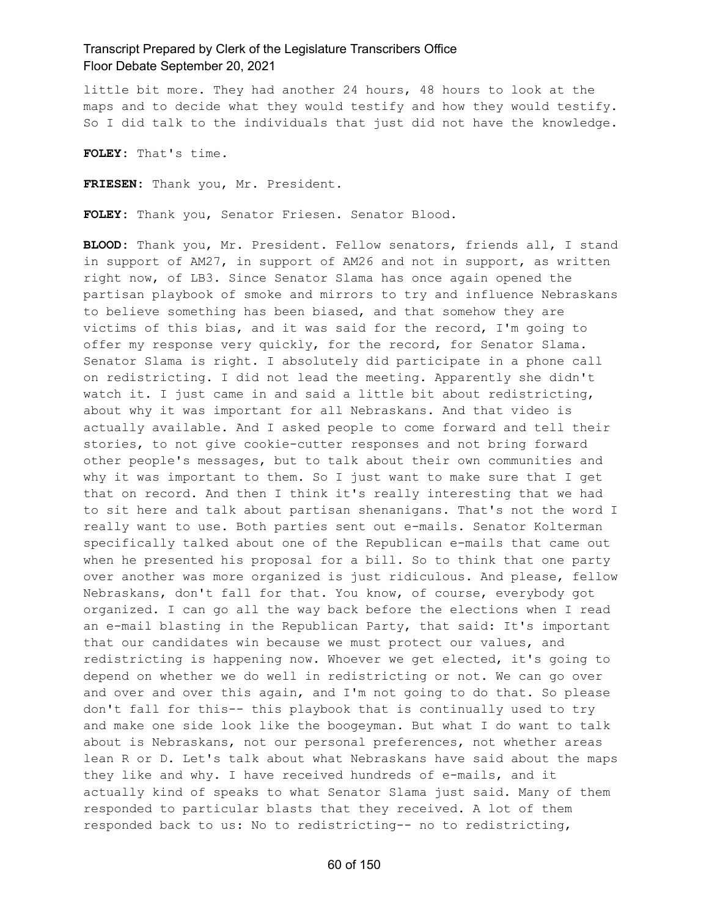little bit more. They had another 24 hours, 48 hours to look at the maps and to decide what they would testify and how they would testify. So I did talk to the individuals that just did not have the knowledge.

**FOLEY:** That's time.

**FRIESEN:** Thank you, Mr. President.

**FOLEY:** Thank you, Senator Friesen. Senator Blood.

**BLOOD:** Thank you, Mr. President. Fellow senators, friends all, I stand in support of AM27, in support of AM26 and not in support, as written right now, of LB3. Since Senator Slama has once again opened the partisan playbook of smoke and mirrors to try and influence Nebraskans to believe something has been biased, and that somehow they are victims of this bias, and it was said for the record, I'm going to offer my response very quickly, for the record, for Senator Slama. Senator Slama is right. I absolutely did participate in a phone call on redistricting. I did not lead the meeting. Apparently she didn't watch it. I just came in and said a little bit about redistricting, about why it was important for all Nebraskans. And that video is actually available. And I asked people to come forward and tell their stories, to not give cookie-cutter responses and not bring forward other people's messages, but to talk about their own communities and why it was important to them. So I just want to make sure that I get that on record. And then I think it's really interesting that we had to sit here and talk about partisan shenanigans. That's not the word I really want to use. Both parties sent out e-mails. Senator Kolterman specifically talked about one of the Republican e-mails that came out when he presented his proposal for a bill. So to think that one party over another was more organized is just ridiculous. And please, fellow Nebraskans, don't fall for that. You know, of course, everybody got organized. I can go all the way back before the elections when I read an e-mail blasting in the Republican Party, that said: It's important that our candidates win because we must protect our values, and redistricting is happening now. Whoever we get elected, it's going to depend on whether we do well in redistricting or not. We can go over and over and over this again, and I'm not going to do that. So please don't fall for this-- this playbook that is continually used to try and make one side look like the boogeyman. But what I do want to talk about is Nebraskans, not our personal preferences, not whether areas lean R or D. Let's talk about what Nebraskans have said about the maps they like and why. I have received hundreds of e-mails, and it actually kind of speaks to what Senator Slama just said. Many of them responded to particular blasts that they received. A lot of them responded back to us: No to redistricting-- no to redistricting,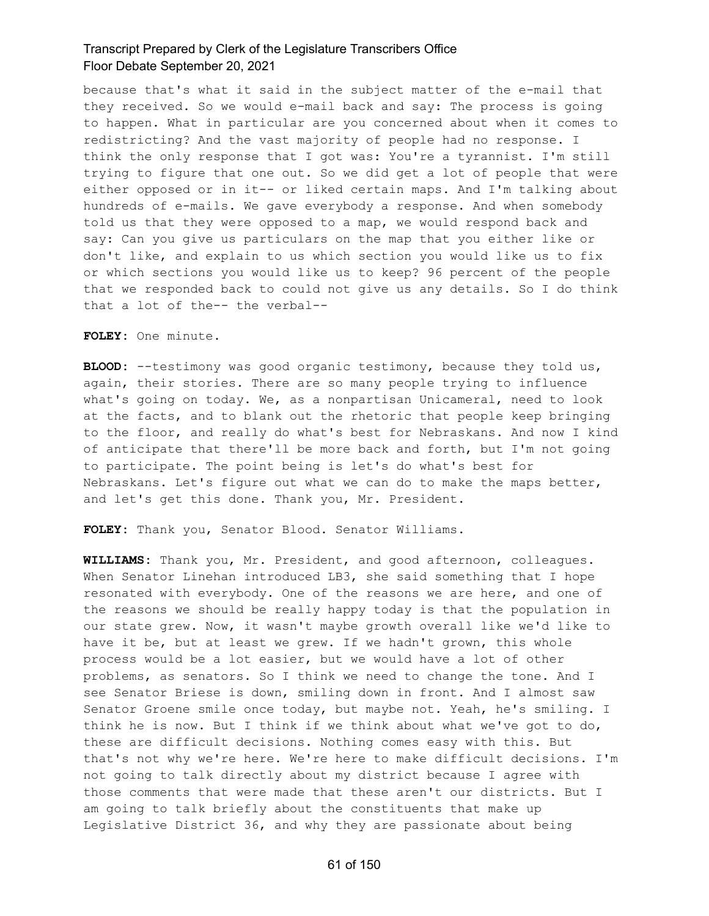because that's what it said in the subject matter of the e-mail that they received. So we would e-mail back and say: The process is going to happen. What in particular are you concerned about when it comes to redistricting? And the vast majority of people had no response. I think the only response that I got was: You're a tyrannist. I'm still trying to figure that one out. So we did get a lot of people that were either opposed or in it-- or liked certain maps. And I'm talking about hundreds of e-mails. We gave everybody a response. And when somebody told us that they were opposed to a map, we would respond back and say: Can you give us particulars on the map that you either like or don't like, and explain to us which section you would like us to fix or which sections you would like us to keep? 96 percent of the people that we responded back to could not give us any details. So I do think that a lot of the-- the verbal--

**FOLEY:** One minute.

**BLOOD:** --testimony was good organic testimony, because they told us, again, their stories. There are so many people trying to influence what's going on today. We, as a nonpartisan Unicameral, need to look at the facts, and to blank out the rhetoric that people keep bringing to the floor, and really do what's best for Nebraskans. And now I kind of anticipate that there'll be more back and forth, but I'm not going to participate. The point being is let's do what's best for Nebraskans. Let's figure out what we can do to make the maps better, and let's get this done. Thank you, Mr. President.

**FOLEY:** Thank you, Senator Blood. Senator Williams.

**WILLIAMS:** Thank you, Mr. President, and good afternoon, colleagues. When Senator Linehan introduced LB3, she said something that I hope resonated with everybody. One of the reasons we are here, and one of the reasons we should be really happy today is that the population in our state grew. Now, it wasn't maybe growth overall like we'd like to have it be, but at least we grew. If we hadn't grown, this whole process would be a lot easier, but we would have a lot of other problems, as senators. So I think we need to change the tone. And I see Senator Briese is down, smiling down in front. And I almost saw Senator Groene smile once today, but maybe not. Yeah, he's smiling. I think he is now. But I think if we think about what we've got to do, these are difficult decisions. Nothing comes easy with this. But that's not why we're here. We're here to make difficult decisions. I'm not going to talk directly about my district because I agree with those comments that were made that these aren't our districts. But I am going to talk briefly about the constituents that make up Legislative District 36, and why they are passionate about being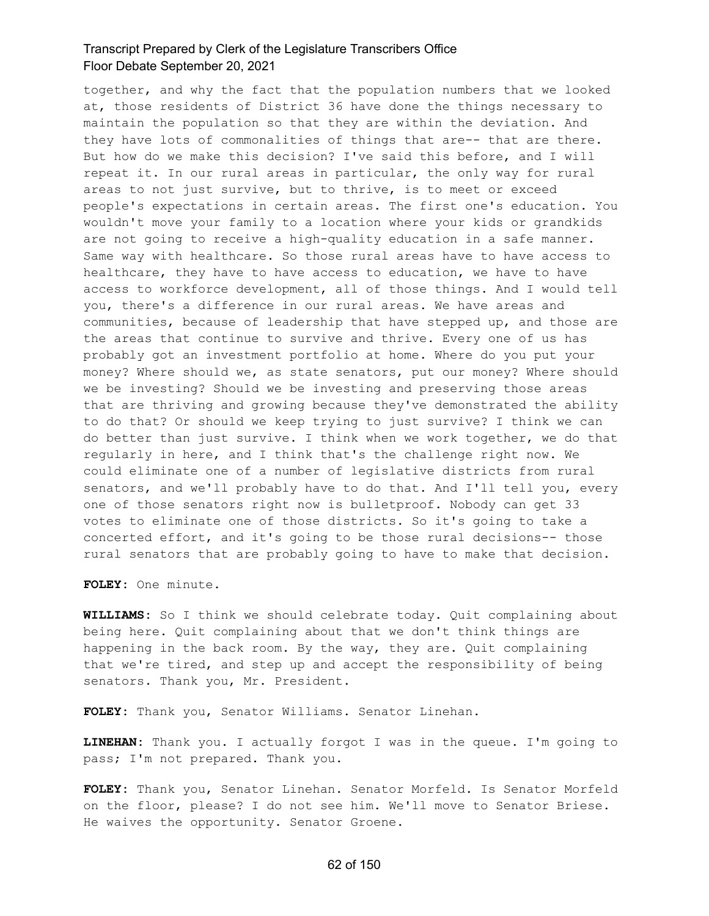together, and why the fact that the population numbers that we looked at, those residents of District 36 have done the things necessary to maintain the population so that they are within the deviation. And they have lots of commonalities of things that are-- that are there. But how do we make this decision? I've said this before, and I will repeat it. In our rural areas in particular, the only way for rural areas to not just survive, but to thrive, is to meet or exceed people's expectations in certain areas. The first one's education. You wouldn't move your family to a location where your kids or grandkids are not going to receive a high-quality education in a safe manner. Same way with healthcare. So those rural areas have to have access to healthcare, they have to have access to education, we have to have access to workforce development, all of those things. And I would tell you, there's a difference in our rural areas. We have areas and communities, because of leadership that have stepped up, and those are the areas that continue to survive and thrive. Every one of us has probably got an investment portfolio at home. Where do you put your money? Where should we, as state senators, put our money? Where should we be investing? Should we be investing and preserving those areas that are thriving and growing because they've demonstrated the ability to do that? Or should we keep trying to just survive? I think we can do better than just survive. I think when we work together, we do that regularly in here, and I think that's the challenge right now. We could eliminate one of a number of legislative districts from rural senators, and we'll probably have to do that. And I'll tell you, every one of those senators right now is bulletproof. Nobody can get 33 votes to eliminate one of those districts. So it's going to take a concerted effort, and it's going to be those rural decisions-- those rural senators that are probably going to have to make that decision.

**FOLEY:** One minute.

**WILLIAMS:** So I think we should celebrate today. Quit complaining about being here. Quit complaining about that we don't think things are happening in the back room. By the way, they are. Quit complaining that we're tired, and step up and accept the responsibility of being senators. Thank you, Mr. President.

**FOLEY:** Thank you, Senator Williams. Senator Linehan.

**LINEHAN:** Thank you. I actually forgot I was in the queue. I'm going to pass; I'm not prepared. Thank you.

**FOLEY:** Thank you, Senator Linehan. Senator Morfeld. Is Senator Morfeld on the floor, please? I do not see him. We'll move to Senator Briese. He waives the opportunity. Senator Groene.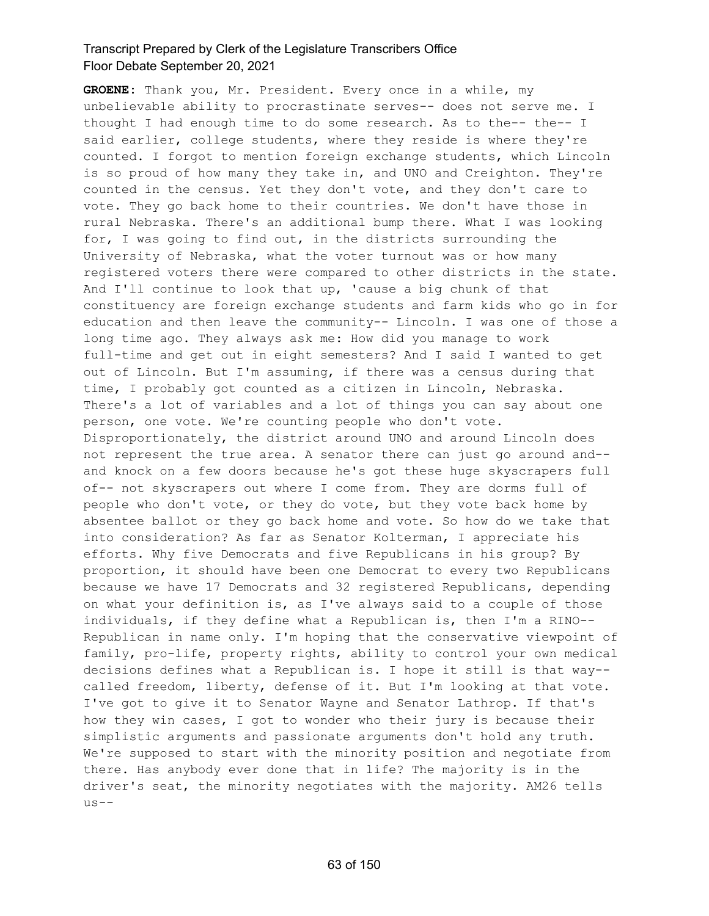**GROENE:** Thank you, Mr. President. Every once in a while, my unbelievable ability to procrastinate serves-- does not serve me. I thought I had enough time to do some research. As to the-- the-- I said earlier, college students, where they reside is where they're counted. I forgot to mention foreign exchange students, which Lincoln is so proud of how many they take in, and UNO and Creighton. They're counted in the census. Yet they don't vote, and they don't care to vote. They go back home to their countries. We don't have those in rural Nebraska. There's an additional bump there. What I was looking for, I was going to find out, in the districts surrounding the University of Nebraska, what the voter turnout was or how many registered voters there were compared to other districts in the state. And I'll continue to look that up, 'cause a big chunk of that constituency are foreign exchange students and farm kids who go in for education and then leave the community-- Lincoln. I was one of those a long time ago. They always ask me: How did you manage to work full-time and get out in eight semesters? And I said I wanted to get out of Lincoln. But I'm assuming, if there was a census during that time, I probably got counted as a citizen in Lincoln, Nebraska. There's a lot of variables and a lot of things you can say about one person, one vote. We're counting people who don't vote. Disproportionately, the district around UNO and around Lincoln does not represent the true area. A senator there can just go around and- and knock on a few doors because he's got these huge skyscrapers full of-- not skyscrapers out where I come from. They are dorms full of people who don't vote, or they do vote, but they vote back home by absentee ballot or they go back home and vote. So how do we take that into consideration? As far as Senator Kolterman, I appreciate his efforts. Why five Democrats and five Republicans in his group? By proportion, it should have been one Democrat to every two Republicans because we have 17 Democrats and 32 registered Republicans, depending on what your definition is, as I've always said to a couple of those individuals, if they define what a Republican is, then I'm a RINO-- Republican in name only. I'm hoping that the conservative viewpoint of family, pro-life, property rights, ability to control your own medical decisions defines what a Republican is. I hope it still is that way- called freedom, liberty, defense of it. But I'm looking at that vote. I've got to give it to Senator Wayne and Senator Lathrop. If that's how they win cases, I got to wonder who their jury is because their simplistic arguments and passionate arguments don't hold any truth. We're supposed to start with the minority position and negotiate from there. Has anybody ever done that in life? The majority is in the driver's seat, the minority negotiates with the majority. AM26 tells us--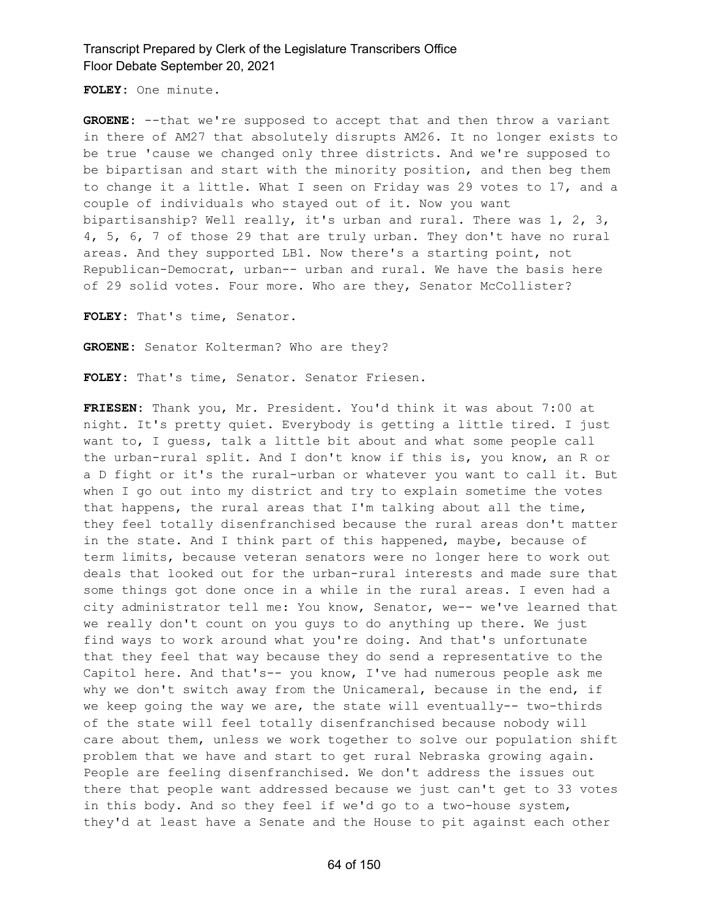**FOLEY:** One minute.

**GROENE:** --that we're supposed to accept that and then throw a variant in there of AM27 that absolutely disrupts AM26. It no longer exists to be true 'cause we changed only three districts. And we're supposed to be bipartisan and start with the minority position, and then beg them to change it a little. What I seen on Friday was 29 votes to 17, and a couple of individuals who stayed out of it. Now you want bipartisanship? Well really, it's urban and rural. There was 1, 2, 3, 4, 5, 6, 7 of those 29 that are truly urban. They don't have no rural areas. And they supported LB1. Now there's a starting point, not Republican-Democrat, urban-- urban and rural. We have the basis here of 29 solid votes. Four more. Who are they, Senator McCollister?

**FOLEY:** That's time, Senator.

**GROENE:** Senator Kolterman? Who are they?

**FOLEY:** That's time, Senator. Senator Friesen.

**FRIESEN:** Thank you, Mr. President. You'd think it was about 7:00 at night. It's pretty quiet. Everybody is getting a little tired. I just want to, I guess, talk a little bit about and what some people call the urban-rural split. And I don't know if this is, you know, an R or a D fight or it's the rural-urban or whatever you want to call it. But when I go out into my district and try to explain sometime the votes that happens, the rural areas that I'm talking about all the time, they feel totally disenfranchised because the rural areas don't matter in the state. And I think part of this happened, maybe, because of term limits, because veteran senators were no longer here to work out deals that looked out for the urban-rural interests and made sure that some things got done once in a while in the rural areas. I even had a city administrator tell me: You know, Senator, we-- we've learned that we really don't count on you guys to do anything up there. We just find ways to work around what you're doing. And that's unfortunate that they feel that way because they do send a representative to the Capitol here. And that's-- you know, I've had numerous people ask me why we don't switch away from the Unicameral, because in the end, if we keep going the way we are, the state will eventually-- two-thirds of the state will feel totally disenfranchised because nobody will care about them, unless we work together to solve our population shift problem that we have and start to get rural Nebraska growing again. People are feeling disenfranchised. We don't address the issues out there that people want addressed because we just can't get to 33 votes in this body. And so they feel if we'd go to a two-house system, they'd at least have a Senate and the House to pit against each other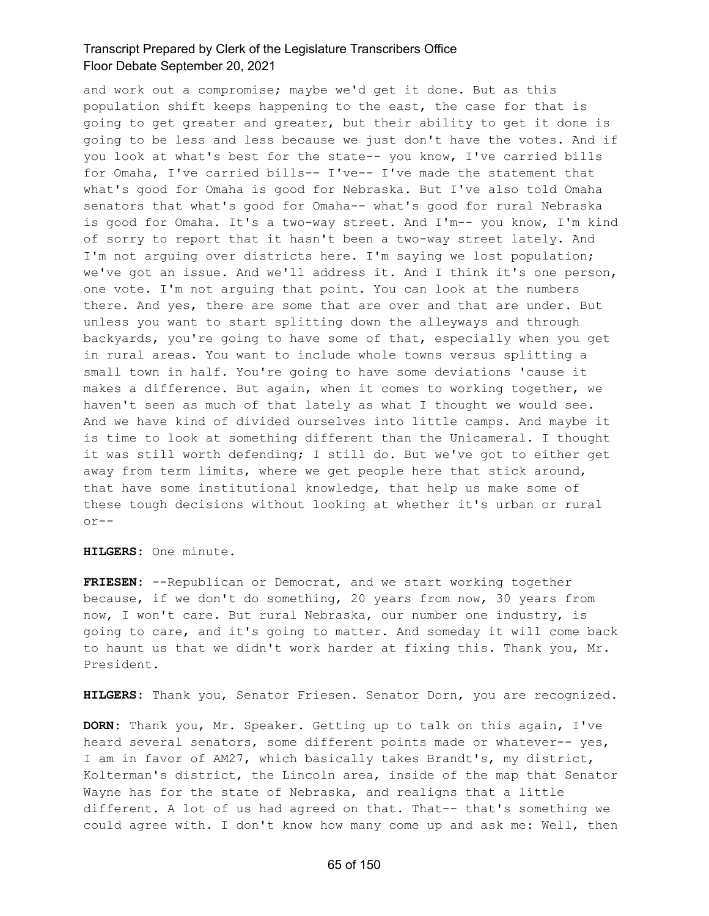and work out a compromise; maybe we'd get it done. But as this population shift keeps happening to the east, the case for that is going to get greater and greater, but their ability to get it done is going to be less and less because we just don't have the votes. And if you look at what's best for the state-- you know, I've carried bills for Omaha, I've carried bills-- I've-- I've made the statement that what's good for Omaha is good for Nebraska. But I've also told Omaha senators that what's good for Omaha-- what's good for rural Nebraska is good for Omaha. It's a two-way street. And I'm-- you know, I'm kind of sorry to report that it hasn't been a two-way street lately. And I'm not arguing over districts here. I'm saying we lost population; we've got an issue. And we'll address it. And I think it's one person, one vote. I'm not arguing that point. You can look at the numbers there. And yes, there are some that are over and that are under. But unless you want to start splitting down the alleyways and through backyards, you're going to have some of that, especially when you get in rural areas. You want to include whole towns versus splitting a small town in half. You're going to have some deviations 'cause it makes a difference. But again, when it comes to working together, we haven't seen as much of that lately as what I thought we would see. And we have kind of divided ourselves into little camps. And maybe it is time to look at something different than the Unicameral. I thought it was still worth defending; I still do. But we've got to either get away from term limits, where we get people here that stick around, that have some institutional knowledge, that help us make some of these tough decisions without looking at whether it's urban or rural or--

#### **HILGERS:** One minute.

**FRIESEN:** --Republican or Democrat, and we start working together because, if we don't do something, 20 years from now, 30 years from now, I won't care. But rural Nebraska, our number one industry, is going to care, and it's going to matter. And someday it will come back to haunt us that we didn't work harder at fixing this. Thank you, Mr. President.

**HILGERS:** Thank you, Senator Friesen. Senator Dorn, you are recognized.

**DORN:** Thank you, Mr. Speaker. Getting up to talk on this again, I've heard several senators, some different points made or whatever-- yes, I am in favor of AM27, which basically takes Brandt's, my district, Kolterman's district, the Lincoln area, inside of the map that Senator Wayne has for the state of Nebraska, and realigns that a little different. A lot of us had agreed on that. That-- that's something we could agree with. I don't know how many come up and ask me: Well, then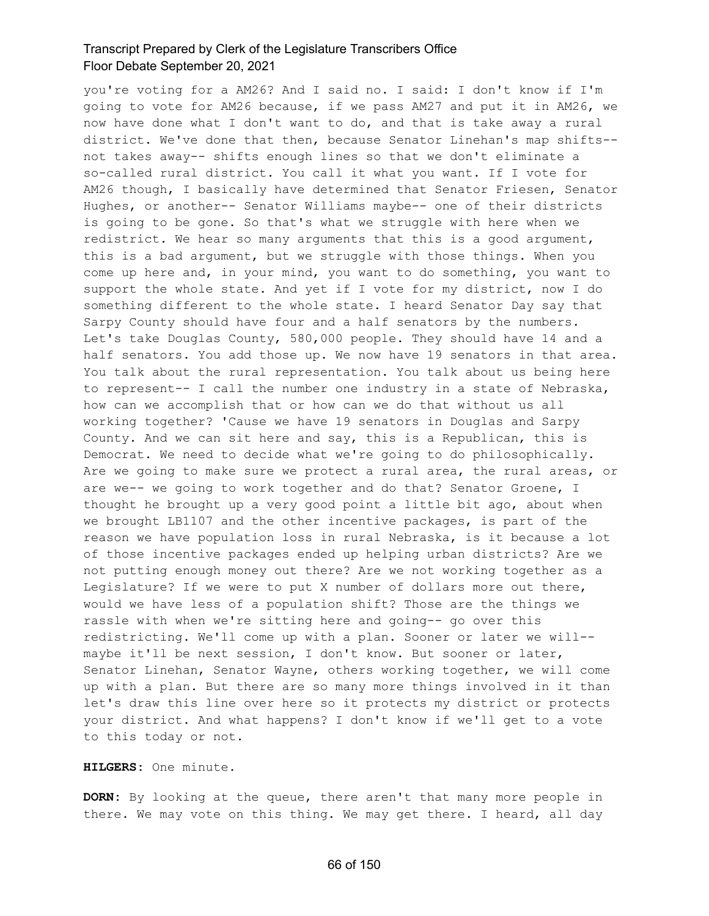you're voting for a AM26? And I said no. I said: I don't know if I'm going to vote for AM26 because, if we pass AM27 and put it in AM26, we now have done what I don't want to do, and that is take away a rural district. We've done that then, because Senator Linehan's map shifts- not takes away-- shifts enough lines so that we don't eliminate a so-called rural district. You call it what you want. If I vote for AM26 though, I basically have determined that Senator Friesen, Senator Hughes, or another-- Senator Williams maybe-- one of their districts is going to be gone. So that's what we struggle with here when we redistrict. We hear so many arguments that this is a good argument, this is a bad argument, but we struggle with those things. When you come up here and, in your mind, you want to do something, you want to support the whole state. And yet if I vote for my district, now I do something different to the whole state. I heard Senator Day say that Sarpy County should have four and a half senators by the numbers. Let's take Douglas County, 580,000 people. They should have 14 and a half senators. You add those up. We now have 19 senators in that area. You talk about the rural representation. You talk about us being here to represent-- I call the number one industry in a state of Nebraska, how can we accomplish that or how can we do that without us all working together? 'Cause we have 19 senators in Douglas and Sarpy County. And we can sit here and say, this is a Republican, this is Democrat. We need to decide what we're going to do philosophically. Are we going to make sure we protect a rural area, the rural areas, or are we-- we going to work together and do that? Senator Groene, I thought he brought up a very good point a little bit ago, about when we brought LB1107 and the other incentive packages, is part of the reason we have population loss in rural Nebraska, is it because a lot of those incentive packages ended up helping urban districts? Are we not putting enough money out there? Are we not working together as a Legislature? If we were to put X number of dollars more out there, would we have less of a population shift? Those are the things we rassle with when we're sitting here and going-- go over this redistricting. We'll come up with a plan. Sooner or later we will- maybe it'll be next session, I don't know. But sooner or later, Senator Linehan, Senator Wayne, others working together, we will come up with a plan. But there are so many more things involved in it than let's draw this line over here so it protects my district or protects your district. And what happens? I don't know if we'll get to a vote to this today or not.

#### **HILGERS:** One minute.

**DORN:** By looking at the queue, there aren't that many more people in there. We may vote on this thing. We may get there. I heard, all day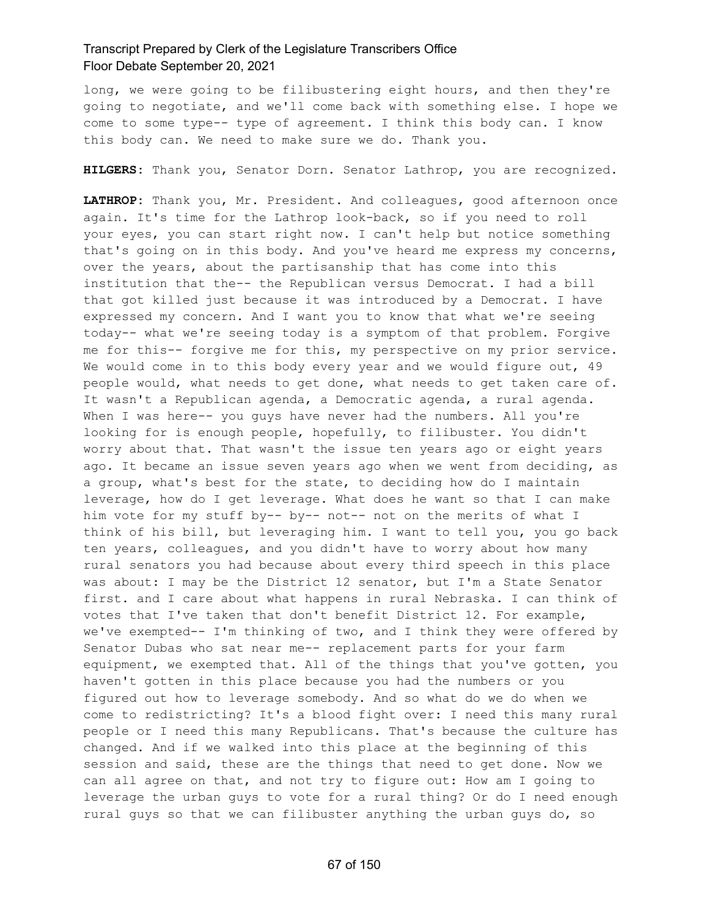long, we were going to be filibustering eight hours, and then they're going to negotiate, and we'll come back with something else. I hope we come to some type-- type of agreement. I think this body can. I know this body can. We need to make sure we do. Thank you.

**HILGERS:** Thank you, Senator Dorn. Senator Lathrop, you are recognized.

**LATHROP:** Thank you, Mr. President. And colleagues, good afternoon once again. It's time for the Lathrop look-back, so if you need to roll your eyes, you can start right now. I can't help but notice something that's going on in this body. And you've heard me express my concerns, over the years, about the partisanship that has come into this institution that the-- the Republican versus Democrat. I had a bill that got killed just because it was introduced by a Democrat. I have expressed my concern. And I want you to know that what we're seeing today-- what we're seeing today is a symptom of that problem. Forgive me for this-- forgive me for this, my perspective on my prior service. We would come in to this body every year and we would figure out, 49 people would, what needs to get done, what needs to get taken care of. It wasn't a Republican agenda, a Democratic agenda, a rural agenda. When I was here-- you guys have never had the numbers. All you're looking for is enough people, hopefully, to filibuster. You didn't worry about that. That wasn't the issue ten years ago or eight years ago. It became an issue seven years ago when we went from deciding, as a group, what's best for the state, to deciding how do I maintain leverage, how do I get leverage. What does he want so that I can make him vote for my stuff by-- by-- not-- not on the merits of what I think of his bill, but leveraging him. I want to tell you, you go back ten years, colleagues, and you didn't have to worry about how many rural senators you had because about every third speech in this place was about: I may be the District 12 senator, but I'm a State Senator first. and I care about what happens in rural Nebraska. I can think of votes that I've taken that don't benefit District 12. For example, we've exempted-- I'm thinking of two, and I think they were offered by Senator Dubas who sat near me-- replacement parts for your farm equipment, we exempted that. All of the things that you've gotten, you haven't gotten in this place because you had the numbers or you figured out how to leverage somebody. And so what do we do when we come to redistricting? It's a blood fight over: I need this many rural people or I need this many Republicans. That's because the culture has changed. And if we walked into this place at the beginning of this session and said, these are the things that need to get done. Now we can all agree on that, and not try to figure out: How am I going to leverage the urban guys to vote for a rural thing? Or do I need enough rural guys so that we can filibuster anything the urban guys do, so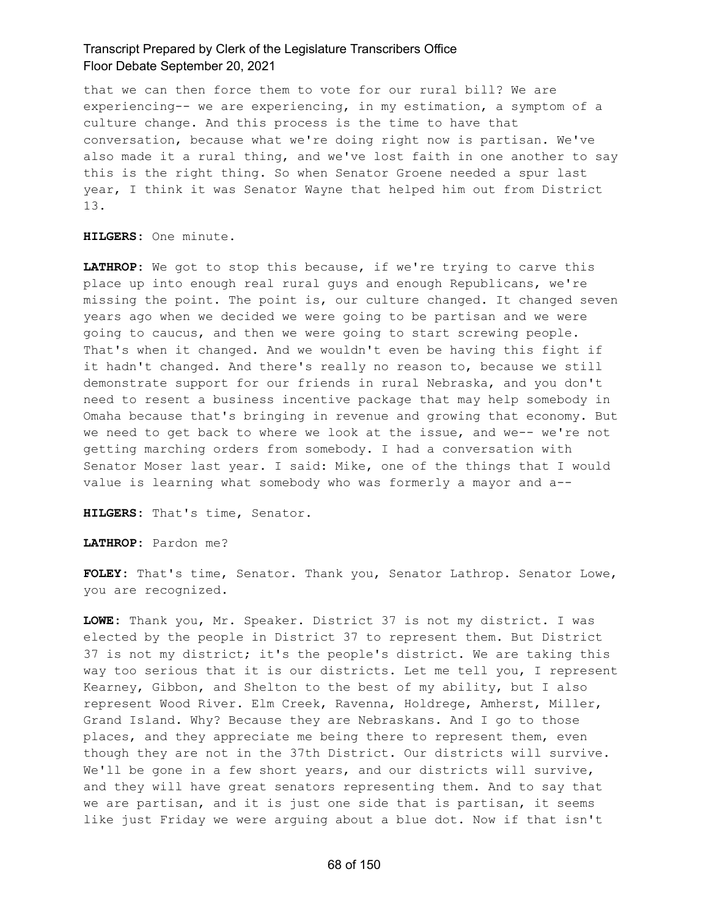that we can then force them to vote for our rural bill? We are experiencing-- we are experiencing, in my estimation, a symptom of a culture change. And this process is the time to have that conversation, because what we're doing right now is partisan. We've also made it a rural thing, and we've lost faith in one another to say this is the right thing. So when Senator Groene needed a spur last year, I think it was Senator Wayne that helped him out from District 13.

**HILGERS:** One minute.

**LATHROP:** We got to stop this because, if we're trying to carve this place up into enough real rural guys and enough Republicans, we're missing the point. The point is, our culture changed. It changed seven years ago when we decided we were going to be partisan and we were going to caucus, and then we were going to start screwing people. That's when it changed. And we wouldn't even be having this fight if it hadn't changed. And there's really no reason to, because we still demonstrate support for our friends in rural Nebraska, and you don't need to resent a business incentive package that may help somebody in Omaha because that's bringing in revenue and growing that economy. But we need to get back to where we look at the issue, and we-- we're not getting marching orders from somebody. I had a conversation with Senator Moser last year. I said: Mike, one of the things that I would value is learning what somebody who was formerly a mayor and a--

**HILGERS:** That's time, Senator.

**LATHROP:** Pardon me?

**FOLEY:** That's time, Senator. Thank you, Senator Lathrop. Senator Lowe, you are recognized.

**LOWE:** Thank you, Mr. Speaker. District 37 is not my district. I was elected by the people in District 37 to represent them. But District 37 is not my district; it's the people's district. We are taking this way too serious that it is our districts. Let me tell you, I represent Kearney, Gibbon, and Shelton to the best of my ability, but I also represent Wood River. Elm Creek, Ravenna, Holdrege, Amherst, Miller, Grand Island. Why? Because they are Nebraskans. And I go to those places, and they appreciate me being there to represent them, even though they are not in the 37th District. Our districts will survive. We'll be gone in a few short years, and our districts will survive, and they will have great senators representing them. And to say that we are partisan, and it is just one side that is partisan, it seems like just Friday we were arguing about a blue dot. Now if that isn't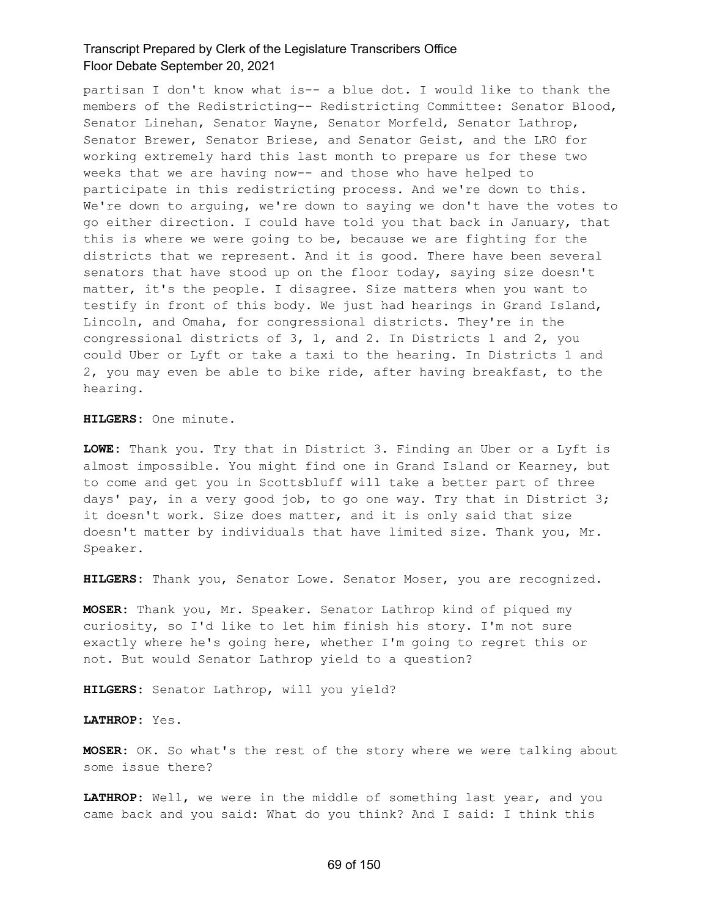partisan I don't know what is-- a blue dot. I would like to thank the members of the Redistricting-- Redistricting Committee: Senator Blood, Senator Linehan, Senator Wayne, Senator Morfeld, Senator Lathrop, Senator Brewer, Senator Briese, and Senator Geist, and the LRO for working extremely hard this last month to prepare us for these two weeks that we are having now-- and those who have helped to participate in this redistricting process. And we're down to this. We're down to arguing, we're down to saying we don't have the votes to go either direction. I could have told you that back in January, that this is where we were going to be, because we are fighting for the districts that we represent. And it is good. There have been several senators that have stood up on the floor today, saying size doesn't matter, it's the people. I disagree. Size matters when you want to testify in front of this body. We just had hearings in Grand Island, Lincoln, and Omaha, for congressional districts. They're in the congressional districts of 3, 1, and 2. In Districts 1 and 2, you could Uber or Lyft or take a taxi to the hearing. In Districts 1 and 2, you may even be able to bike ride, after having breakfast, to the hearing.

**HILGERS:** One minute.

**LOWE:** Thank you. Try that in District 3. Finding an Uber or a Lyft is almost impossible. You might find one in Grand Island or Kearney, but to come and get you in Scottsbluff will take a better part of three days' pay, in a very good job, to go one way. Try that in District 3; it doesn't work. Size does matter, and it is only said that size doesn't matter by individuals that have limited size. Thank you, Mr. Speaker.

**HILGERS:** Thank you, Senator Lowe. Senator Moser, you are recognized.

**MOSER:** Thank you, Mr. Speaker. Senator Lathrop kind of piqued my curiosity, so I'd like to let him finish his story. I'm not sure exactly where he's going here, whether I'm going to regret this or not. But would Senator Lathrop yield to a question?

**HILGERS:** Senator Lathrop, will you yield?

**LATHROP:** Yes.

**MOSER:** OK. So what's the rest of the story where we were talking about some issue there?

**LATHROP:** Well, we were in the middle of something last year, and you came back and you said: What do you think? And I said: I think this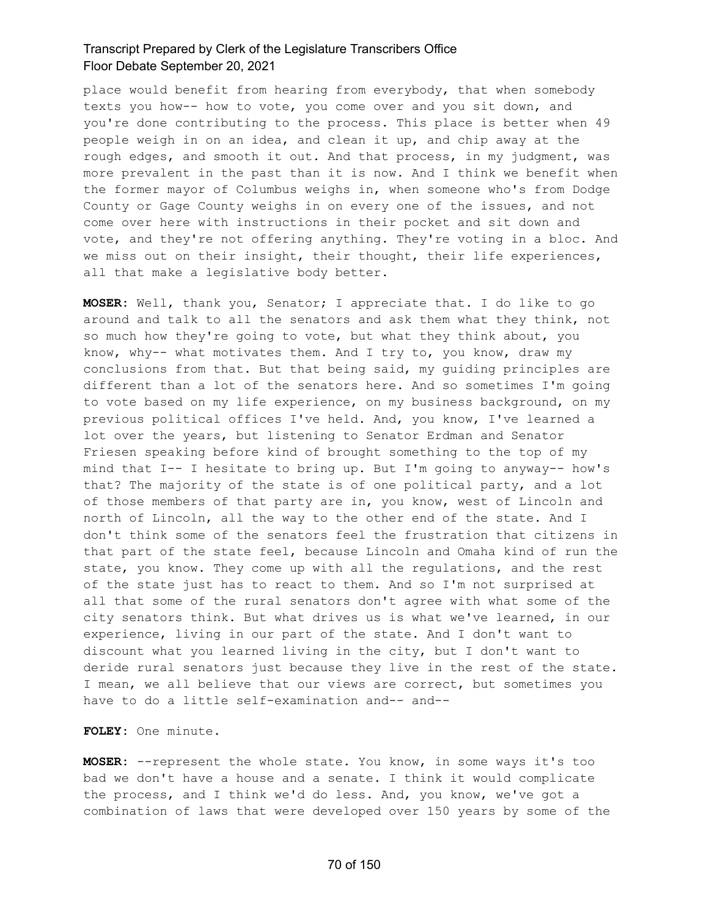place would benefit from hearing from everybody, that when somebody texts you how-- how to vote, you come over and you sit down, and you're done contributing to the process. This place is better when 49 people weigh in on an idea, and clean it up, and chip away at the rough edges, and smooth it out. And that process, in my judgment, was more prevalent in the past than it is now. And I think we benefit when the former mayor of Columbus weighs in, when someone who's from Dodge County or Gage County weighs in on every one of the issues, and not come over here with instructions in their pocket and sit down and vote, and they're not offering anything. They're voting in a bloc. And we miss out on their insight, their thought, their life experiences, all that make a legislative body better.

**MOSER:** Well, thank you, Senator; I appreciate that. I do like to go around and talk to all the senators and ask them what they think, not so much how they're going to vote, but what they think about, you know, why-- what motivates them. And I try to, you know, draw my conclusions from that. But that being said, my guiding principles are different than a lot of the senators here. And so sometimes I'm going to vote based on my life experience, on my business background, on my previous political offices I've held. And, you know, I've learned a lot over the years, but listening to Senator Erdman and Senator Friesen speaking before kind of brought something to the top of my mind that I-- I hesitate to bring up. But I'm going to anyway-- how's that? The majority of the state is of one political party, and a lot of those members of that party are in, you know, west of Lincoln and north of Lincoln, all the way to the other end of the state. And I don't think some of the senators feel the frustration that citizens in that part of the state feel, because Lincoln and Omaha kind of run the state, you know. They come up with all the regulations, and the rest of the state just has to react to them. And so I'm not surprised at all that some of the rural senators don't agree with what some of the city senators think. But what drives us is what we've learned, in our experience, living in our part of the state. And I don't want to discount what you learned living in the city, but I don't want to deride rural senators just because they live in the rest of the state. I mean, we all believe that our views are correct, but sometimes you have to do a little self-examination and-- and--

**FOLEY:** One minute.

**MOSER:** --represent the whole state. You know, in some ways it's too bad we don't have a house and a senate. I think it would complicate the process, and I think we'd do less. And, you know, we've got a combination of laws that were developed over 150 years by some of the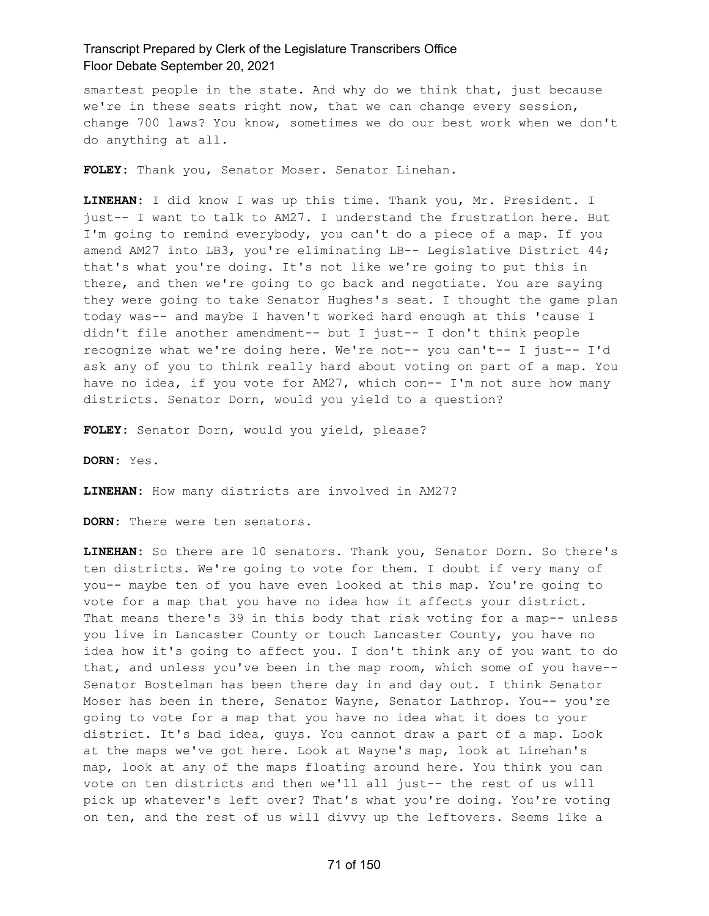smartest people in the state. And why do we think that, just because we're in these seats right now, that we can change every session, change 700 laws? You know, sometimes we do our best work when we don't do anything at all.

**FOLEY:** Thank you, Senator Moser. Senator Linehan.

**LINEHAN:** I did know I was up this time. Thank you, Mr. President. I just-- I want to talk to AM27. I understand the frustration here. But I'm going to remind everybody, you can't do a piece of a map. If you amend AM27 into LB3, you're eliminating LB-- Legislative District 44; that's what you're doing. It's not like we're going to put this in there, and then we're going to go back and negotiate. You are saying they were going to take Senator Hughes's seat. I thought the game plan today was-- and maybe I haven't worked hard enough at this 'cause I didn't file another amendment-- but I just-- I don't think people recognize what we're doing here. We're not-- you can't-- I just-- I'd ask any of you to think really hard about voting on part of a map. You have no idea, if you vote for AM27, which con-- I'm not sure how many districts. Senator Dorn, would you yield to a question?

**FOLEY:** Senator Dorn, would you yield, please?

**DORN:** Yes.

**LINEHAN:** How many districts are involved in AM27?

**DORN:** There were ten senators.

**LINEHAN:** So there are 10 senators. Thank you, Senator Dorn. So there's ten districts. We're going to vote for them. I doubt if very many of you-- maybe ten of you have even looked at this map. You're going to vote for a map that you have no idea how it affects your district. That means there's 39 in this body that risk voting for a map-- unless you live in Lancaster County or touch Lancaster County, you have no idea how it's going to affect you. I don't think any of you want to do that, and unless you've been in the map room, which some of you have-- Senator Bostelman has been there day in and day out. I think Senator Moser has been in there, Senator Wayne, Senator Lathrop. You-- you're going to vote for a map that you have no idea what it does to your district. It's bad idea, guys. You cannot draw a part of a map. Look at the maps we've got here. Look at Wayne's map, look at Linehan's map, look at any of the maps floating around here. You think you can vote on ten districts and then we'll all just-- the rest of us will pick up whatever's left over? That's what you're doing. You're voting on ten, and the rest of us will divvy up the leftovers. Seems like a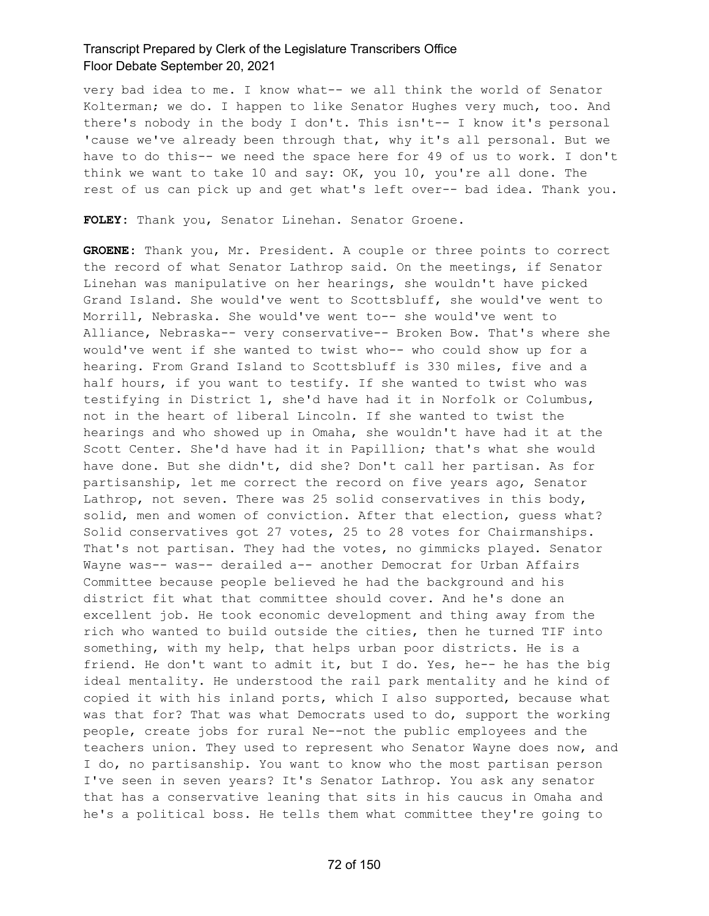very bad idea to me. I know what-- we all think the world of Senator Kolterman; we do. I happen to like Senator Hughes very much, too. And there's nobody in the body I don't. This isn't-- I know it's personal 'cause we've already been through that, why it's all personal. But we have to do this-- we need the space here for 49 of us to work. I don't think we want to take 10 and say: OK, you 10, you're all done. The rest of us can pick up and get what's left over-- bad idea. Thank you.

**FOLEY:** Thank you, Senator Linehan. Senator Groene.

**GROENE:** Thank you, Mr. President. A couple or three points to correct the record of what Senator Lathrop said. On the meetings, if Senator Linehan was manipulative on her hearings, she wouldn't have picked Grand Island. She would've went to Scottsbluff, she would've went to Morrill, Nebraska. She would've went to-- she would've went to Alliance, Nebraska-- very conservative-- Broken Bow. That's where she would've went if she wanted to twist who-- who could show up for a hearing. From Grand Island to Scottsbluff is 330 miles, five and a half hours, if you want to testify. If she wanted to twist who was testifying in District 1, she'd have had it in Norfolk or Columbus, not in the heart of liberal Lincoln. If she wanted to twist the hearings and who showed up in Omaha, she wouldn't have had it at the Scott Center. She'd have had it in Papillion; that's what she would have done. But she didn't, did she? Don't call her partisan. As for partisanship, let me correct the record on five years ago, Senator Lathrop, not seven. There was 25 solid conservatives in this body, solid, men and women of conviction. After that election, guess what? Solid conservatives got 27 votes, 25 to 28 votes for Chairmanships. That's not partisan. They had the votes, no gimmicks played. Senator Wayne was-- was-- derailed a-- another Democrat for Urban Affairs Committee because people believed he had the background and his district fit what that committee should cover. And he's done an excellent job. He took economic development and thing away from the rich who wanted to build outside the cities, then he turned TIF into something, with my help, that helps urban poor districts. He is a friend. He don't want to admit it, but I do. Yes, he-- he has the big ideal mentality. He understood the rail park mentality and he kind of copied it with his inland ports, which I also supported, because what was that for? That was what Democrats used to do, support the working people, create jobs for rural Ne--not the public employees and the teachers union. They used to represent who Senator Wayne does now, and I do, no partisanship. You want to know who the most partisan person I've seen in seven years? It's Senator Lathrop. You ask any senator that has a conservative leaning that sits in his caucus in Omaha and he's a political boss. He tells them what committee they're going to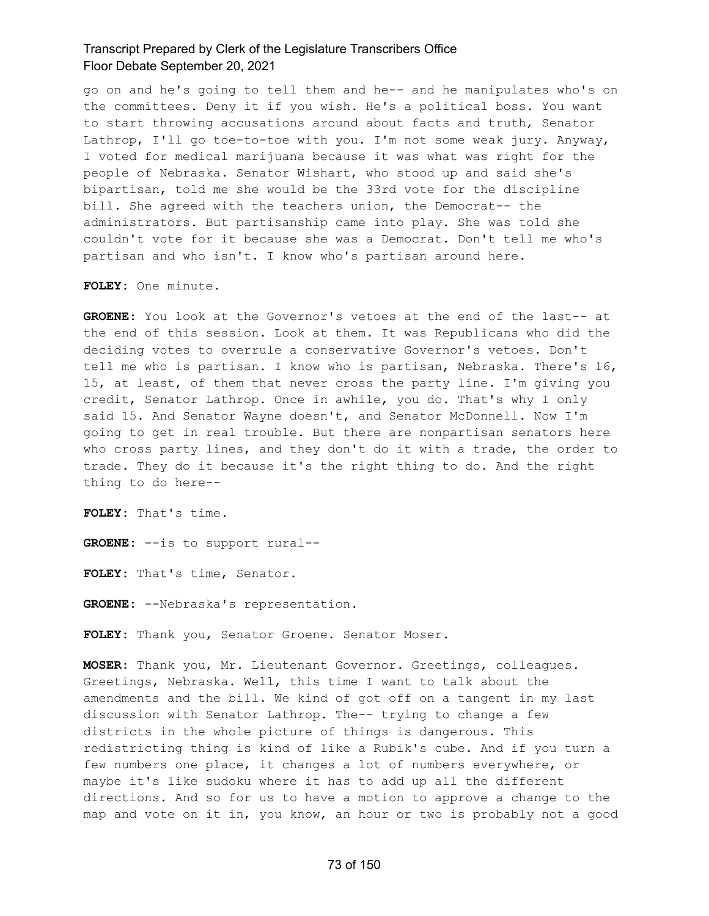go on and he's going to tell them and he-- and he manipulates who's on the committees. Deny it if you wish. He's a political boss. You want to start throwing accusations around about facts and truth, Senator Lathrop, I'll go toe-to-toe with you. I'm not some weak jury. Anyway, I voted for medical marijuana because it was what was right for the people of Nebraska. Senator Wishart, who stood up and said she's bipartisan, told me she would be the 33rd vote for the discipline bill. She agreed with the teachers union, the Democrat-- the administrators. But partisanship came into play. She was told she couldn't vote for it because she was a Democrat. Don't tell me who's partisan and who isn't. I know who's partisan around here.

**FOLEY:** One minute.

**GROENE:** You look at the Governor's vetoes at the end of the last-- at the end of this session. Look at them. It was Republicans who did the deciding votes to overrule a conservative Governor's vetoes. Don't tell me who is partisan. I know who is partisan, Nebraska. There's 16, 15, at least, of them that never cross the party line. I'm giving you credit, Senator Lathrop. Once in awhile, you do. That's why I only said 15. And Senator Wayne doesn't, and Senator McDonnell. Now I'm going to get in real trouble. But there are nonpartisan senators here who cross party lines, and they don't do it with a trade, the order to trade. They do it because it's the right thing to do. And the right thing to do here--

**FOLEY:** That's time.

**GROENE:** --is to support rural--

**FOLEY:** That's time, Senator.

**GROENE:** --Nebraska's representation.

**FOLEY:** Thank you, Senator Groene. Senator Moser.

**MOSER:** Thank you, Mr. Lieutenant Governor. Greetings, colleagues. Greetings, Nebraska. Well, this time I want to talk about the amendments and the bill. We kind of got off on a tangent in my last discussion with Senator Lathrop. The-- trying to change a few districts in the whole picture of things is dangerous. This redistricting thing is kind of like a Rubik's cube. And if you turn a few numbers one place, it changes a lot of numbers everywhere, or maybe it's like sudoku where it has to add up all the different directions. And so for us to have a motion to approve a change to the map and vote on it in, you know, an hour or two is probably not a good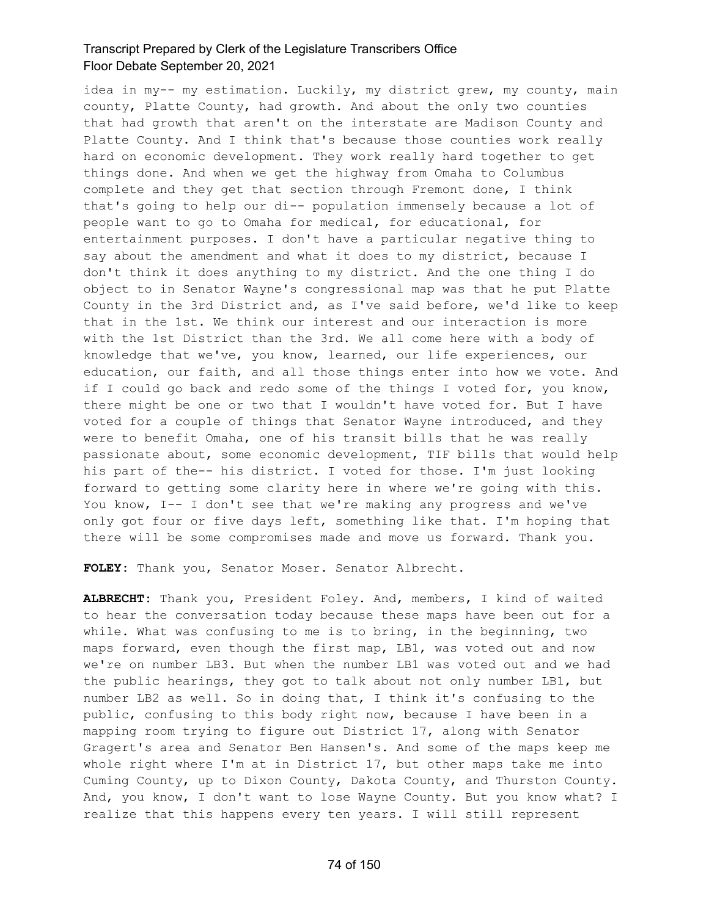idea in my-- my estimation. Luckily, my district grew, my county, main county, Platte County, had growth. And about the only two counties that had growth that aren't on the interstate are Madison County and Platte County. And I think that's because those counties work really hard on economic development. They work really hard together to get things done. And when we get the highway from Omaha to Columbus complete and they get that section through Fremont done, I think that's going to help our di-- population immensely because a lot of people want to go to Omaha for medical, for educational, for entertainment purposes. I don't have a particular negative thing to say about the amendment and what it does to my district, because I don't think it does anything to my district. And the one thing I do object to in Senator Wayne's congressional map was that he put Platte County in the 3rd District and, as I've said before, we'd like to keep that in the 1st. We think our interest and our interaction is more with the 1st District than the 3rd. We all come here with a body of knowledge that we've, you know, learned, our life experiences, our education, our faith, and all those things enter into how we vote. And if I could go back and redo some of the things I voted for, you know, there might be one or two that I wouldn't have voted for. But I have voted for a couple of things that Senator Wayne introduced, and they were to benefit Omaha, one of his transit bills that he was really passionate about, some economic development, TIF bills that would help his part of the-- his district. I voted for those. I'm just looking forward to getting some clarity here in where we're going with this. You know, I-- I don't see that we're making any progress and we've only got four or five days left, something like that. I'm hoping that there will be some compromises made and move us forward. Thank you.

**FOLEY:** Thank you, Senator Moser. Senator Albrecht.

**ALBRECHT:** Thank you, President Foley. And, members, I kind of waited to hear the conversation today because these maps have been out for a while. What was confusing to me is to bring, in the beginning, two maps forward, even though the first map, LB1, was voted out and now we're on number LB3. But when the number LB1 was voted out and we had the public hearings, they got to talk about not only number LB1, but number LB2 as well. So in doing that, I think it's confusing to the public, confusing to this body right now, because I have been in a mapping room trying to figure out District 17, along with Senator Gragert's area and Senator Ben Hansen's. And some of the maps keep me whole right where I'm at in District 17, but other maps take me into Cuming County, up to Dixon County, Dakota County, and Thurston County. And, you know, I don't want to lose Wayne County. But you know what? I realize that this happens every ten years. I will still represent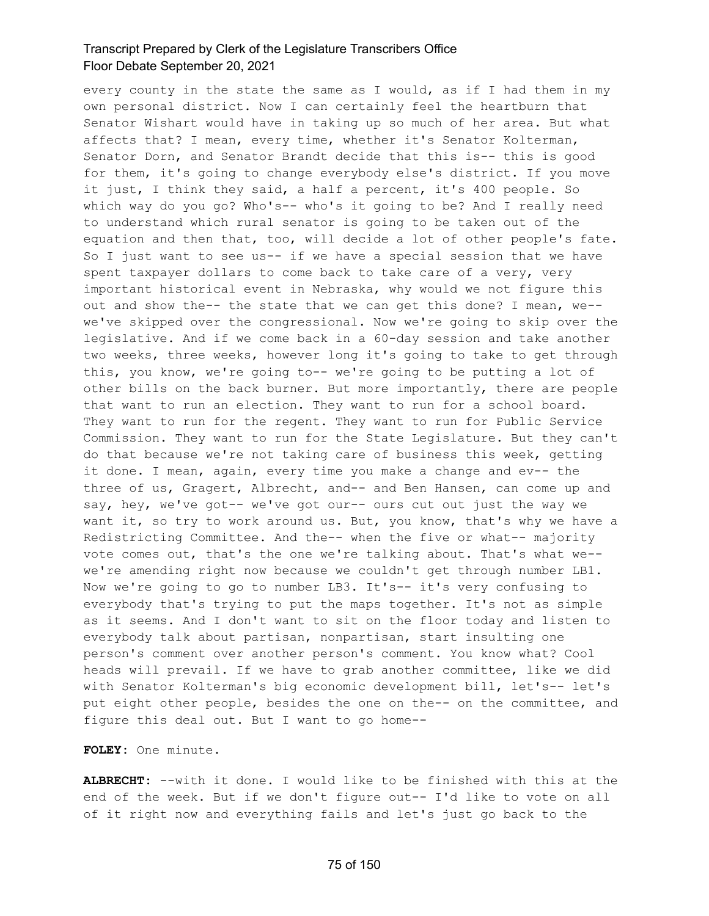every county in the state the same as I would, as if I had them in my own personal district. Now I can certainly feel the heartburn that Senator Wishart would have in taking up so much of her area. But what affects that? I mean, every time, whether it's Senator Kolterman, Senator Dorn, and Senator Brandt decide that this is-- this is good for them, it's going to change everybody else's district. If you move it just, I think they said, a half a percent, it's 400 people. So which way do you go? Who's-- who's it going to be? And I really need to understand which rural senator is going to be taken out of the equation and then that, too, will decide a lot of other people's fate. So I just want to see us-- if we have a special session that we have spent taxpayer dollars to come back to take care of a very, very important historical event in Nebraska, why would we not figure this out and show the-- the state that we can get this done? I mean, we- we've skipped over the congressional. Now we're going to skip over the legislative. And if we come back in a 60-day session and take another two weeks, three weeks, however long it's going to take to get through this, you know, we're going to-- we're going to be putting a lot of other bills on the back burner. But more importantly, there are people that want to run an election. They want to run for a school board. They want to run for the regent. They want to run for Public Service Commission. They want to run for the State Legislature. But they can't do that because we're not taking care of business this week, getting it done. I mean, again, every time you make a change and ev-- the three of us, Gragert, Albrecht, and-- and Ben Hansen, can come up and say, hey, we've got-- we've got our-- ours cut out just the way we want it, so try to work around us. But, you know, that's why we have a Redistricting Committee. And the-- when the five or what-- majority vote comes out, that's the one we're talking about. That's what we- we're amending right now because we couldn't get through number LB1. Now we're going to go to number LB3. It's-- it's very confusing to everybody that's trying to put the maps together. It's not as simple as it seems. And I don't want to sit on the floor today and listen to everybody talk about partisan, nonpartisan, start insulting one person's comment over another person's comment. You know what? Cool heads will prevail. If we have to grab another committee, like we did with Senator Kolterman's big economic development bill, let's-- let's put eight other people, besides the one on the-- on the committee, and figure this deal out. But I want to go home--

**FOLEY:** One minute.

**ALBRECHT:** --with it done. I would like to be finished with this at the end of the week. But if we don't figure out-- I'd like to vote on all of it right now and everything fails and let's just go back to the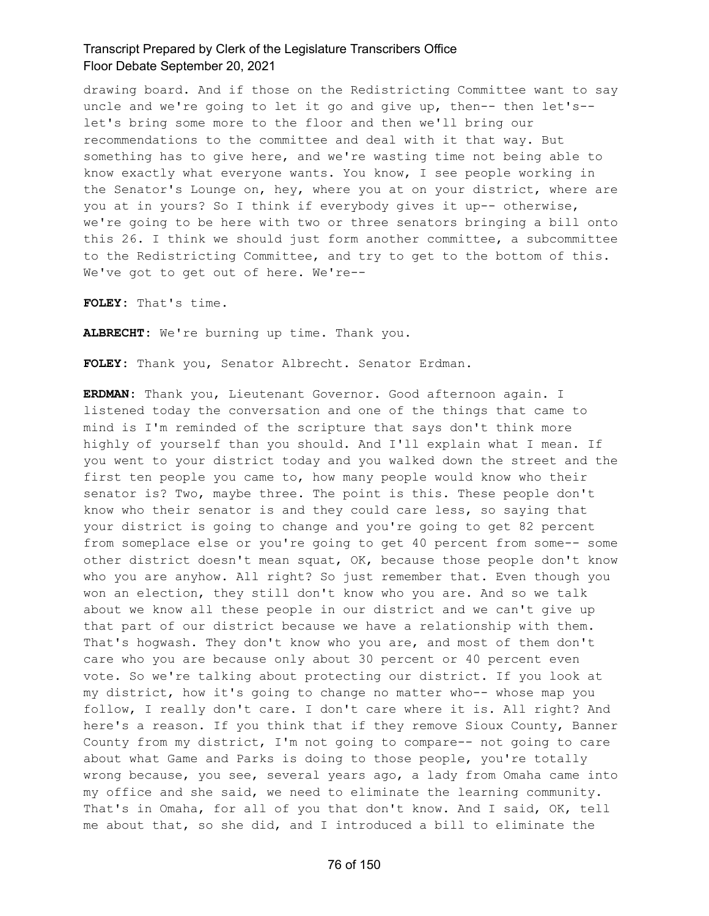drawing board. And if those on the Redistricting Committee want to say uncle and we're going to let it go and give up, then-- then let's- let's bring some more to the floor and then we'll bring our recommendations to the committee and deal with it that way. But something has to give here, and we're wasting time not being able to know exactly what everyone wants. You know, I see people working in the Senator's Lounge on, hey, where you at on your district, where are you at in yours? So I think if everybody gives it up-- otherwise, we're going to be here with two or three senators bringing a bill onto this 26. I think we should just form another committee, a subcommittee to the Redistricting Committee, and try to get to the bottom of this. We've got to get out of here. We're--

**FOLEY:** That's time.

**ALBRECHT:** We're burning up time. Thank you.

**FOLEY:** Thank you, Senator Albrecht. Senator Erdman.

**ERDMAN:** Thank you, Lieutenant Governor. Good afternoon again. I listened today the conversation and one of the things that came to mind is I'm reminded of the scripture that says don't think more highly of yourself than you should. And I'll explain what I mean. If you went to your district today and you walked down the street and the first ten people you came to, how many people would know who their senator is? Two, maybe three. The point is this. These people don't know who their senator is and they could care less, so saying that your district is going to change and you're going to get 82 percent from someplace else or you're going to get 40 percent from some-- some other district doesn't mean squat, OK, because those people don't know who you are anyhow. All right? So just remember that. Even though you won an election, they still don't know who you are. And so we talk about we know all these people in our district and we can't give up that part of our district because we have a relationship with them. That's hogwash. They don't know who you are, and most of them don't care who you are because only about 30 percent or 40 percent even vote. So we're talking about protecting our district. If you look at my district, how it's going to change no matter who-- whose map you follow, I really don't care. I don't care where it is. All right? And here's a reason. If you think that if they remove Sioux County, Banner County from my district, I'm not going to compare-- not going to care about what Game and Parks is doing to those people, you're totally wrong because, you see, several years ago, a lady from Omaha came into my office and she said, we need to eliminate the learning community. That's in Omaha, for all of you that don't know. And I said, OK, tell me about that, so she did, and I introduced a bill to eliminate the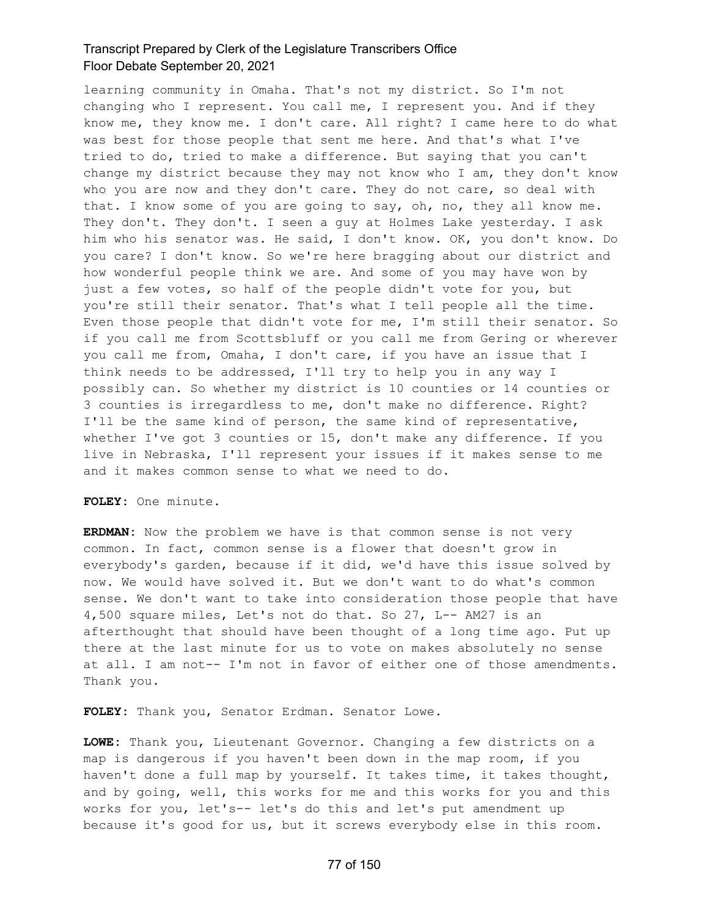learning community in Omaha. That's not my district. So I'm not changing who I represent. You call me, I represent you. And if they know me, they know me. I don't care. All right? I came here to do what was best for those people that sent me here. And that's what I've tried to do, tried to make a difference. But saying that you can't change my district because they may not know who I am, they don't know who you are now and they don't care. They do not care, so deal with that. I know some of you are going to say, oh, no, they all know me. They don't. They don't. I seen a guy at Holmes Lake yesterday. I ask him who his senator was. He said, I don't know. OK, you don't know. Do you care? I don't know. So we're here bragging about our district and how wonderful people think we are. And some of you may have won by just a few votes, so half of the people didn't vote for you, but you're still their senator. That's what I tell people all the time. Even those people that didn't vote for me, I'm still their senator. So if you call me from Scottsbluff or you call me from Gering or wherever you call me from, Omaha, I don't care, if you have an issue that I think needs to be addressed, I'll try to help you in any way I possibly can. So whether my district is 10 counties or 14 counties or 3 counties is irregardless to me, don't make no difference. Right? I'll be the same kind of person, the same kind of representative, whether I've got 3 counties or 15, don't make any difference. If you live in Nebraska, I'll represent your issues if it makes sense to me and it makes common sense to what we need to do.

**FOLEY:** One minute.

**ERDMAN:** Now the problem we have is that common sense is not very common. In fact, common sense is a flower that doesn't grow in everybody's garden, because if it did, we'd have this issue solved by now. We would have solved it. But we don't want to do what's common sense. We don't want to take into consideration those people that have 4,500 square miles, Let's not do that. So 27, L-- AM27 is an afterthought that should have been thought of a long time ago. Put up there at the last minute for us to vote on makes absolutely no sense at all. I am not-- I'm not in favor of either one of those amendments. Thank you.

**FOLEY:** Thank you, Senator Erdman. Senator Lowe.

**LOWE:** Thank you, Lieutenant Governor. Changing a few districts on a map is dangerous if you haven't been down in the map room, if you haven't done a full map by yourself. It takes time, it takes thought, and by going, well, this works for me and this works for you and this works for you, let's-- let's do this and let's put amendment up because it's good for us, but it screws everybody else in this room.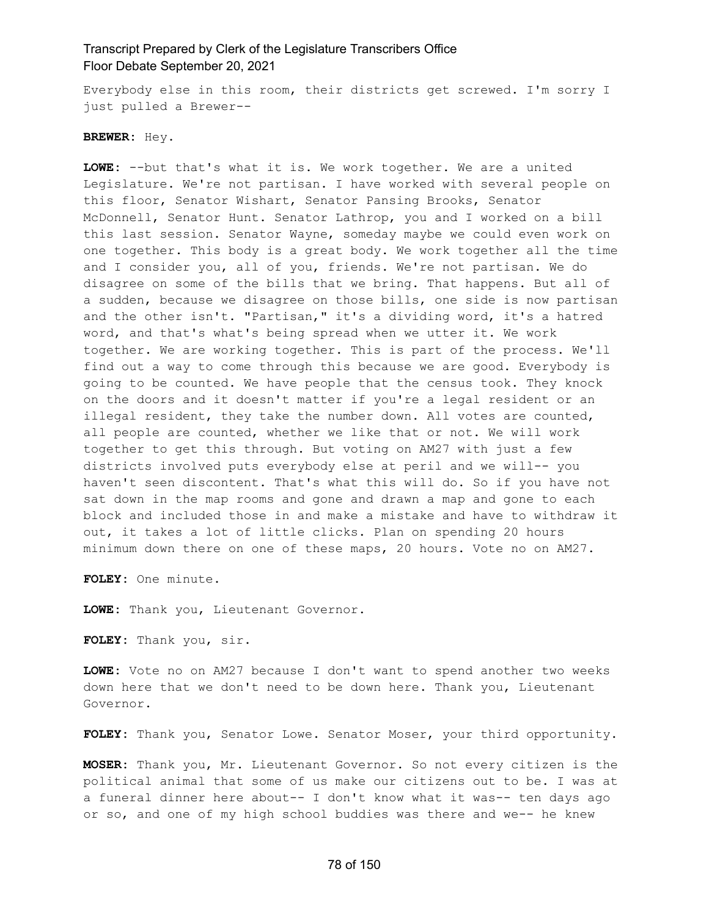Everybody else in this room, their districts get screwed. I'm sorry I just pulled a Brewer--

#### **BREWER:** Hey.

**LOWE:** --but that's what it is. We work together. We are a united Legislature. We're not partisan. I have worked with several people on this floor, Senator Wishart, Senator Pansing Brooks, Senator McDonnell, Senator Hunt. Senator Lathrop, you and I worked on a bill this last session. Senator Wayne, someday maybe we could even work on one together. This body is a great body. We work together all the time and I consider you, all of you, friends. We're not partisan. We do disagree on some of the bills that we bring. That happens. But all of a sudden, because we disagree on those bills, one side is now partisan and the other isn't. "Partisan," it's a dividing word, it's a hatred word, and that's what's being spread when we utter it. We work together. We are working together. This is part of the process. We'll find out a way to come through this because we are good. Everybody is going to be counted. We have people that the census took. They knock on the doors and it doesn't matter if you're a legal resident or an illegal resident, they take the number down. All votes are counted, all people are counted, whether we like that or not. We will work together to get this through. But voting on AM27 with just a few districts involved puts everybody else at peril and we will-- you haven't seen discontent. That's what this will do. So if you have not sat down in the map rooms and gone and drawn a map and gone to each block and included those in and make a mistake and have to withdraw it out, it takes a lot of little clicks. Plan on spending 20 hours minimum down there on one of these maps, 20 hours. Vote no on AM27.

**FOLEY:** One minute.

**LOWE:** Thank you, Lieutenant Governor.

**FOLEY:** Thank you, sir.

**LOWE:** Vote no on AM27 because I don't want to spend another two weeks down here that we don't need to be down here. Thank you, Lieutenant Governor.

**FOLEY:** Thank you, Senator Lowe. Senator Moser, your third opportunity.

**MOSER:** Thank you, Mr. Lieutenant Governor. So not every citizen is the political animal that some of us make our citizens out to be. I was at a funeral dinner here about-- I don't know what it was-- ten days ago or so, and one of my high school buddies was there and we-- he knew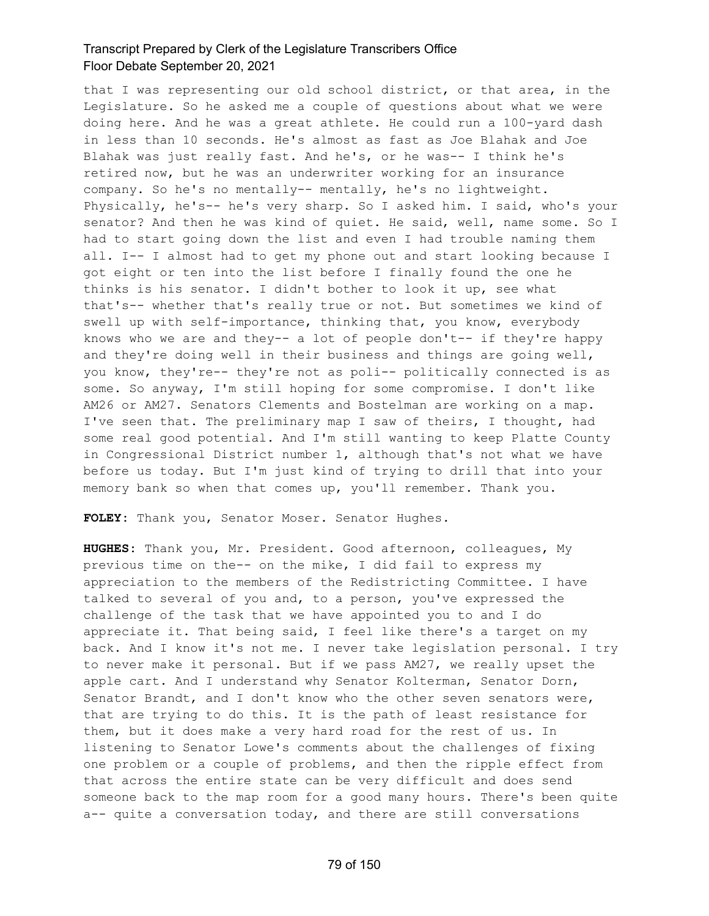that I was representing our old school district, or that area, in the Legislature. So he asked me a couple of questions about what we were doing here. And he was a great athlete. He could run a 100-yard dash in less than 10 seconds. He's almost as fast as Joe Blahak and Joe Blahak was just really fast. And he's, or he was-- I think he's retired now, but he was an underwriter working for an insurance company. So he's no mentally-- mentally, he's no lightweight. Physically, he's-- he's very sharp. So I asked him. I said, who's your senator? And then he was kind of quiet. He said, well, name some. So I had to start going down the list and even I had trouble naming them all. I-- I almost had to get my phone out and start looking because I got eight or ten into the list before I finally found the one he thinks is his senator. I didn't bother to look it up, see what that's-- whether that's really true or not. But sometimes we kind of swell up with self-importance, thinking that, you know, everybody knows who we are and they-- a lot of people don't-- if they're happy and they're doing well in their business and things are going well, you know, they're-- they're not as poli-- politically connected is as some. So anyway, I'm still hoping for some compromise. I don't like AM26 or AM27. Senators Clements and Bostelman are working on a map. I've seen that. The preliminary map I saw of theirs, I thought, had some real good potential. And I'm still wanting to keep Platte County in Congressional District number 1, although that's not what we have before us today. But I'm just kind of trying to drill that into your memory bank so when that comes up, you'll remember. Thank you.

**FOLEY:** Thank you, Senator Moser. Senator Hughes.

**HUGHES:** Thank you, Mr. President. Good afternoon, colleagues, My previous time on the-- on the mike, I did fail to express my appreciation to the members of the Redistricting Committee. I have talked to several of you and, to a person, you've expressed the challenge of the task that we have appointed you to and I do appreciate it. That being said, I feel like there's a target on my back. And I know it's not me. I never take legislation personal. I try to never make it personal. But if we pass AM27, we really upset the apple cart. And I understand why Senator Kolterman, Senator Dorn, Senator Brandt, and I don't know who the other seven senators were, that are trying to do this. It is the path of least resistance for them, but it does make a very hard road for the rest of us. In listening to Senator Lowe's comments about the challenges of fixing one problem or a couple of problems, and then the ripple effect from that across the entire state can be very difficult and does send someone back to the map room for a good many hours. There's been quite a-- quite a conversation today, and there are still conversations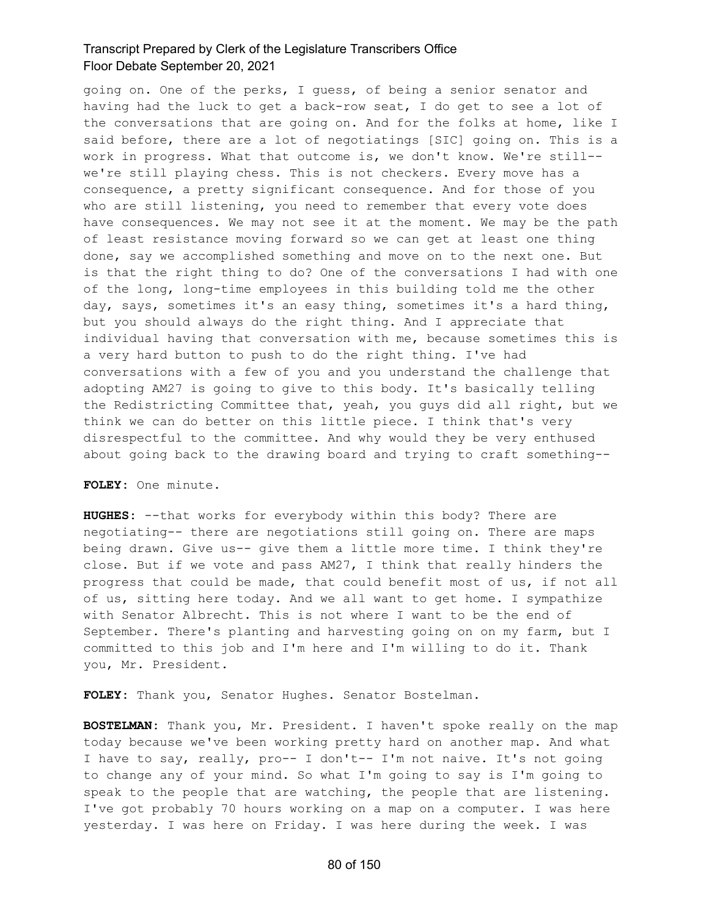going on. One of the perks, I guess, of being a senior senator and having had the luck to get a back-row seat, I do get to see a lot of the conversations that are going on. And for the folks at home, like I said before, there are a lot of negotiatings [SIC] going on. This is a work in progress. What that outcome is, we don't know. We're still- we're still playing chess. This is not checkers. Every move has a consequence, a pretty significant consequence. And for those of you who are still listening, you need to remember that every vote does have consequences. We may not see it at the moment. We may be the path of least resistance moving forward so we can get at least one thing done, say we accomplished something and move on to the next one. But is that the right thing to do? One of the conversations I had with one of the long, long-time employees in this building told me the other day, says, sometimes it's an easy thing, sometimes it's a hard thing, but you should always do the right thing. And I appreciate that individual having that conversation with me, because sometimes this is a very hard button to push to do the right thing. I've had conversations with a few of you and you understand the challenge that adopting AM27 is going to give to this body. It's basically telling the Redistricting Committee that, yeah, you guys did all right, but we think we can do better on this little piece. I think that's very disrespectful to the committee. And why would they be very enthused about going back to the drawing board and trying to craft something--

#### **FOLEY:** One minute.

**HUGHES:** --that works for everybody within this body? There are negotiating-- there are negotiations still going on. There are maps being drawn. Give us-- give them a little more time. I think they're close. But if we vote and pass AM27, I think that really hinders the progress that could be made, that could benefit most of us, if not all of us, sitting here today. And we all want to get home. I sympathize with Senator Albrecht. This is not where I want to be the end of September. There's planting and harvesting going on on my farm, but I committed to this job and I'm here and I'm willing to do it. Thank you, Mr. President.

**FOLEY:** Thank you, Senator Hughes. Senator Bostelman.

**BOSTELMAN:** Thank you, Mr. President. I haven't spoke really on the map today because we've been working pretty hard on another map. And what I have to say, really, pro-- I don't-- I'm not naive. It's not going to change any of your mind. So what I'm going to say is I'm going to speak to the people that are watching, the people that are listening. I've got probably 70 hours working on a map on a computer. I was here yesterday. I was here on Friday. I was here during the week. I was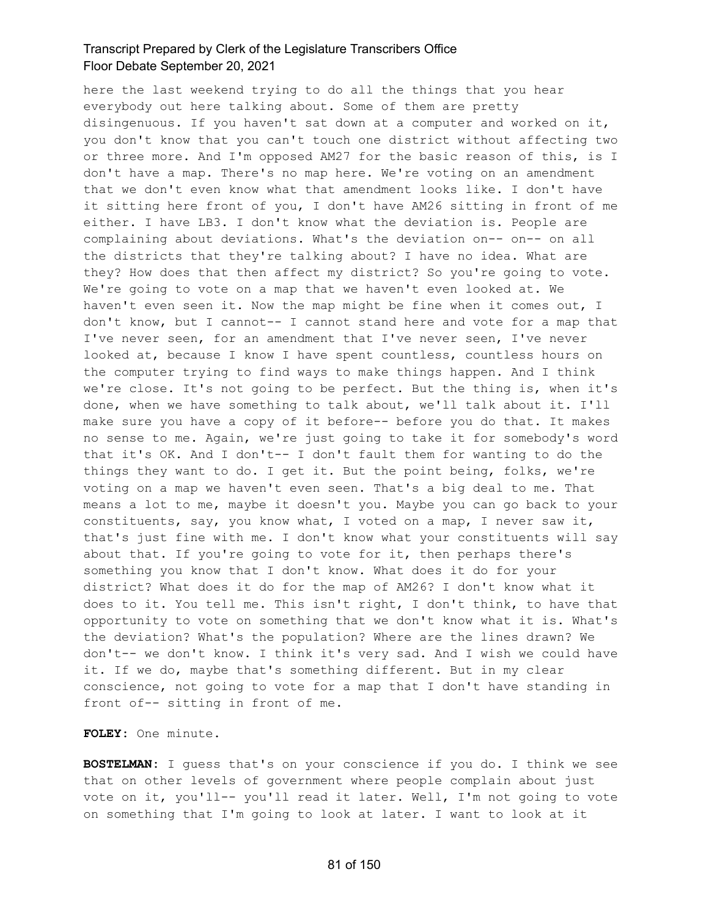here the last weekend trying to do all the things that you hear everybody out here talking about. Some of them are pretty disingenuous. If you haven't sat down at a computer and worked on it, you don't know that you can't touch one district without affecting two or three more. And I'm opposed AM27 for the basic reason of this, is I don't have a map. There's no map here. We're voting on an amendment that we don't even know what that amendment looks like. I don't have it sitting here front of you, I don't have AM26 sitting in front of me either. I have LB3. I don't know what the deviation is. People are complaining about deviations. What's the deviation on-- on-- on all the districts that they're talking about? I have no idea. What are they? How does that then affect my district? So you're going to vote. We're going to vote on a map that we haven't even looked at. We haven't even seen it. Now the map might be fine when it comes out, I don't know, but I cannot-- I cannot stand here and vote for a map that I've never seen, for an amendment that I've never seen, I've never looked at, because I know I have spent countless, countless hours on the computer trying to find ways to make things happen. And I think we're close. It's not going to be perfect. But the thing is, when it's done, when we have something to talk about, we'll talk about it. I'll make sure you have a copy of it before-- before you do that. It makes no sense to me. Again, we're just going to take it for somebody's word that it's OK. And I don't-- I don't fault them for wanting to do the things they want to do. I get it. But the point being, folks, we're voting on a map we haven't even seen. That's a big deal to me. That means a lot to me, maybe it doesn't you. Maybe you can go back to your constituents, say, you know what, I voted on a map, I never saw it, that's just fine with me. I don't know what your constituents will say about that. If you're going to vote for it, then perhaps there's something you know that I don't know. What does it do for your district? What does it do for the map of AM26? I don't know what it does to it. You tell me. This isn't right, I don't think, to have that opportunity to vote on something that we don't know what it is. What's the deviation? What's the population? Where are the lines drawn? We don't-- we don't know. I think it's very sad. And I wish we could have it. If we do, maybe that's something different. But in my clear conscience, not going to vote for a map that I don't have standing in front of-- sitting in front of me.

**FOLEY:** One minute.

**BOSTELMAN:** I guess that's on your conscience if you do. I think we see that on other levels of government where people complain about just vote on it, you'll-- you'll read it later. Well, I'm not going to vote on something that I'm going to look at later. I want to look at it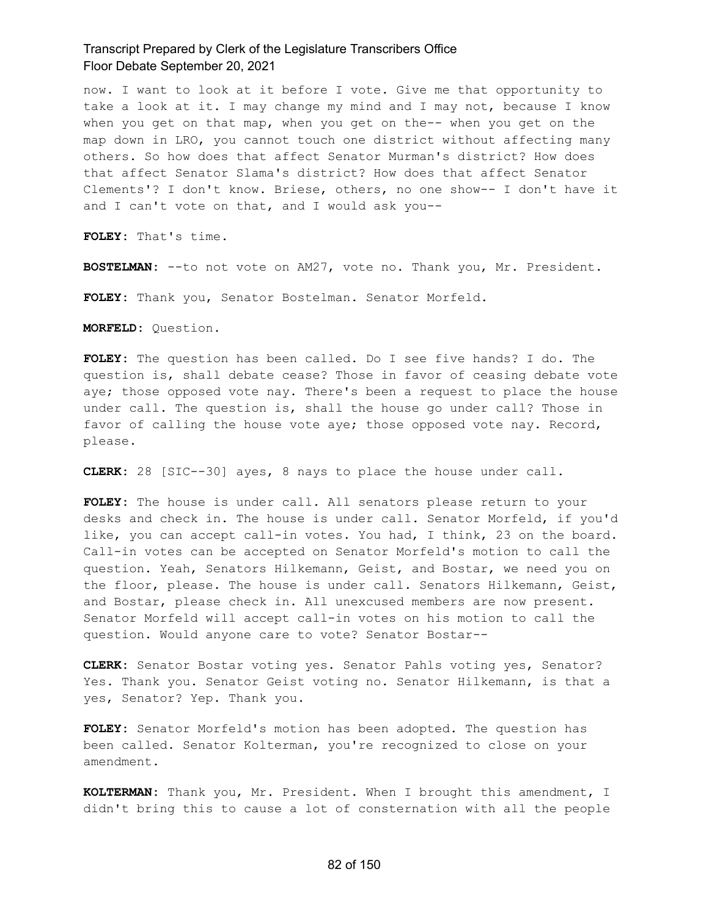now. I want to look at it before I vote. Give me that opportunity to take a look at it. I may change my mind and I may not, because I know when you get on that map, when you get on the-- when you get on the map down in LRO, you cannot touch one district without affecting many others. So how does that affect Senator Murman's district? How does that affect Senator Slama's district? How does that affect Senator Clements'? I don't know. Briese, others, no one show-- I don't have it and I can't vote on that, and I would ask you--

**FOLEY:** That's time.

**BOSTELMAN:** --to not vote on AM27, vote no. Thank you, Mr. President.

**FOLEY:** Thank you, Senator Bostelman. Senator Morfeld.

**MORFELD:** Question.

**FOLEY:** The question has been called. Do I see five hands? I do. The question is, shall debate cease? Those in favor of ceasing debate vote aye; those opposed vote nay. There's been a request to place the house under call. The question is, shall the house go under call? Those in favor of calling the house vote aye; those opposed vote nay. Record, please.

**CLERK:** 28 [SIC--30] ayes, 8 nays to place the house under call.

**FOLEY:** The house is under call. All senators please return to your desks and check in. The house is under call. Senator Morfeld, if you'd like, you can accept call-in votes. You had, I think, 23 on the board. Call-in votes can be accepted on Senator Morfeld's motion to call the question. Yeah, Senators Hilkemann, Geist, and Bostar, we need you on the floor, please. The house is under call. Senators Hilkemann, Geist, and Bostar, please check in. All unexcused members are now present. Senator Morfeld will accept call-in votes on his motion to call the question. Would anyone care to vote? Senator Bostar--

**CLERK:** Senator Bostar voting yes. Senator Pahls voting yes, Senator? Yes. Thank you. Senator Geist voting no. Senator Hilkemann, is that a yes, Senator? Yep. Thank you.

**FOLEY:** Senator Morfeld's motion has been adopted. The question has been called. Senator Kolterman, you're recognized to close on your amendment.

**KOLTERMAN:** Thank you, Mr. President. When I brought this amendment, I didn't bring this to cause a lot of consternation with all the people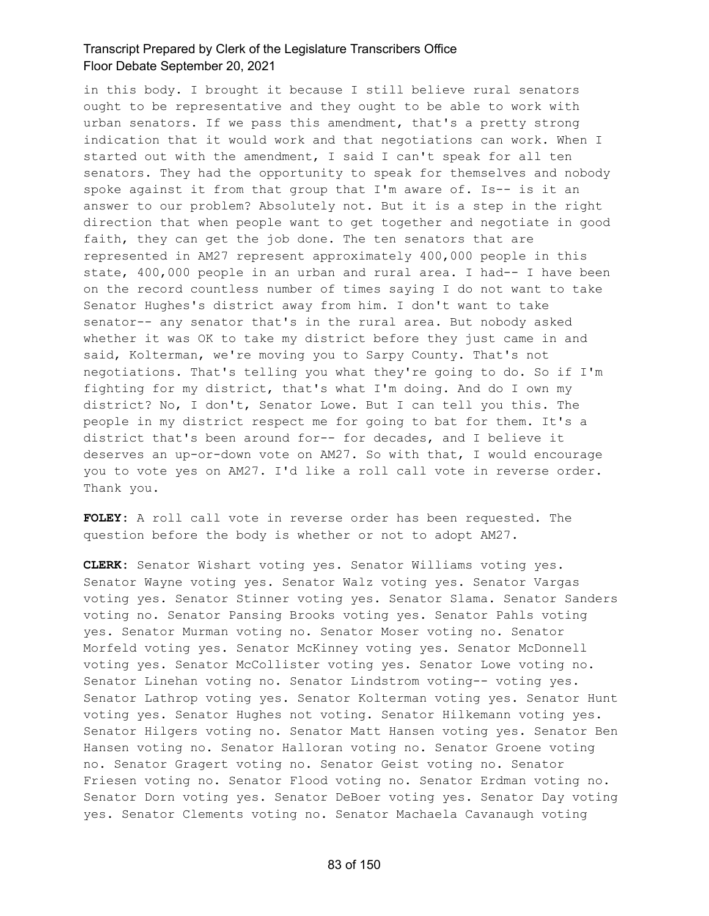in this body. I brought it because I still believe rural senators ought to be representative and they ought to be able to work with urban senators. If we pass this amendment, that's a pretty strong indication that it would work and that negotiations can work. When I started out with the amendment, I said I can't speak for all ten senators. They had the opportunity to speak for themselves and nobody spoke against it from that group that I'm aware of. Is-- is it an answer to our problem? Absolutely not. But it is a step in the right direction that when people want to get together and negotiate in good faith, they can get the job done. The ten senators that are represented in AM27 represent approximately 400,000 people in this state, 400,000 people in an urban and rural area. I had-- I have been on the record countless number of times saying I do not want to take Senator Hughes's district away from him. I don't want to take senator-- any senator that's in the rural area. But nobody asked whether it was OK to take my district before they just came in and said, Kolterman, we're moving you to Sarpy County. That's not negotiations. That's telling you what they're going to do. So if I'm fighting for my district, that's what I'm doing. And do I own my district? No, I don't, Senator Lowe. But I can tell you this. The people in my district respect me for going to bat for them. It's a district that's been around for-- for decades, and I believe it deserves an up-or-down vote on AM27. So with that, I would encourage you to vote yes on AM27. I'd like a roll call vote in reverse order. Thank you.

**FOLEY:** A roll call vote in reverse order has been requested. The question before the body is whether or not to adopt AM27.

**CLERK:** Senator Wishart voting yes. Senator Williams voting yes. Senator Wayne voting yes. Senator Walz voting yes. Senator Vargas voting yes. Senator Stinner voting yes. Senator Slama. Senator Sanders voting no. Senator Pansing Brooks voting yes. Senator Pahls voting yes. Senator Murman voting no. Senator Moser voting no. Senator Morfeld voting yes. Senator McKinney voting yes. Senator McDonnell voting yes. Senator McCollister voting yes. Senator Lowe voting no. Senator Linehan voting no. Senator Lindstrom voting-- voting yes. Senator Lathrop voting yes. Senator Kolterman voting yes. Senator Hunt voting yes. Senator Hughes not voting. Senator Hilkemann voting yes. Senator Hilgers voting no. Senator Matt Hansen voting yes. Senator Ben Hansen voting no. Senator Halloran voting no. Senator Groene voting no. Senator Gragert voting no. Senator Geist voting no. Senator Friesen voting no. Senator Flood voting no. Senator Erdman voting no. Senator Dorn voting yes. Senator DeBoer voting yes. Senator Day voting yes. Senator Clements voting no. Senator Machaela Cavanaugh voting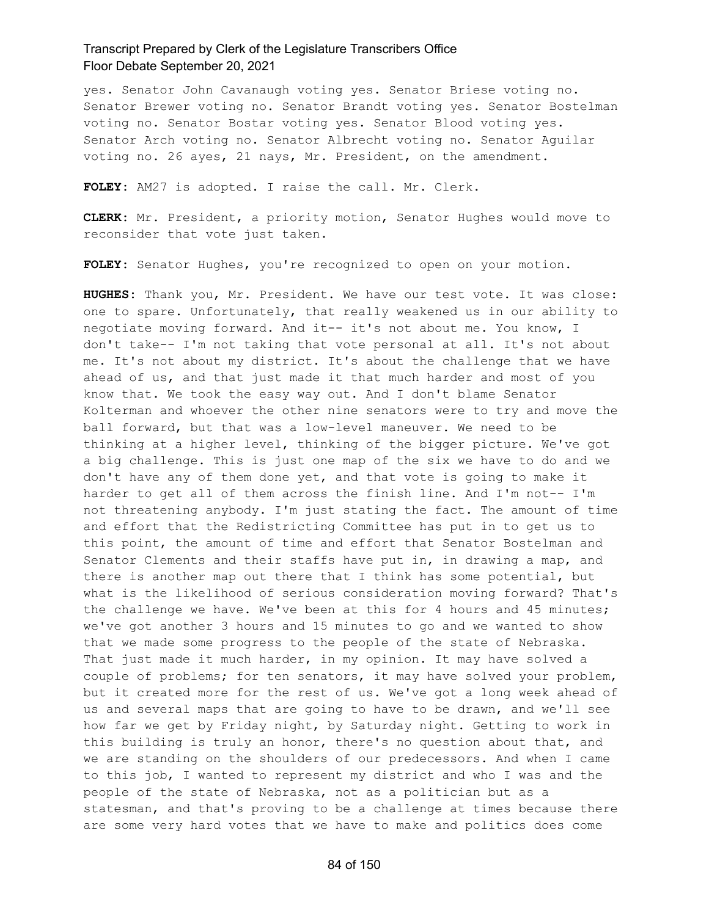yes. Senator John Cavanaugh voting yes. Senator Briese voting no. Senator Brewer voting no. Senator Brandt voting yes. Senator Bostelman voting no. Senator Bostar voting yes. Senator Blood voting yes. Senator Arch voting no. Senator Albrecht voting no. Senator Aguilar voting no. 26 ayes, 21 nays, Mr. President, on the amendment.

**FOLEY:** AM27 is adopted. I raise the call. Mr. Clerk.

**CLERK:** Mr. President, a priority motion, Senator Hughes would move to reconsider that vote just taken.

**FOLEY:** Senator Hughes, you're recognized to open on your motion.

**HUGHES:** Thank you, Mr. President. We have our test vote. It was close: one to spare. Unfortunately, that really weakened us in our ability to negotiate moving forward. And it-- it's not about me. You know, I don't take-- I'm not taking that vote personal at all. It's not about me. It's not about my district. It's about the challenge that we have ahead of us, and that just made it that much harder and most of you know that. We took the easy way out. And I don't blame Senator Kolterman and whoever the other nine senators were to try and move the ball forward, but that was a low-level maneuver. We need to be thinking at a higher level, thinking of the bigger picture. We've got a big challenge. This is just one map of the six we have to do and we don't have any of them done yet, and that vote is going to make it harder to get all of them across the finish line. And I'm not-- I'm not threatening anybody. I'm just stating the fact. The amount of time and effort that the Redistricting Committee has put in to get us to this point, the amount of time and effort that Senator Bostelman and Senator Clements and their staffs have put in, in drawing a map, and there is another map out there that I think has some potential, but what is the likelihood of serious consideration moving forward? That's the challenge we have. We've been at this for 4 hours and 45 minutes; we've got another 3 hours and 15 minutes to go and we wanted to show that we made some progress to the people of the state of Nebraska. That just made it much harder, in my opinion. It may have solved a couple of problems; for ten senators, it may have solved your problem, but it created more for the rest of us. We've got a long week ahead of us and several maps that are going to have to be drawn, and we'll see how far we get by Friday night, by Saturday night. Getting to work in this building is truly an honor, there's no question about that, and we are standing on the shoulders of our predecessors. And when I came to this job, I wanted to represent my district and who I was and the people of the state of Nebraska, not as a politician but as a statesman, and that's proving to be a challenge at times because there are some very hard votes that we have to make and politics does come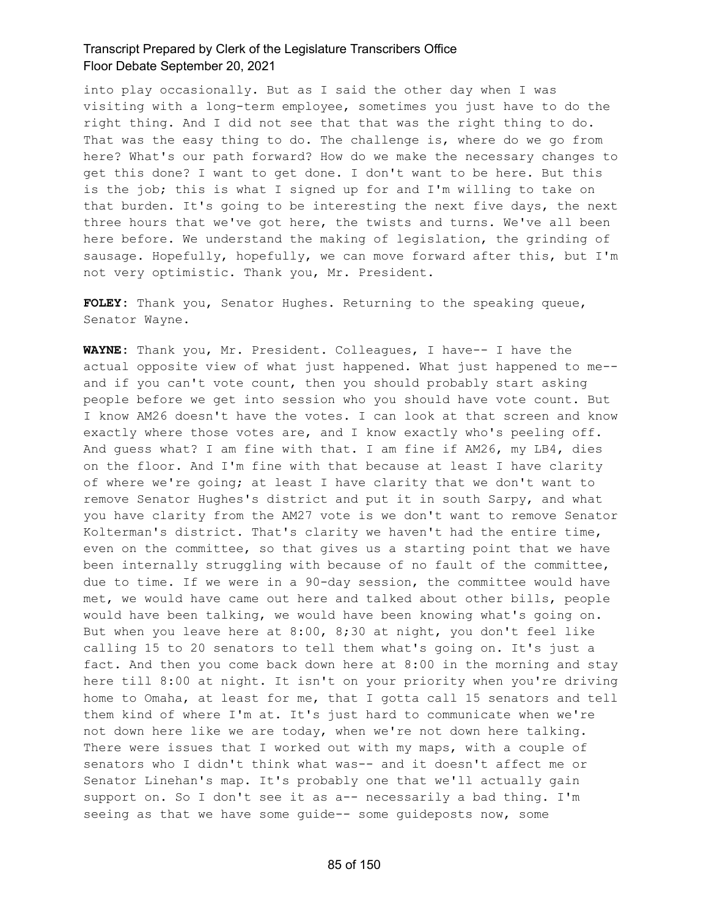into play occasionally. But as I said the other day when I was visiting with a long-term employee, sometimes you just have to do the right thing. And I did not see that that was the right thing to do. That was the easy thing to do. The challenge is, where do we go from here? What's our path forward? How do we make the necessary changes to get this done? I want to get done. I don't want to be here. But this is the job; this is what I signed up for and I'm willing to take on that burden. It's going to be interesting the next five days, the next three hours that we've got here, the twists and turns. We've all been here before. We understand the making of legislation, the grinding of sausage. Hopefully, hopefully, we can move forward after this, but I'm not very optimistic. Thank you, Mr. President.

**FOLEY:** Thank you, Senator Hughes. Returning to the speaking queue, Senator Wayne.

**WAYNE:** Thank you, Mr. President. Colleagues, I have-- I have the actual opposite view of what just happened. What just happened to me- and if you can't vote count, then you should probably start asking people before we get into session who you should have vote count. But I know AM26 doesn't have the votes. I can look at that screen and know exactly where those votes are, and I know exactly who's peeling off. And guess what? I am fine with that. I am fine if AM26, my LB4, dies on the floor. And I'm fine with that because at least I have clarity of where we're going; at least I have clarity that we don't want to remove Senator Hughes's district and put it in south Sarpy, and what you have clarity from the AM27 vote is we don't want to remove Senator Kolterman's district. That's clarity we haven't had the entire time, even on the committee, so that gives us a starting point that we have been internally struggling with because of no fault of the committee, due to time. If we were in a 90-day session, the committee would have met, we would have came out here and talked about other bills, people would have been talking, we would have been knowing what's going on. But when you leave here at 8:00, 8;30 at night, you don't feel like calling 15 to 20 senators to tell them what's going on. It's just a fact. And then you come back down here at 8:00 in the morning and stay here till 8:00 at night. It isn't on your priority when you're driving home to Omaha, at least for me, that I gotta call 15 senators and tell them kind of where I'm at. It's just hard to communicate when we're not down here like we are today, when we're not down here talking. There were issues that I worked out with my maps, with a couple of senators who I didn't think what was-- and it doesn't affect me or Senator Linehan's map. It's probably one that we'll actually gain support on. So I don't see it as a-- necessarily a bad thing. I'm seeing as that we have some guide-- some guideposts now, some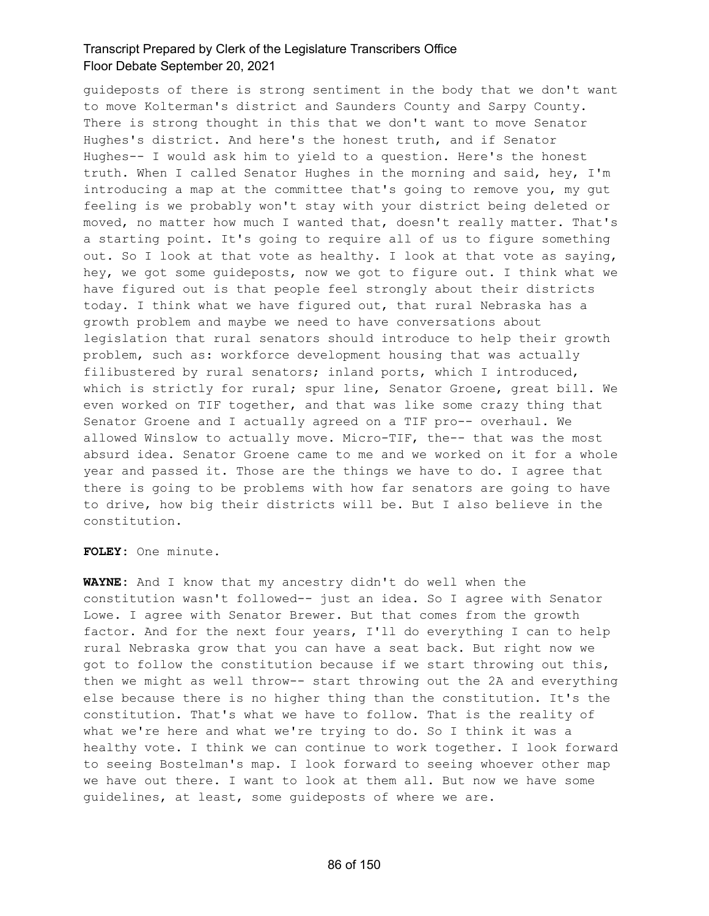guideposts of there is strong sentiment in the body that we don't want to move Kolterman's district and Saunders County and Sarpy County. There is strong thought in this that we don't want to move Senator Hughes's district. And here's the honest truth, and if Senator Hughes-- I would ask him to yield to a question. Here's the honest truth. When I called Senator Hughes in the morning and said, hey, I'm introducing a map at the committee that's going to remove you, my gut feeling is we probably won't stay with your district being deleted or moved, no matter how much I wanted that, doesn't really matter. That's a starting point. It's going to require all of us to figure something out. So I look at that vote as healthy. I look at that vote as saying, hey, we got some guideposts, now we got to figure out. I think what we have figured out is that people feel strongly about their districts today. I think what we have figured out, that rural Nebraska has a growth problem and maybe we need to have conversations about legislation that rural senators should introduce to help their growth problem, such as: workforce development housing that was actually filibustered by rural senators; inland ports, which I introduced, which is strictly for rural; spur line, Senator Groene, great bill. We even worked on TIF together, and that was like some crazy thing that Senator Groene and I actually agreed on a TIF pro-- overhaul. We allowed Winslow to actually move. Micro-TIF, the-- that was the most absurd idea. Senator Groene came to me and we worked on it for a whole year and passed it. Those are the things we have to do. I agree that there is going to be problems with how far senators are going to have to drive, how big their districts will be. But I also believe in the constitution.

**FOLEY:** One minute.

**WAYNE:** And I know that my ancestry didn't do well when the constitution wasn't followed-- just an idea. So I agree with Senator Lowe. I agree with Senator Brewer. But that comes from the growth factor. And for the next four years, I'll do everything I can to help rural Nebraska grow that you can have a seat back. But right now we got to follow the constitution because if we start throwing out this, then we might as well throw-- start throwing out the 2A and everything else because there is no higher thing than the constitution. It's the constitution. That's what we have to follow. That is the reality of what we're here and what we're trying to do. So I think it was a healthy vote. I think we can continue to work together. I look forward to seeing Bostelman's map. I look forward to seeing whoever other map we have out there. I want to look at them all. But now we have some guidelines, at least, some guideposts of where we are.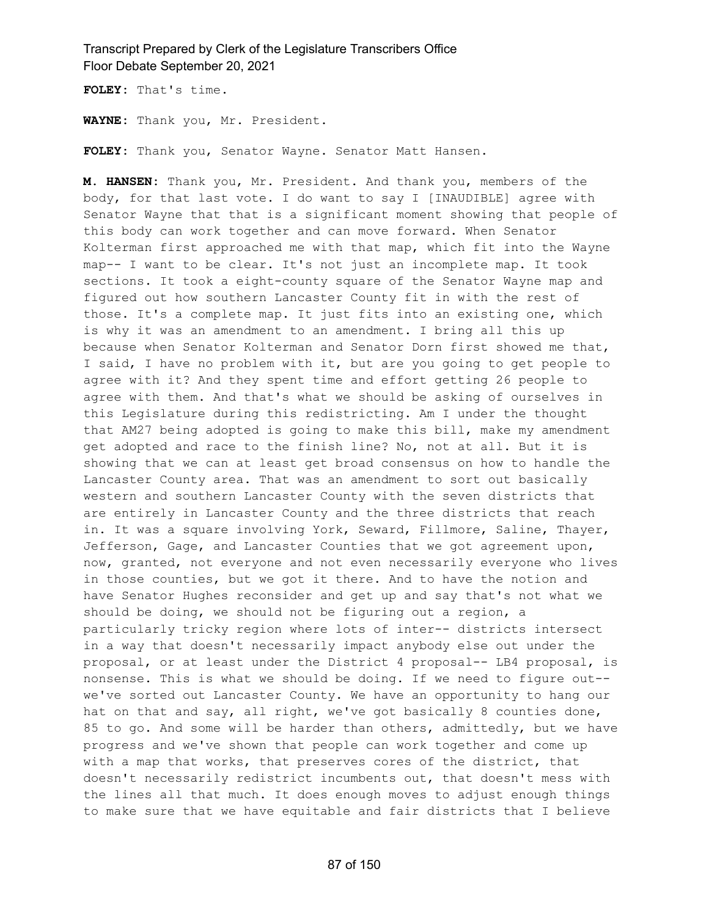**FOLEY:** That's time.

**WAYNE:** Thank you, Mr. President.

**FOLEY:** Thank you, Senator Wayne. Senator Matt Hansen.

**M. HANSEN:** Thank you, Mr. President. And thank you, members of the body, for that last vote. I do want to say I [INAUDIBLE] agree with Senator Wayne that that is a significant moment showing that people of this body can work together and can move forward. When Senator Kolterman first approached me with that map, which fit into the Wayne map-- I want to be clear. It's not just an incomplete map. It took sections. It took a eight-county square of the Senator Wayne map and figured out how southern Lancaster County fit in with the rest of those. It's a complete map. It just fits into an existing one, which is why it was an amendment to an amendment. I bring all this up because when Senator Kolterman and Senator Dorn first showed me that, I said, I have no problem with it, but are you going to get people to agree with it? And they spent time and effort getting 26 people to agree with them. And that's what we should be asking of ourselves in this Legislature during this redistricting. Am I under the thought that AM27 being adopted is going to make this bill, make my amendment get adopted and race to the finish line? No, not at all. But it is showing that we can at least get broad consensus on how to handle the Lancaster County area. That was an amendment to sort out basically western and southern Lancaster County with the seven districts that are entirely in Lancaster County and the three districts that reach in. It was a square involving York, Seward, Fillmore, Saline, Thayer, Jefferson, Gage, and Lancaster Counties that we got agreement upon, now, granted, not everyone and not even necessarily everyone who lives in those counties, but we got it there. And to have the notion and have Senator Hughes reconsider and get up and say that's not what we should be doing, we should not be figuring out a region, a particularly tricky region where lots of inter-- districts intersect in a way that doesn't necessarily impact anybody else out under the proposal, or at least under the District 4 proposal-- LB4 proposal, is nonsense. This is what we should be doing. If we need to figure out- we've sorted out Lancaster County. We have an opportunity to hang our hat on that and say, all right, we've got basically 8 counties done, 85 to go. And some will be harder than others, admittedly, but we have progress and we've shown that people can work together and come up with a map that works, that preserves cores of the district, that doesn't necessarily redistrict incumbents out, that doesn't mess with the lines all that much. It does enough moves to adjust enough things to make sure that we have equitable and fair districts that I believe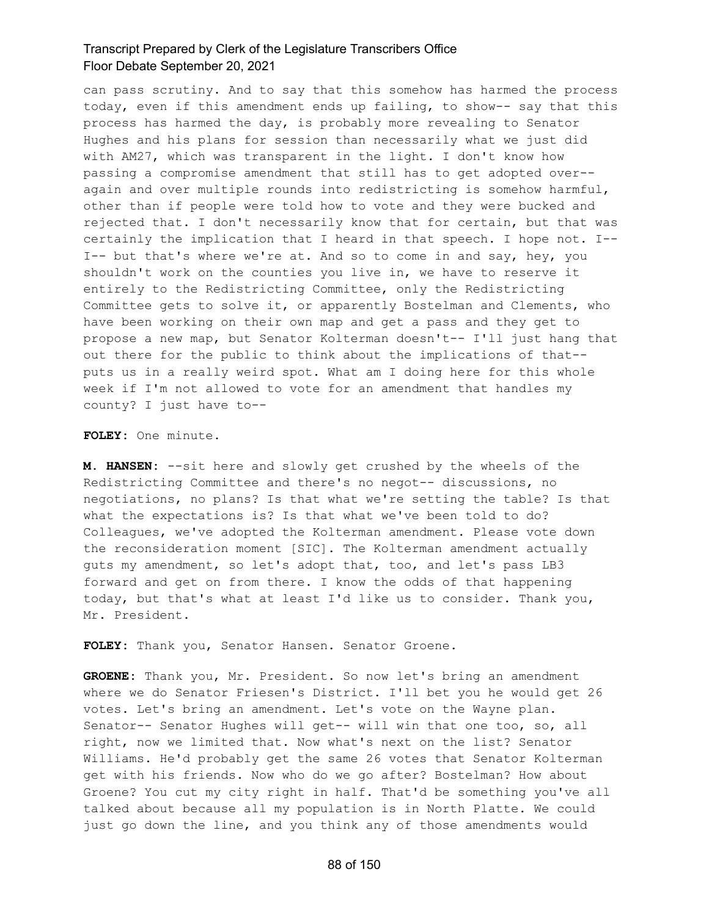can pass scrutiny. And to say that this somehow has harmed the process today, even if this amendment ends up failing, to show-- say that this process has harmed the day, is probably more revealing to Senator Hughes and his plans for session than necessarily what we just did with AM27, which was transparent in the light. I don't know how passing a compromise amendment that still has to get adopted over- again and over multiple rounds into redistricting is somehow harmful, other than if people were told how to vote and they were bucked and rejected that. I don't necessarily know that for certain, but that was certainly the implication that I heard in that speech. I hope not. I-- I-- but that's where we're at. And so to come in and say, hey, you shouldn't work on the counties you live in, we have to reserve it entirely to the Redistricting Committee, only the Redistricting Committee gets to solve it, or apparently Bostelman and Clements, who have been working on their own map and get a pass and they get to propose a new map, but Senator Kolterman doesn't-- I'll just hang that out there for the public to think about the implications of that- puts us in a really weird spot. What am I doing here for this whole week if I'm not allowed to vote for an amendment that handles my county? I just have to--

#### **FOLEY:** One minute.

**M. HANSEN:** --sit here and slowly get crushed by the wheels of the Redistricting Committee and there's no negot-- discussions, no negotiations, no plans? Is that what we're setting the table? Is that what the expectations is? Is that what we've been told to do? Colleagues, we've adopted the Kolterman amendment. Please vote down the reconsideration moment [SIC]. The Kolterman amendment actually guts my amendment, so let's adopt that, too, and let's pass LB3 forward and get on from there. I know the odds of that happening today, but that's what at least I'd like us to consider. Thank you, Mr. President.

**FOLEY:** Thank you, Senator Hansen. Senator Groene.

**GROENE:** Thank you, Mr. President. So now let's bring an amendment where we do Senator Friesen's District. I'll bet you he would get 26 votes. Let's bring an amendment. Let's vote on the Wayne plan. Senator-- Senator Hughes will get-- will win that one too, so, all right, now we limited that. Now what's next on the list? Senator Williams. He'd probably get the same 26 votes that Senator Kolterman get with his friends. Now who do we go after? Bostelman? How about Groene? You cut my city right in half. That'd be something you've all talked about because all my population is in North Platte. We could just go down the line, and you think any of those amendments would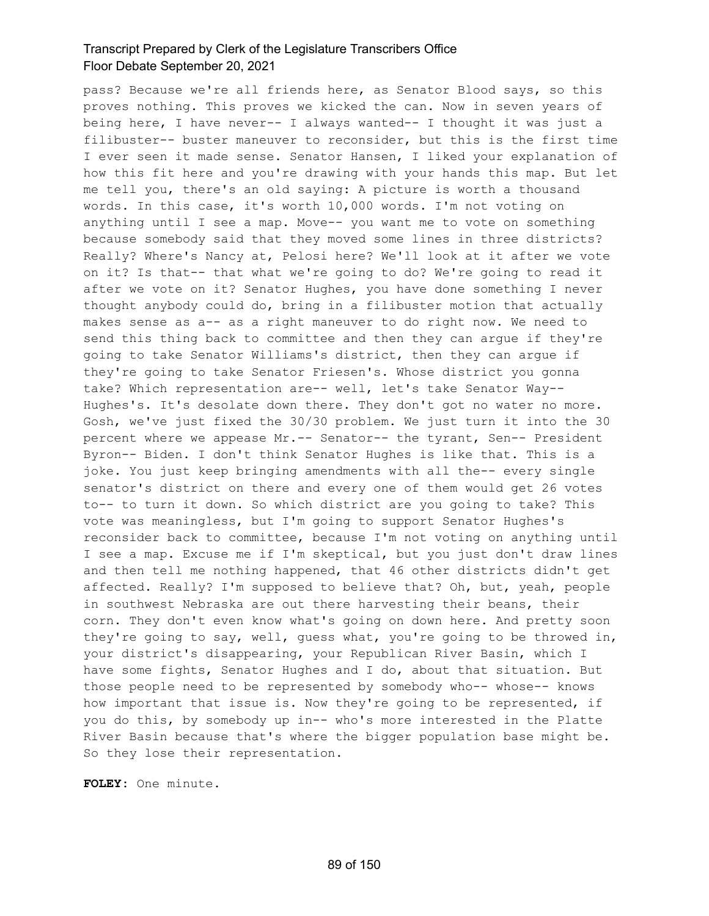pass? Because we're all friends here, as Senator Blood says, so this proves nothing. This proves we kicked the can. Now in seven years of being here, I have never-- I always wanted-- I thought it was just a filibuster-- buster maneuver to reconsider, but this is the first time I ever seen it made sense. Senator Hansen, I liked your explanation of how this fit here and you're drawing with your hands this map. But let me tell you, there's an old saying: A picture is worth a thousand words. In this case, it's worth 10,000 words. I'm not voting on anything until I see a map. Move-- you want me to vote on something because somebody said that they moved some lines in three districts? Really? Where's Nancy at, Pelosi here? We'll look at it after we vote on it? Is that-- that what we're going to do? We're going to read it after we vote on it? Senator Hughes, you have done something I never thought anybody could do, bring in a filibuster motion that actually makes sense as a-- as a right maneuver to do right now. We need to send this thing back to committee and then they can argue if they're going to take Senator Williams's district, then they can argue if they're going to take Senator Friesen's. Whose district you gonna take? Which representation are-- well, let's take Senator Way-- Hughes's. It's desolate down there. They don't got no water no more. Gosh, we've just fixed the 30/30 problem. We just turn it into the 30 percent where we appease Mr.-- Senator-- the tyrant, Sen-- President Byron-- Biden. I don't think Senator Hughes is like that. This is a joke. You just keep bringing amendments with all the-- every single senator's district on there and every one of them would get 26 votes to-- to turn it down. So which district are you going to take? This vote was meaningless, but I'm going to support Senator Hughes's reconsider back to committee, because I'm not voting on anything until I see a map. Excuse me if I'm skeptical, but you just don't draw lines and then tell me nothing happened, that 46 other districts didn't get affected. Really? I'm supposed to believe that? Oh, but, yeah, people in southwest Nebraska are out there harvesting their beans, their corn. They don't even know what's going on down here. And pretty soon they're going to say, well, guess what, you're going to be throwed in, your district's disappearing, your Republican River Basin, which I have some fights, Senator Hughes and I do, about that situation. But those people need to be represented by somebody who-- whose-- knows how important that issue is. Now they're going to be represented, if you do this, by somebody up in-- who's more interested in the Platte River Basin because that's where the bigger population base might be. So they lose their representation.

**FOLEY:** One minute.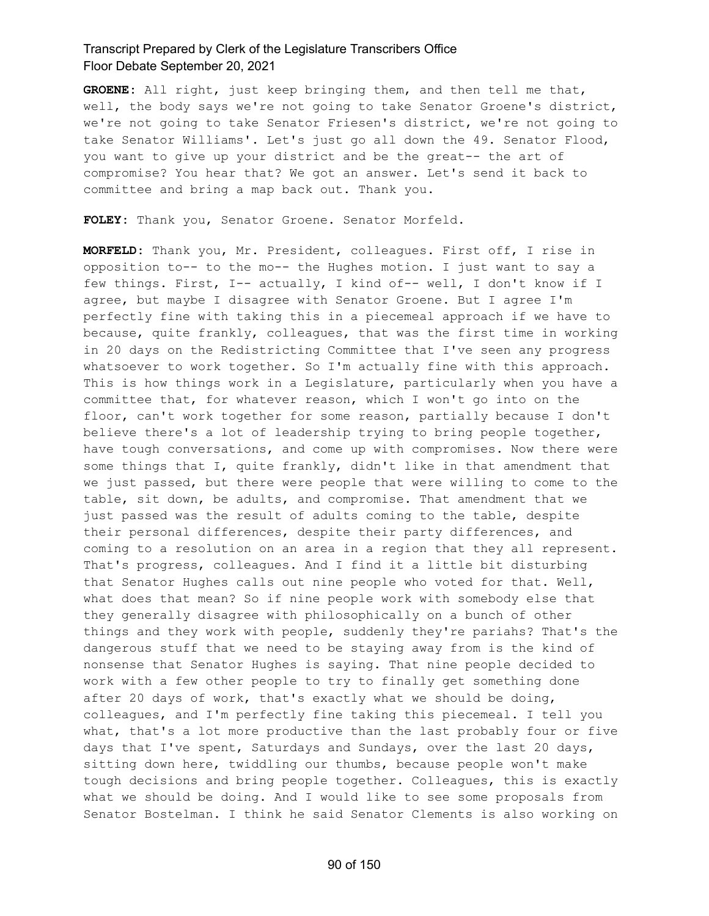**GROENE:** All right, just keep bringing them, and then tell me that, well, the body says we're not going to take Senator Groene's district, we're not going to take Senator Friesen's district, we're not going to take Senator Williams'. Let's just go all down the 49. Senator Flood, you want to give up your district and be the great-- the art of compromise? You hear that? We got an answer. Let's send it back to committee and bring a map back out. Thank you.

**FOLEY:** Thank you, Senator Groene. Senator Morfeld.

**MORFELD:** Thank you, Mr. President, colleagues. First off, I rise in opposition to-- to the mo-- the Hughes motion. I just want to say a few things. First, I-- actually, I kind of-- well, I don't know if I agree, but maybe I disagree with Senator Groene. But I agree I'm perfectly fine with taking this in a piecemeal approach if we have to because, quite frankly, colleagues, that was the first time in working in 20 days on the Redistricting Committee that I've seen any progress whatsoever to work together. So I'm actually fine with this approach. This is how things work in a Legislature, particularly when you have a committee that, for whatever reason, which I won't go into on the floor, can't work together for some reason, partially because I don't believe there's a lot of leadership trying to bring people together, have tough conversations, and come up with compromises. Now there were some things that I, quite frankly, didn't like in that amendment that we just passed, but there were people that were willing to come to the table, sit down, be adults, and compromise. That amendment that we just passed was the result of adults coming to the table, despite their personal differences, despite their party differences, and coming to a resolution on an area in a region that they all represent. That's progress, colleagues. And I find it a little bit disturbing that Senator Hughes calls out nine people who voted for that. Well, what does that mean? So if nine people work with somebody else that they generally disagree with philosophically on a bunch of other things and they work with people, suddenly they're pariahs? That's the dangerous stuff that we need to be staying away from is the kind of nonsense that Senator Hughes is saying. That nine people decided to work with a few other people to try to finally get something done after 20 days of work, that's exactly what we should be doing, colleagues, and I'm perfectly fine taking this piecemeal. I tell you what, that's a lot more productive than the last probably four or five days that I've spent, Saturdays and Sundays, over the last 20 days, sitting down here, twiddling our thumbs, because people won't make tough decisions and bring people together. Colleagues, this is exactly what we should be doing. And I would like to see some proposals from Senator Bostelman. I think he said Senator Clements is also working on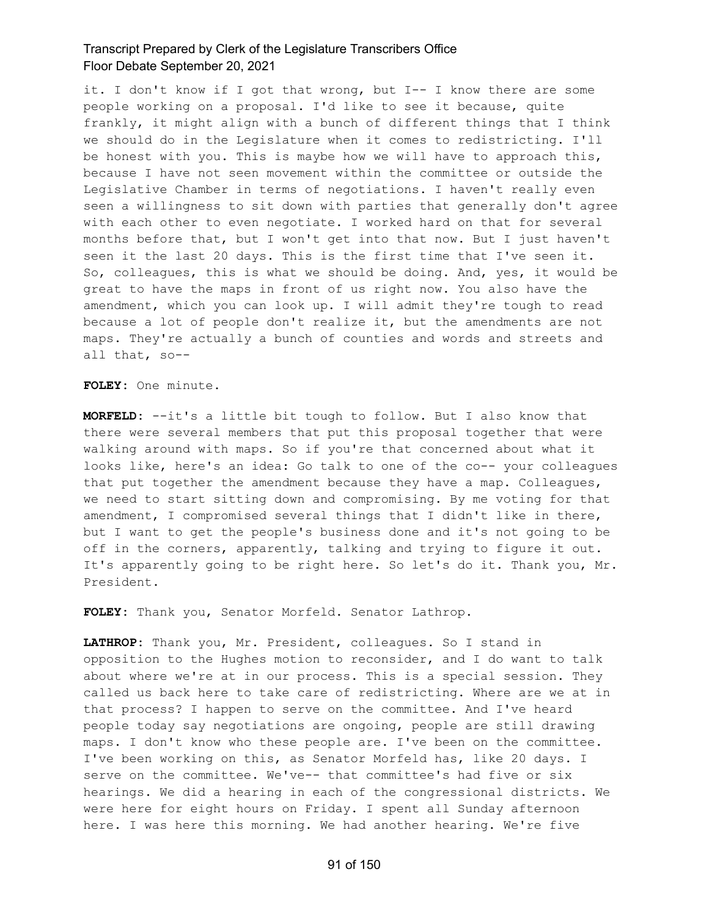it. I don't know if I got that wrong, but I-- I know there are some people working on a proposal. I'd like to see it because, quite frankly, it might align with a bunch of different things that I think we should do in the Legislature when it comes to redistricting. I'll be honest with you. This is maybe how we will have to approach this, because I have not seen movement within the committee or outside the Legislative Chamber in terms of negotiations. I haven't really even seen a willingness to sit down with parties that generally don't agree with each other to even negotiate. I worked hard on that for several months before that, but I won't get into that now. But I just haven't seen it the last 20 days. This is the first time that I've seen it. So, colleagues, this is what we should be doing. And, yes, it would be great to have the maps in front of us right now. You also have the amendment, which you can look up. I will admit they're tough to read because a lot of people don't realize it, but the amendments are not maps. They're actually a bunch of counties and words and streets and all that, so--

**FOLEY:** One minute.

**MORFELD:** --it's a little bit tough to follow. But I also know that there were several members that put this proposal together that were walking around with maps. So if you're that concerned about what it looks like, here's an idea: Go talk to one of the co-- your colleagues that put together the amendment because they have a map. Colleagues, we need to start sitting down and compromising. By me voting for that amendment, I compromised several things that I didn't like in there, but I want to get the people's business done and it's not going to be off in the corners, apparently, talking and trying to figure it out. It's apparently going to be right here. So let's do it. Thank you, Mr. President.

**FOLEY:** Thank you, Senator Morfeld. Senator Lathrop.

**LATHROP:** Thank you, Mr. President, colleagues. So I stand in opposition to the Hughes motion to reconsider, and I do want to talk about where we're at in our process. This is a special session. They called us back here to take care of redistricting. Where are we at in that process? I happen to serve on the committee. And I've heard people today say negotiations are ongoing, people are still drawing maps. I don't know who these people are. I've been on the committee. I've been working on this, as Senator Morfeld has, like 20 days. I serve on the committee. We've-- that committee's had five or six hearings. We did a hearing in each of the congressional districts. We were here for eight hours on Friday. I spent all Sunday afternoon here. I was here this morning. We had another hearing. We're five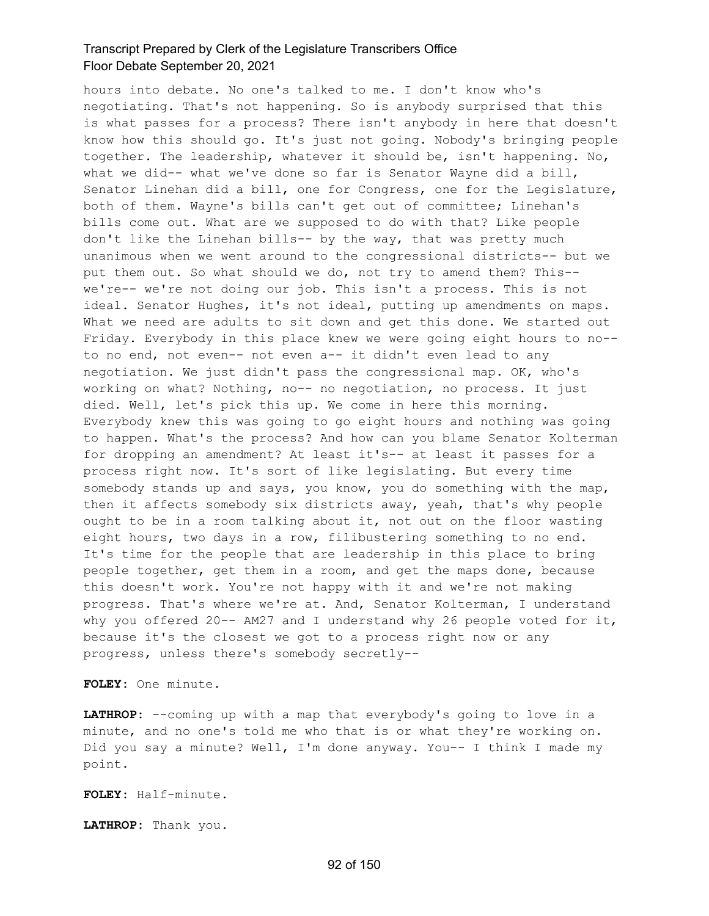hours into debate. No one's talked to me. I don't know who's negotiating. That's not happening. So is anybody surprised that this is what passes for a process? There isn't anybody in here that doesn't know how this should go. It's just not going. Nobody's bringing people together. The leadership, whatever it should be, isn't happening. No, what we did-- what we've done so far is Senator Wayne did a bill, Senator Linehan did a bill, one for Congress, one for the Legislature, both of them. Wayne's bills can't get out of committee; Linehan's bills come out. What are we supposed to do with that? Like people don't like the Linehan bills-- by the way, that was pretty much unanimous when we went around to the congressional districts-- but we put them out. So what should we do, not try to amend them? This- we're-- we're not doing our job. This isn't a process. This is not ideal. Senator Hughes, it's not ideal, putting up amendments on maps. What we need are adults to sit down and get this done. We started out Friday. Everybody in this place knew we were going eight hours to no- to no end, not even-- not even a-- it didn't even lead to any negotiation. We just didn't pass the congressional map. OK, who's working on what? Nothing, no-- no negotiation, no process. It just died. Well, let's pick this up. We come in here this morning. Everybody knew this was going to go eight hours and nothing was going to happen. What's the process? And how can you blame Senator Kolterman for dropping an amendment? At least it's-- at least it passes for a process right now. It's sort of like legislating. But every time somebody stands up and says, you know, you do something with the map, then it affects somebody six districts away, yeah, that's why people ought to be in a room talking about it, not out on the floor wasting eight hours, two days in a row, filibustering something to no end. It's time for the people that are leadership in this place to bring people together, get them in a room, and get the maps done, because this doesn't work. You're not happy with it and we're not making progress. That's where we're at. And, Senator Kolterman, I understand why you offered  $20--$  AM27 and I understand why 26 people voted for it, because it's the closest we got to a process right now or any progress, unless there's somebody secretly--

**FOLEY:** One minute.

**LATHROP:** --coming up with a map that everybody's going to love in a minute, and no one's told me who that is or what they're working on. Did you say a minute? Well, I'm done anyway. You-- I think I made my point.

**FOLEY:** Half-minute.

**LATHROP:** Thank you.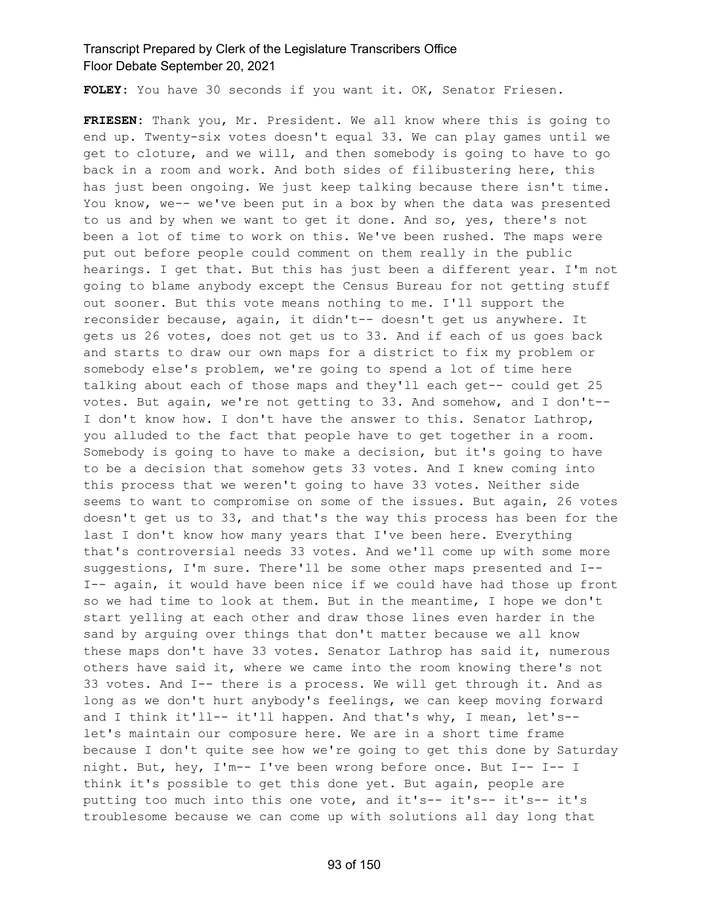**FOLEY:** You have 30 seconds if you want it. OK, Senator Friesen.

**FRIESEN:** Thank you, Mr. President. We all know where this is going to end up. Twenty-six votes doesn't equal 33. We can play games until we get to cloture, and we will, and then somebody is going to have to go back in a room and work. And both sides of filibustering here, this has just been ongoing. We just keep talking because there isn't time. You know, we-- we've been put in a box by when the data was presented to us and by when we want to get it done. And so, yes, there's not been a lot of time to work on this. We've been rushed. The maps were put out before people could comment on them really in the public hearings. I get that. But this has just been a different year. I'm not going to blame anybody except the Census Bureau for not getting stuff out sooner. But this vote means nothing to me. I'll support the reconsider because, again, it didn't-- doesn't get us anywhere. It gets us 26 votes, does not get us to 33. And if each of us goes back and starts to draw our own maps for a district to fix my problem or somebody else's problem, we're going to spend a lot of time here talking about each of those maps and they'll each get-- could get 25 votes. But again, we're not getting to 33. And somehow, and I don't-- I don't know how. I don't have the answer to this. Senator Lathrop, you alluded to the fact that people have to get together in a room. Somebody is going to have to make a decision, but it's going to have to be a decision that somehow gets 33 votes. And I knew coming into this process that we weren't going to have 33 votes. Neither side seems to want to compromise on some of the issues. But again, 26 votes doesn't get us to 33, and that's the way this process has been for the last I don't know how many years that I've been here. Everything that's controversial needs 33 votes. And we'll come up with some more suggestions, I'm sure. There'll be some other maps presented and I-- I-- again, it would have been nice if we could have had those up front so we had time to look at them. But in the meantime, I hope we don't start yelling at each other and draw those lines even harder in the sand by arguing over things that don't matter because we all know these maps don't have 33 votes. Senator Lathrop has said it, numerous others have said it, where we came into the room knowing there's not 33 votes. And I-- there is a process. We will get through it. And as long as we don't hurt anybody's feelings, we can keep moving forward and I think it'll-- it'll happen. And that's why, I mean, let's- let's maintain our composure here. We are in a short time frame because I don't quite see how we're going to get this done by Saturday night. But, hey, I'm-- I've been wrong before once. But I-- I-- I think it's possible to get this done yet. But again, people are putting too much into this one vote, and it's-- it's-- it's-- it's troublesome because we can come up with solutions all day long that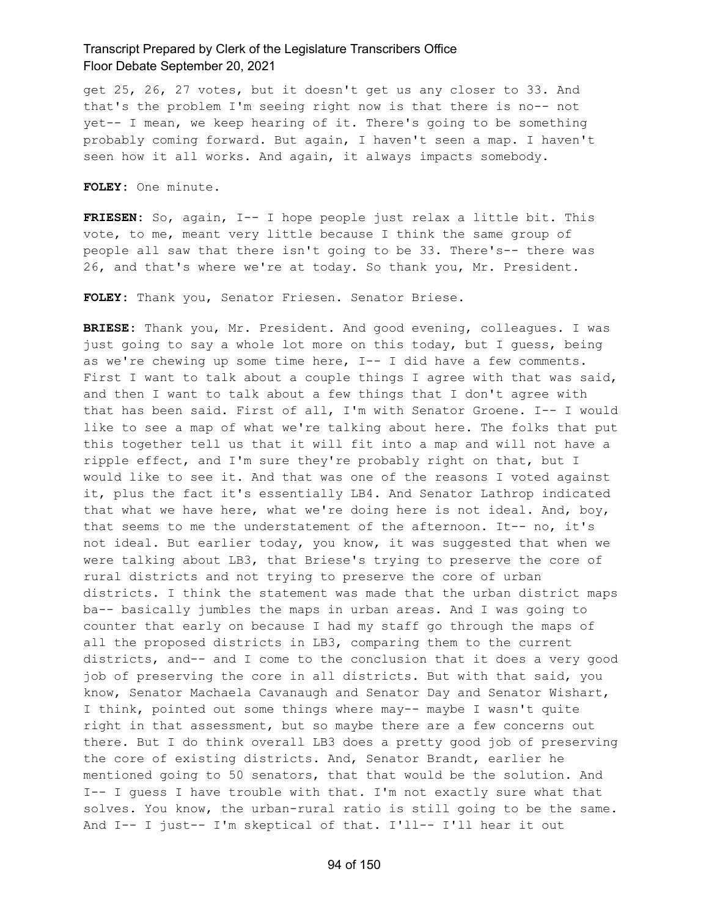get 25, 26, 27 votes, but it doesn't get us any closer to 33. And that's the problem I'm seeing right now is that there is no-- not yet-- I mean, we keep hearing of it. There's going to be something probably coming forward. But again, I haven't seen a map. I haven't seen how it all works. And again, it always impacts somebody.

**FOLEY:** One minute.

**FRIESEN:** So, again, I-- I hope people just relax a little bit. This vote, to me, meant very little because I think the same group of people all saw that there isn't going to be 33. There's-- there was 26, and that's where we're at today. So thank you, Mr. President.

**FOLEY:** Thank you, Senator Friesen. Senator Briese.

**BRIESE:** Thank you, Mr. President. And good evening, colleagues. I was just going to say a whole lot more on this today, but I quess, being as we're chewing up some time here, I-- I did have a few comments. First I want to talk about a couple things I agree with that was said, and then I want to talk about a few things that I don't agree with that has been said. First of all, I'm with Senator Groene. I-- I would like to see a map of what we're talking about here. The folks that put this together tell us that it will fit into a map and will not have a ripple effect, and I'm sure they're probably right on that, but I would like to see it. And that was one of the reasons I voted against it, plus the fact it's essentially LB4. And Senator Lathrop indicated that what we have here, what we're doing here is not ideal. And, boy, that seems to me the understatement of the afternoon. It-- no, it's not ideal. But earlier today, you know, it was suggested that when we were talking about LB3, that Briese's trying to preserve the core of rural districts and not trying to preserve the core of urban districts. I think the statement was made that the urban district maps ba-- basically jumbles the maps in urban areas. And I was going to counter that early on because I had my staff go through the maps of all the proposed districts in LB3, comparing them to the current districts, and-- and I come to the conclusion that it does a very good job of preserving the core in all districts. But with that said, you know, Senator Machaela Cavanaugh and Senator Day and Senator Wishart, I think, pointed out some things where may-- maybe I wasn't quite right in that assessment, but so maybe there are a few concerns out there. But I do think overall LB3 does a pretty good job of preserving the core of existing districts. And, Senator Brandt, earlier he mentioned going to 50 senators, that that would be the solution. And I-- I guess I have trouble with that. I'm not exactly sure what that solves. You know, the urban-rural ratio is still going to be the same. And I-- I just-- I'm skeptical of that. I'll-- I'll hear it out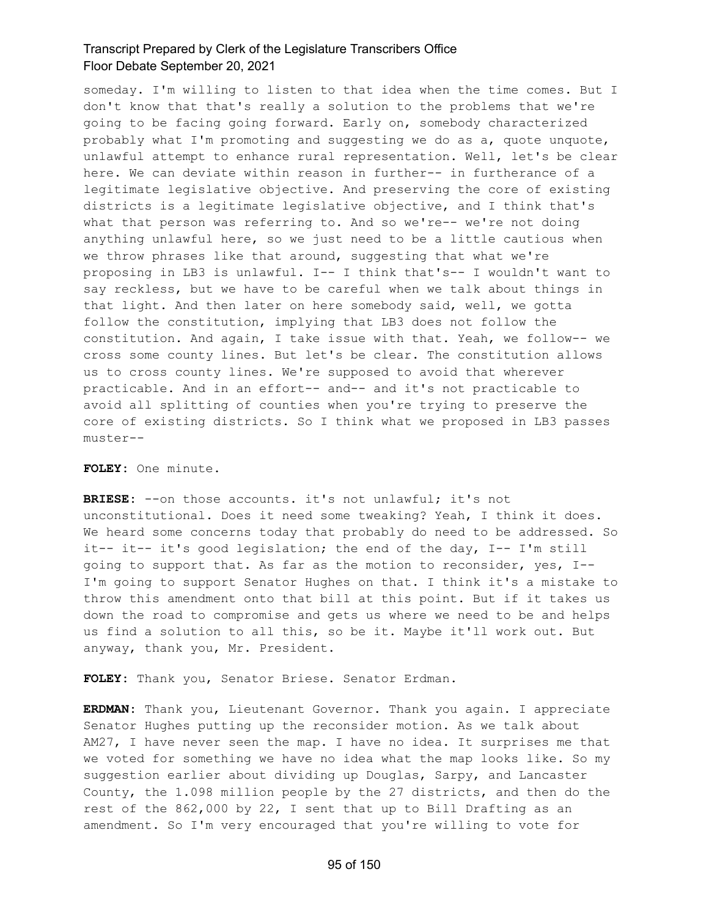someday. I'm willing to listen to that idea when the time comes. But I don't know that that's really a solution to the problems that we're going to be facing going forward. Early on, somebody characterized probably what I'm promoting and suggesting we do as a, quote unquote, unlawful attempt to enhance rural representation. Well, let's be clear here. We can deviate within reason in further-- in furtherance of a legitimate legislative objective. And preserving the core of existing districts is a legitimate legislative objective, and I think that's what that person was referring to. And so we're-- we're not doing anything unlawful here, so we just need to be a little cautious when we throw phrases like that around, suggesting that what we're proposing in LB3 is unlawful. I-- I think that's-- I wouldn't want to say reckless, but we have to be careful when we talk about things in that light. And then later on here somebody said, well, we gotta follow the constitution, implying that LB3 does not follow the constitution. And again, I take issue with that. Yeah, we follow-- we cross some county lines. But let's be clear. The constitution allows us to cross county lines. We're supposed to avoid that wherever practicable. And in an effort-- and-- and it's not practicable to avoid all splitting of counties when you're trying to preserve the core of existing districts. So I think what we proposed in LB3 passes muster--

#### **FOLEY:** One minute.

**BRIESE:** --on those accounts. it's not unlawful; it's not unconstitutional. Does it need some tweaking? Yeah, I think it does. We heard some concerns today that probably do need to be addressed. So it-- it-- it's good legislation; the end of the day, I-- I'm still going to support that. As far as the motion to reconsider, yes, I-- I'm going to support Senator Hughes on that. I think it's a mistake to throw this amendment onto that bill at this point. But if it takes us down the road to compromise and gets us where we need to be and helps us find a solution to all this, so be it. Maybe it'll work out. But anyway, thank you, Mr. President.

**FOLEY:** Thank you, Senator Briese. Senator Erdman.

**ERDMAN:** Thank you, Lieutenant Governor. Thank you again. I appreciate Senator Hughes putting up the reconsider motion. As we talk about AM27, I have never seen the map. I have no idea. It surprises me that we voted for something we have no idea what the map looks like. So my suggestion earlier about dividing up Douglas, Sarpy, and Lancaster County, the 1.098 million people by the 27 districts, and then do the rest of the 862,000 by 22, I sent that up to Bill Drafting as an amendment. So I'm very encouraged that you're willing to vote for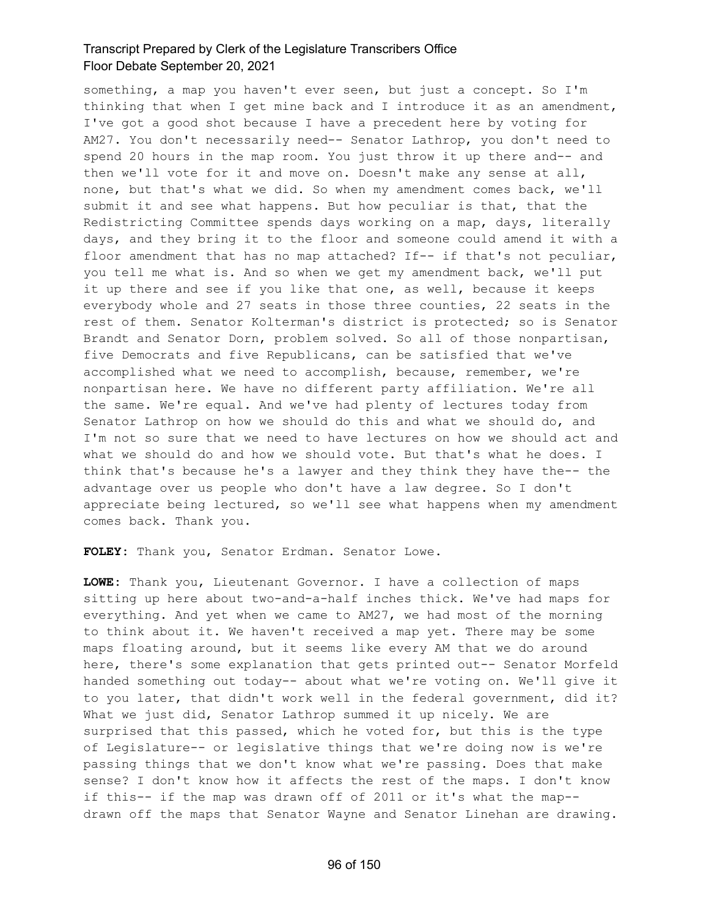something, a map you haven't ever seen, but just a concept. So I'm thinking that when I get mine back and I introduce it as an amendment, I've got a good shot because I have a precedent here by voting for AM27. You don't necessarily need-- Senator Lathrop, you don't need to spend 20 hours in the map room. You just throw it up there and-- and then we'll vote for it and move on. Doesn't make any sense at all, none, but that's what we did. So when my amendment comes back, we'll submit it and see what happens. But how peculiar is that, that the Redistricting Committee spends days working on a map, days, literally days, and they bring it to the floor and someone could amend it with a floor amendment that has no map attached? If-- if that's not peculiar, you tell me what is. And so when we get my amendment back, we'll put it up there and see if you like that one, as well, because it keeps everybody whole and 27 seats in those three counties, 22 seats in the rest of them. Senator Kolterman's district is protected; so is Senator Brandt and Senator Dorn, problem solved. So all of those nonpartisan, five Democrats and five Republicans, can be satisfied that we've accomplished what we need to accomplish, because, remember, we're nonpartisan here. We have no different party affiliation. We're all the same. We're equal. And we've had plenty of lectures today from Senator Lathrop on how we should do this and what we should do, and I'm not so sure that we need to have lectures on how we should act and what we should do and how we should vote. But that's what he does. I think that's because he's a lawyer and they think they have the-- the advantage over us people who don't have a law degree. So I don't appreciate being lectured, so we'll see what happens when my amendment comes back. Thank you.

**FOLEY:** Thank you, Senator Erdman. Senator Lowe.

**LOWE:** Thank you, Lieutenant Governor. I have a collection of maps sitting up here about two-and-a-half inches thick. We've had maps for everything. And yet when we came to AM27, we had most of the morning to think about it. We haven't received a map yet. There may be some maps floating around, but it seems like every AM that we do around here, there's some explanation that gets printed out-- Senator Morfeld handed something out today-- about what we're voting on. We'll give it to you later, that didn't work well in the federal government, did it? What we just did, Senator Lathrop summed it up nicely. We are surprised that this passed, which he voted for, but this is the type of Legislature-- or legislative things that we're doing now is we're passing things that we don't know what we're passing. Does that make sense? I don't know how it affects the rest of the maps. I don't know if this-- if the map was drawn off of 2011 or it's what the map- drawn off the maps that Senator Wayne and Senator Linehan are drawing.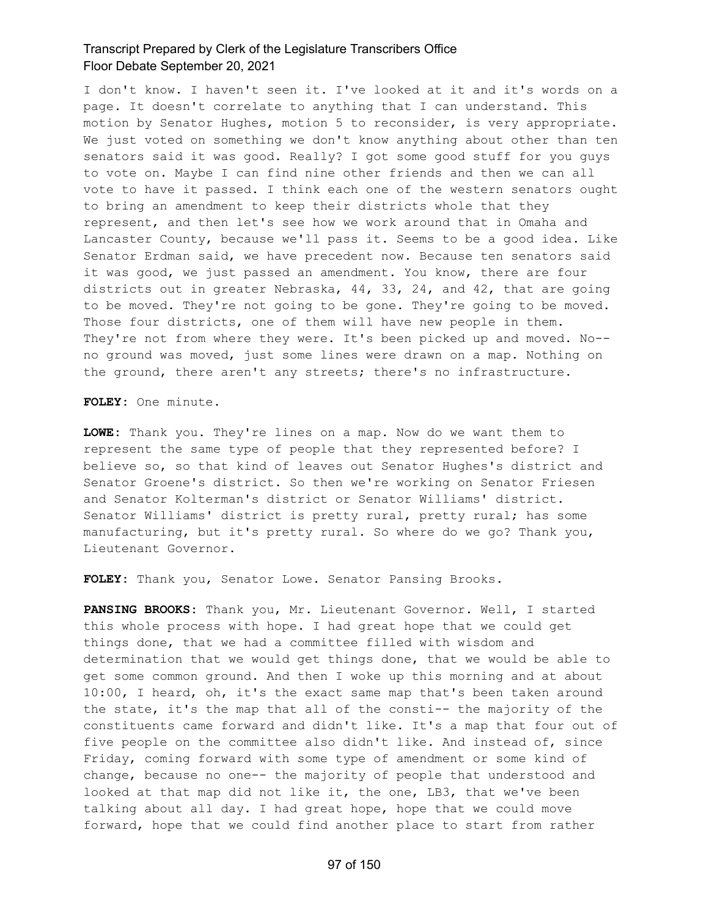I don't know. I haven't seen it. I've looked at it and it's words on a page. It doesn't correlate to anything that I can understand. This motion by Senator Hughes, motion 5 to reconsider, is very appropriate. We just voted on something we don't know anything about other than ten senators said it was good. Really? I got some good stuff for you guys to vote on. Maybe I can find nine other friends and then we can all vote to have it passed. I think each one of the western senators ought to bring an amendment to keep their districts whole that they represent, and then let's see how we work around that in Omaha and Lancaster County, because we'll pass it. Seems to be a good idea. Like Senator Erdman said, we have precedent now. Because ten senators said it was good, we just passed an amendment. You know, there are four districts out in greater Nebraska, 44, 33, 24, and 42, that are going to be moved. They're not going to be gone. They're going to be moved. Those four districts, one of them will have new people in them. They're not from where they were. It's been picked up and moved. No- no ground was moved, just some lines were drawn on a map. Nothing on the ground, there aren't any streets; there's no infrastructure.

**FOLEY:** One minute.

**LOWE:** Thank you. They're lines on a map. Now do we want them to represent the same type of people that they represented before? I believe so, so that kind of leaves out Senator Hughes's district and Senator Groene's district. So then we're working on Senator Friesen and Senator Kolterman's district or Senator Williams' district. Senator Williams' district is pretty rural, pretty rural; has some manufacturing, but it's pretty rural. So where do we go? Thank you, Lieutenant Governor.

**FOLEY:** Thank you, Senator Lowe. Senator Pansing Brooks.

**PANSING BROOKS:** Thank you, Mr. Lieutenant Governor. Well, I started this whole process with hope. I had great hope that we could get things done, that we had a committee filled with wisdom and determination that we would get things done, that we would be able to get some common ground. And then I woke up this morning and at about 10:00, I heard, oh, it's the exact same map that's been taken around the state, it's the map that all of the consti-- the majority of the constituents came forward and didn't like. It's a map that four out of five people on the committee also didn't like. And instead of, since Friday, coming forward with some type of amendment or some kind of change, because no one-- the majority of people that understood and looked at that map did not like it, the one, LB3, that we've been talking about all day. I had great hope, hope that we could move forward, hope that we could find another place to start from rather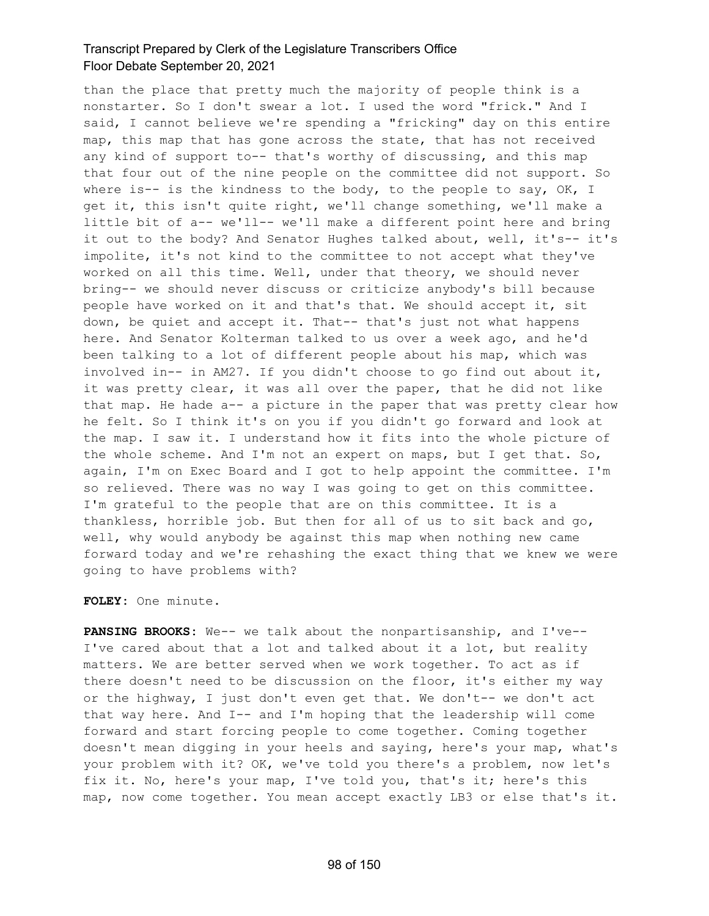than the place that pretty much the majority of people think is a nonstarter. So I don't swear a lot. I used the word "frick." And I said, I cannot believe we're spending a "fricking" day on this entire map, this map that has gone across the state, that has not received any kind of support to-- that's worthy of discussing, and this map that four out of the nine people on the committee did not support. So where is-- is the kindness to the body, to the people to say, OK, I get it, this isn't quite right, we'll change something, we'll make a little bit of a-- we'll-- we'll make a different point here and bring it out to the body? And Senator Hughes talked about, well, it's-- it's impolite, it's not kind to the committee to not accept what they've worked on all this time. Well, under that theory, we should never bring-- we should never discuss or criticize anybody's bill because people have worked on it and that's that. We should accept it, sit down, be quiet and accept it. That-- that's just not what happens here. And Senator Kolterman talked to us over a week ago, and he'd been talking to a lot of different people about his map, which was involved in-- in AM27. If you didn't choose to go find out about it, it was pretty clear, it was all over the paper, that he did not like that map. He hade a-- a picture in the paper that was pretty clear how he felt. So I think it's on you if you didn't go forward and look at the map. I saw it. I understand how it fits into the whole picture of the whole scheme. And I'm not an expert on maps, but I get that. So, again, I'm on Exec Board and I got to help appoint the committee. I'm so relieved. There was no way I was going to get on this committee. I'm grateful to the people that are on this committee. It is a thankless, horrible job. But then for all of us to sit back and go, well, why would anybody be against this map when nothing new came forward today and we're rehashing the exact thing that we knew we were going to have problems with?

#### **FOLEY:** One minute.

**PANSING BROOKS:** We-- we talk about the nonpartisanship, and I've-- I've cared about that a lot and talked about it a lot, but reality matters. We are better served when we work together. To act as if there doesn't need to be discussion on the floor, it's either my way or the highway, I just don't even get that. We don't-- we don't act that way here. And I-- and I'm hoping that the leadership will come forward and start forcing people to come together. Coming together doesn't mean digging in your heels and saying, here's your map, what's your problem with it? OK, we've told you there's a problem, now let's fix it. No, here's your map, I've told you, that's it; here's this map, now come together. You mean accept exactly LB3 or else that's it.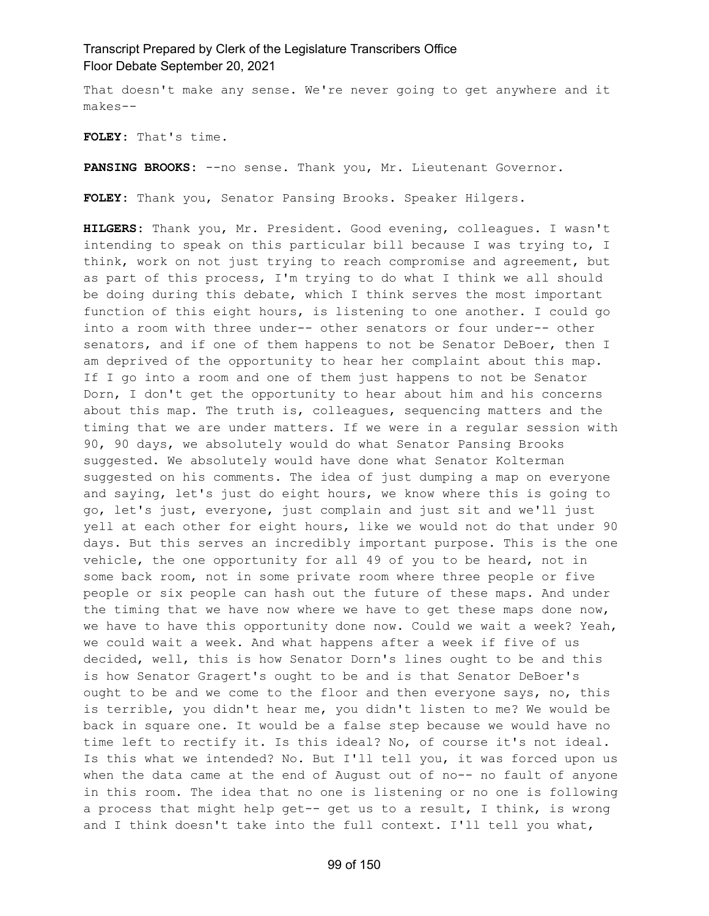That doesn't make any sense. We're never going to get anywhere and it makes--

**FOLEY:** That's time.

**PANSING BROOKS:** --no sense. Thank you, Mr. Lieutenant Governor.

**FOLEY:** Thank you, Senator Pansing Brooks. Speaker Hilgers.

**HILGERS:** Thank you, Mr. President. Good evening, colleagues. I wasn't intending to speak on this particular bill because I was trying to, I think, work on not just trying to reach compromise and agreement, but as part of this process, I'm trying to do what I think we all should be doing during this debate, which I think serves the most important function of this eight hours, is listening to one another. I could go into a room with three under-- other senators or four under-- other senators, and if one of them happens to not be Senator DeBoer, then I am deprived of the opportunity to hear her complaint about this map. If I go into a room and one of them just happens to not be Senator Dorn, I don't get the opportunity to hear about him and his concerns about this map. The truth is, colleagues, sequencing matters and the timing that we are under matters. If we were in a regular session with 90, 90 days, we absolutely would do what Senator Pansing Brooks suggested. We absolutely would have done what Senator Kolterman suggested on his comments. The idea of just dumping a map on everyone and saying, let's just do eight hours, we know where this is going to go, let's just, everyone, just complain and just sit and we'll just yell at each other for eight hours, like we would not do that under 90 days. But this serves an incredibly important purpose. This is the one vehicle, the one opportunity for all 49 of you to be heard, not in some back room, not in some private room where three people or five people or six people can hash out the future of these maps. And under the timing that we have now where we have to get these maps done now, we have to have this opportunity done now. Could we wait a week? Yeah, we could wait a week. And what happens after a week if five of us decided, well, this is how Senator Dorn's lines ought to be and this is how Senator Gragert's ought to be and is that Senator DeBoer's ought to be and we come to the floor and then everyone says, no, this is terrible, you didn't hear me, you didn't listen to me? We would be back in square one. It would be a false step because we would have no time left to rectify it. Is this ideal? No, of course it's not ideal. Is this what we intended? No. But I'll tell you, it was forced upon us when the data came at the end of August out of no-- no fault of anyone in this room. The idea that no one is listening or no one is following a process that might help get-- get us to a result, I think, is wrong and I think doesn't take into the full context. I'll tell you what,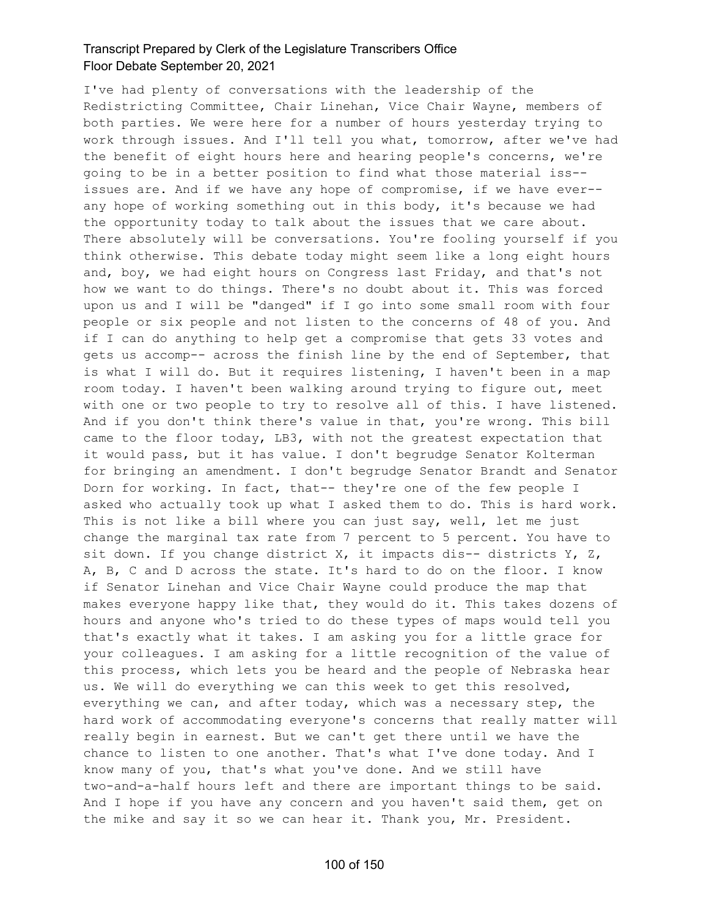I've had plenty of conversations with the leadership of the Redistricting Committee, Chair Linehan, Vice Chair Wayne, members of both parties. We were here for a number of hours yesterday trying to work through issues. And I'll tell you what, tomorrow, after we've had the benefit of eight hours here and hearing people's concerns, we're going to be in a better position to find what those material iss- issues are. And if we have any hope of compromise, if we have ever- any hope of working something out in this body, it's because we had the opportunity today to talk about the issues that we care about. There absolutely will be conversations. You're fooling yourself if you think otherwise. This debate today might seem like a long eight hours and, boy, we had eight hours on Congress last Friday, and that's not how we want to do things. There's no doubt about it. This was forced upon us and I will be "danged" if I go into some small room with four people or six people and not listen to the concerns of 48 of you. And if I can do anything to help get a compromise that gets 33 votes and gets us accomp-- across the finish line by the end of September, that is what I will do. But it requires listening, I haven't been in a map room today. I haven't been walking around trying to figure out, meet with one or two people to try to resolve all of this. I have listened. And if you don't think there's value in that, you're wrong. This bill came to the floor today, LB3, with not the greatest expectation that it would pass, but it has value. I don't begrudge Senator Kolterman for bringing an amendment. I don't begrudge Senator Brandt and Senator Dorn for working. In fact, that-- they're one of the few people I asked who actually took up what I asked them to do. This is hard work. This is not like a bill where you can just say, well, let me just change the marginal tax rate from 7 percent to 5 percent. You have to sit down. If you change district X, it impacts dis-- districts Y, Z, A, B, C and D across the state. It's hard to do on the floor. I know if Senator Linehan and Vice Chair Wayne could produce the map that makes everyone happy like that, they would do it. This takes dozens of hours and anyone who's tried to do these types of maps would tell you that's exactly what it takes. I am asking you for a little grace for your colleagues. I am asking for a little recognition of the value of this process, which lets you be heard and the people of Nebraska hear us. We will do everything we can this week to get this resolved, everything we can, and after today, which was a necessary step, the hard work of accommodating everyone's concerns that really matter will really begin in earnest. But we can't get there until we have the chance to listen to one another. That's what I've done today. And I know many of you, that's what you've done. And we still have two-and-a-half hours left and there are important things to be said. And I hope if you have any concern and you haven't said them, get on the mike and say it so we can hear it. Thank you, Mr. President.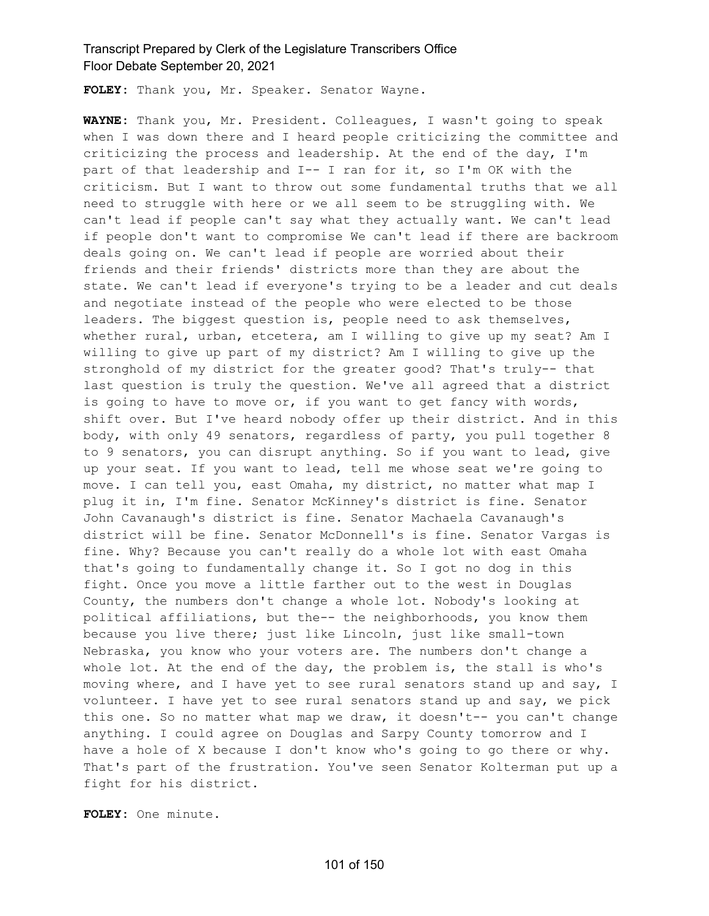**FOLEY:** Thank you, Mr. Speaker. Senator Wayne.

**WAYNE:** Thank you, Mr. President. Colleagues, I wasn't going to speak when I was down there and I heard people criticizing the committee and criticizing the process and leadership. At the end of the day, I'm part of that leadership and I-- I ran for it, so I'm OK with the criticism. But I want to throw out some fundamental truths that we all need to struggle with here or we all seem to be struggling with. We can't lead if people can't say what they actually want. We can't lead if people don't want to compromise We can't lead if there are backroom deals going on. We can't lead if people are worried about their friends and their friends' districts more than they are about the state. We can't lead if everyone's trying to be a leader and cut deals and negotiate instead of the people who were elected to be those leaders. The biggest question is, people need to ask themselves, whether rural, urban, etcetera, am I willing to give up my seat? Am I willing to give up part of my district? Am I willing to give up the stronghold of my district for the greater good? That's truly-- that last question is truly the question. We've all agreed that a district is going to have to move or, if you want to get fancy with words, shift over. But I've heard nobody offer up their district. And in this body, with only 49 senators, regardless of party, you pull together 8 to 9 senators, you can disrupt anything. So if you want to lead, give up your seat. If you want to lead, tell me whose seat we're going to move. I can tell you, east Omaha, my district, no matter what map I plug it in, I'm fine. Senator McKinney's district is fine. Senator John Cavanaugh's district is fine. Senator Machaela Cavanaugh's district will be fine. Senator McDonnell's is fine. Senator Vargas is fine. Why? Because you can't really do a whole lot with east Omaha that's going to fundamentally change it. So I got no dog in this fight. Once you move a little farther out to the west in Douglas County, the numbers don't change a whole lot. Nobody's looking at political affiliations, but the-- the neighborhoods, you know them because you live there; just like Lincoln, just like small-town Nebraska, you know who your voters are. The numbers don't change a whole lot. At the end of the day, the problem is, the stall is who's moving where, and I have yet to see rural senators stand up and say, I volunteer. I have yet to see rural senators stand up and say, we pick this one. So no matter what map we draw, it doesn't-- you can't change anything. I could agree on Douglas and Sarpy County tomorrow and I have a hole of X because I don't know who's going to go there or why. That's part of the frustration. You've seen Senator Kolterman put up a fight for his district.

**FOLEY:** One minute.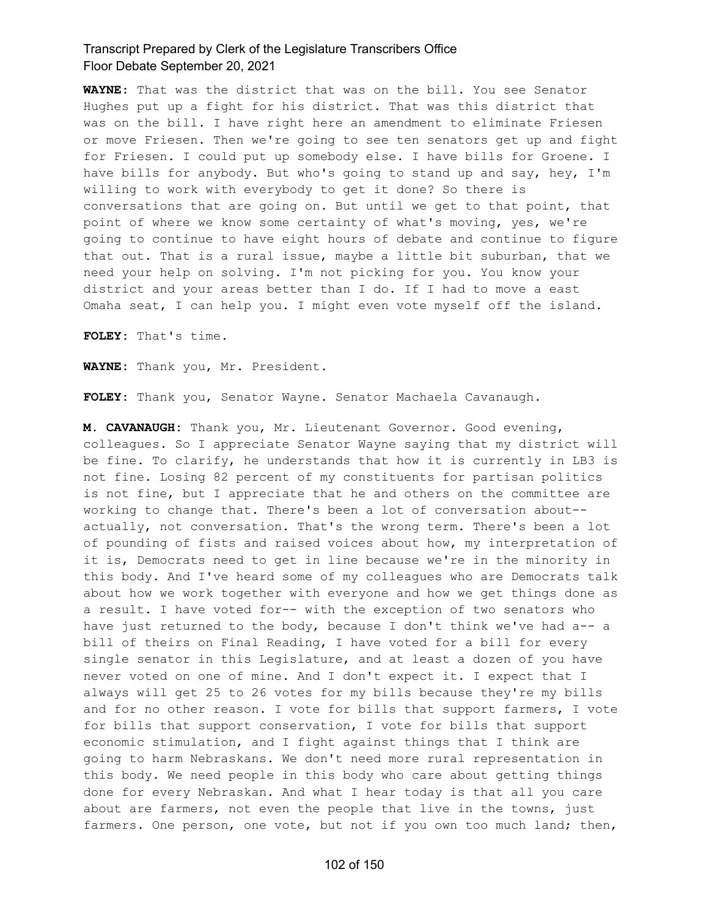**WAYNE:** That was the district that was on the bill. You see Senator Hughes put up a fight for his district. That was this district that was on the bill. I have right here an amendment to eliminate Friesen or move Friesen. Then we're going to see ten senators get up and fight for Friesen. I could put up somebody else. I have bills for Groene. I have bills for anybody. But who's going to stand up and say, hey, I'm willing to work with everybody to get it done? So there is conversations that are going on. But until we get to that point, that point of where we know some certainty of what's moving, yes, we're going to continue to have eight hours of debate and continue to figure that out. That is a rural issue, maybe a little bit suburban, that we need your help on solving. I'm not picking for you. You know your district and your areas better than I do. If I had to move a east Omaha seat, I can help you. I might even vote myself off the island.

**FOLEY:** That's time.

**WAYNE:** Thank you, Mr. President.

**FOLEY:** Thank you, Senator Wayne. Senator Machaela Cavanaugh.

**M. CAVANAUGH:** Thank you, Mr. Lieutenant Governor. Good evening, colleagues. So I appreciate Senator Wayne saying that my district will be fine. To clarify, he understands that how it is currently in LB3 is not fine. Losing 82 percent of my constituents for partisan politics is not fine, but I appreciate that he and others on the committee are working to change that. There's been a lot of conversation about- actually, not conversation. That's the wrong term. There's been a lot of pounding of fists and raised voices about how, my interpretation of it is, Democrats need to get in line because we're in the minority in this body. And I've heard some of my colleagues who are Democrats talk about how we work together with everyone and how we get things done as a result. I have voted for-- with the exception of two senators who have just returned to the body, because I don't think we've had  $a--$  a bill of theirs on Final Reading, I have voted for a bill for every single senator in this Legislature, and at least a dozen of you have never voted on one of mine. And I don't expect it. I expect that I always will get 25 to 26 votes for my bills because they're my bills and for no other reason. I vote for bills that support farmers, I vote for bills that support conservation, I vote for bills that support economic stimulation, and I fight against things that I think are going to harm Nebraskans. We don't need more rural representation in this body. We need people in this body who care about getting things done for every Nebraskan. And what I hear today is that all you care about are farmers, not even the people that live in the towns, just farmers. One person, one vote, but not if you own too much land; then,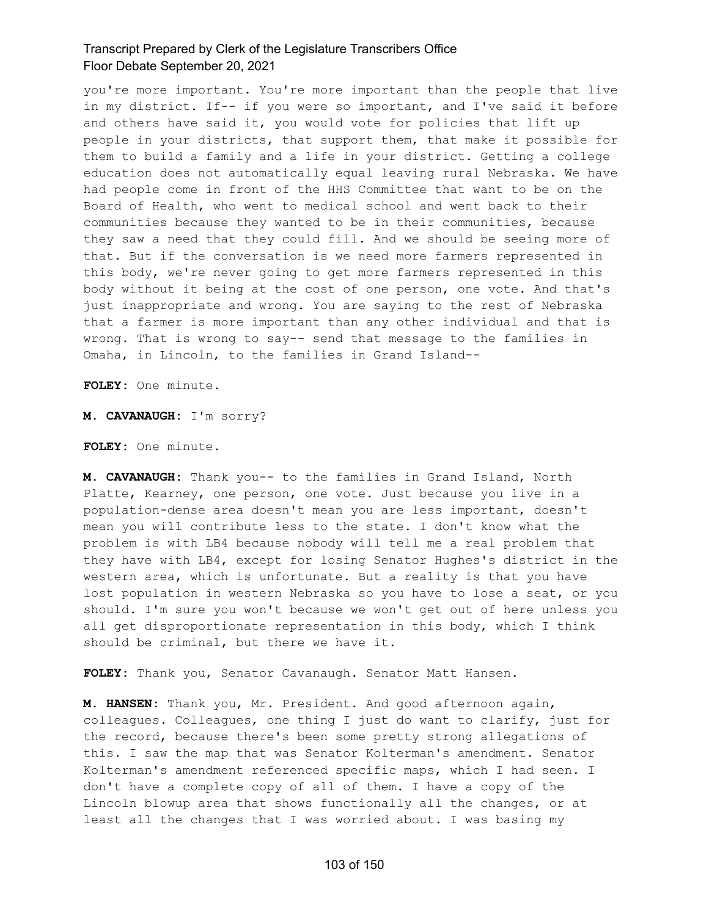you're more important. You're more important than the people that live in my district. If-- if you were so important, and I've said it before and others have said it, you would vote for policies that lift up people in your districts, that support them, that make it possible for them to build a family and a life in your district. Getting a college education does not automatically equal leaving rural Nebraska. We have had people come in front of the HHS Committee that want to be on the Board of Health, who went to medical school and went back to their communities because they wanted to be in their communities, because they saw a need that they could fill. And we should be seeing more of that. But if the conversation is we need more farmers represented in this body, we're never going to get more farmers represented in this body without it being at the cost of one person, one vote. And that's just inappropriate and wrong. You are saying to the rest of Nebraska that a farmer is more important than any other individual and that is wrong. That is wrong to say-- send that message to the families in Omaha, in Lincoln, to the families in Grand Island--

**FOLEY:** One minute.

**M. CAVANAUGH:** I'm sorry?

**FOLEY:** One minute.

**M. CAVANAUGH:** Thank you-- to the families in Grand Island, North Platte, Kearney, one person, one vote. Just because you live in a population-dense area doesn't mean you are less important, doesn't mean you will contribute less to the state. I don't know what the problem is with LB4 because nobody will tell me a real problem that they have with LB4, except for losing Senator Hughes's district in the western area, which is unfortunate. But a reality is that you have lost population in western Nebraska so you have to lose a seat, or you should. I'm sure you won't because we won't get out of here unless you all get disproportionate representation in this body, which I think should be criminal, but there we have it.

**FOLEY:** Thank you, Senator Cavanaugh. Senator Matt Hansen.

**M. HANSEN:** Thank you, Mr. President. And good afternoon again, colleagues. Colleagues, one thing I just do want to clarify, just for the record, because there's been some pretty strong allegations of this. I saw the map that was Senator Kolterman's amendment. Senator Kolterman's amendment referenced specific maps, which I had seen. I don't have a complete copy of all of them. I have a copy of the Lincoln blowup area that shows functionally all the changes, or at least all the changes that I was worried about. I was basing my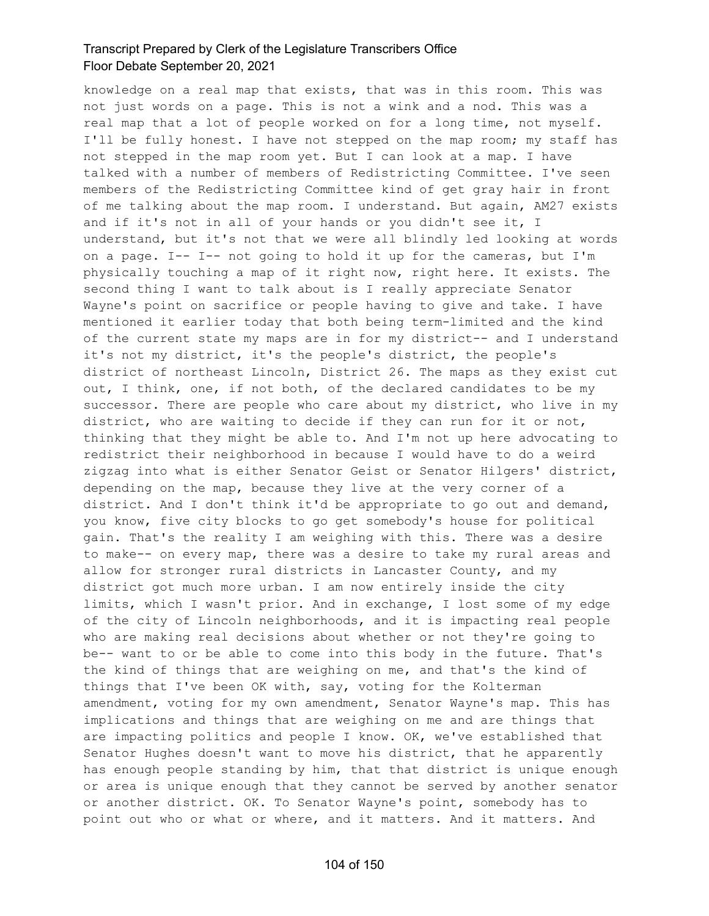knowledge on a real map that exists, that was in this room. This was not just words on a page. This is not a wink and a nod. This was a real map that a lot of people worked on for a long time, not myself. I'll be fully honest. I have not stepped on the map room; my staff has not stepped in the map room yet. But I can look at a map. I have talked with a number of members of Redistricting Committee. I've seen members of the Redistricting Committee kind of get gray hair in front of me talking about the map room. I understand. But again, AM27 exists and if it's not in all of your hands or you didn't see it, I understand, but it's not that we were all blindly led looking at words on a page. I-- I-- not going to hold it up for the cameras, but I'm physically touching a map of it right now, right here. It exists. The second thing I want to talk about is I really appreciate Senator Wayne's point on sacrifice or people having to give and take. I have mentioned it earlier today that both being term-limited and the kind of the current state my maps are in for my district-- and I understand it's not my district, it's the people's district, the people's district of northeast Lincoln, District 26. The maps as they exist cut out, I think, one, if not both, of the declared candidates to be my successor. There are people who care about my district, who live in my district, who are waiting to decide if they can run for it or not, thinking that they might be able to. And I'm not up here advocating to redistrict their neighborhood in because I would have to do a weird zigzag into what is either Senator Geist or Senator Hilgers' district, depending on the map, because they live at the very corner of a district. And I don't think it'd be appropriate to go out and demand, you know, five city blocks to go get somebody's house for political gain. That's the reality I am weighing with this. There was a desire to make-- on every map, there was a desire to take my rural areas and allow for stronger rural districts in Lancaster County, and my district got much more urban. I am now entirely inside the city limits, which I wasn't prior. And in exchange, I lost some of my edge of the city of Lincoln neighborhoods, and it is impacting real people who are making real decisions about whether or not they're going to be-- want to or be able to come into this body in the future. That's the kind of things that are weighing on me, and that's the kind of things that I've been OK with, say, voting for the Kolterman amendment, voting for my own amendment, Senator Wayne's map. This has implications and things that are weighing on me and are things that are impacting politics and people I know. OK, we've established that Senator Hughes doesn't want to move his district, that he apparently has enough people standing by him, that that district is unique enough or area is unique enough that they cannot be served by another senator or another district. OK. To Senator Wayne's point, somebody has to point out who or what or where, and it matters. And it matters. And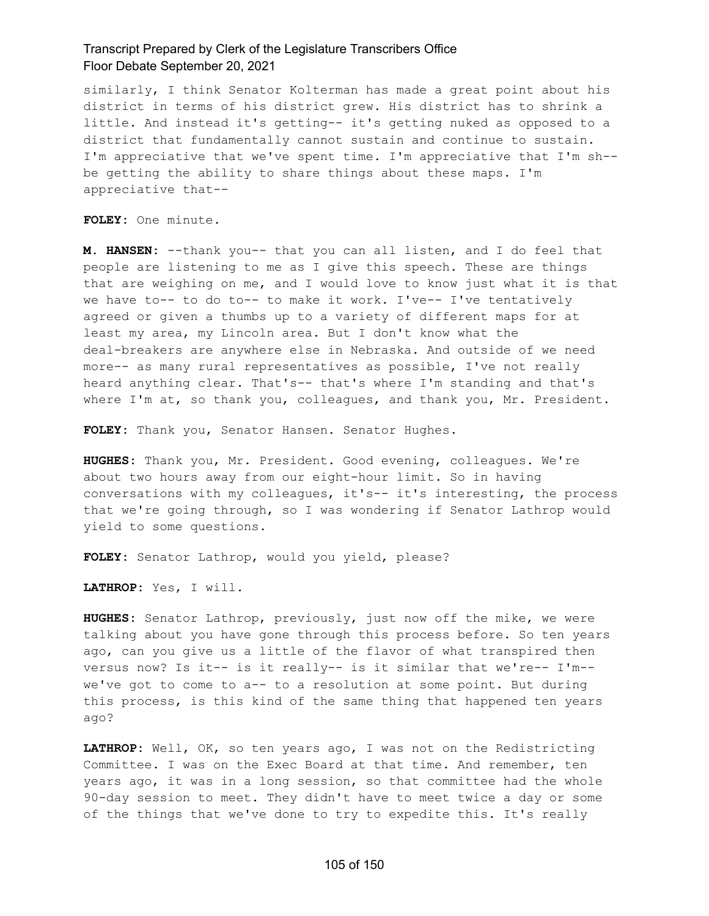similarly, I think Senator Kolterman has made a great point about his district in terms of his district grew. His district has to shrink a little. And instead it's getting-- it's getting nuked as opposed to a district that fundamentally cannot sustain and continue to sustain. I'm appreciative that we've spent time. I'm appreciative that I'm sh- be getting the ability to share things about these maps. I'm appreciative that--

**FOLEY:** One minute.

**M. HANSEN:** --thank you-- that you can all listen, and I do feel that people are listening to me as I give this speech. These are things that are weighing on me, and I would love to know just what it is that we have to-- to do to-- to make it work. I've-- I've tentatively agreed or given a thumbs up to a variety of different maps for at least my area, my Lincoln area. But I don't know what the deal-breakers are anywhere else in Nebraska. And outside of we need more-- as many rural representatives as possible, I've not really heard anything clear. That's-- that's where I'm standing and that's where I'm at, so thank you, colleagues, and thank you, Mr. President.

**FOLEY:** Thank you, Senator Hansen. Senator Hughes.

**HUGHES:** Thank you, Mr. President. Good evening, colleagues. We're about two hours away from our eight-hour limit. So in having conversations with my colleagues, it's-- it's interesting, the process that we're going through, so I was wondering if Senator Lathrop would yield to some questions.

**FOLEY:** Senator Lathrop, would you yield, please?

**LATHROP:** Yes, I will.

**HUGHES:** Senator Lathrop, previously, just now off the mike, we were talking about you have gone through this process before. So ten years ago, can you give us a little of the flavor of what transpired then versus now? Is it-- is it really-- is it similar that we're-- I'm- we've got to come to a-- to a resolution at some point. But during this process, is this kind of the same thing that happened ten years ago?

**LATHROP:** Well, OK, so ten years ago, I was not on the Redistricting Committee. I was on the Exec Board at that time. And remember, ten years ago, it was in a long session, so that committee had the whole 90-day session to meet. They didn't have to meet twice a day or some of the things that we've done to try to expedite this. It's really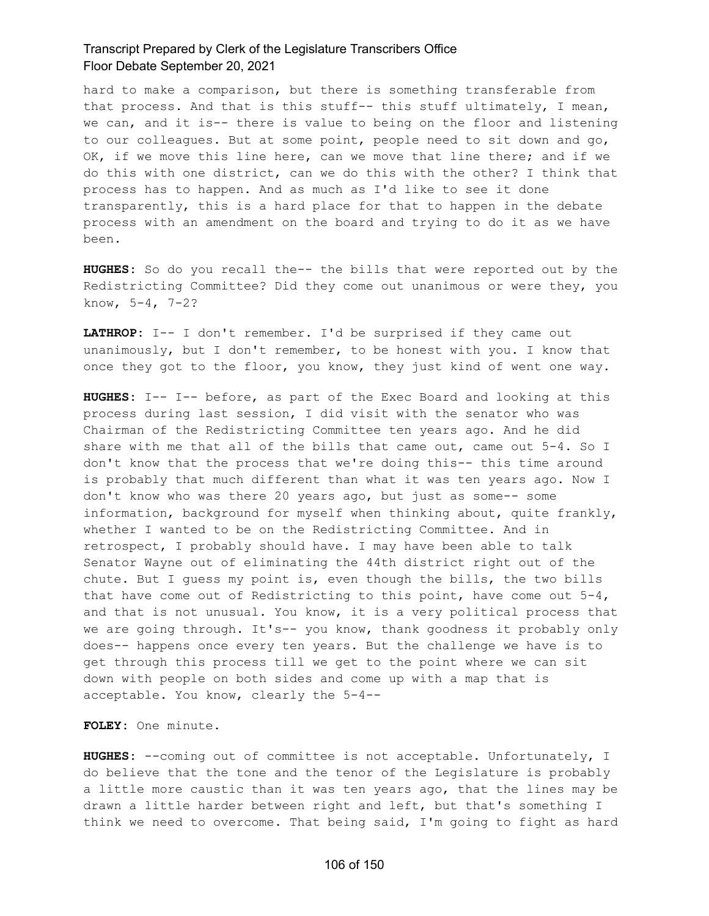hard to make a comparison, but there is something transferable from that process. And that is this stuff-- this stuff ultimately, I mean, we can, and it is-- there is value to being on the floor and listening to our colleagues. But at some point, people need to sit down and go, OK, if we move this line here, can we move that line there; and if we do this with one district, can we do this with the other? I think that process has to happen. And as much as I'd like to see it done transparently, this is a hard place for that to happen in the debate process with an amendment on the board and trying to do it as we have been.

**HUGHES:** So do you recall the-- the bills that were reported out by the Redistricting Committee? Did they come out unanimous or were they, you know, 5-4, 7-2?

**LATHROP:** I-- I don't remember. I'd be surprised if they came out unanimously, but I don't remember, to be honest with you. I know that once they got to the floor, you know, they just kind of went one way.

**HUGHES:** I-- I-- before, as part of the Exec Board and looking at this process during last session, I did visit with the senator who was Chairman of the Redistricting Committee ten years ago. And he did share with me that all of the bills that came out, came out 5-4. So I don't know that the process that we're doing this-- this time around is probably that much different than what it was ten years ago. Now I don't know who was there 20 years ago, but just as some-- some information, background for myself when thinking about, quite frankly, whether I wanted to be on the Redistricting Committee. And in retrospect, I probably should have. I may have been able to talk Senator Wayne out of eliminating the 44th district right out of the chute. But I guess my point is, even though the bills, the two bills that have come out of Redistricting to this point, have come out  $5-4$ , and that is not unusual. You know, it is a very political process that we are going through. It's-- you know, thank goodness it probably only does-- happens once every ten years. But the challenge we have is to get through this process till we get to the point where we can sit down with people on both sides and come up with a map that is acceptable. You know, clearly the 5-4--

**FOLEY:** One minute.

**HUGHES:** --coming out of committee is not acceptable. Unfortunately, I do believe that the tone and the tenor of the Legislature is probably a little more caustic than it was ten years ago, that the lines may be drawn a little harder between right and left, but that's something I think we need to overcome. That being said, I'm going to fight as hard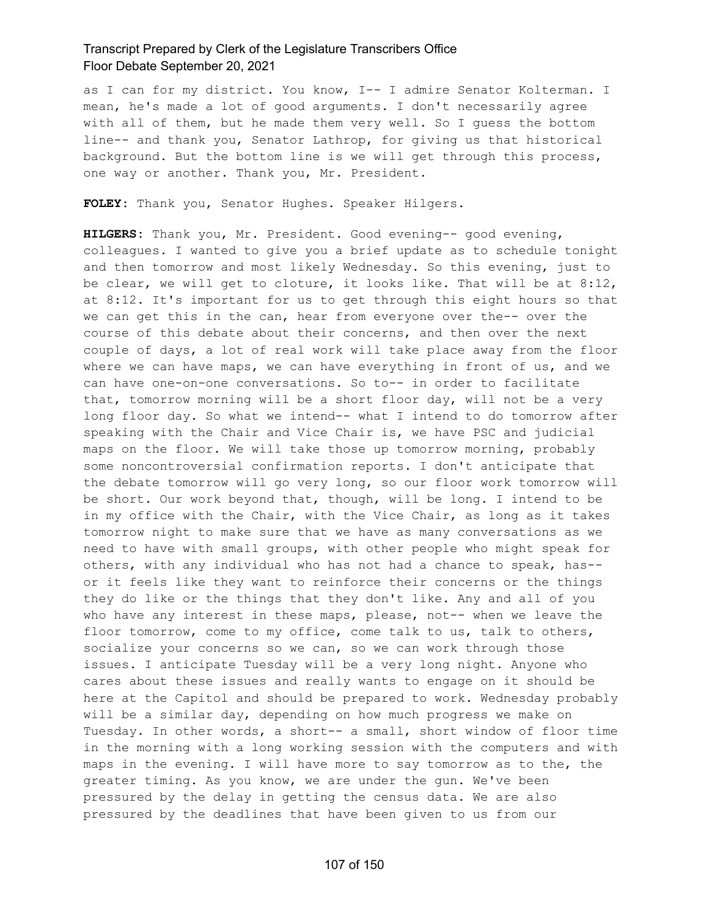as I can for my district. You know, I-- I admire Senator Kolterman. I mean, he's made a lot of good arguments. I don't necessarily agree with all of them, but he made them very well. So I quess the bottom line-- and thank you, Senator Lathrop, for giving us that historical background. But the bottom line is we will get through this process, one way or another. Thank you, Mr. President.

**FOLEY:** Thank you, Senator Hughes. Speaker Hilgers.

**HILGERS:** Thank you, Mr. President. Good evening-- good evening, colleagues. I wanted to give you a brief update as to schedule tonight and then tomorrow and most likely Wednesday. So this evening, just to be clear, we will get to cloture, it looks like. That will be at 8:12, at 8:12. It's important for us to get through this eight hours so that we can get this in the can, hear from everyone over the-- over the course of this debate about their concerns, and then over the next couple of days, a lot of real work will take place away from the floor where we can have maps, we can have everything in front of us, and we can have one-on-one conversations. So to-- in order to facilitate that, tomorrow morning will be a short floor day, will not be a very long floor day. So what we intend-- what I intend to do tomorrow after speaking with the Chair and Vice Chair is, we have PSC and judicial maps on the floor. We will take those up tomorrow morning, probably some noncontroversial confirmation reports. I don't anticipate that the debate tomorrow will go very long, so our floor work tomorrow will be short. Our work beyond that, though, will be long. I intend to be in my office with the Chair, with the Vice Chair, as long as it takes tomorrow night to make sure that we have as many conversations as we need to have with small groups, with other people who might speak for others, with any individual who has not had a chance to speak, has- or it feels like they want to reinforce their concerns or the things they do like or the things that they don't like. Any and all of you who have any interest in these maps, please, not-- when we leave the floor tomorrow, come to my office, come talk to us, talk to others, socialize your concerns so we can, so we can work through those issues. I anticipate Tuesday will be a very long night. Anyone who cares about these issues and really wants to engage on it should be here at the Capitol and should be prepared to work. Wednesday probably will be a similar day, depending on how much progress we make on Tuesday. In other words, a short-- a small, short window of floor time in the morning with a long working session with the computers and with maps in the evening. I will have more to say tomorrow as to the, the greater timing. As you know, we are under the gun. We've been pressured by the delay in getting the census data. We are also pressured by the deadlines that have been given to us from our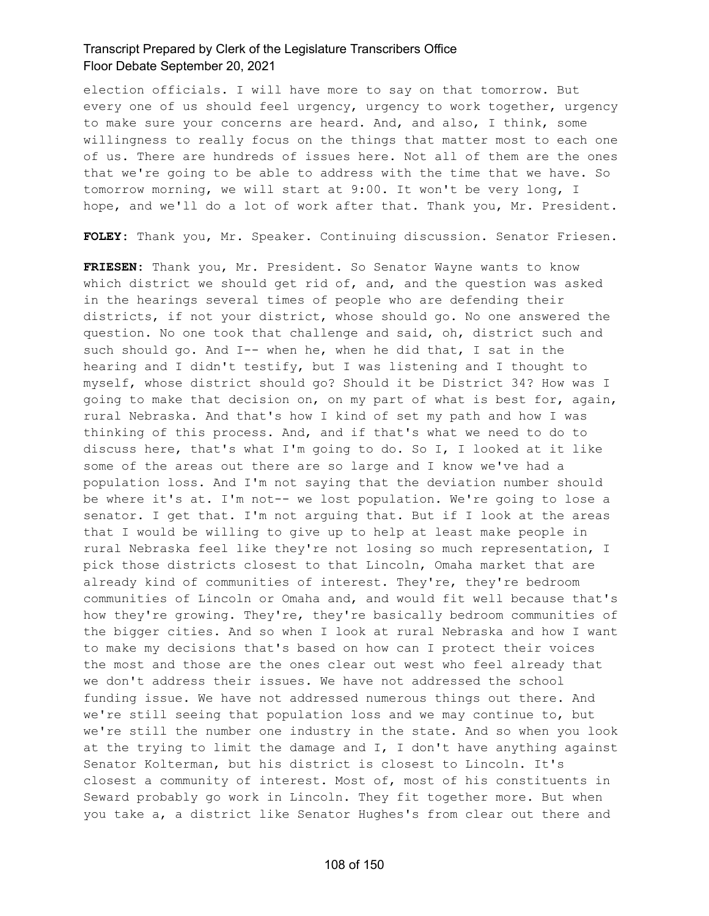election officials. I will have more to say on that tomorrow. But every one of us should feel urgency, urgency to work together, urgency to make sure your concerns are heard. And, and also, I think, some willingness to really focus on the things that matter most to each one of us. There are hundreds of issues here. Not all of them are the ones that we're going to be able to address with the time that we have. So tomorrow morning, we will start at 9:00. It won't be very long, I hope, and we'll do a lot of work after that. Thank you, Mr. President.

**FOLEY:** Thank you, Mr. Speaker. Continuing discussion. Senator Friesen.

**FRIESEN:** Thank you, Mr. President. So Senator Wayne wants to know which district we should get rid of, and, and the question was asked in the hearings several times of people who are defending their districts, if not your district, whose should go. No one answered the question. No one took that challenge and said, oh, district such and such should go. And I-- when he, when he did that, I sat in the hearing and I didn't testify, but I was listening and I thought to myself, whose district should go? Should it be District 34? How was I going to make that decision on, on my part of what is best for, again, rural Nebraska. And that's how I kind of set my path and how I was thinking of this process. And, and if that's what we need to do to discuss here, that's what I'm going to do. So I, I looked at it like some of the areas out there are so large and I know we've had a population loss. And I'm not saying that the deviation number should be where it's at. I'm not-- we lost population. We're going to lose a senator. I get that. I'm not arguing that. But if I look at the areas that I would be willing to give up to help at least make people in rural Nebraska feel like they're not losing so much representation, I pick those districts closest to that Lincoln, Omaha market that are already kind of communities of interest. They're, they're bedroom communities of Lincoln or Omaha and, and would fit well because that's how they're growing. They're, they're basically bedroom communities of the bigger cities. And so when I look at rural Nebraska and how I want to make my decisions that's based on how can I protect their voices the most and those are the ones clear out west who feel already that we don't address their issues. We have not addressed the school funding issue. We have not addressed numerous things out there. And we're still seeing that population loss and we may continue to, but we're still the number one industry in the state. And so when you look at the trying to limit the damage and  $I$ , I don't have anything against Senator Kolterman, but his district is closest to Lincoln. It's closest a community of interest. Most of, most of his constituents in Seward probably go work in Lincoln. They fit together more. But when you take a, a district like Senator Hughes's from clear out there and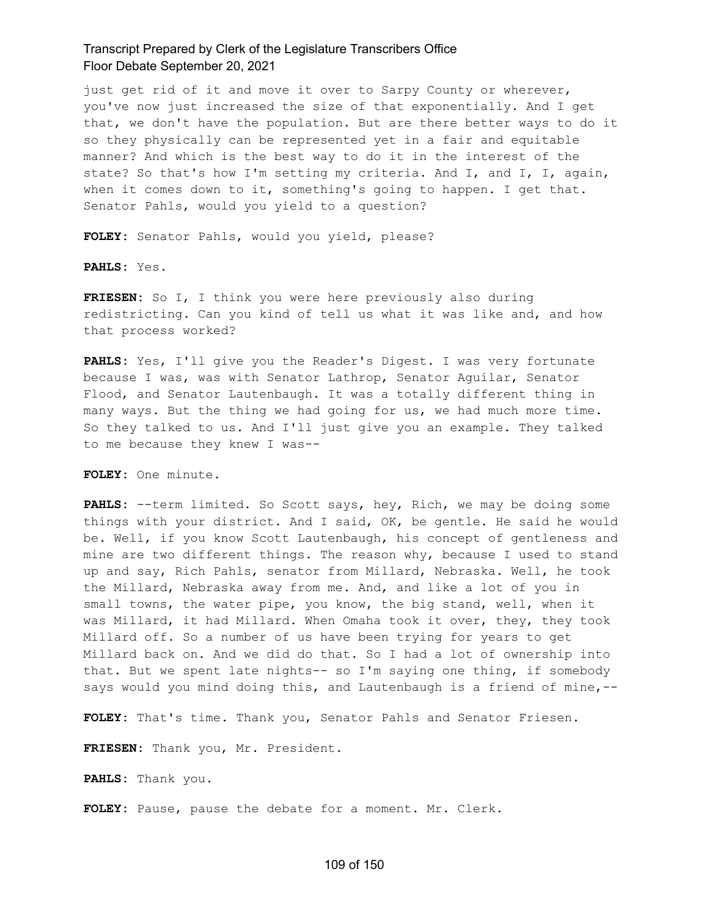just get rid of it and move it over to Sarpy County or wherever, you've now just increased the size of that exponentially. And I get that, we don't have the population. But are there better ways to do it so they physically can be represented yet in a fair and equitable manner? And which is the best way to do it in the interest of the state? So that's how I'm setting my criteria. And I, and I, I, again, when it comes down to it, something's going to happen. I get that. Senator Pahls, would you yield to a question?

**FOLEY:** Senator Pahls, would you yield, please?

**PAHLS:** Yes.

**FRIESEN:** So I, I think you were here previously also during redistricting. Can you kind of tell us what it was like and, and how that process worked?

**PAHLS:** Yes, I'll give you the Reader's Digest. I was very fortunate because I was, was with Senator Lathrop, Senator Aguilar, Senator Flood, and Senator Lautenbaugh. It was a totally different thing in many ways. But the thing we had going for us, we had much more time. So they talked to us. And I'll just give you an example. They talked to me because they knew I was--

**FOLEY:** One minute.

**PAHLS:** --term limited. So Scott says, hey, Rich, we may be doing some things with your district. And I said, OK, be gentle. He said he would be. Well, if you know Scott Lautenbaugh, his concept of gentleness and mine are two different things. The reason why, because I used to stand up and say, Rich Pahls, senator from Millard, Nebraska. Well, he took the Millard, Nebraska away from me. And, and like a lot of you in small towns, the water pipe, you know, the big stand, well, when it was Millard, it had Millard. When Omaha took it over, they, they took Millard off. So a number of us have been trying for years to get Millard back on. And we did do that. So I had a lot of ownership into that. But we spent late nights-- so I'm saying one thing, if somebody says would you mind doing this, and Lautenbaugh is a friend of mine,--

**FOLEY:** That's time. Thank you, Senator Pahls and Senator Friesen.

**FRIESEN:** Thank you, Mr. President.

**PAHLS:** Thank you.

**FOLEY:** Pause, pause the debate for a moment. Mr. Clerk.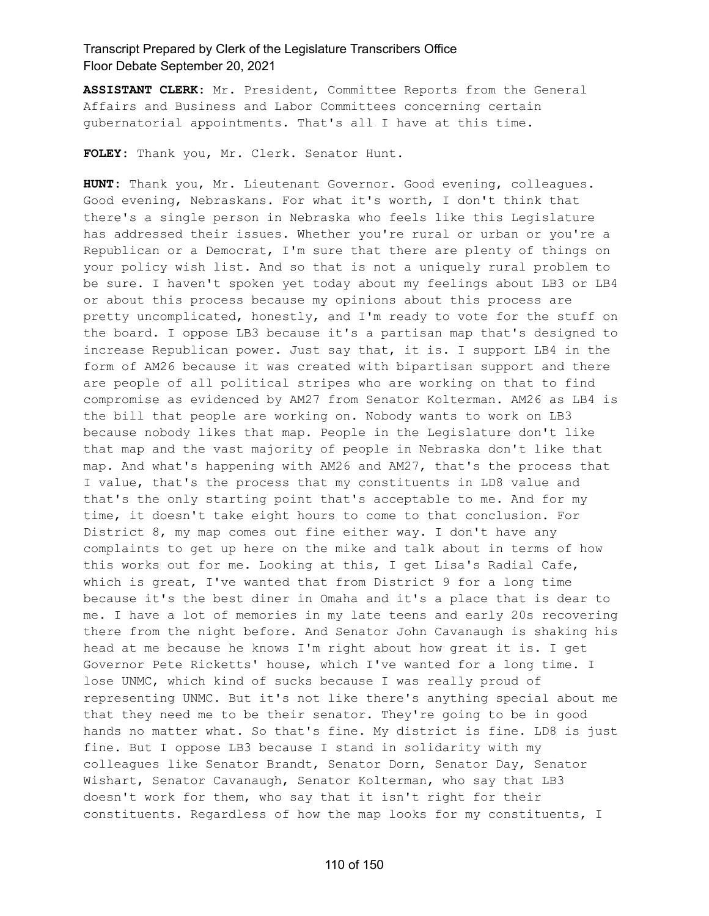**ASSISTANT CLERK:** Mr. President, Committee Reports from the General Affairs and Business and Labor Committees concerning certain gubernatorial appointments. That's all I have at this time.

**FOLEY:** Thank you, Mr. Clerk. Senator Hunt.

**HUNT:** Thank you, Mr. Lieutenant Governor. Good evening, colleagues. Good evening, Nebraskans. For what it's worth, I don't think that there's a single person in Nebraska who feels like this Legislature has addressed their issues. Whether you're rural or urban or you're a Republican or a Democrat, I'm sure that there are plenty of things on your policy wish list. And so that is not a uniquely rural problem to be sure. I haven't spoken yet today about my feelings about LB3 or LB4 or about this process because my opinions about this process are pretty uncomplicated, honestly, and I'm ready to vote for the stuff on the board. I oppose LB3 because it's a partisan map that's designed to increase Republican power. Just say that, it is. I support LB4 in the form of AM26 because it was created with bipartisan support and there are people of all political stripes who are working on that to find compromise as evidenced by AM27 from Senator Kolterman. AM26 as LB4 is the bill that people are working on. Nobody wants to work on LB3 because nobody likes that map. People in the Legislature don't like that map and the vast majority of people in Nebraska don't like that map. And what's happening with AM26 and AM27, that's the process that I value, that's the process that my constituents in LD8 value and that's the only starting point that's acceptable to me. And for my time, it doesn't take eight hours to come to that conclusion. For District 8, my map comes out fine either way. I don't have any complaints to get up here on the mike and talk about in terms of how this works out for me. Looking at this, I get Lisa's Radial Cafe, which is great, I've wanted that from District 9 for a long time because it's the best diner in Omaha and it's a place that is dear to me. I have a lot of memories in my late teens and early 20s recovering there from the night before. And Senator John Cavanaugh is shaking his head at me because he knows I'm right about how great it is. I get Governor Pete Ricketts' house, which I've wanted for a long time. I lose UNMC, which kind of sucks because I was really proud of representing UNMC. But it's not like there's anything special about me that they need me to be their senator. They're going to be in good hands no matter what. So that's fine. My district is fine. LD8 is just fine. But I oppose LB3 because I stand in solidarity with my colleagues like Senator Brandt, Senator Dorn, Senator Day, Senator Wishart, Senator Cavanaugh, Senator Kolterman, who say that LB3 doesn't work for them, who say that it isn't right for their constituents. Regardless of how the map looks for my constituents, I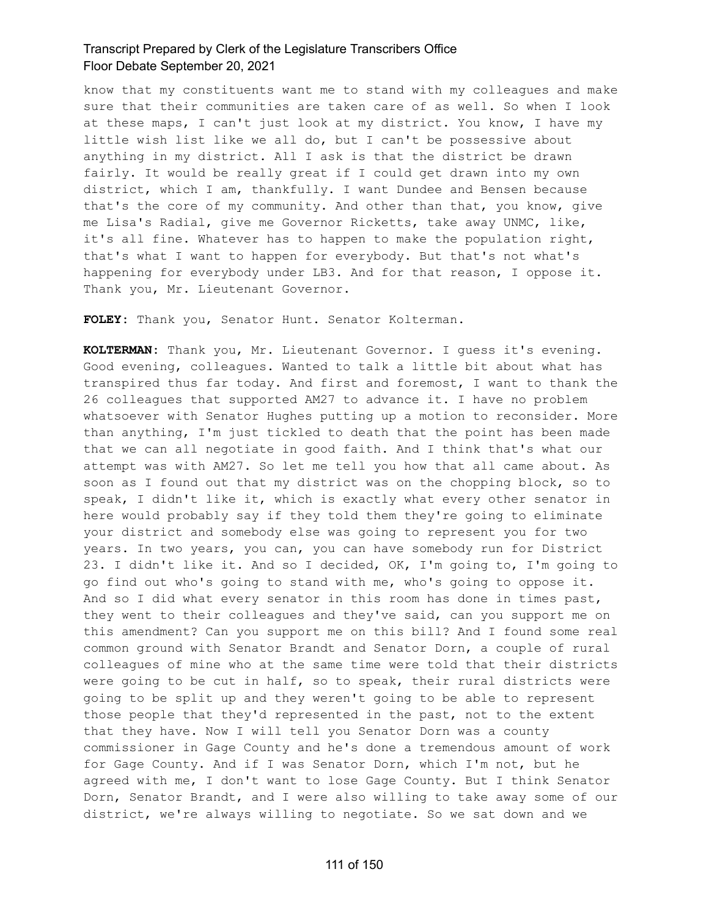know that my constituents want me to stand with my colleagues and make sure that their communities are taken care of as well. So when I look at these maps, I can't just look at my district. You know, I have my little wish list like we all do, but I can't be possessive about anything in my district. All I ask is that the district be drawn fairly. It would be really great if I could get drawn into my own district, which I am, thankfully. I want Dundee and Bensen because that's the core of my community. And other than that, you know, give me Lisa's Radial, give me Governor Ricketts, take away UNMC, like, it's all fine. Whatever has to happen to make the population right, that's what I want to happen for everybody. But that's not what's happening for everybody under LB3. And for that reason, I oppose it. Thank you, Mr. Lieutenant Governor.

**FOLEY:** Thank you, Senator Hunt. Senator Kolterman.

**KOLTERMAN:** Thank you, Mr. Lieutenant Governor. I guess it's evening. Good evening, colleagues. Wanted to talk a little bit about what has transpired thus far today. And first and foremost, I want to thank the 26 colleagues that supported AM27 to advance it. I have no problem whatsoever with Senator Hughes putting up a motion to reconsider. More than anything, I'm just tickled to death that the point has been made that we can all negotiate in good faith. And I think that's what our attempt was with AM27. So let me tell you how that all came about. As soon as I found out that my district was on the chopping block, so to speak, I didn't like it, which is exactly what every other senator in here would probably say if they told them they're going to eliminate your district and somebody else was going to represent you for two years. In two years, you can, you can have somebody run for District 23. I didn't like it. And so I decided, OK, I'm going to, I'm going to go find out who's going to stand with me, who's going to oppose it. And so I did what every senator in this room has done in times past, they went to their colleagues and they've said, can you support me on this amendment? Can you support me on this bill? And I found some real common ground with Senator Brandt and Senator Dorn, a couple of rural colleagues of mine who at the same time were told that their districts were going to be cut in half, so to speak, their rural districts were going to be split up and they weren't going to be able to represent those people that they'd represented in the past, not to the extent that they have. Now I will tell you Senator Dorn was a county commissioner in Gage County and he's done a tremendous amount of work for Gage County. And if I was Senator Dorn, which I'm not, but he agreed with me, I don't want to lose Gage County. But I think Senator Dorn, Senator Brandt, and I were also willing to take away some of our district, we're always willing to negotiate. So we sat down and we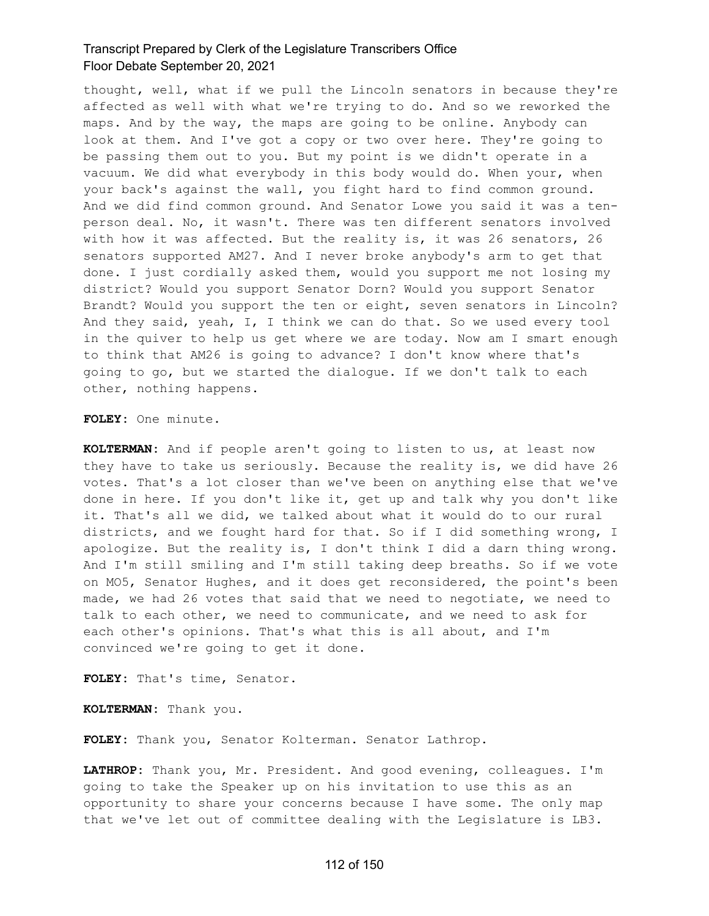thought, well, what if we pull the Lincoln senators in because they're affected as well with what we're trying to do. And so we reworked the maps. And by the way, the maps are going to be online. Anybody can look at them. And I've got a copy or two over here. They're going to be passing them out to you. But my point is we didn't operate in a vacuum. We did what everybody in this body would do. When your, when your back's against the wall, you fight hard to find common ground. And we did find common ground. And Senator Lowe you said it was a tenperson deal. No, it wasn't. There was ten different senators involved with how it was affected. But the reality is, it was 26 senators, 26 senators supported AM27. And I never broke anybody's arm to get that done. I just cordially asked them, would you support me not losing my district? Would you support Senator Dorn? Would you support Senator Brandt? Would you support the ten or eight, seven senators in Lincoln? And they said, yeah, I, I think we can do that. So we used every tool in the quiver to help us get where we are today. Now am I smart enough to think that AM26 is going to advance? I don't know where that's going to go, but we started the dialogue. If we don't talk to each other, nothing happens.

**FOLEY:** One minute.

**KOLTERMAN:** And if people aren't going to listen to us, at least now they have to take us seriously. Because the reality is, we did have 26 votes. That's a lot closer than we've been on anything else that we've done in here. If you don't like it, get up and talk why you don't like it. That's all we did, we talked about what it would do to our rural districts, and we fought hard for that. So if I did something wrong, I apologize. But the reality is, I don't think I did a darn thing wrong. And I'm still smiling and I'm still taking deep breaths. So if we vote on MO5, Senator Hughes, and it does get reconsidered, the point's been made, we had 26 votes that said that we need to negotiate, we need to talk to each other, we need to communicate, and we need to ask for each other's opinions. That's what this is all about, and I'm convinced we're going to get it done.

**FOLEY:** That's time, Senator.

**KOLTERMAN:** Thank you.

**FOLEY:** Thank you, Senator Kolterman. Senator Lathrop.

**LATHROP:** Thank you, Mr. President. And good evening, colleagues. I'm going to take the Speaker up on his invitation to use this as an opportunity to share your concerns because I have some. The only map that we've let out of committee dealing with the Legislature is LB3.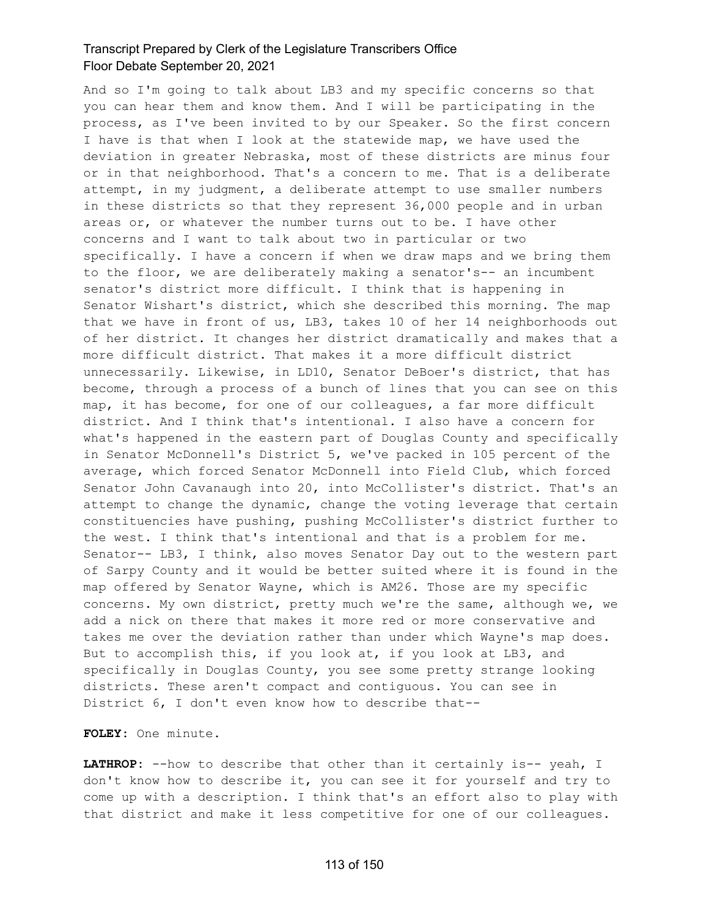And so I'm going to talk about LB3 and my specific concerns so that you can hear them and know them. And I will be participating in the process, as I've been invited to by our Speaker. So the first concern I have is that when I look at the statewide map, we have used the deviation in greater Nebraska, most of these districts are minus four or in that neighborhood. That's a concern to me. That is a deliberate attempt, in my judgment, a deliberate attempt to use smaller numbers in these districts so that they represent 36,000 people and in urban areas or, or whatever the number turns out to be. I have other concerns and I want to talk about two in particular or two specifically. I have a concern if when we draw maps and we bring them to the floor, we are deliberately making a senator's-- an incumbent senator's district more difficult. I think that is happening in Senator Wishart's district, which she described this morning. The map that we have in front of us, LB3, takes 10 of her 14 neighborhoods out of her district. It changes her district dramatically and makes that a more difficult district. That makes it a more difficult district unnecessarily. Likewise, in LD10, Senator DeBoer's district, that has become, through a process of a bunch of lines that you can see on this map, it has become, for one of our colleagues, a far more difficult district. And I think that's intentional. I also have a concern for what's happened in the eastern part of Douglas County and specifically in Senator McDonnell's District 5, we've packed in 105 percent of the average, which forced Senator McDonnell into Field Club, which forced Senator John Cavanaugh into 20, into McCollister's district. That's an attempt to change the dynamic, change the voting leverage that certain constituencies have pushing, pushing McCollister's district further to the west. I think that's intentional and that is a problem for me. Senator-- LB3, I think, also moves Senator Day out to the western part of Sarpy County and it would be better suited where it is found in the map offered by Senator Wayne, which is AM26. Those are my specific concerns. My own district, pretty much we're the same, although we, we add a nick on there that makes it more red or more conservative and takes me over the deviation rather than under which Wayne's map does. But to accomplish this, if you look at, if you look at LB3, and specifically in Douglas County, you see some pretty strange looking districts. These aren't compact and contiguous. You can see in District 6, I don't even know how to describe that--

**FOLEY:** One minute.

LATHROP: --how to describe that other than it certainly is-- yeah, I don't know how to describe it, you can see it for yourself and try to come up with a description. I think that's an effort also to play with that district and make it less competitive for one of our colleagues.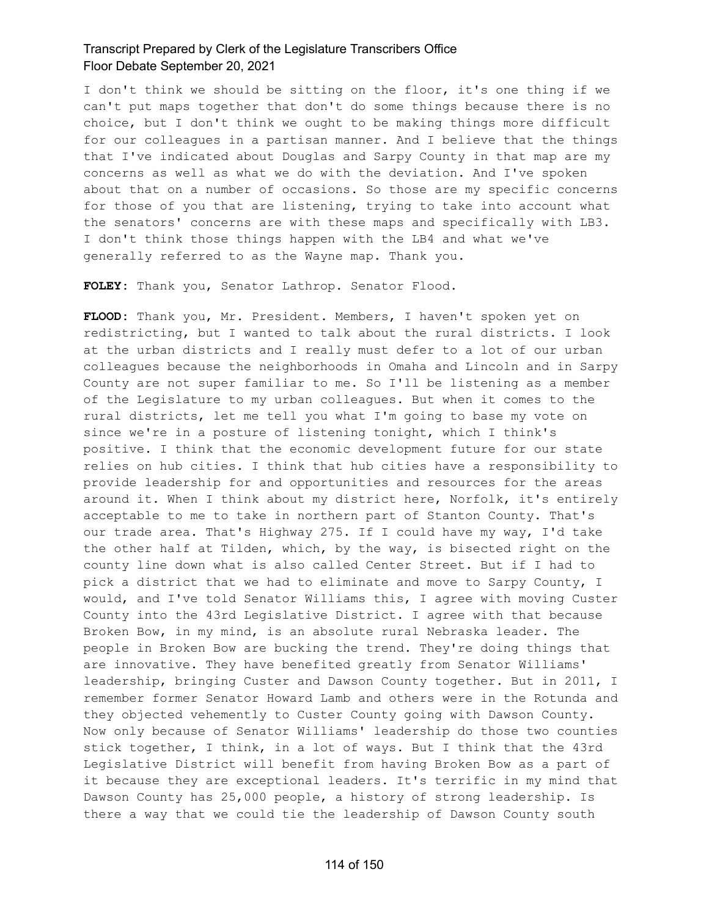I don't think we should be sitting on the floor, it's one thing if we can't put maps together that don't do some things because there is no choice, but I don't think we ought to be making things more difficult for our colleagues in a partisan manner. And I believe that the things that I've indicated about Douglas and Sarpy County in that map are my concerns as well as what we do with the deviation. And I've spoken about that on a number of occasions. So those are my specific concerns for those of you that are listening, trying to take into account what the senators' concerns are with these maps and specifically with LB3. I don't think those things happen with the LB4 and what we've generally referred to as the Wayne map. Thank you.

**FOLEY:** Thank you, Senator Lathrop. Senator Flood.

**FLOOD:** Thank you, Mr. President. Members, I haven't spoken yet on redistricting, but I wanted to talk about the rural districts. I look at the urban districts and I really must defer to a lot of our urban colleagues because the neighborhoods in Omaha and Lincoln and in Sarpy County are not super familiar to me. So I'll be listening as a member of the Legislature to my urban colleagues. But when it comes to the rural districts, let me tell you what I'm going to base my vote on since we're in a posture of listening tonight, which I think's positive. I think that the economic development future for our state relies on hub cities. I think that hub cities have a responsibility to provide leadership for and opportunities and resources for the areas around it. When I think about my district here, Norfolk, it's entirely acceptable to me to take in northern part of Stanton County. That's our trade area. That's Highway 275. If I could have my way, I'd take the other half at Tilden, which, by the way, is bisected right on the county line down what is also called Center Street. But if I had to pick a district that we had to eliminate and move to Sarpy County, I would, and I've told Senator Williams this, I agree with moving Custer County into the 43rd Legislative District. I agree with that because Broken Bow, in my mind, is an absolute rural Nebraska leader. The people in Broken Bow are bucking the trend. They're doing things that are innovative. They have benefited greatly from Senator Williams' leadership, bringing Custer and Dawson County together. But in 2011, I remember former Senator Howard Lamb and others were in the Rotunda and they objected vehemently to Custer County going with Dawson County. Now only because of Senator Williams' leadership do those two counties stick together, I think, in a lot of ways. But I think that the 43rd Legislative District will benefit from having Broken Bow as a part of it because they are exceptional leaders. It's terrific in my mind that Dawson County has 25,000 people, a history of strong leadership. Is there a way that we could tie the leadership of Dawson County south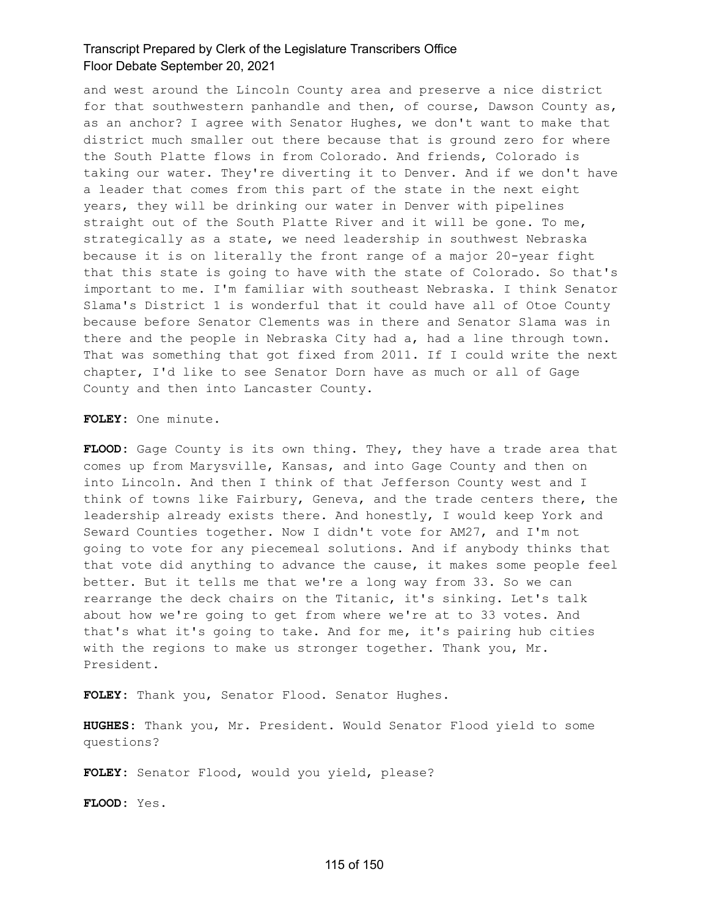and west around the Lincoln County area and preserve a nice district for that southwestern panhandle and then, of course, Dawson County as, as an anchor? I agree with Senator Hughes, we don't want to make that district much smaller out there because that is ground zero for where the South Platte flows in from Colorado. And friends, Colorado is taking our water. They're diverting it to Denver. And if we don't have a leader that comes from this part of the state in the next eight years, they will be drinking our water in Denver with pipelines straight out of the South Platte River and it will be gone. To me, strategically as a state, we need leadership in southwest Nebraska because it is on literally the front range of a major 20-year fight that this state is going to have with the state of Colorado. So that's important to me. I'm familiar with southeast Nebraska. I think Senator Slama's District 1 is wonderful that it could have all of Otoe County because before Senator Clements was in there and Senator Slama was in there and the people in Nebraska City had a, had a line through town. That was something that got fixed from 2011. If I could write the next chapter, I'd like to see Senator Dorn have as much or all of Gage County and then into Lancaster County.

**FOLEY:** One minute.

**FLOOD:** Gage County is its own thing. They, they have a trade area that comes up from Marysville, Kansas, and into Gage County and then on into Lincoln. And then I think of that Jefferson County west and I think of towns like Fairbury, Geneva, and the trade centers there, the leadership already exists there. And honestly, I would keep York and Seward Counties together. Now I didn't vote for AM27, and I'm not going to vote for any piecemeal solutions. And if anybody thinks that that vote did anything to advance the cause, it makes some people feel better. But it tells me that we're a long way from 33. So we can rearrange the deck chairs on the Titanic, it's sinking. Let's talk about how we're going to get from where we're at to 33 votes. And that's what it's going to take. And for me, it's pairing hub cities with the regions to make us stronger together. Thank you, Mr. President.

**FOLEY:** Thank you, Senator Flood. Senator Hughes.

**HUGHES:** Thank you, Mr. President. Would Senator Flood yield to some questions?

**FOLEY:** Senator Flood, would you yield, please?

**FLOOD:** Yes.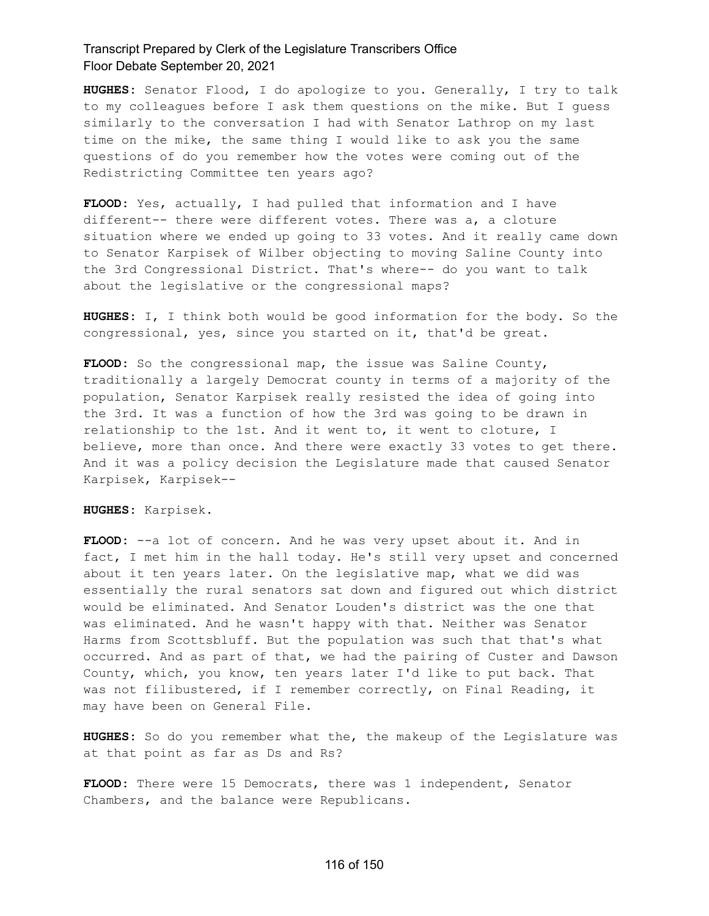**HUGHES:** Senator Flood, I do apologize to you. Generally, I try to talk to my colleagues before I ask them questions on the mike. But I guess similarly to the conversation I had with Senator Lathrop on my last time on the mike, the same thing I would like to ask you the same questions of do you remember how the votes were coming out of the Redistricting Committee ten years ago?

**FLOOD:** Yes, actually, I had pulled that information and I have different-- there were different votes. There was a, a cloture situation where we ended up going to 33 votes. And it really came down to Senator Karpisek of Wilber objecting to moving Saline County into the 3rd Congressional District. That's where-- do you want to talk about the legislative or the congressional maps?

**HUGHES:** I, I think both would be good information for the body. So the congressional, yes, since you started on it, that'd be great.

**FLOOD:** So the congressional map, the issue was Saline County, traditionally a largely Democrat county in terms of a majority of the population, Senator Karpisek really resisted the idea of going into the 3rd. It was a function of how the 3rd was going to be drawn in relationship to the 1st. And it went to, it went to cloture, I believe, more than once. And there were exactly 33 votes to get there. And it was a policy decision the Legislature made that caused Senator Karpisek, Karpisek--

**HUGHES:** Karpisek.

**FLOOD:** --a lot of concern. And he was very upset about it. And in fact, I met him in the hall today. He's still very upset and concerned about it ten years later. On the legislative map, what we did was essentially the rural senators sat down and figured out which district would be eliminated. And Senator Louden's district was the one that was eliminated. And he wasn't happy with that. Neither was Senator Harms from Scottsbluff. But the population was such that that's what occurred. And as part of that, we had the pairing of Custer and Dawson County, which, you know, ten years later I'd like to put back. That was not filibustered, if I remember correctly, on Final Reading, it may have been on General File.

**HUGHES:** So do you remember what the, the makeup of the Legislature was at that point as far as Ds and Rs?

**FLOOD:** There were 15 Democrats, there was 1 independent, Senator Chambers, and the balance were Republicans.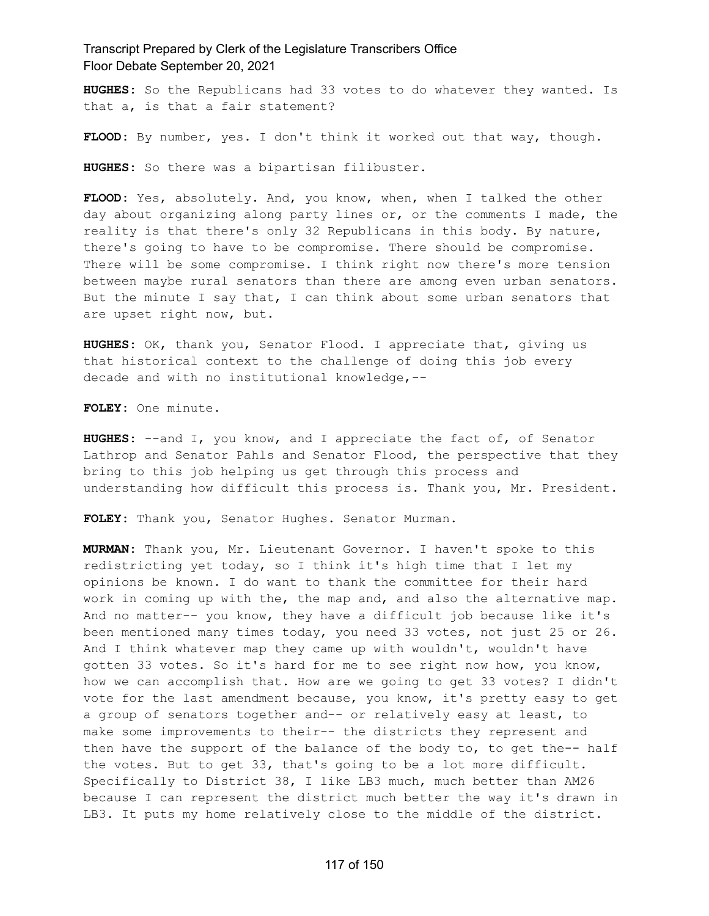**HUGHES:** So the Republicans had 33 votes to do whatever they wanted. Is that a, is that a fair statement?

**FLOOD:** By number, yes. I don't think it worked out that way, though.

**HUGHES:** So there was a bipartisan filibuster.

**FLOOD:** Yes, absolutely. And, you know, when, when I talked the other day about organizing along party lines or, or the comments I made, the reality is that there's only 32 Republicans in this body. By nature, there's going to have to be compromise. There should be compromise. There will be some compromise. I think right now there's more tension between maybe rural senators than there are among even urban senators. But the minute I say that, I can think about some urban senators that are upset right now, but.

**HUGHES:** OK, thank you, Senator Flood. I appreciate that, giving us that historical context to the challenge of doing this job every decade and with no institutional knowledge,--

**FOLEY:** One minute.

**HUGHES:** --and I, you know, and I appreciate the fact of, of Senator Lathrop and Senator Pahls and Senator Flood, the perspective that they bring to this job helping us get through this process and understanding how difficult this process is. Thank you, Mr. President.

**FOLEY:** Thank you, Senator Hughes. Senator Murman.

**MURMAN:** Thank you, Mr. Lieutenant Governor. I haven't spoke to this redistricting yet today, so I think it's high time that I let my opinions be known. I do want to thank the committee for their hard work in coming up with the, the map and, and also the alternative map. And no matter-- you know, they have a difficult job because like it's been mentioned many times today, you need 33 votes, not just 25 or 26. And I think whatever map they came up with wouldn't, wouldn't have gotten 33 votes. So it's hard for me to see right now how, you know, how we can accomplish that. How are we going to get 33 votes? I didn't vote for the last amendment because, you know, it's pretty easy to get a group of senators together and-- or relatively easy at least, to make some improvements to their-- the districts they represent and then have the support of the balance of the body to, to get the-- half the votes. But to get 33, that's going to be a lot more difficult. Specifically to District 38, I like LB3 much, much better than AM26 because I can represent the district much better the way it's drawn in LB3. It puts my home relatively close to the middle of the district.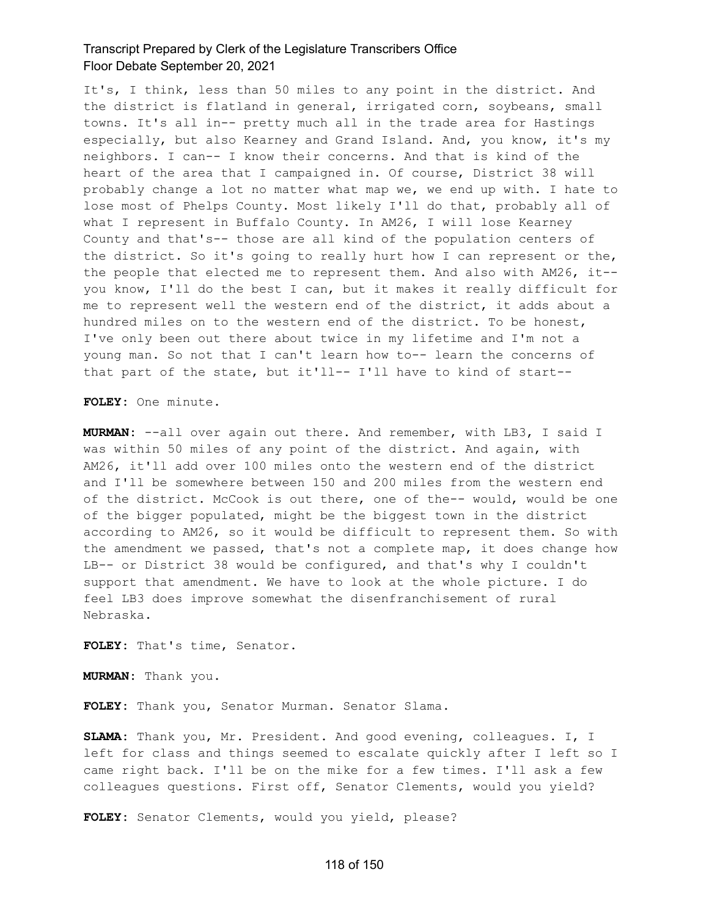It's, I think, less than 50 miles to any point in the district. And the district is flatland in general, irrigated corn, soybeans, small towns. It's all in-- pretty much all in the trade area for Hastings especially, but also Kearney and Grand Island. And, you know, it's my neighbors. I can-- I know their concerns. And that is kind of the heart of the area that I campaigned in. Of course, District 38 will probably change a lot no matter what map we, we end up with. I hate to lose most of Phelps County. Most likely I'll do that, probably all of what I represent in Buffalo County. In AM26, I will lose Kearney County and that's-- those are all kind of the population centers of the district. So it's going to really hurt how I can represent or the, the people that elected me to represent them. And also with AM26, it- you know, I'll do the best I can, but it makes it really difficult for me to represent well the western end of the district, it adds about a hundred miles on to the western end of the district. To be honest, I've only been out there about twice in my lifetime and I'm not a young man. So not that I can't learn how to-- learn the concerns of that part of the state, but it'll-- I'll have to kind of start--

**FOLEY:** One minute.

**MURMAN:** --all over again out there. And remember, with LB3, I said I was within 50 miles of any point of the district. And again, with AM26, it'll add over 100 miles onto the western end of the district and I'll be somewhere between 150 and 200 miles from the western end of the district. McCook is out there, one of the-- would, would be one of the bigger populated, might be the biggest town in the district according to AM26, so it would be difficult to represent them. So with the amendment we passed, that's not a complete map, it does change how LB-- or District 38 would be configured, and that's why I couldn't support that amendment. We have to look at the whole picture. I do feel LB3 does improve somewhat the disenfranchisement of rural Nebraska.

**FOLEY:** That's time, Senator.

**MURMAN:** Thank you.

**FOLEY:** Thank you, Senator Murman. Senator Slama.

**SLAMA:** Thank you, Mr. President. And good evening, colleagues. I, I left for class and things seemed to escalate quickly after I left so I came right back. I'll be on the mike for a few times. I'll ask a few colleagues questions. First off, Senator Clements, would you yield?

**FOLEY:** Senator Clements, would you yield, please?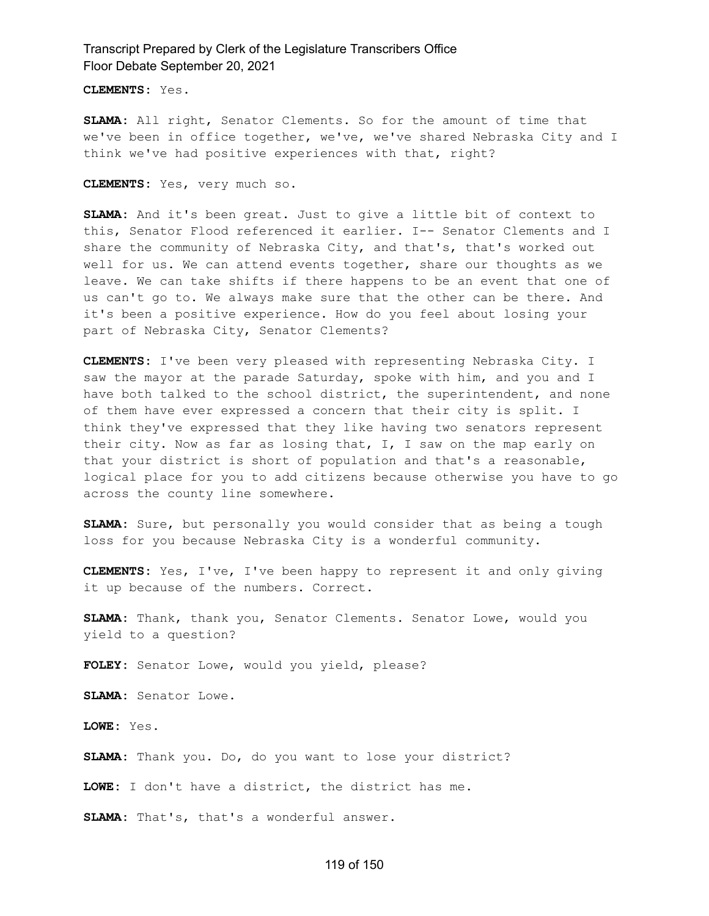**CLEMENTS:** Yes.

**SLAMA:** All right, Senator Clements. So for the amount of time that we've been in office together, we've, we've shared Nebraska City and I think we've had positive experiences with that, right?

**CLEMENTS:** Yes, very much so.

**SLAMA:** And it's been great. Just to give a little bit of context to this, Senator Flood referenced it earlier. I-- Senator Clements and I share the community of Nebraska City, and that's, that's worked out well for us. We can attend events together, share our thoughts as we leave. We can take shifts if there happens to be an event that one of us can't go to. We always make sure that the other can be there. And it's been a positive experience. How do you feel about losing your part of Nebraska City, Senator Clements?

**CLEMENTS:** I've been very pleased with representing Nebraska City. I saw the mayor at the parade Saturday, spoke with him, and you and I have both talked to the school district, the superintendent, and none of them have ever expressed a concern that their city is split. I think they've expressed that they like having two senators represent their city. Now as far as losing that, I, I saw on the map early on that your district is short of population and that's a reasonable, logical place for you to add citizens because otherwise you have to go across the county line somewhere.

**SLAMA:** Sure, but personally you would consider that as being a tough loss for you because Nebraska City is a wonderful community.

**CLEMENTS:** Yes, I've, I've been happy to represent it and only giving it up because of the numbers. Correct.

**SLAMA:** Thank, thank you, Senator Clements. Senator Lowe, would you yield to a question?

**FOLEY:** Senator Lowe, would you yield, please?

**SLAMA:** Senator Lowe.

**LOWE:** Yes.

**SLAMA:** Thank you. Do, do you want to lose your district?

**LOWE:** I don't have a district, the district has me.

**SLAMA:** That's, that's a wonderful answer.

#### 119 of 150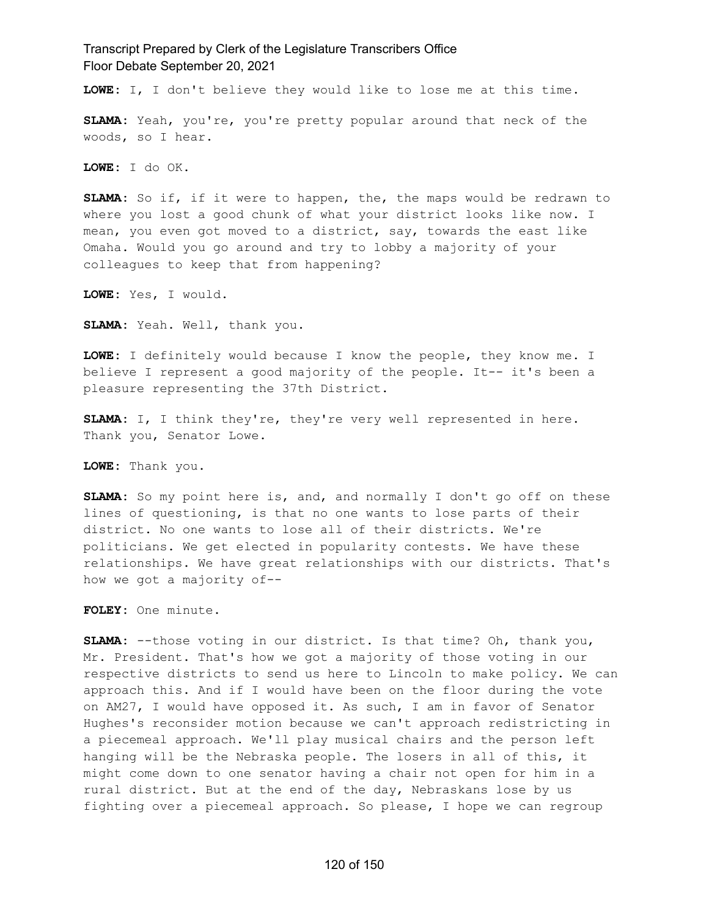**LOWE:** I, I don't believe they would like to lose me at this time.

**SLAMA:** Yeah, you're, you're pretty popular around that neck of the woods, so I hear.

**LOWE:** I do OK.

**SLAMA:** So if, if it were to happen, the, the maps would be redrawn to where you lost a good chunk of what your district looks like now. I mean, you even got moved to a district, say, towards the east like Omaha. Would you go around and try to lobby a majority of your colleagues to keep that from happening?

**LOWE:** Yes, I would.

**SLAMA:** Yeah. Well, thank you.

**LOWE:** I definitely would because I know the people, they know me. I believe I represent a good majority of the people. It-- it's been a pleasure representing the 37th District.

**SLAMA:** I, I think they're, they're very well represented in here. Thank you, Senator Lowe.

**LOWE:** Thank you.

**SLAMA:** So my point here is, and, and normally I don't go off on these lines of questioning, is that no one wants to lose parts of their district. No one wants to lose all of their districts. We're politicians. We get elected in popularity contests. We have these relationships. We have great relationships with our districts. That's how we got a majority of--

**FOLEY:** One minute.

**SLAMA:** --those voting in our district. Is that time? Oh, thank you, Mr. President. That's how we got a majority of those voting in our respective districts to send us here to Lincoln to make policy. We can approach this. And if I would have been on the floor during the vote on AM27, I would have opposed it. As such, I am in favor of Senator Hughes's reconsider motion because we can't approach redistricting in a piecemeal approach. We'll play musical chairs and the person left hanging will be the Nebraska people. The losers in all of this, it might come down to one senator having a chair not open for him in a rural district. But at the end of the day, Nebraskans lose by us fighting over a piecemeal approach. So please, I hope we can regroup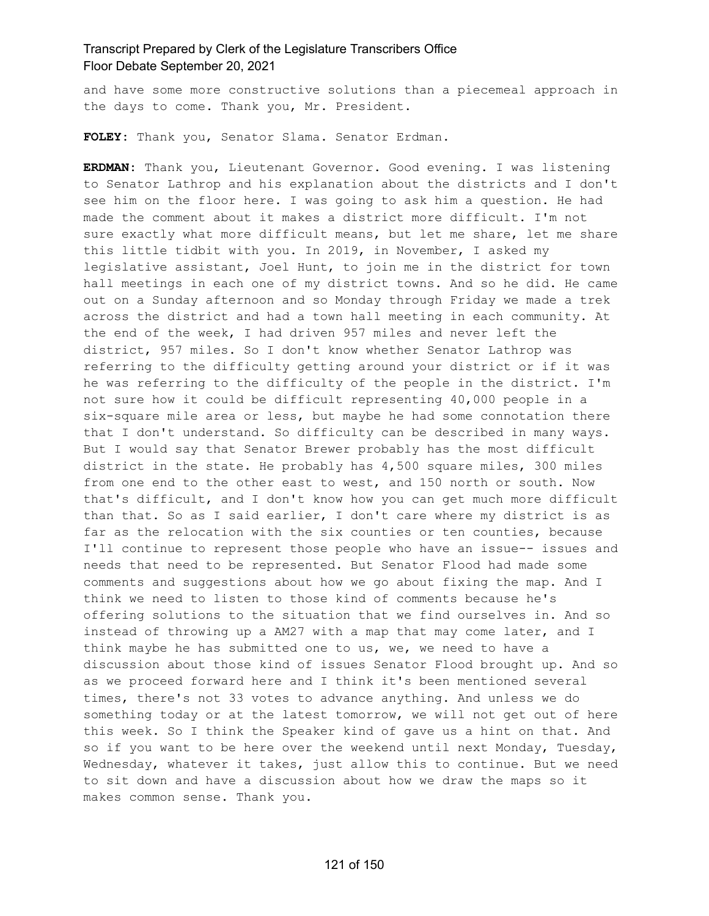and have some more constructive solutions than a piecemeal approach in the days to come. Thank you, Mr. President.

**FOLEY:** Thank you, Senator Slama. Senator Erdman.

**ERDMAN:** Thank you, Lieutenant Governor. Good evening. I was listening to Senator Lathrop and his explanation about the districts and I don't see him on the floor here. I was going to ask him a question. He had made the comment about it makes a district more difficult. I'm not sure exactly what more difficult means, but let me share, let me share this little tidbit with you. In 2019, in November, I asked my legislative assistant, Joel Hunt, to join me in the district for town hall meetings in each one of my district towns. And so he did. He came out on a Sunday afternoon and so Monday through Friday we made a trek across the district and had a town hall meeting in each community. At the end of the week, I had driven 957 miles and never left the district, 957 miles. So I don't know whether Senator Lathrop was referring to the difficulty getting around your district or if it was he was referring to the difficulty of the people in the district. I'm not sure how it could be difficult representing 40,000 people in a six-square mile area or less, but maybe he had some connotation there that I don't understand. So difficulty can be described in many ways. But I would say that Senator Brewer probably has the most difficult district in the state. He probably has 4,500 square miles, 300 miles from one end to the other east to west, and 150 north or south. Now that's difficult, and I don't know how you can get much more difficult than that. So as I said earlier, I don't care where my district is as far as the relocation with the six counties or ten counties, because I'll continue to represent those people who have an issue-- issues and needs that need to be represented. But Senator Flood had made some comments and suggestions about how we go about fixing the map. And I think we need to listen to those kind of comments because he's offering solutions to the situation that we find ourselves in. And so instead of throwing up a AM27 with a map that may come later, and I think maybe he has submitted one to us, we, we need to have a discussion about those kind of issues Senator Flood brought up. And so as we proceed forward here and I think it's been mentioned several times, there's not 33 votes to advance anything. And unless we do something today or at the latest tomorrow, we will not get out of here this week. So I think the Speaker kind of gave us a hint on that. And so if you want to be here over the weekend until next Monday, Tuesday, Wednesday, whatever it takes, just allow this to continue. But we need to sit down and have a discussion about how we draw the maps so it makes common sense. Thank you.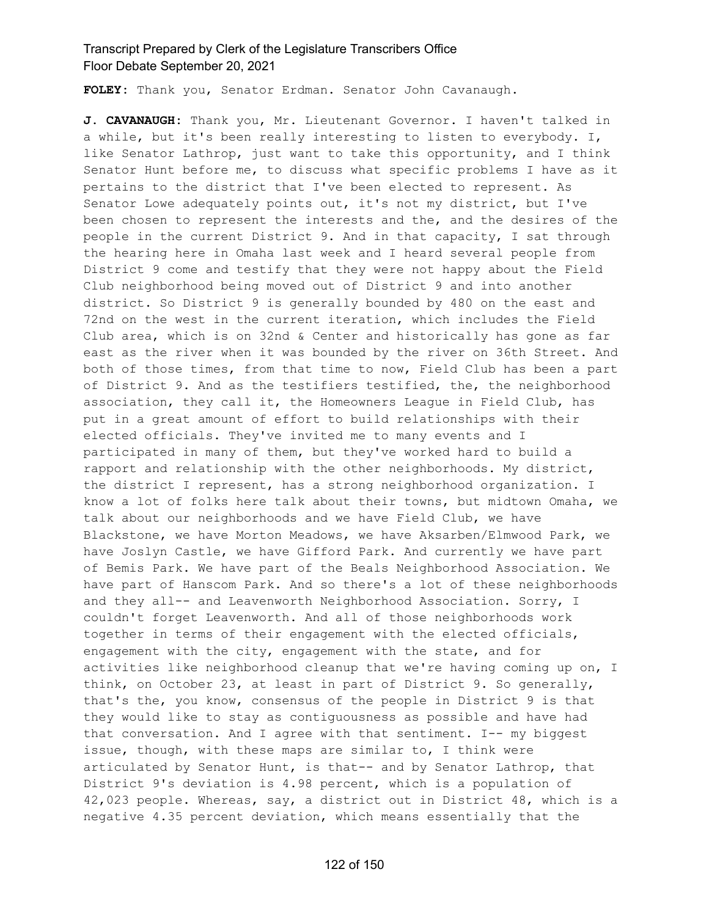**FOLEY:** Thank you, Senator Erdman. Senator John Cavanaugh.

**J. CAVANAUGH:** Thank you, Mr. Lieutenant Governor. I haven't talked in a while, but it's been really interesting to listen to everybody. I, like Senator Lathrop, just want to take this opportunity, and I think Senator Hunt before me, to discuss what specific problems I have as it pertains to the district that I've been elected to represent. As Senator Lowe adequately points out, it's not my district, but I've been chosen to represent the interests and the, and the desires of the people in the current District 9. And in that capacity, I sat through the hearing here in Omaha last week and I heard several people from District 9 come and testify that they were not happy about the Field Club neighborhood being moved out of District 9 and into another district. So District 9 is generally bounded by 480 on the east and 72nd on the west in the current iteration, which includes the Field Club area, which is on 32nd & Center and historically has gone as far east as the river when it was bounded by the river on 36th Street. And both of those times, from that time to now, Field Club has been a part of District 9. And as the testifiers testified, the, the neighborhood association, they call it, the Homeowners League in Field Club, has put in a great amount of effort to build relationships with their elected officials. They've invited me to many events and I participated in many of them, but they've worked hard to build a rapport and relationship with the other neighborhoods. My district, the district I represent, has a strong neighborhood organization. I know a lot of folks here talk about their towns, but midtown Omaha, we talk about our neighborhoods and we have Field Club, we have Blackstone, we have Morton Meadows, we have Aksarben/Elmwood Park, we have Joslyn Castle, we have Gifford Park. And currently we have part of Bemis Park. We have part of the Beals Neighborhood Association. We have part of Hanscom Park. And so there's a lot of these neighborhoods and they all-- and Leavenworth Neighborhood Association. Sorry, I couldn't forget Leavenworth. And all of those neighborhoods work together in terms of their engagement with the elected officials, engagement with the city, engagement with the state, and for activities like neighborhood cleanup that we're having coming up on, I think, on October 23, at least in part of District 9. So generally, that's the, you know, consensus of the people in District 9 is that they would like to stay as contiguousness as possible and have had that conversation. And I agree with that sentiment. I-- my biggest issue, though, with these maps are similar to, I think were articulated by Senator Hunt, is that-- and by Senator Lathrop, that District 9's deviation is 4.98 percent, which is a population of 42,023 people. Whereas, say, a district out in District 48, which is a negative 4.35 percent deviation, which means essentially that the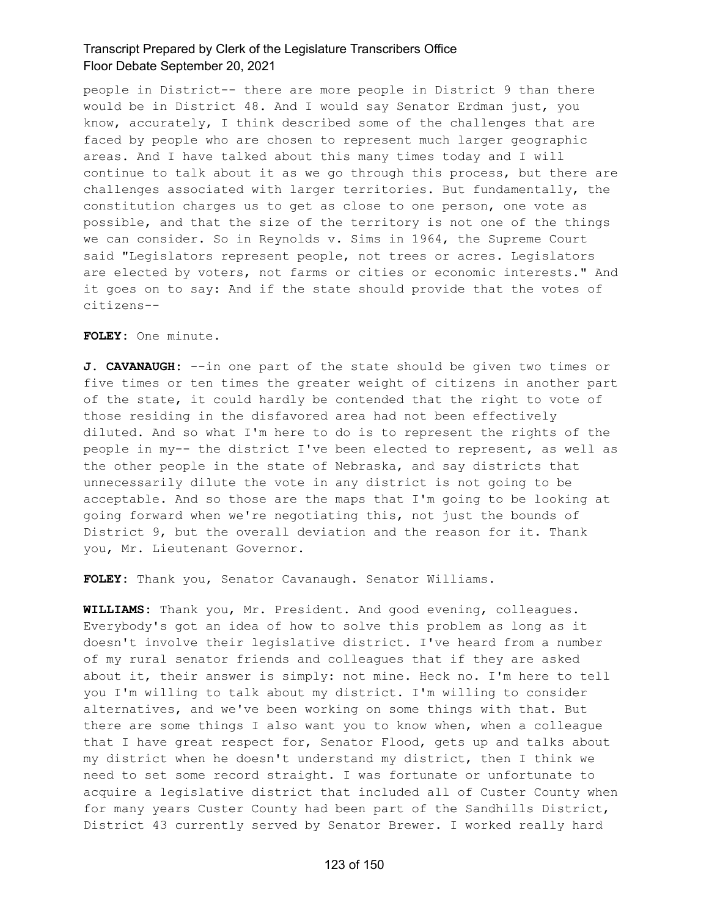people in District-- there are more people in District 9 than there would be in District 48. And I would say Senator Erdman just, you know, accurately, I think described some of the challenges that are faced by people who are chosen to represent much larger geographic areas. And I have talked about this many times today and I will continue to talk about it as we go through this process, but there are challenges associated with larger territories. But fundamentally, the constitution charges us to get as close to one person, one vote as possible, and that the size of the territory is not one of the things we can consider. So in Reynolds v. Sims in 1964, the Supreme Court said "Legislators represent people, not trees or acres. Legislators are elected by voters, not farms or cities or economic interests." And it goes on to say: And if the state should provide that the votes of citizens--

#### **FOLEY:** One minute.

**J. CAVANAUGH:** --in one part of the state should be given two times or five times or ten times the greater weight of citizens in another part of the state, it could hardly be contended that the right to vote of those residing in the disfavored area had not been effectively diluted. And so what I'm here to do is to represent the rights of the people in my-- the district I've been elected to represent, as well as the other people in the state of Nebraska, and say districts that unnecessarily dilute the vote in any district is not going to be acceptable. And so those are the maps that I'm going to be looking at going forward when we're negotiating this, not just the bounds of District 9, but the overall deviation and the reason for it. Thank you, Mr. Lieutenant Governor.

**FOLEY:** Thank you, Senator Cavanaugh. Senator Williams.

**WILLIAMS:** Thank you, Mr. President. And good evening, colleagues. Everybody's got an idea of how to solve this problem as long as it doesn't involve their legislative district. I've heard from a number of my rural senator friends and colleagues that if they are asked about it, their answer is simply: not mine. Heck no. I'm here to tell you I'm willing to talk about my district. I'm willing to consider alternatives, and we've been working on some things with that. But there are some things I also want you to know when, when a colleague that I have great respect for, Senator Flood, gets up and talks about my district when he doesn't understand my district, then I think we need to set some record straight. I was fortunate or unfortunate to acquire a legislative district that included all of Custer County when for many years Custer County had been part of the Sandhills District, District 43 currently served by Senator Brewer. I worked really hard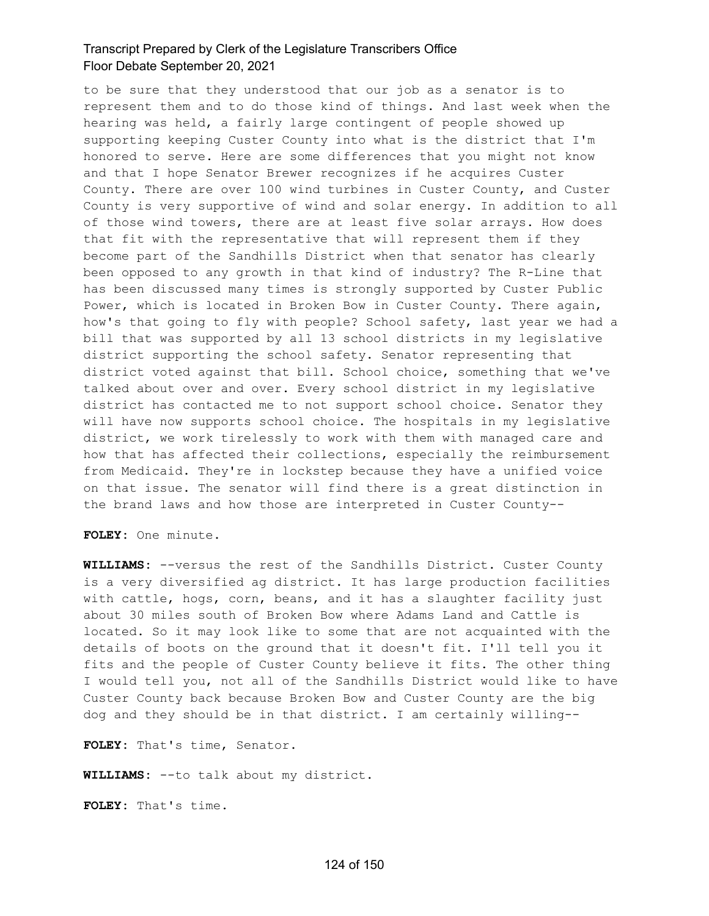to be sure that they understood that our job as a senator is to represent them and to do those kind of things. And last week when the hearing was held, a fairly large contingent of people showed up supporting keeping Custer County into what is the district that I'm honored to serve. Here are some differences that you might not know and that I hope Senator Brewer recognizes if he acquires Custer County. There are over 100 wind turbines in Custer County, and Custer County is very supportive of wind and solar energy. In addition to all of those wind towers, there are at least five solar arrays. How does that fit with the representative that will represent them if they become part of the Sandhills District when that senator has clearly been opposed to any growth in that kind of industry? The R-Line that has been discussed many times is strongly supported by Custer Public Power, which is located in Broken Bow in Custer County. There again, how's that going to fly with people? School safety, last year we had a bill that was supported by all 13 school districts in my legislative district supporting the school safety. Senator representing that district voted against that bill. School choice, something that we've talked about over and over. Every school district in my legislative district has contacted me to not support school choice. Senator they will have now supports school choice. The hospitals in my legislative district, we work tirelessly to work with them with managed care and how that has affected their collections, especially the reimbursement from Medicaid. They're in lockstep because they have a unified voice on that issue. The senator will find there is a great distinction in the brand laws and how those are interpreted in Custer County--

**FOLEY:** One minute.

**WILLIAMS:** --versus the rest of the Sandhills District. Custer County is a very diversified ag district. It has large production facilities with cattle, hogs, corn, beans, and it has a slaughter facility just about 30 miles south of Broken Bow where Adams Land and Cattle is located. So it may look like to some that are not acquainted with the details of boots on the ground that it doesn't fit. I'll tell you it fits and the people of Custer County believe it fits. The other thing I would tell you, not all of the Sandhills District would like to have Custer County back because Broken Bow and Custer County are the big dog and they should be in that district. I am certainly willing--

**FOLEY:** That's time, Senator.

**WILLIAMS:** --to talk about my district.

**FOLEY:** That's time.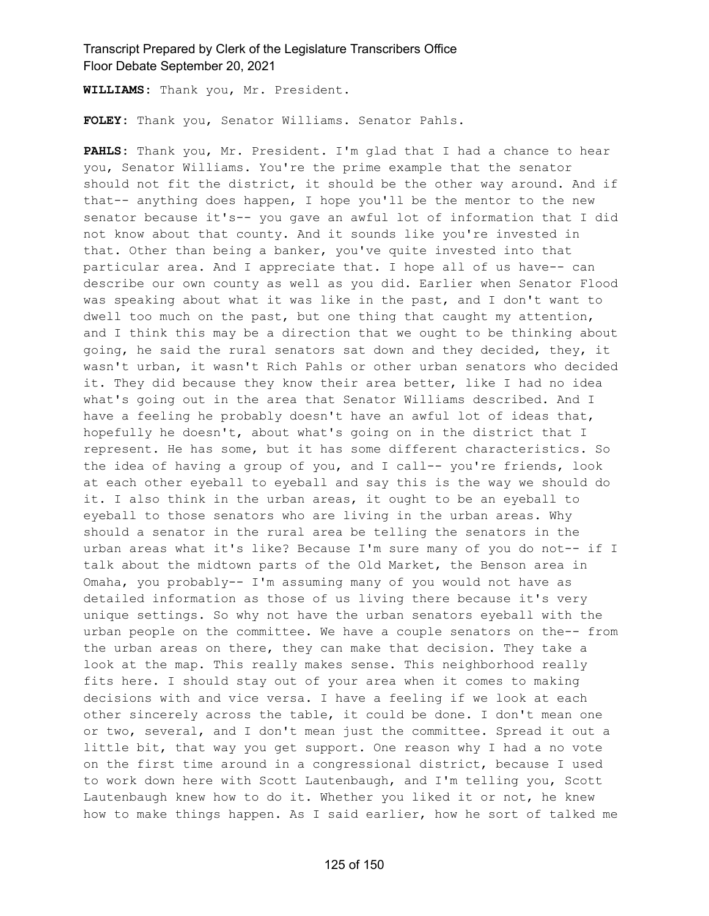**WILLIAMS:** Thank you, Mr. President.

**FOLEY:** Thank you, Senator Williams. Senator Pahls.

**PAHLS:** Thank you, Mr. President. I'm glad that I had a chance to hear you, Senator Williams. You're the prime example that the senator should not fit the district, it should be the other way around. And if that-- anything does happen, I hope you'll be the mentor to the new senator because it's-- you gave an awful lot of information that I did not know about that county. And it sounds like you're invested in that. Other than being a banker, you've quite invested into that particular area. And I appreciate that. I hope all of us have-- can describe our own county as well as you did. Earlier when Senator Flood was speaking about what it was like in the past, and I don't want to dwell too much on the past, but one thing that caught my attention, and I think this may be a direction that we ought to be thinking about going, he said the rural senators sat down and they decided, they, it wasn't urban, it wasn't Rich Pahls or other urban senators who decided it. They did because they know their area better, like I had no idea what's going out in the area that Senator Williams described. And I have a feeling he probably doesn't have an awful lot of ideas that, hopefully he doesn't, about what's going on in the district that I represent. He has some, but it has some different characteristics. So the idea of having a group of you, and I call-- you're friends, look at each other eyeball to eyeball and say this is the way we should do it. I also think in the urban areas, it ought to be an eyeball to eyeball to those senators who are living in the urban areas. Why should a senator in the rural area be telling the senators in the urban areas what it's like? Because I'm sure many of you do not-- if I talk about the midtown parts of the Old Market, the Benson area in Omaha, you probably-- I'm assuming many of you would not have as detailed information as those of us living there because it's very unique settings. So why not have the urban senators eyeball with the urban people on the committee. We have a couple senators on the-- from the urban areas on there, they can make that decision. They take a look at the map. This really makes sense. This neighborhood really fits here. I should stay out of your area when it comes to making decisions with and vice versa. I have a feeling if we look at each other sincerely across the table, it could be done. I don't mean one or two, several, and I don't mean just the committee. Spread it out a little bit, that way you get support. One reason why I had a no vote on the first time around in a congressional district, because I used to work down here with Scott Lautenbaugh, and I'm telling you, Scott Lautenbaugh knew how to do it. Whether you liked it or not, he knew how to make things happen. As I said earlier, how he sort of talked me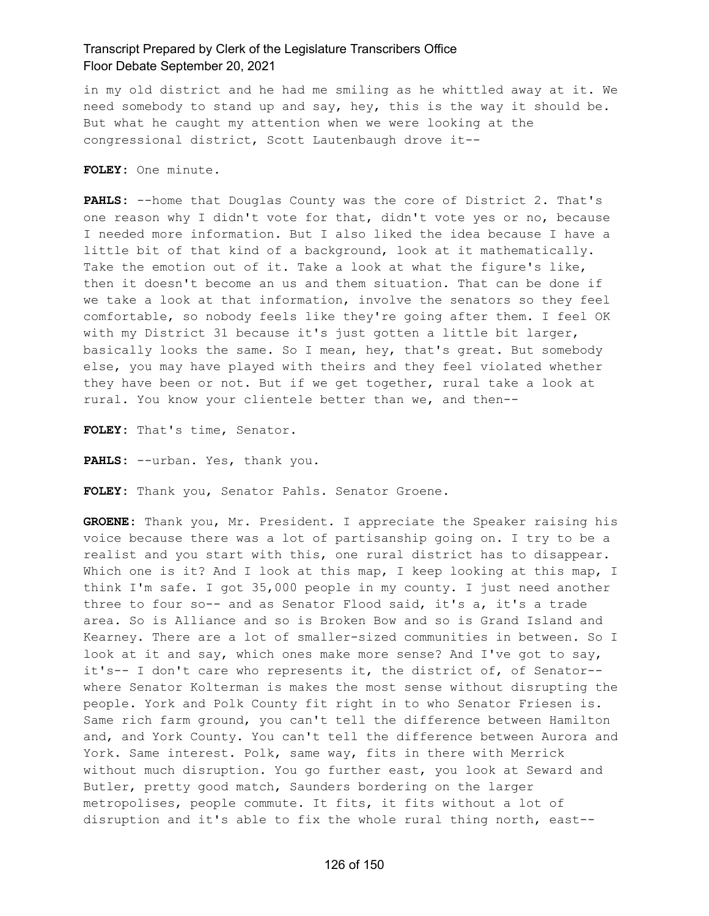in my old district and he had me smiling as he whittled away at it. We need somebody to stand up and say, hey, this is the way it should be. But what he caught my attention when we were looking at the congressional district, Scott Lautenbaugh drove it--

**FOLEY:** One minute.

**PAHLS:** --home that Douglas County was the core of District 2. That's one reason why I didn't vote for that, didn't vote yes or no, because I needed more information. But I also liked the idea because I have a little bit of that kind of a background, look at it mathematically. Take the emotion out of it. Take a look at what the figure's like, then it doesn't become an us and them situation. That can be done if we take a look at that information, involve the senators so they feel comfortable, so nobody feels like they're going after them. I feel OK with my District 31 because it's just gotten a little bit larger, basically looks the same. So I mean, hey, that's great. But somebody else, you may have played with theirs and they feel violated whether they have been or not. But if we get together, rural take a look at rural. You know your clientele better than we, and then--

**FOLEY:** That's time, Senator.

**PAHLS:** --urban. Yes, thank you.

**FOLEY:** Thank you, Senator Pahls. Senator Groene.

**GROENE:** Thank you, Mr. President. I appreciate the Speaker raising his voice because there was a lot of partisanship going on. I try to be a realist and you start with this, one rural district has to disappear. Which one is it? And I look at this map, I keep looking at this map, I think I'm safe. I got 35,000 people in my county. I just need another three to four so-- and as Senator Flood said, it's a, it's a trade area. So is Alliance and so is Broken Bow and so is Grand Island and Kearney. There are a lot of smaller-sized communities in between. So I look at it and say, which ones make more sense? And I've got to say, it's-- I don't care who represents it, the district of, of Senator- where Senator Kolterman is makes the most sense without disrupting the people. York and Polk County fit right in to who Senator Friesen is. Same rich farm ground, you can't tell the difference between Hamilton and, and York County. You can't tell the difference between Aurora and York. Same interest. Polk, same way, fits in there with Merrick without much disruption. You go further east, you look at Seward and Butler, pretty good match, Saunders bordering on the larger metropolises, people commute. It fits, it fits without a lot of disruption and it's able to fix the whole rural thing north, east--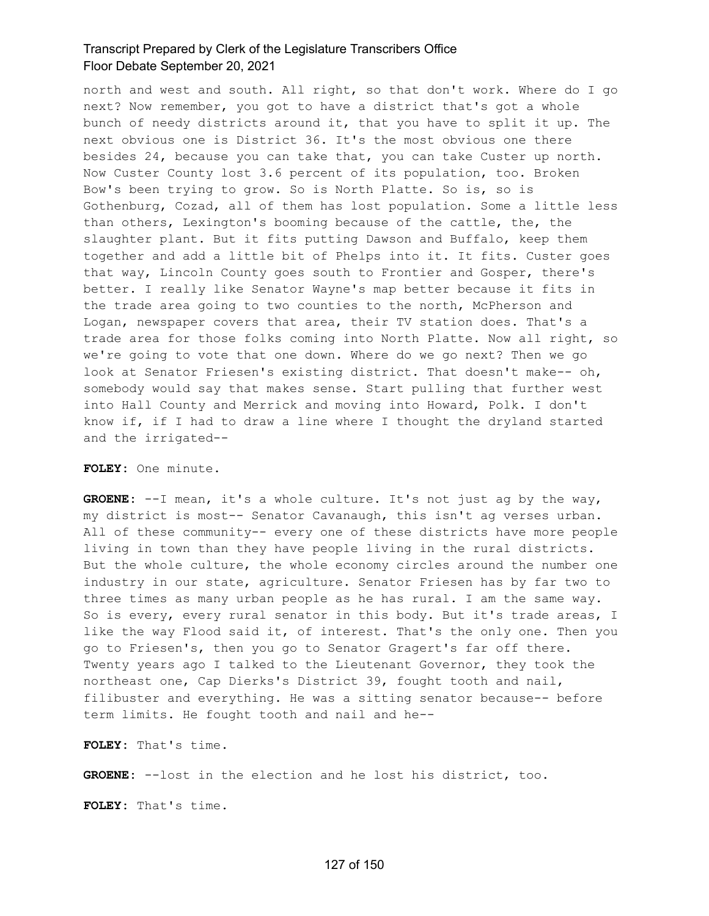north and west and south. All right, so that don't work. Where do I go next? Now remember, you got to have a district that's got a whole bunch of needy districts around it, that you have to split it up. The next obvious one is District 36. It's the most obvious one there besides 24, because you can take that, you can take Custer up north. Now Custer County lost 3.6 percent of its population, too. Broken Bow's been trying to grow. So is North Platte. So is, so is Gothenburg, Cozad, all of them has lost population. Some a little less than others, Lexington's booming because of the cattle, the, the slaughter plant. But it fits putting Dawson and Buffalo, keep them together and add a little bit of Phelps into it. It fits. Custer goes that way, Lincoln County goes south to Frontier and Gosper, there's better. I really like Senator Wayne's map better because it fits in the trade area going to two counties to the north, McPherson and Logan, newspaper covers that area, their TV station does. That's a trade area for those folks coming into North Platte. Now all right, so we're going to vote that one down. Where do we go next? Then we go look at Senator Friesen's existing district. That doesn't make-- oh, somebody would say that makes sense. Start pulling that further west into Hall County and Merrick and moving into Howard, Polk. I don't know if, if I had to draw a line where I thought the dryland started and the irrigated--

#### **FOLEY:** One minute.

**GROENE:** --I mean, it's a whole culture. It's not just ag by the way, my district is most-- Senator Cavanaugh, this isn't ag verses urban. All of these community-- every one of these districts have more people living in town than they have people living in the rural districts. But the whole culture, the whole economy circles around the number one industry in our state, agriculture. Senator Friesen has by far two to three times as many urban people as he has rural. I am the same way. So is every, every rural senator in this body. But it's trade areas, I like the way Flood said it, of interest. That's the only one. Then you go to Friesen's, then you go to Senator Gragert's far off there. Twenty years ago I talked to the Lieutenant Governor, they took the northeast one, Cap Dierks's District 39, fought tooth and nail, filibuster and everything. He was a sitting senator because-- before term limits. He fought tooth and nail and he--

**FOLEY:** That's time.

**GROENE:** --lost in the election and he lost his district, too.

**FOLEY:** That's time.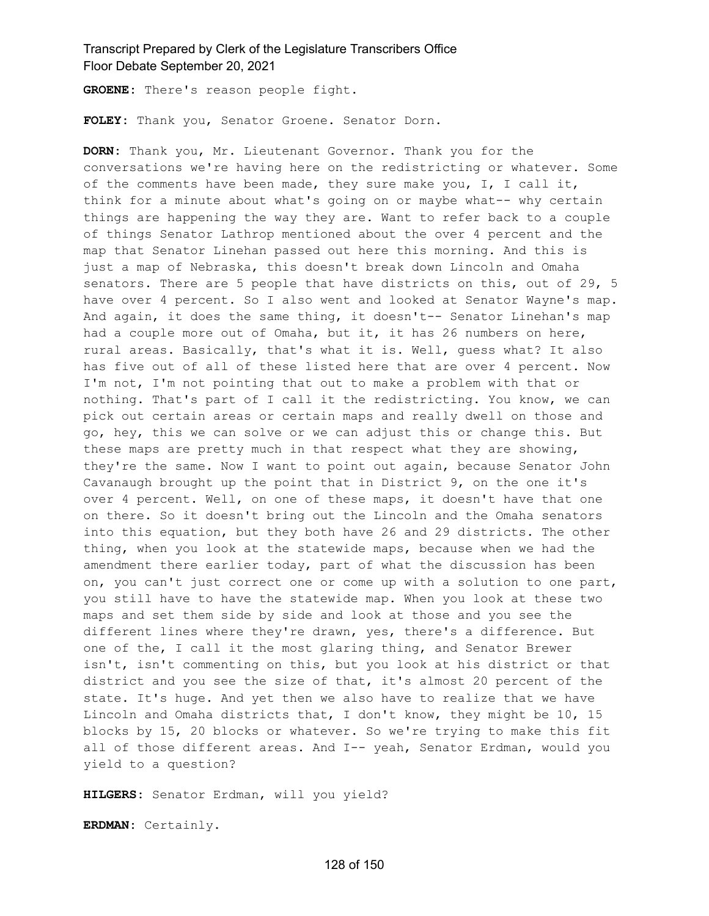**GROENE:** There's reason people fight.

**FOLEY:** Thank you, Senator Groene. Senator Dorn.

**DORN:** Thank you, Mr. Lieutenant Governor. Thank you for the conversations we're having here on the redistricting or whatever. Some of the comments have been made, they sure make you, I, I call it, think for a minute about what's going on or maybe what-- why certain things are happening the way they are. Want to refer back to a couple of things Senator Lathrop mentioned about the over 4 percent and the map that Senator Linehan passed out here this morning. And this is just a map of Nebraska, this doesn't break down Lincoln and Omaha senators. There are 5 people that have districts on this, out of 29, 5 have over 4 percent. So I also went and looked at Senator Wayne's map. And again, it does the same thing, it doesn't-- Senator Linehan's map had a couple more out of Omaha, but it, it has 26 numbers on here, rural areas. Basically, that's what it is. Well, guess what? It also has five out of all of these listed here that are over 4 percent. Now I'm not, I'm not pointing that out to make a problem with that or nothing. That's part of I call it the redistricting. You know, we can pick out certain areas or certain maps and really dwell on those and go, hey, this we can solve or we can adjust this or change this. But these maps are pretty much in that respect what they are showing, they're the same. Now I want to point out again, because Senator John Cavanaugh brought up the point that in District 9, on the one it's over 4 percent. Well, on one of these maps, it doesn't have that one on there. So it doesn't bring out the Lincoln and the Omaha senators into this equation, but they both have 26 and 29 districts. The other thing, when you look at the statewide maps, because when we had the amendment there earlier today, part of what the discussion has been on, you can't just correct one or come up with a solution to one part, you still have to have the statewide map. When you look at these two maps and set them side by side and look at those and you see the different lines where they're drawn, yes, there's a difference. But one of the, I call it the most glaring thing, and Senator Brewer isn't, isn't commenting on this, but you look at his district or that district and you see the size of that, it's almost 20 percent of the state. It's huge. And yet then we also have to realize that we have Lincoln and Omaha districts that, I don't know, they might be 10, 15 blocks by 15, 20 blocks or whatever. So we're trying to make this fit all of those different areas. And I-- yeah, Senator Erdman, would you yield to a question?

**HILGERS:** Senator Erdman, will you yield?

**ERDMAN:** Certainly.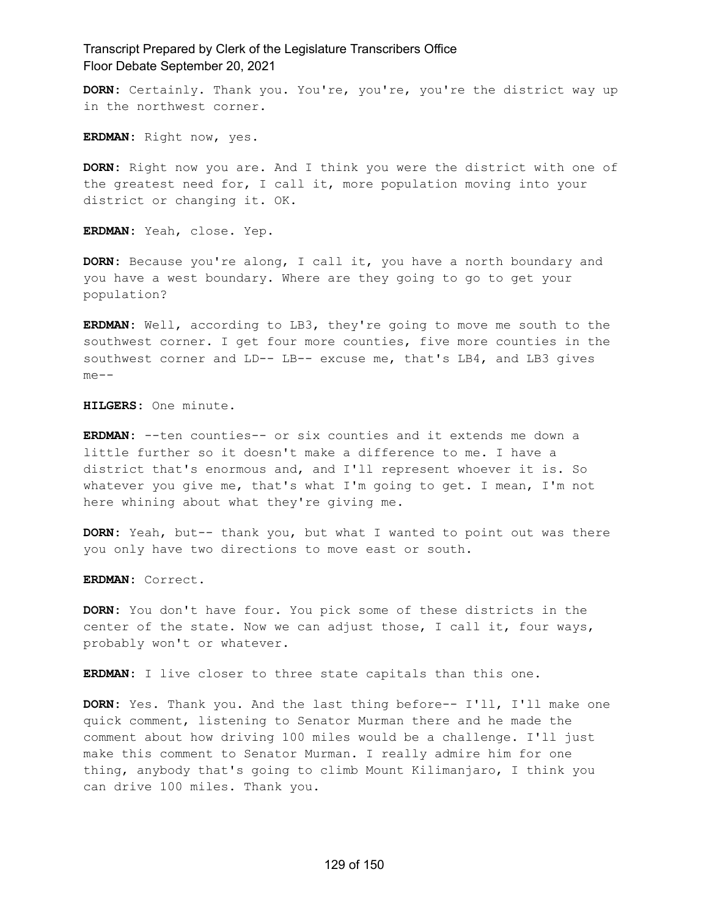**DORN:** Certainly. Thank you. You're, you're, you're the district way up in the northwest corner.

**ERDMAN:** Right now, yes.

**DORN:** Right now you are. And I think you were the district with one of the greatest need for, I call it, more population moving into your district or changing it. OK.

**ERDMAN:** Yeah, close. Yep.

**DORN:** Because you're along, I call it, you have a north boundary and you have a west boundary. Where are they going to go to get your population?

**ERDMAN:** Well, according to LB3, they're going to move me south to the southwest corner. I get four more counties, five more counties in the southwest corner and LD-- LB-- excuse me, that's LB4, and LB3 gives me--

**HILGERS:** One minute.

**ERDMAN:** --ten counties-- or six counties and it extends me down a little further so it doesn't make a difference to me. I have a district that's enormous and, and I'll represent whoever it is. So whatever you give me, that's what I'm going to get. I mean, I'm not here whining about what they're giving me.

**DORN:** Yeah, but-- thank you, but what I wanted to point out was there you only have two directions to move east or south.

**ERDMAN:** Correct.

**DORN:** You don't have four. You pick some of these districts in the center of the state. Now we can adjust those, I call it, four ways, probably won't or whatever.

**ERDMAN:** I live closer to three state capitals than this one.

**DORN:** Yes. Thank you. And the last thing before-- I'll, I'll make one quick comment, listening to Senator Murman there and he made the comment about how driving 100 miles would be a challenge. I'll just make this comment to Senator Murman. I really admire him for one thing, anybody that's going to climb Mount Kilimanjaro, I think you can drive 100 miles. Thank you.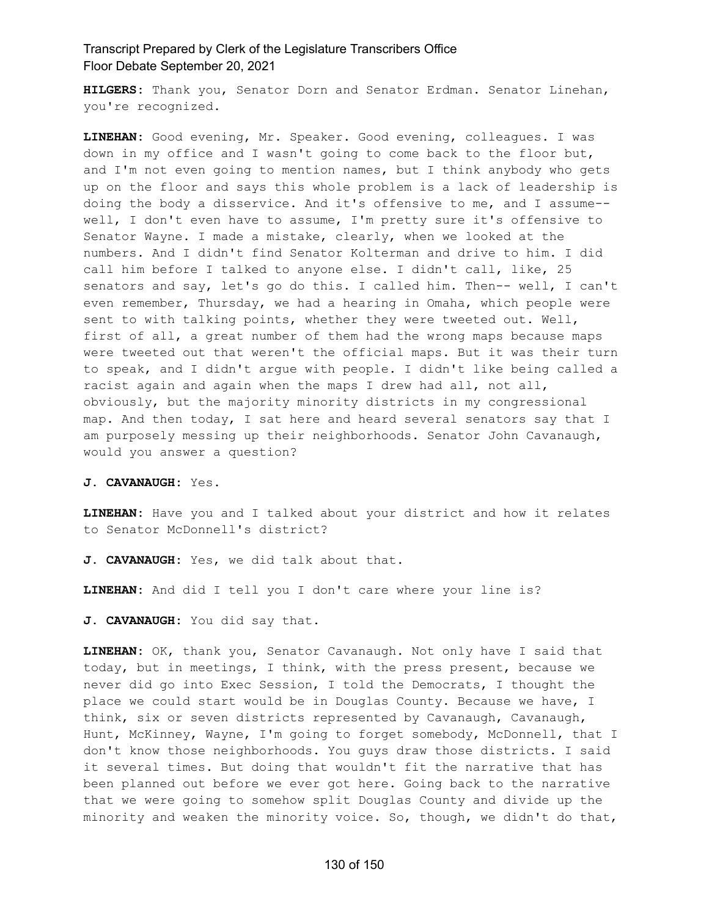**HILGERS:** Thank you, Senator Dorn and Senator Erdman. Senator Linehan, you're recognized.

**LINEHAN:** Good evening, Mr. Speaker. Good evening, colleagues. I was down in my office and I wasn't going to come back to the floor but, and I'm not even going to mention names, but I think anybody who gets up on the floor and says this whole problem is a lack of leadership is doing the body a disservice. And it's offensive to me, and I assume- well, I don't even have to assume, I'm pretty sure it's offensive to Senator Wayne. I made a mistake, clearly, when we looked at the numbers. And I didn't find Senator Kolterman and drive to him. I did call him before I talked to anyone else. I didn't call, like, 25 senators and say, let's go do this. I called him. Then-- well, I can't even remember, Thursday, we had a hearing in Omaha, which people were sent to with talking points, whether they were tweeted out. Well, first of all, a great number of them had the wrong maps because maps were tweeted out that weren't the official maps. But it was their turn to speak, and I didn't argue with people. I didn't like being called a racist again and again when the maps I drew had all, not all, obviously, but the majority minority districts in my congressional map. And then today, I sat here and heard several senators say that I am purposely messing up their neighborhoods. Senator John Cavanaugh, would you answer a question?

**J. CAVANAUGH:** Yes.

**LINEHAN:** Have you and I talked about your district and how it relates to Senator McDonnell's district?

**J. CAVANAUGH:** Yes, we did talk about that.

**LINEHAN:** And did I tell you I don't care where your line is?

**J. CAVANAUGH:** You did say that.

**LINEHAN:** OK, thank you, Senator Cavanaugh. Not only have I said that today, but in meetings, I think, with the press present, because we never did go into Exec Session, I told the Democrats, I thought the place we could start would be in Douglas County. Because we have, I think, six or seven districts represented by Cavanaugh, Cavanaugh, Hunt, McKinney, Wayne, I'm going to forget somebody, McDonnell, that I don't know those neighborhoods. You guys draw those districts. I said it several times. But doing that wouldn't fit the narrative that has been planned out before we ever got here. Going back to the narrative that we were going to somehow split Douglas County and divide up the minority and weaken the minority voice. So, though, we didn't do that,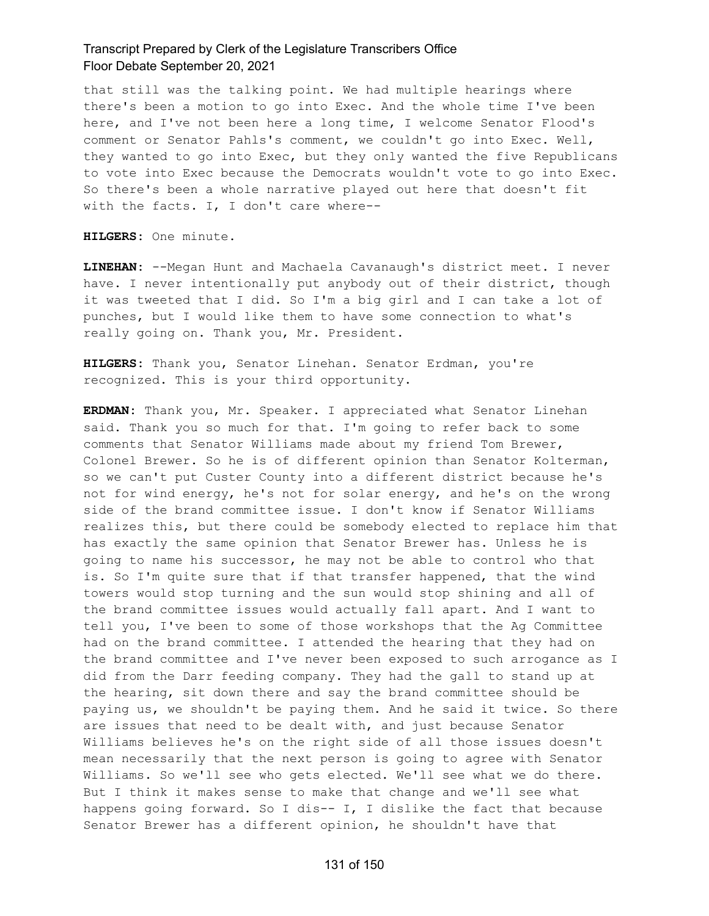that still was the talking point. We had multiple hearings where there's been a motion to go into Exec. And the whole time I've been here, and I've not been here a long time, I welcome Senator Flood's comment or Senator Pahls's comment, we couldn't go into Exec. Well, they wanted to go into Exec, but they only wanted the five Republicans to vote into Exec because the Democrats wouldn't vote to go into Exec. So there's been a whole narrative played out here that doesn't fit with the facts. I, I don't care where--

**HILGERS:** One minute.

**LINEHAN:** --Megan Hunt and Machaela Cavanaugh's district meet. I never have. I never intentionally put anybody out of their district, though it was tweeted that I did. So I'm a big girl and I can take a lot of punches, but I would like them to have some connection to what's really going on. Thank you, Mr. President.

**HILGERS:** Thank you, Senator Linehan. Senator Erdman, you're recognized. This is your third opportunity.

**ERDMAN:** Thank you, Mr. Speaker. I appreciated what Senator Linehan said. Thank you so much for that. I'm going to refer back to some comments that Senator Williams made about my friend Tom Brewer, Colonel Brewer. So he is of different opinion than Senator Kolterman, so we can't put Custer County into a different district because he's not for wind energy, he's not for solar energy, and he's on the wrong side of the brand committee issue. I don't know if Senator Williams realizes this, but there could be somebody elected to replace him that has exactly the same opinion that Senator Brewer has. Unless he is going to name his successor, he may not be able to control who that is. So I'm quite sure that if that transfer happened, that the wind towers would stop turning and the sun would stop shining and all of the brand committee issues would actually fall apart. And I want to tell you, I've been to some of those workshops that the Ag Committee had on the brand committee. I attended the hearing that they had on the brand committee and I've never been exposed to such arrogance as I did from the Darr feeding company. They had the gall to stand up at the hearing, sit down there and say the brand committee should be paying us, we shouldn't be paying them. And he said it twice. So there are issues that need to be dealt with, and just because Senator Williams believes he's on the right side of all those issues doesn't mean necessarily that the next person is going to agree with Senator Williams. So we'll see who gets elected. We'll see what we do there. But I think it makes sense to make that change and we'll see what happens going forward. So I dis-- I, I dislike the fact that because Senator Brewer has a different opinion, he shouldn't have that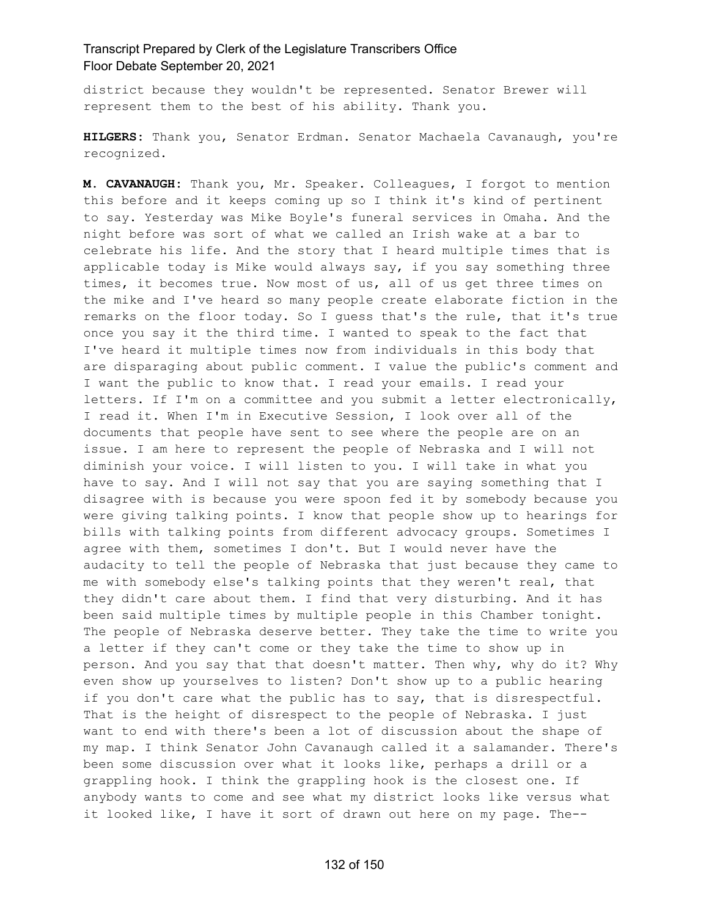district because they wouldn't be represented. Senator Brewer will represent them to the best of his ability. Thank you.

**HILGERS:** Thank you, Senator Erdman. Senator Machaela Cavanaugh, you're recognized.

**M. CAVANAUGH:** Thank you, Mr. Speaker. Colleagues, I forgot to mention this before and it keeps coming up so I think it's kind of pertinent to say. Yesterday was Mike Boyle's funeral services in Omaha. And the night before was sort of what we called an Irish wake at a bar to celebrate his life. And the story that I heard multiple times that is applicable today is Mike would always say, if you say something three times, it becomes true. Now most of us, all of us get three times on the mike and I've heard so many people create elaborate fiction in the remarks on the floor today. So I guess that's the rule, that it's true once you say it the third time. I wanted to speak to the fact that I've heard it multiple times now from individuals in this body that are disparaging about public comment. I value the public's comment and I want the public to know that. I read your emails. I read your letters. If I'm on a committee and you submit a letter electronically, I read it. When I'm in Executive Session, I look over all of the documents that people have sent to see where the people are on an issue. I am here to represent the people of Nebraska and I will not diminish your voice. I will listen to you. I will take in what you have to say. And I will not say that you are saying something that I disagree with is because you were spoon fed it by somebody because you were giving talking points. I know that people show up to hearings for bills with talking points from different advocacy groups. Sometimes I agree with them, sometimes I don't. But I would never have the audacity to tell the people of Nebraska that just because they came to me with somebody else's talking points that they weren't real, that they didn't care about them. I find that very disturbing. And it has been said multiple times by multiple people in this Chamber tonight. The people of Nebraska deserve better. They take the time to write you a letter if they can't come or they take the time to show up in person. And you say that that doesn't matter. Then why, why do it? Why even show up yourselves to listen? Don't show up to a public hearing if you don't care what the public has to say, that is disrespectful. That is the height of disrespect to the people of Nebraska. I just want to end with there's been a lot of discussion about the shape of my map. I think Senator John Cavanaugh called it a salamander. There's been some discussion over what it looks like, perhaps a drill or a grappling hook. I think the grappling hook is the closest one. If anybody wants to come and see what my district looks like versus what it looked like, I have it sort of drawn out here on my page. The--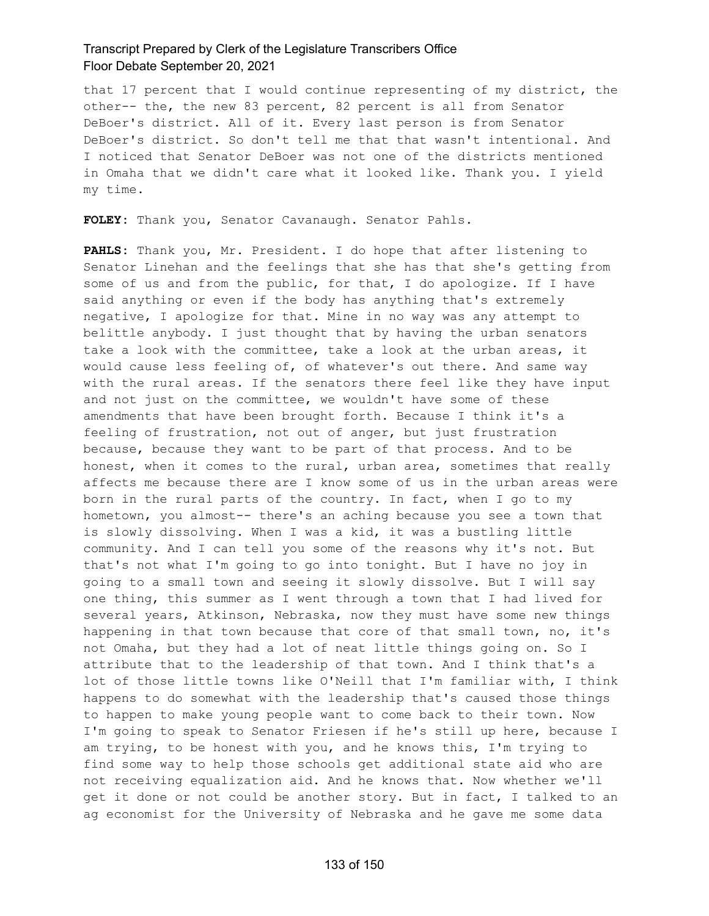that 17 percent that I would continue representing of my district, the other-- the, the new 83 percent, 82 percent is all from Senator DeBoer's district. All of it. Every last person is from Senator DeBoer's district. So don't tell me that that wasn't intentional. And I noticed that Senator DeBoer was not one of the districts mentioned in Omaha that we didn't care what it looked like. Thank you. I yield my time.

**FOLEY:** Thank you, Senator Cavanaugh. Senator Pahls.

**PAHLS:** Thank you, Mr. President. I do hope that after listening to Senator Linehan and the feelings that she has that she's getting from some of us and from the public, for that, I do apologize. If I have said anything or even if the body has anything that's extremely negative, I apologize for that. Mine in no way was any attempt to belittle anybody. I just thought that by having the urban senators take a look with the committee, take a look at the urban areas, it would cause less feeling of, of whatever's out there. And same way with the rural areas. If the senators there feel like they have input and not just on the committee, we wouldn't have some of these amendments that have been brought forth. Because I think it's a feeling of frustration, not out of anger, but just frustration because, because they want to be part of that process. And to be honest, when it comes to the rural, urban area, sometimes that really affects me because there are I know some of us in the urban areas were born in the rural parts of the country. In fact, when I go to my hometown, you almost-- there's an aching because you see a town that is slowly dissolving. When I was a kid, it was a bustling little community. And I can tell you some of the reasons why it's not. But that's not what I'm going to go into tonight. But I have no joy in going to a small town and seeing it slowly dissolve. But I will say one thing, this summer as I went through a town that I had lived for several years, Atkinson, Nebraska, now they must have some new things happening in that town because that core of that small town, no, it's not Omaha, but they had a lot of neat little things going on. So I attribute that to the leadership of that town. And I think that's a lot of those little towns like O'Neill that I'm familiar with, I think happens to do somewhat with the leadership that's caused those things to happen to make young people want to come back to their town. Now I'm going to speak to Senator Friesen if he's still up here, because I am trying, to be honest with you, and he knows this, I'm trying to find some way to help those schools get additional state aid who are not receiving equalization aid. And he knows that. Now whether we'll get it done or not could be another story. But in fact, I talked to an ag economist for the University of Nebraska and he gave me some data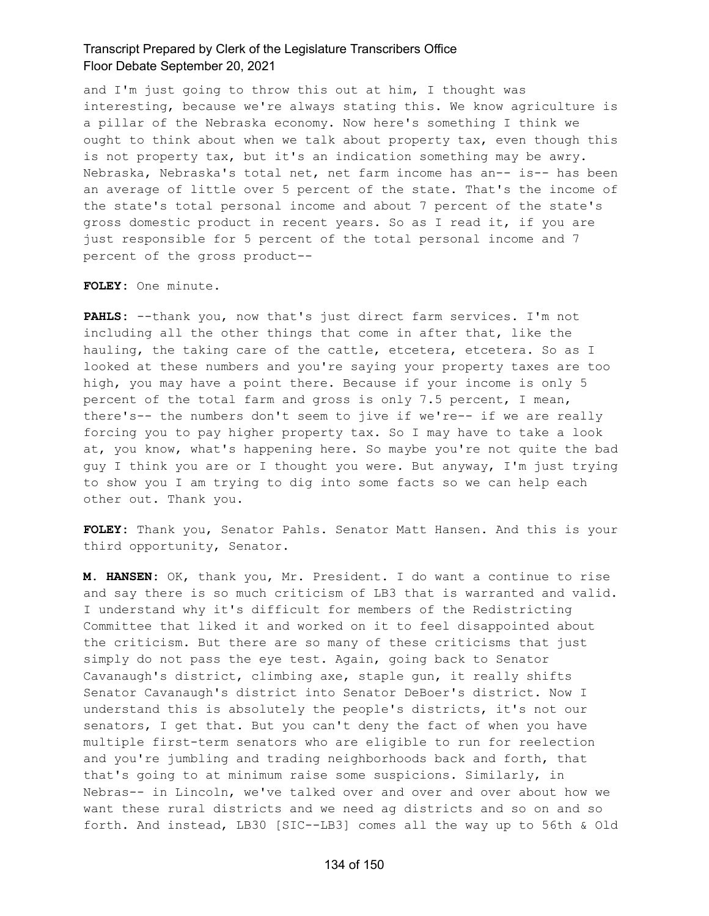and I'm just going to throw this out at him, I thought was interesting, because we're always stating this. We know agriculture is a pillar of the Nebraska economy. Now here's something I think we ought to think about when we talk about property tax, even though this is not property tax, but it's an indication something may be awry. Nebraska, Nebraska's total net, net farm income has an-- is-- has been an average of little over 5 percent of the state. That's the income of the state's total personal income and about 7 percent of the state's gross domestic product in recent years. So as I read it, if you are just responsible for 5 percent of the total personal income and 7 percent of the gross product--

**FOLEY:** One minute.

**PAHLS:** --thank you, now that's just direct farm services. I'm not including all the other things that come in after that, like the hauling, the taking care of the cattle, etcetera, etcetera. So as I looked at these numbers and you're saying your property taxes are too high, you may have a point there. Because if your income is only 5 percent of the total farm and gross is only 7.5 percent, I mean, there's-- the numbers don't seem to jive if we're-- if we are really forcing you to pay higher property tax. So I may have to take a look at, you know, what's happening here. So maybe you're not quite the bad guy I think you are or I thought you were. But anyway, I'm just trying to show you I am trying to dig into some facts so we can help each other out. Thank you.

**FOLEY:** Thank you, Senator Pahls. Senator Matt Hansen. And this is your third opportunity, Senator.

**M. HANSEN:** OK, thank you, Mr. President. I do want a continue to rise and say there is so much criticism of LB3 that is warranted and valid. I understand why it's difficult for members of the Redistricting Committee that liked it and worked on it to feel disappointed about the criticism. But there are so many of these criticisms that just simply do not pass the eye test. Again, going back to Senator Cavanaugh's district, climbing axe, staple gun, it really shifts Senator Cavanaugh's district into Senator DeBoer's district. Now I understand this is absolutely the people's districts, it's not our senators, I get that. But you can't deny the fact of when you have multiple first-term senators who are eligible to run for reelection and you're jumbling and trading neighborhoods back and forth, that that's going to at minimum raise some suspicions. Similarly, in Nebras-- in Lincoln, we've talked over and over and over about how we want these rural districts and we need ag districts and so on and so forth. And instead, LB30 [SIC--LB3] comes all the way up to 56th & Old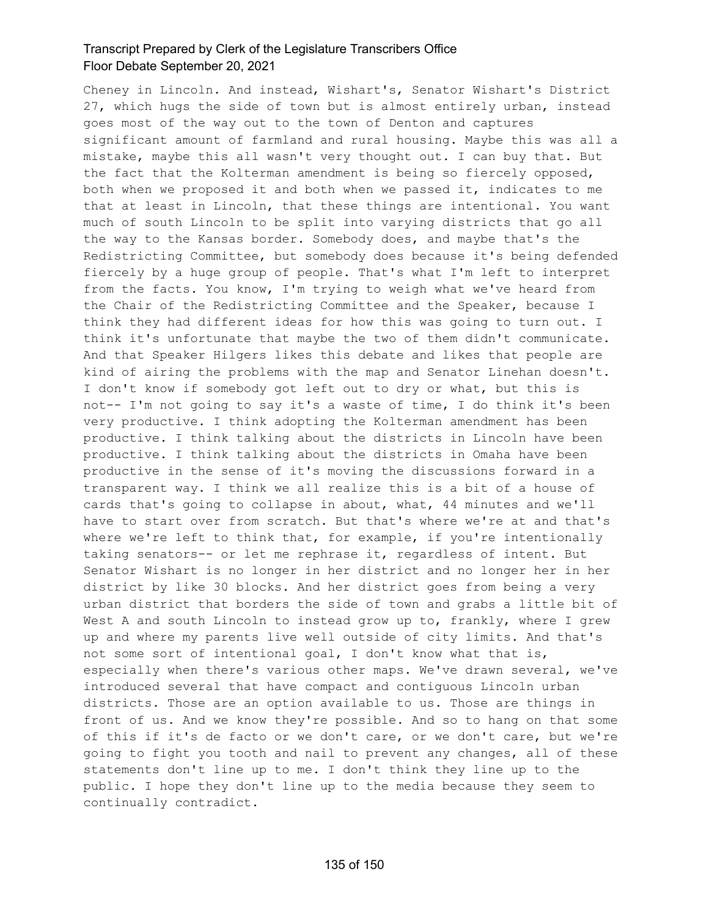Cheney in Lincoln. And instead, Wishart's, Senator Wishart's District 27, which hugs the side of town but is almost entirely urban, instead goes most of the way out to the town of Denton and captures significant amount of farmland and rural housing. Maybe this was all a mistake, maybe this all wasn't very thought out. I can buy that. But the fact that the Kolterman amendment is being so fiercely opposed, both when we proposed it and both when we passed it, indicates to me that at least in Lincoln, that these things are intentional. You want much of south Lincoln to be split into varying districts that go all the way to the Kansas border. Somebody does, and maybe that's the Redistricting Committee, but somebody does because it's being defended fiercely by a huge group of people. That's what I'm left to interpret from the facts. You know, I'm trying to weigh what we've heard from the Chair of the Redistricting Committee and the Speaker, because I think they had different ideas for how this was going to turn out. I think it's unfortunate that maybe the two of them didn't communicate. And that Speaker Hilgers likes this debate and likes that people are kind of airing the problems with the map and Senator Linehan doesn't. I don't know if somebody got left out to dry or what, but this is not-- I'm not going to say it's a waste of time, I do think it's been very productive. I think adopting the Kolterman amendment has been productive. I think talking about the districts in Lincoln have been productive. I think talking about the districts in Omaha have been productive in the sense of it's moving the discussions forward in a transparent way. I think we all realize this is a bit of a house of cards that's going to collapse in about, what, 44 minutes and we'll have to start over from scratch. But that's where we're at and that's where we're left to think that, for example, if you're intentionally taking senators-- or let me rephrase it, regardless of intent. But Senator Wishart is no longer in her district and no longer her in her district by like 30 blocks. And her district goes from being a very urban district that borders the side of town and grabs a little bit of West A and south Lincoln to instead grow up to, frankly, where I grew up and where my parents live well outside of city limits. And that's not some sort of intentional goal, I don't know what that is, especially when there's various other maps. We've drawn several, we've introduced several that have compact and contiguous Lincoln urban districts. Those are an option available to us. Those are things in front of us. And we know they're possible. And so to hang on that some of this if it's de facto or we don't care, or we don't care, but we're going to fight you tooth and nail to prevent any changes, all of these statements don't line up to me. I don't think they line up to the public. I hope they don't line up to the media because they seem to continually contradict.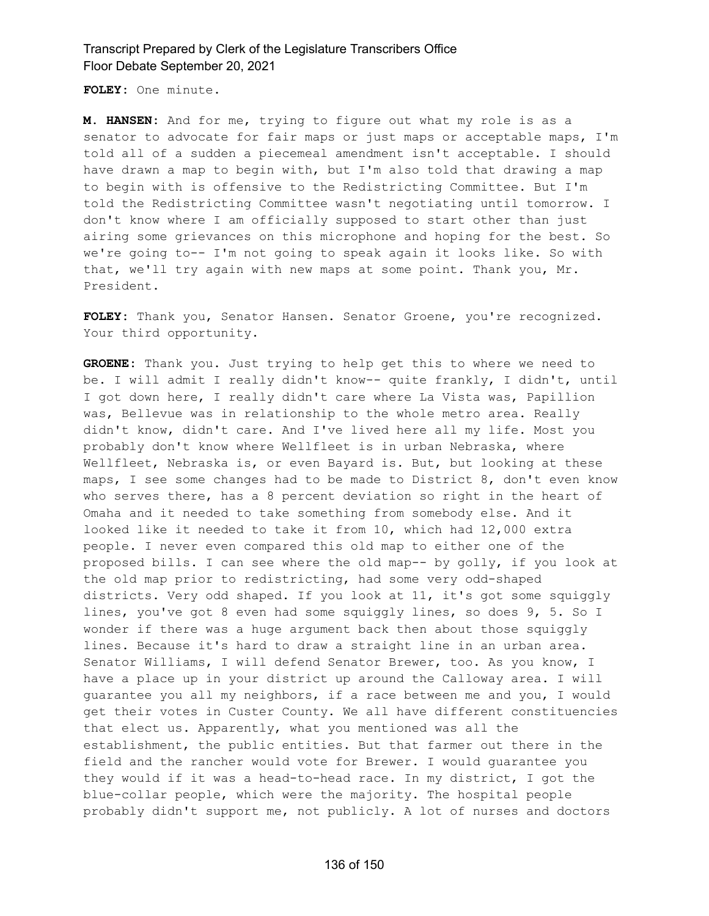**FOLEY:** One minute.

**M. HANSEN:** And for me, trying to figure out what my role is as a senator to advocate for fair maps or just maps or acceptable maps, I'm told all of a sudden a piecemeal amendment isn't acceptable. I should have drawn a map to begin with, but I'm also told that drawing a map to begin with is offensive to the Redistricting Committee. But I'm told the Redistricting Committee wasn't negotiating until tomorrow. I don't know where I am officially supposed to start other than just airing some grievances on this microphone and hoping for the best. So we're going to-- I'm not going to speak again it looks like. So with that, we'll try again with new maps at some point. Thank you, Mr. President.

**FOLEY:** Thank you, Senator Hansen. Senator Groene, you're recognized. Your third opportunity.

**GROENE:** Thank you. Just trying to help get this to where we need to be. I will admit I really didn't know-- quite frankly, I didn't, until I got down here, I really didn't care where La Vista was, Papillion was, Bellevue was in relationship to the whole metro area. Really didn't know, didn't care. And I've lived here all my life. Most you probably don't know where Wellfleet is in urban Nebraska, where Wellfleet, Nebraska is, or even Bayard is. But, but looking at these maps, I see some changes had to be made to District 8, don't even know who serves there, has a 8 percent deviation so right in the heart of Omaha and it needed to take something from somebody else. And it looked like it needed to take it from 10, which had 12,000 extra people. I never even compared this old map to either one of the proposed bills. I can see where the old map-- by golly, if you look at the old map prior to redistricting, had some very odd-shaped districts. Very odd shaped. If you look at 11, it's got some squiggly lines, you've got 8 even had some squiggly lines, so does 9, 5. So I wonder if there was a huge argument back then about those squiggly lines. Because it's hard to draw a straight line in an urban area. Senator Williams, I will defend Senator Brewer, too. As you know, I have a place up in your district up around the Calloway area. I will guarantee you all my neighbors, if a race between me and you, I would get their votes in Custer County. We all have different constituencies that elect us. Apparently, what you mentioned was all the establishment, the public entities. But that farmer out there in the field and the rancher would vote for Brewer. I would guarantee you they would if it was a head-to-head race. In my district, I got the blue-collar people, which were the majority. The hospital people probably didn't support me, not publicly. A lot of nurses and doctors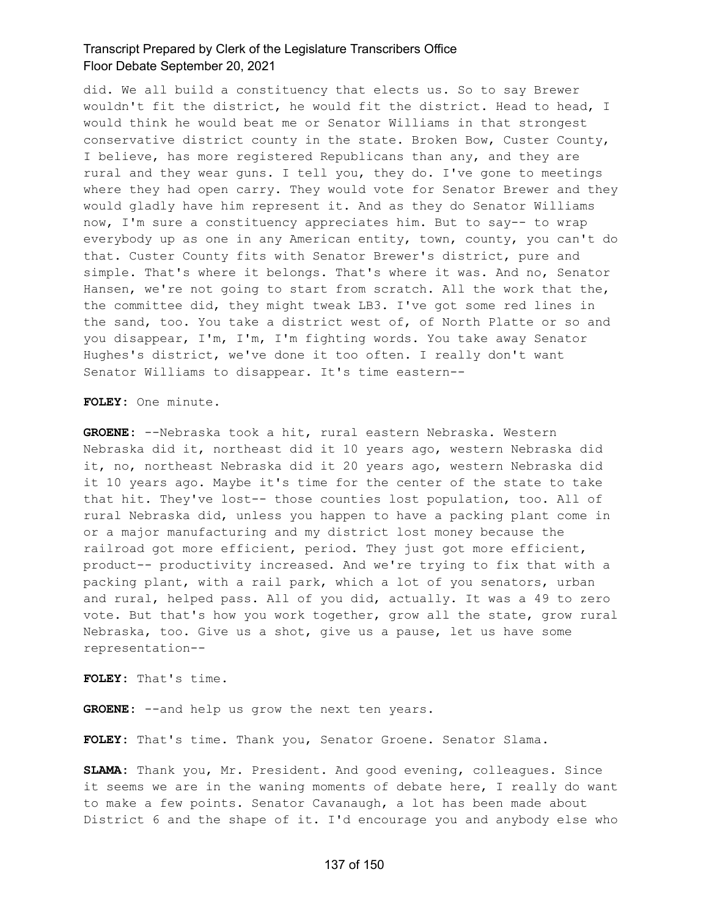did. We all build a constituency that elects us. So to say Brewer wouldn't fit the district, he would fit the district. Head to head, I would think he would beat me or Senator Williams in that strongest conservative district county in the state. Broken Bow, Custer County, I believe, has more registered Republicans than any, and they are rural and they wear guns. I tell you, they do. I've gone to meetings where they had open carry. They would vote for Senator Brewer and they would gladly have him represent it. And as they do Senator Williams now, I'm sure a constituency appreciates him. But to say-- to wrap everybody up as one in any American entity, town, county, you can't do that. Custer County fits with Senator Brewer's district, pure and simple. That's where it belongs. That's where it was. And no, Senator Hansen, we're not going to start from scratch. All the work that the, the committee did, they might tweak LB3. I've got some red lines in the sand, too. You take a district west of, of North Platte or so and you disappear, I'm, I'm, I'm fighting words. You take away Senator Hughes's district, we've done it too often. I really don't want Senator Williams to disappear. It's time eastern--

**FOLEY:** One minute.

**GROENE:** --Nebraska took a hit, rural eastern Nebraska. Western Nebraska did it, northeast did it 10 years ago, western Nebraska did it, no, northeast Nebraska did it 20 years ago, western Nebraska did it 10 years ago. Maybe it's time for the center of the state to take that hit. They've lost-- those counties lost population, too. All of rural Nebraska did, unless you happen to have a packing plant come in or a major manufacturing and my district lost money because the railroad got more efficient, period. They just got more efficient, product-- productivity increased. And we're trying to fix that with a packing plant, with a rail park, which a lot of you senators, urban and rural, helped pass. All of you did, actually. It was a 49 to zero vote. But that's how you work together, grow all the state, grow rural Nebraska, too. Give us a shot, give us a pause, let us have some representation--

**FOLEY:** That's time.

GROENE: --and help us grow the next ten years.

**FOLEY:** That's time. Thank you, Senator Groene. Senator Slama.

**SLAMA:** Thank you, Mr. President. And good evening, colleagues. Since it seems we are in the waning moments of debate here, I really do want to make a few points. Senator Cavanaugh, a lot has been made about District 6 and the shape of it. I'd encourage you and anybody else who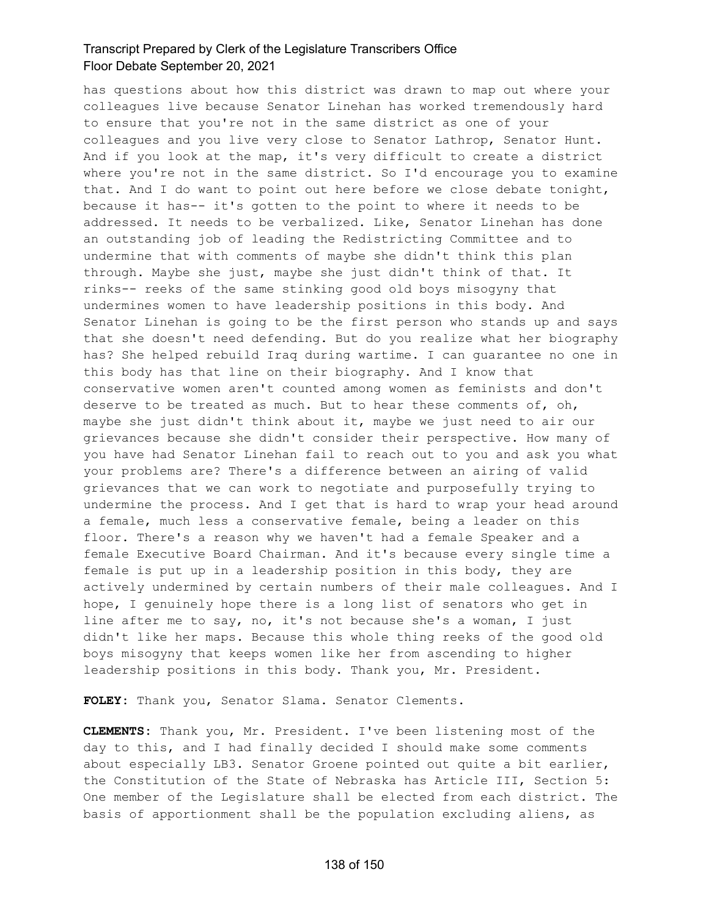has questions about how this district was drawn to map out where your colleagues live because Senator Linehan has worked tremendously hard to ensure that you're not in the same district as one of your colleagues and you live very close to Senator Lathrop, Senator Hunt. And if you look at the map, it's very difficult to create a district where you're not in the same district. So I'd encourage you to examine that. And I do want to point out here before we close debate tonight, because it has-- it's gotten to the point to where it needs to be addressed. It needs to be verbalized. Like, Senator Linehan has done an outstanding job of leading the Redistricting Committee and to undermine that with comments of maybe she didn't think this plan through. Maybe she just, maybe she just didn't think of that. It rinks-- reeks of the same stinking good old boys misogyny that undermines women to have leadership positions in this body. And Senator Linehan is going to be the first person who stands up and says that she doesn't need defending. But do you realize what her biography has? She helped rebuild Iraq during wartime. I can guarantee no one in this body has that line on their biography. And I know that conservative women aren't counted among women as feminists and don't deserve to be treated as much. But to hear these comments of, oh, maybe she just didn't think about it, maybe we just need to air our grievances because she didn't consider their perspective. How many of you have had Senator Linehan fail to reach out to you and ask you what your problems are? There's a difference between an airing of valid grievances that we can work to negotiate and purposefully trying to undermine the process. And I get that is hard to wrap your head around a female, much less a conservative female, being a leader on this floor. There's a reason why we haven't had a female Speaker and a female Executive Board Chairman. And it's because every single time a female is put up in a leadership position in this body, they are actively undermined by certain numbers of their male colleagues. And I hope, I genuinely hope there is a long list of senators who get in line after me to say, no, it's not because she's a woman, I just didn't like her maps. Because this whole thing reeks of the good old boys misogyny that keeps women like her from ascending to higher leadership positions in this body. Thank you, Mr. President.

**FOLEY:** Thank you, Senator Slama. Senator Clements.

**CLEMENTS:** Thank you, Mr. President. I've been listening most of the day to this, and I had finally decided I should make some comments about especially LB3. Senator Groene pointed out quite a bit earlier, the Constitution of the State of Nebraska has Article III, Section 5: One member of the Legislature shall be elected from each district. The basis of apportionment shall be the population excluding aliens, as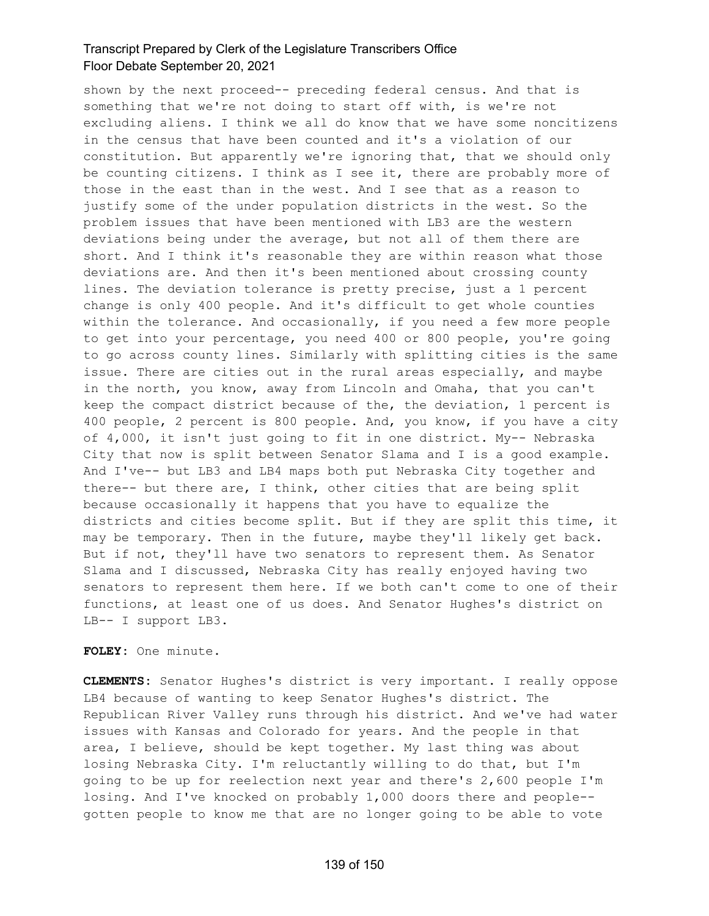shown by the next proceed-- preceding federal census. And that is something that we're not doing to start off with, is we're not excluding aliens. I think we all do know that we have some noncitizens in the census that have been counted and it's a violation of our constitution. But apparently we're ignoring that, that we should only be counting citizens. I think as I see it, there are probably more of those in the east than in the west. And I see that as a reason to justify some of the under population districts in the west. So the problem issues that have been mentioned with LB3 are the western deviations being under the average, but not all of them there are short. And I think it's reasonable they are within reason what those deviations are. And then it's been mentioned about crossing county lines. The deviation tolerance is pretty precise, just a 1 percent change is only 400 people. And it's difficult to get whole counties within the tolerance. And occasionally, if you need a few more people to get into your percentage, you need 400 or 800 people, you're going to go across county lines. Similarly with splitting cities is the same issue. There are cities out in the rural areas especially, and maybe in the north, you know, away from Lincoln and Omaha, that you can't keep the compact district because of the, the deviation, 1 percent is 400 people, 2 percent is 800 people. And, you know, if you have a city of 4,000, it isn't just going to fit in one district. My-- Nebraska City that now is split between Senator Slama and I is a good example. And I've-- but LB3 and LB4 maps both put Nebraska City together and there-- but there are, I think, other cities that are being split because occasionally it happens that you have to equalize the districts and cities become split. But if they are split this time, it may be temporary. Then in the future, maybe they'll likely get back. But if not, they'll have two senators to represent them. As Senator Slama and I discussed, Nebraska City has really enjoyed having two senators to represent them here. If we both can't come to one of their functions, at least one of us does. And Senator Hughes's district on LB-- I support LB3.

**FOLEY:** One minute.

**CLEMENTS:** Senator Hughes's district is very important. I really oppose LB4 because of wanting to keep Senator Hughes's district. The Republican River Valley runs through his district. And we've had water issues with Kansas and Colorado for years. And the people in that area, I believe, should be kept together. My last thing was about losing Nebraska City. I'm reluctantly willing to do that, but I'm going to be up for reelection next year and there's 2,600 people I'm losing. And I've knocked on probably 1,000 doors there and people- gotten people to know me that are no longer going to be able to vote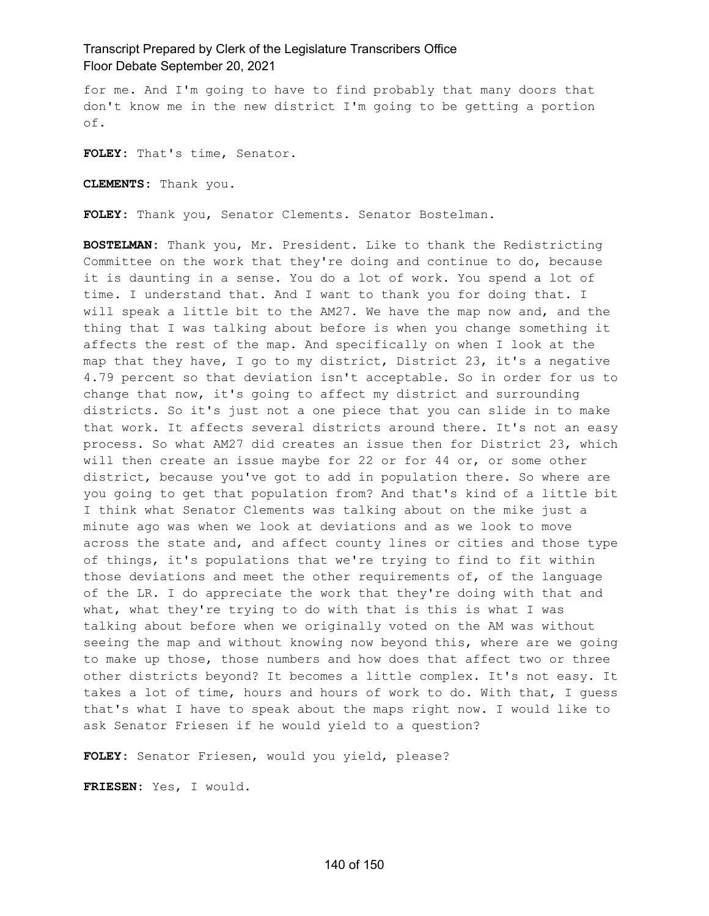for me. And I'm going to have to find probably that many doors that don't know me in the new district I'm going to be getting a portion of.

**FOLEY:** That's time, Senator.

**CLEMENTS:** Thank you.

**FOLEY:** Thank you, Senator Clements. Senator Bostelman.

**BOSTELMAN:** Thank you, Mr. President. Like to thank the Redistricting Committee on the work that they're doing and continue to do, because it is daunting in a sense. You do a lot of work. You spend a lot of time. I understand that. And I want to thank you for doing that. I will speak a little bit to the AM27. We have the map now and, and the thing that I was talking about before is when you change something it affects the rest of the map. And specifically on when I look at the map that they have, I go to my district, District 23, it's a negative 4.79 percent so that deviation isn't acceptable. So in order for us to change that now, it's going to affect my district and surrounding districts. So it's just not a one piece that you can slide in to make that work. It affects several districts around there. It's not an easy process. So what AM27 did creates an issue then for District 23, which will then create an issue maybe for 22 or for 44 or, or some other district, because you've got to add in population there. So where are you going to get that population from? And that's kind of a little bit I think what Senator Clements was talking about on the mike just a minute ago was when we look at deviations and as we look to move across the state and, and affect county lines or cities and those type of things, it's populations that we're trying to find to fit within those deviations and meet the other requirements of, of the language of the LR. I do appreciate the work that they're doing with that and what, what they're trying to do with that is this is what I was talking about before when we originally voted on the AM was without seeing the map and without knowing now beyond this, where are we going to make up those, those numbers and how does that affect two or three other districts beyond? It becomes a little complex. It's not easy. It takes a lot of time, hours and hours of work to do. With that, I guess that's what I have to speak about the maps right now. I would like to ask Senator Friesen if he would yield to a question?

**FOLEY:** Senator Friesen, would you yield, please?

**FRIESEN:** Yes, I would.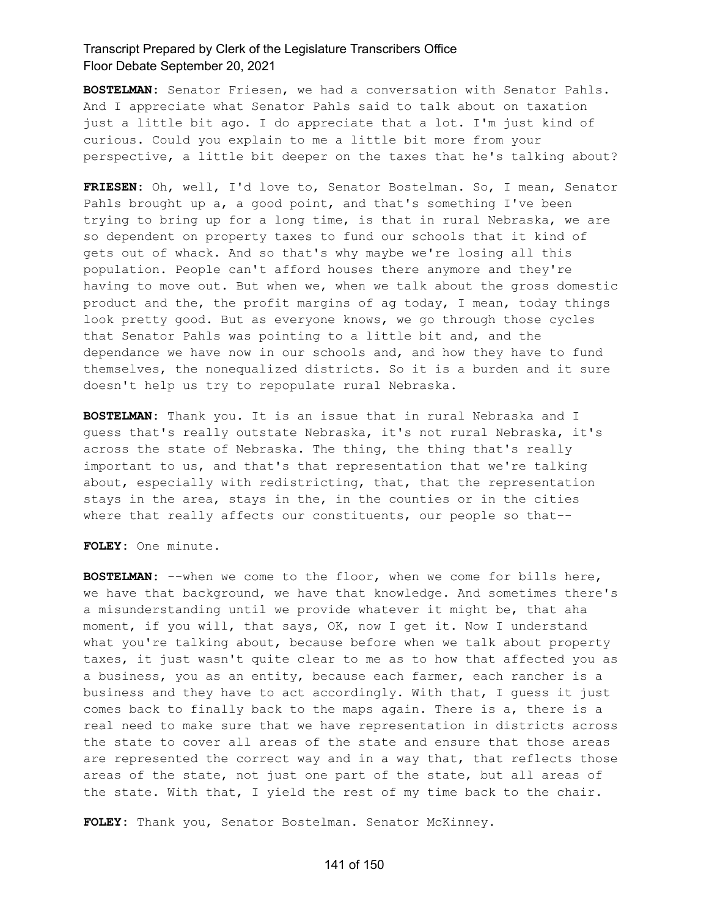**BOSTELMAN:** Senator Friesen, we had a conversation with Senator Pahls. And I appreciate what Senator Pahls said to talk about on taxation just a little bit ago. I do appreciate that a lot. I'm just kind of curious. Could you explain to me a little bit more from your perspective, a little bit deeper on the taxes that he's talking about?

**FRIESEN:** Oh, well, I'd love to, Senator Bostelman. So, I mean, Senator Pahls brought up a, a good point, and that's something I've been trying to bring up for a long time, is that in rural Nebraska, we are so dependent on property taxes to fund our schools that it kind of gets out of whack. And so that's why maybe we're losing all this population. People can't afford houses there anymore and they're having to move out. But when we, when we talk about the gross domestic product and the, the profit margins of ag today, I mean, today things look pretty good. But as everyone knows, we go through those cycles that Senator Pahls was pointing to a little bit and, and the dependance we have now in our schools and, and how they have to fund themselves, the nonequalized districts. So it is a burden and it sure doesn't help us try to repopulate rural Nebraska.

**BOSTELMAN:** Thank you. It is an issue that in rural Nebraska and I guess that's really outstate Nebraska, it's not rural Nebraska, it's across the state of Nebraska. The thing, the thing that's really important to us, and that's that representation that we're talking about, especially with redistricting, that, that the representation stays in the area, stays in the, in the counties or in the cities where that really affects our constituents, our people so that--

**FOLEY:** One minute.

**BOSTELMAN:** --when we come to the floor, when we come for bills here, we have that background, we have that knowledge. And sometimes there's a misunderstanding until we provide whatever it might be, that aha moment, if you will, that says, OK, now I get it. Now I understand what you're talking about, because before when we talk about property taxes, it just wasn't quite clear to me as to how that affected you as a business, you as an entity, because each farmer, each rancher is a business and they have to act accordingly. With that, I guess it just comes back to finally back to the maps again. There is a, there is a real need to make sure that we have representation in districts across the state to cover all areas of the state and ensure that those areas are represented the correct way and in a way that, that reflects those areas of the state, not just one part of the state, but all areas of the state. With that, I yield the rest of my time back to the chair.

**FOLEY:** Thank you, Senator Bostelman. Senator McKinney.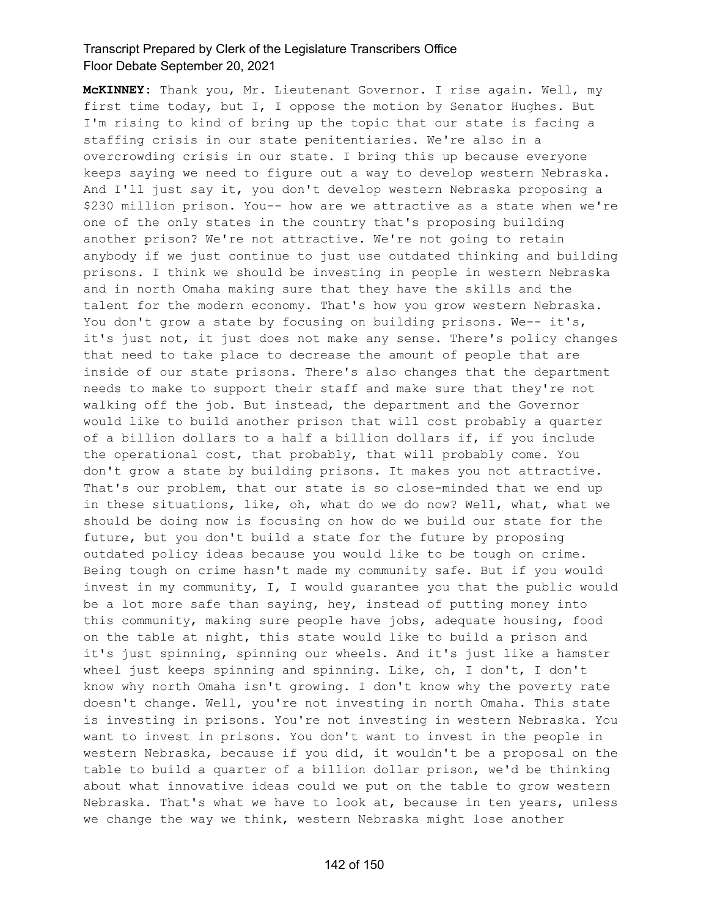**McKINNEY:** Thank you, Mr. Lieutenant Governor. I rise again. Well, my first time today, but I, I oppose the motion by Senator Hughes. But I'm rising to kind of bring up the topic that our state is facing a staffing crisis in our state penitentiaries. We're also in a overcrowding crisis in our state. I bring this up because everyone keeps saying we need to figure out a way to develop western Nebraska. And I'll just say it, you don't develop western Nebraska proposing a \$230 million prison. You-- how are we attractive as a state when we're one of the only states in the country that's proposing building another prison? We're not attractive. We're not going to retain anybody if we just continue to just use outdated thinking and building prisons. I think we should be investing in people in western Nebraska and in north Omaha making sure that they have the skills and the talent for the modern economy. That's how you grow western Nebraska. You don't grow a state by focusing on building prisons. We-- it's, it's just not, it just does not make any sense. There's policy changes that need to take place to decrease the amount of people that are inside of our state prisons. There's also changes that the department needs to make to support their staff and make sure that they're not walking off the job. But instead, the department and the Governor would like to build another prison that will cost probably a quarter of a billion dollars to a half a billion dollars if, if you include the operational cost, that probably, that will probably come. You don't grow a state by building prisons. It makes you not attractive. That's our problem, that our state is so close-minded that we end up in these situations, like, oh, what do we do now? Well, what, what we should be doing now is focusing on how do we build our state for the future, but you don't build a state for the future by proposing outdated policy ideas because you would like to be tough on crime. Being tough on crime hasn't made my community safe. But if you would invest in my community, I, I would guarantee you that the public would be a lot more safe than saying, hey, instead of putting money into this community, making sure people have jobs, adequate housing, food on the table at night, this state would like to build a prison and it's just spinning, spinning our wheels. And it's just like a hamster wheel just keeps spinning and spinning. Like, oh, I don't, I don't know why north Omaha isn't growing. I don't know why the poverty rate doesn't change. Well, you're not investing in north Omaha. This state is investing in prisons. You're not investing in western Nebraska. You want to invest in prisons. You don't want to invest in the people in western Nebraska, because if you did, it wouldn't be a proposal on the table to build a quarter of a billion dollar prison, we'd be thinking about what innovative ideas could we put on the table to grow western Nebraska. That's what we have to look at, because in ten years, unless we change the way we think, western Nebraska might lose another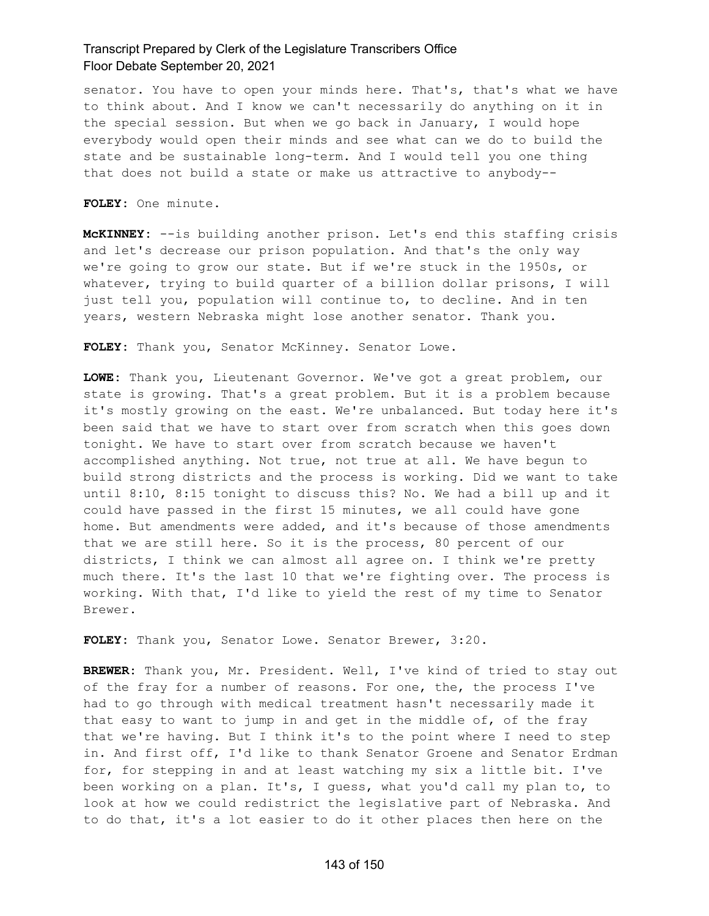senator. You have to open your minds here. That's, that's what we have to think about. And I know we can't necessarily do anything on it in the special session. But when we go back in January, I would hope everybody would open their minds and see what can we do to build the state and be sustainable long-term. And I would tell you one thing that does not build a state or make us attractive to anybody--

**FOLEY:** One minute.

**McKINNEY:** --is building another prison. Let's end this staffing crisis and let's decrease our prison population. And that's the only way we're going to grow our state. But if we're stuck in the 1950s, or whatever, trying to build quarter of a billion dollar prisons, I will just tell you, population will continue to, to decline. And in ten years, western Nebraska might lose another senator. Thank you.

**FOLEY:** Thank you, Senator McKinney. Senator Lowe.

**LOWE:** Thank you, Lieutenant Governor. We've got a great problem, our state is growing. That's a great problem. But it is a problem because it's mostly growing on the east. We're unbalanced. But today here it's been said that we have to start over from scratch when this goes down tonight. We have to start over from scratch because we haven't accomplished anything. Not true, not true at all. We have begun to build strong districts and the process is working. Did we want to take until 8:10, 8:15 tonight to discuss this? No. We had a bill up and it could have passed in the first 15 minutes, we all could have gone home. But amendments were added, and it's because of those amendments that we are still here. So it is the process, 80 percent of our districts, I think we can almost all agree on. I think we're pretty much there. It's the last 10 that we're fighting over. The process is working. With that, I'd like to yield the rest of my time to Senator Brewer.

**FOLEY:** Thank you, Senator Lowe. Senator Brewer, 3:20.

**BREWER:** Thank you, Mr. President. Well, I've kind of tried to stay out of the fray for a number of reasons. For one, the, the process I've had to go through with medical treatment hasn't necessarily made it that easy to want to jump in and get in the middle of, of the fray that we're having. But I think it's to the point where I need to step in. And first off, I'd like to thank Senator Groene and Senator Erdman for, for stepping in and at least watching my six a little bit. I've been working on a plan. It's, I guess, what you'd call my plan to, to look at how we could redistrict the legislative part of Nebraska. And to do that, it's a lot easier to do it other places then here on the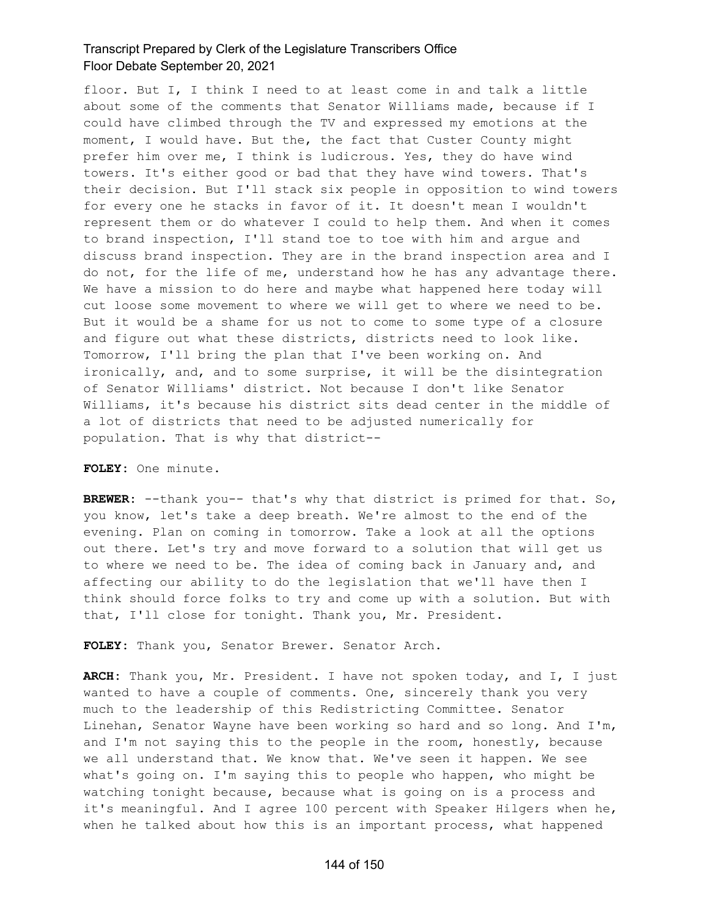floor. But I, I think I need to at least come in and talk a little about some of the comments that Senator Williams made, because if I could have climbed through the TV and expressed my emotions at the moment, I would have. But the, the fact that Custer County might prefer him over me, I think is ludicrous. Yes, they do have wind towers. It's either good or bad that they have wind towers. That's their decision. But I'll stack six people in opposition to wind towers for every one he stacks in favor of it. It doesn't mean I wouldn't represent them or do whatever I could to help them. And when it comes to brand inspection, I'll stand toe to toe with him and argue and discuss brand inspection. They are in the brand inspection area and I do not, for the life of me, understand how he has any advantage there. We have a mission to do here and maybe what happened here today will cut loose some movement to where we will get to where we need to be. But it would be a shame for us not to come to some type of a closure and figure out what these districts, districts need to look like. Tomorrow, I'll bring the plan that I've been working on. And ironically, and, and to some surprise, it will be the disintegration of Senator Williams' district. Not because I don't like Senator Williams, it's because his district sits dead center in the middle of a lot of districts that need to be adjusted numerically for population. That is why that district--

#### **FOLEY:** One minute.

**BREWER:** --thank you-- that's why that district is primed for that. So, you know, let's take a deep breath. We're almost to the end of the evening. Plan on coming in tomorrow. Take a look at all the options out there. Let's try and move forward to a solution that will get us to where we need to be. The idea of coming back in January and, and affecting our ability to do the legislation that we'll have then I think should force folks to try and come up with a solution. But with that, I'll close for tonight. Thank you, Mr. President.

**FOLEY:** Thank you, Senator Brewer. Senator Arch.

**ARCH:** Thank you, Mr. President. I have not spoken today, and I, I just wanted to have a couple of comments. One, sincerely thank you very much to the leadership of this Redistricting Committee. Senator Linehan, Senator Wayne have been working so hard and so long. And I'm, and I'm not saying this to the people in the room, honestly, because we all understand that. We know that. We've seen it happen. We see what's going on. I'm saying this to people who happen, who might be watching tonight because, because what is going on is a process and it's meaningful. And I agree 100 percent with Speaker Hilgers when he, when he talked about how this is an important process, what happened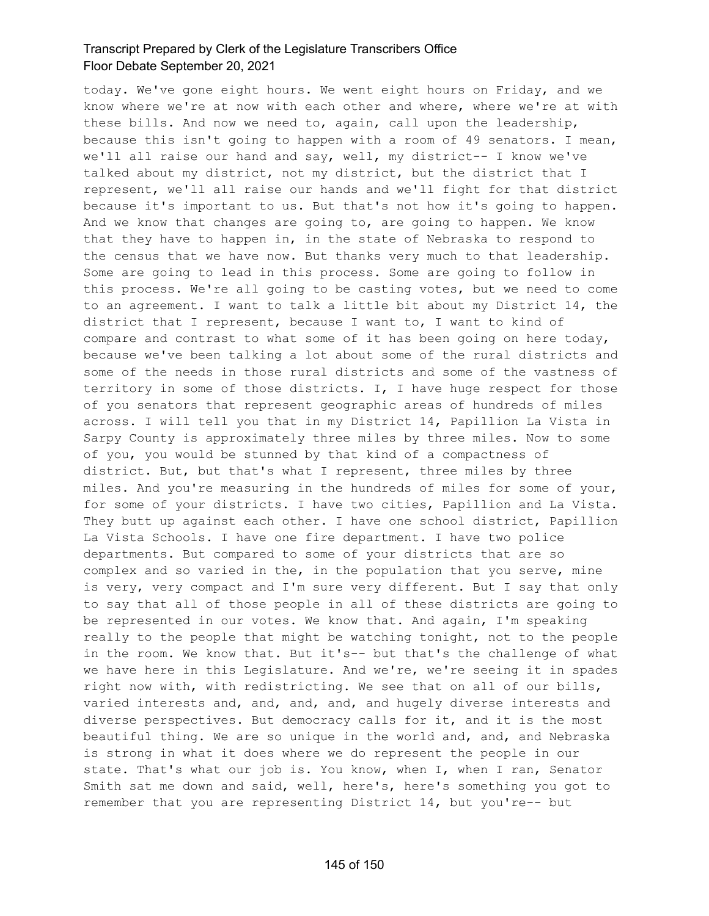today. We've gone eight hours. We went eight hours on Friday, and we know where we're at now with each other and where, where we're at with these bills. And now we need to, again, call upon the leadership, because this isn't going to happen with a room of 49 senators. I mean, we'll all raise our hand and say, well, my district-- I know we've talked about my district, not my district, but the district that I represent, we'll all raise our hands and we'll fight for that district because it's important to us. But that's not how it's going to happen. And we know that changes are going to, are going to happen. We know that they have to happen in, in the state of Nebraska to respond to the census that we have now. But thanks very much to that leadership. Some are going to lead in this process. Some are going to follow in this process. We're all going to be casting votes, but we need to come to an agreement. I want to talk a little bit about my District 14, the district that I represent, because I want to, I want to kind of compare and contrast to what some of it has been going on here today, because we've been talking a lot about some of the rural districts and some of the needs in those rural districts and some of the vastness of territory in some of those districts. I, I have huge respect for those of you senators that represent geographic areas of hundreds of miles across. I will tell you that in my District 14, Papillion La Vista in Sarpy County is approximately three miles by three miles. Now to some of you, you would be stunned by that kind of a compactness of district. But, but that's what I represent, three miles by three miles. And you're measuring in the hundreds of miles for some of your, for some of your districts. I have two cities, Papillion and La Vista. They butt up against each other. I have one school district, Papillion La Vista Schools. I have one fire department. I have two police departments. But compared to some of your districts that are so complex and so varied in the, in the population that you serve, mine is very, very compact and I'm sure very different. But I say that only to say that all of those people in all of these districts are going to be represented in our votes. We know that. And again, I'm speaking really to the people that might be watching tonight, not to the people in the room. We know that. But it's-- but that's the challenge of what we have here in this Legislature. And we're, we're seeing it in spades right now with, with redistricting. We see that on all of our bills, varied interests and, and, and, and, and hugely diverse interests and diverse perspectives. But democracy calls for it, and it is the most beautiful thing. We are so unique in the world and, and, and Nebraska is strong in what it does where we do represent the people in our state. That's what our job is. You know, when I, when I ran, Senator Smith sat me down and said, well, here's, here's something you got to remember that you are representing District 14, but you're-- but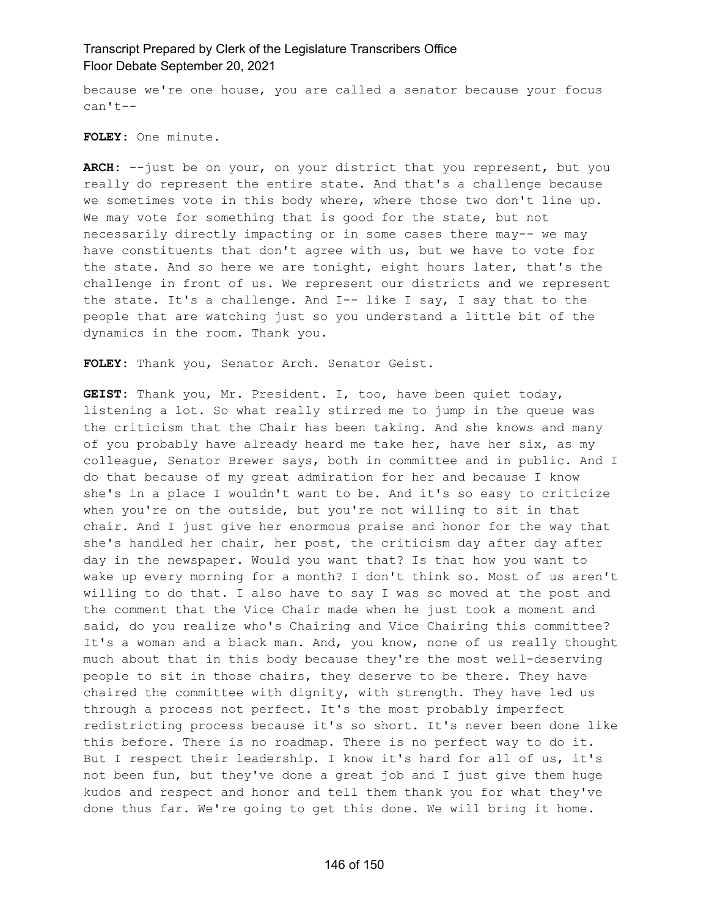because we're one house, you are called a senator because your focus can't--

**FOLEY:** One minute.

**ARCH:** --just be on your, on your district that you represent, but you really do represent the entire state. And that's a challenge because we sometimes vote in this body where, where those two don't line up. We may vote for something that is good for the state, but not necessarily directly impacting or in some cases there may-- we may have constituents that don't agree with us, but we have to vote for the state. And so here we are tonight, eight hours later, that's the challenge in front of us. We represent our districts and we represent the state. It's a challenge. And I-- like I say, I say that to the people that are watching just so you understand a little bit of the dynamics in the room. Thank you.

**FOLEY:** Thank you, Senator Arch. Senator Geist.

**GEIST:** Thank you, Mr. President. I, too, have been quiet today, listening a lot. So what really stirred me to jump in the queue was the criticism that the Chair has been taking. And she knows and many of you probably have already heard me take her, have her six, as my colleague, Senator Brewer says, both in committee and in public. And I do that because of my great admiration for her and because I know she's in a place I wouldn't want to be. And it's so easy to criticize when you're on the outside, but you're not willing to sit in that chair. And I just give her enormous praise and honor for the way that she's handled her chair, her post, the criticism day after day after day in the newspaper. Would you want that? Is that how you want to wake up every morning for a month? I don't think so. Most of us aren't willing to do that. I also have to say I was so moved at the post and the comment that the Vice Chair made when he just took a moment and said, do you realize who's Chairing and Vice Chairing this committee? It's a woman and a black man. And, you know, none of us really thought much about that in this body because they're the most well-deserving people to sit in those chairs, they deserve to be there. They have chaired the committee with dignity, with strength. They have led us through a process not perfect. It's the most probably imperfect redistricting process because it's so short. It's never been done like this before. There is no roadmap. There is no perfect way to do it. But I respect their leadership. I know it's hard for all of us, it's not been fun, but they've done a great job and I just give them huge kudos and respect and honor and tell them thank you for what they've done thus far. We're going to get this done. We will bring it home.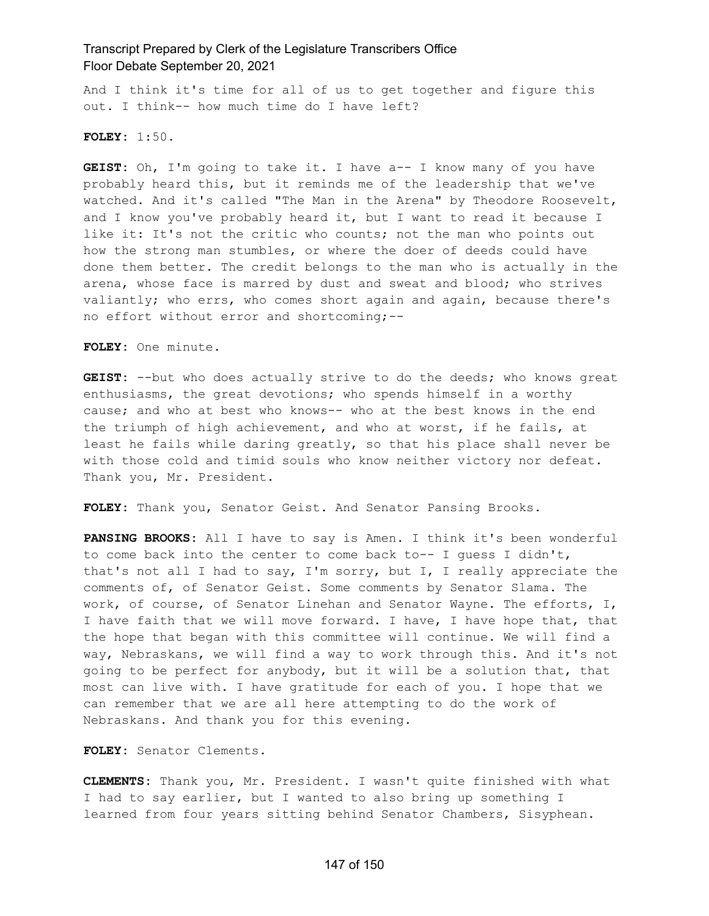And I think it's time for all of us to get together and figure this out. I think-- how much time do I have left?

#### **FOLEY:** 1:50.

**GEIST:** Oh, I'm going to take it. I have a-- I know many of you have probably heard this, but it reminds me of the leadership that we've watched. And it's called "The Man in the Arena" by Theodore Roosevelt, and I know you've probably heard it, but I want to read it because I like it: It's not the critic who counts; not the man who points out how the strong man stumbles, or where the doer of deeds could have done them better. The credit belongs to the man who is actually in the arena, whose face is marred by dust and sweat and blood; who strives valiantly; who errs, who comes short again and again, because there's no effort without error and shortcoming;--

**FOLEY:** One minute.

**GEIST:** --but who does actually strive to do the deeds; who knows great enthusiasms, the great devotions; who spends himself in a worthy cause; and who at best who knows-- who at the best knows in the end the triumph of high achievement, and who at worst, if he fails, at least he fails while daring greatly, so that his place shall never be with those cold and timid souls who know neither victory nor defeat. Thank you, Mr. President.

**FOLEY:** Thank you, Senator Geist. And Senator Pansing Brooks.

**PANSING BROOKS:** All I have to say is Amen. I think it's been wonderful to come back into the center to come back to-- I guess I didn't, that's not all I had to say, I'm sorry, but I, I really appreciate the comments of, of Senator Geist. Some comments by Senator Slama. The work, of course, of Senator Linehan and Senator Wayne. The efforts, I, I have faith that we will move forward. I have, I have hope that, that the hope that began with this committee will continue. We will find a way, Nebraskans, we will find a way to work through this. And it's not going to be perfect for anybody, but it will be a solution that, that most can live with. I have gratitude for each of you. I hope that we can remember that we are all here attempting to do the work of Nebraskans. And thank you for this evening.

**FOLEY:** Senator Clements.

**CLEMENTS:** Thank you, Mr. President. I wasn't quite finished with what I had to say earlier, but I wanted to also bring up something I learned from four years sitting behind Senator Chambers, Sisyphean.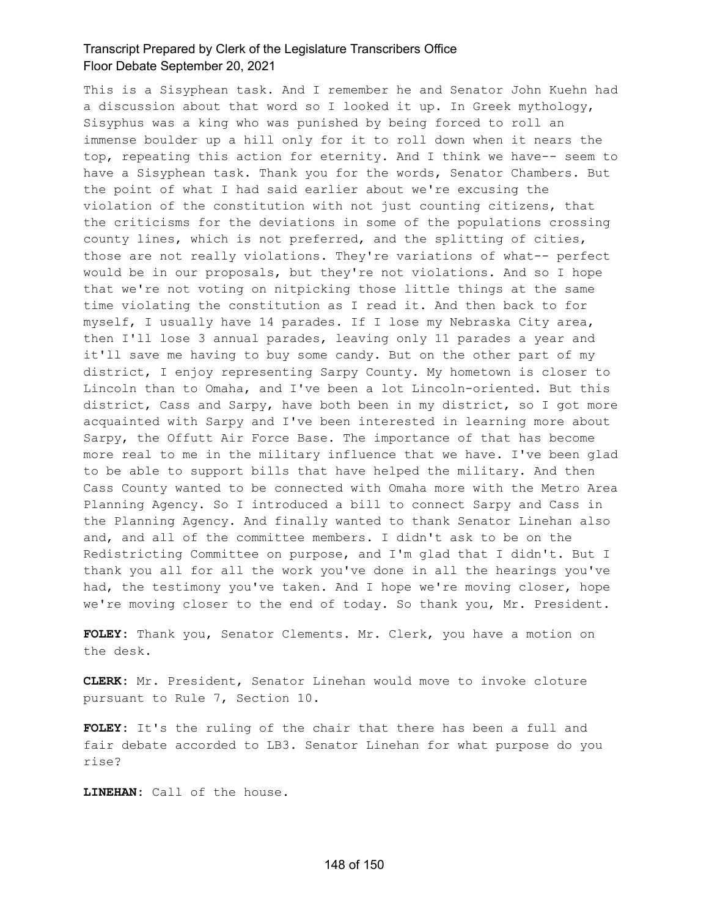This is a Sisyphean task. And I remember he and Senator John Kuehn had a discussion about that word so I looked it up. In Greek mythology, Sisyphus was a king who was punished by being forced to roll an immense boulder up a hill only for it to roll down when it nears the top, repeating this action for eternity. And I think we have-- seem to have a Sisyphean task. Thank you for the words, Senator Chambers. But the point of what I had said earlier about we're excusing the violation of the constitution with not just counting citizens, that the criticisms for the deviations in some of the populations crossing county lines, which is not preferred, and the splitting of cities, those are not really violations. They're variations of what-- perfect would be in our proposals, but they're not violations. And so I hope that we're not voting on nitpicking those little things at the same time violating the constitution as I read it. And then back to for myself, I usually have 14 parades. If I lose my Nebraska City area, then I'll lose 3 annual parades, leaving only 11 parades a year and it'll save me having to buy some candy. But on the other part of my district, I enjoy representing Sarpy County. My hometown is closer to Lincoln than to Omaha, and I've been a lot Lincoln-oriented. But this district, Cass and Sarpy, have both been in my district, so I got more acquainted with Sarpy and I've been interested in learning more about Sarpy, the Offutt Air Force Base. The importance of that has become more real to me in the military influence that we have. I've been glad to be able to support bills that have helped the military. And then Cass County wanted to be connected with Omaha more with the Metro Area Planning Agency. So I introduced a bill to connect Sarpy and Cass in the Planning Agency. And finally wanted to thank Senator Linehan also and, and all of the committee members. I didn't ask to be on the Redistricting Committee on purpose, and I'm glad that I didn't. But I thank you all for all the work you've done in all the hearings you've had, the testimony you've taken. And I hope we're moving closer, hope we're moving closer to the end of today. So thank you, Mr. President.

**FOLEY:** Thank you, Senator Clements. Mr. Clerk, you have a motion on the desk.

**CLERK:** Mr. President, Senator Linehan would move to invoke cloture pursuant to Rule 7, Section 10.

**FOLEY:** It's the ruling of the chair that there has been a full and fair debate accorded to LB3. Senator Linehan for what purpose do you rise?

**LINEHAN:** Call of the house.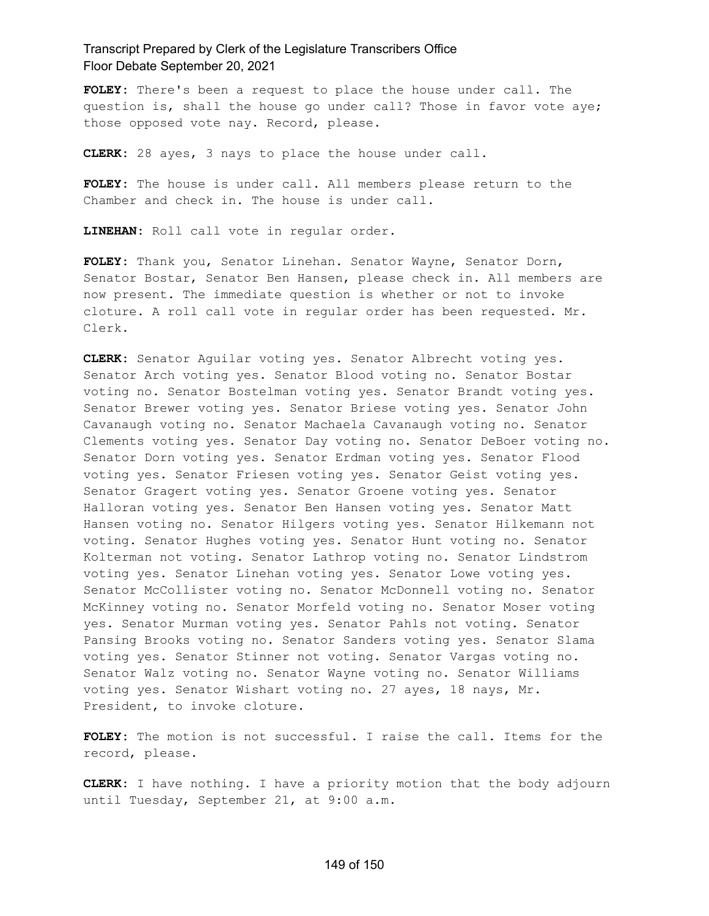**FOLEY:** There's been a request to place the house under call. The question is, shall the house go under call? Those in favor vote aye; those opposed vote nay. Record, please.

**CLERK:** 28 ayes, 3 nays to place the house under call.

**FOLEY:** The house is under call. All members please return to the Chamber and check in. The house is under call.

**LINEHAN:** Roll call vote in regular order.

**FOLEY:** Thank you, Senator Linehan. Senator Wayne, Senator Dorn, Senator Bostar, Senator Ben Hansen, please check in. All members are now present. The immediate question is whether or not to invoke cloture. A roll call vote in regular order has been requested. Mr. Clerk.

**CLERK:** Senator Aguilar voting yes. Senator Albrecht voting yes. Senator Arch voting yes. Senator Blood voting no. Senator Bostar voting no. Senator Bostelman voting yes. Senator Brandt voting yes. Senator Brewer voting yes. Senator Briese voting yes. Senator John Cavanaugh voting no. Senator Machaela Cavanaugh voting no. Senator Clements voting yes. Senator Day voting no. Senator DeBoer voting no. Senator Dorn voting yes. Senator Erdman voting yes. Senator Flood voting yes. Senator Friesen voting yes. Senator Geist voting yes. Senator Gragert voting yes. Senator Groene voting yes. Senator Halloran voting yes. Senator Ben Hansen voting yes. Senator Matt Hansen voting no. Senator Hilgers voting yes. Senator Hilkemann not voting. Senator Hughes voting yes. Senator Hunt voting no. Senator Kolterman not voting. Senator Lathrop voting no. Senator Lindstrom voting yes. Senator Linehan voting yes. Senator Lowe voting yes. Senator McCollister voting no. Senator McDonnell voting no. Senator McKinney voting no. Senator Morfeld voting no. Senator Moser voting yes. Senator Murman voting yes. Senator Pahls not voting. Senator Pansing Brooks voting no. Senator Sanders voting yes. Senator Slama voting yes. Senator Stinner not voting. Senator Vargas voting no. Senator Walz voting no. Senator Wayne voting no. Senator Williams voting yes. Senator Wishart voting no. 27 ayes, 18 nays, Mr. President, to invoke cloture.

**FOLEY:** The motion is not successful. I raise the call. Items for the record, please.

**CLERK:** I have nothing. I have a priority motion that the body adjourn until Tuesday, September 21, at 9:00 a.m.